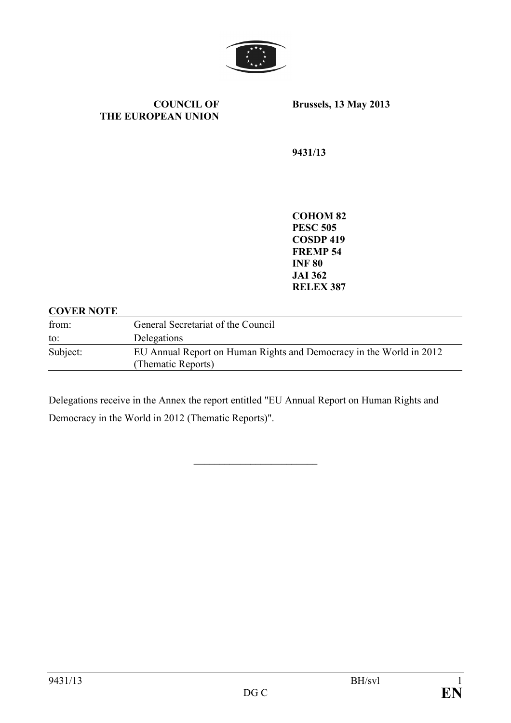

**COUNCIL OF THE EUROPEAN UNION**  **Brussels, 13 May 2013** 

**9431/13** 

**COHOM 82 PESC 505 COSDP 419 FREMP 54 INF 80 JAI 362 RELEX 387** 

#### **COVER NOTE**

| from:    | General Secretariat of the Council                                                        |
|----------|-------------------------------------------------------------------------------------------|
| to:      | Delegations                                                                               |
| Subject: | EU Annual Report on Human Rights and Democracy in the World in 2012<br>(Thematic Reports) |

Delegations receive in the Annex the report entitled "EU Annual Report on Human Rights and Democracy in the World in 2012 (Thematic Reports)".

\_\_\_\_\_\_\_\_\_\_\_\_\_\_\_\_\_\_\_\_\_\_\_\_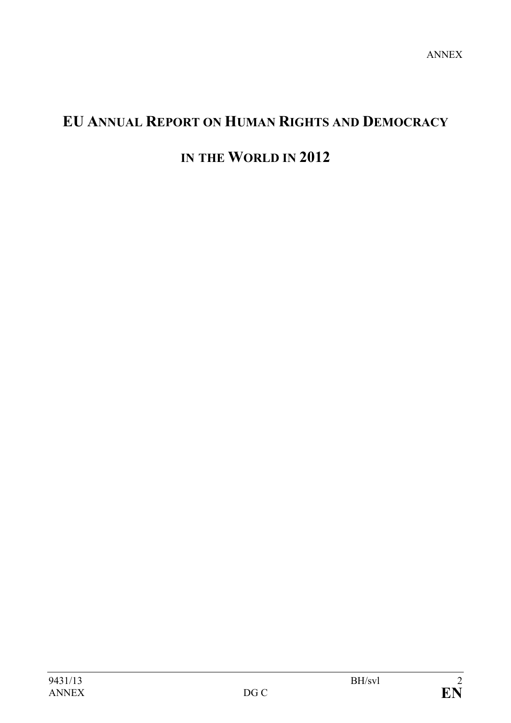# **EU AUAL REPORT O HUMA RIGHTS AD DEMOCRACY**

# **IN THE WORLD IN 2012**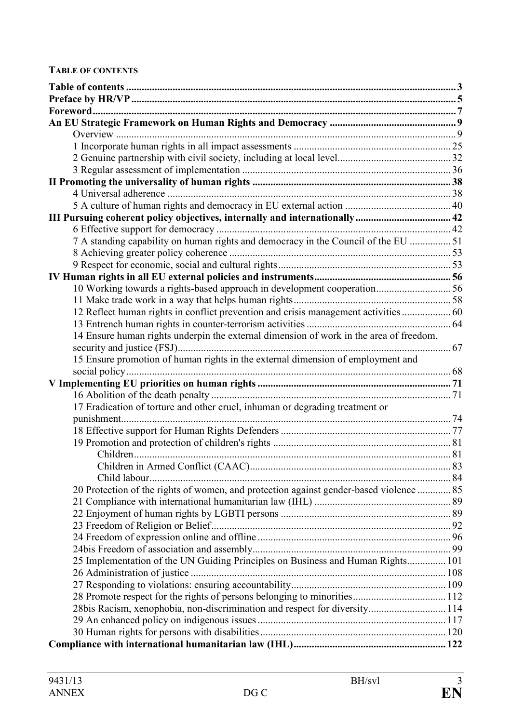#### **TABLE OF CONTENTS**

| 7 A standing capability on human rights and democracy in the Council of the EU 51      |  |
|----------------------------------------------------------------------------------------|--|
|                                                                                        |  |
|                                                                                        |  |
|                                                                                        |  |
| 10 Working towards a rights-based approach in development cooperation56                |  |
|                                                                                        |  |
| 12 Reflect human rights in conflict prevention and crisis management activities  60    |  |
|                                                                                        |  |
| 14 Ensure human rights underpin the external dimension of work in the area of freedom, |  |
|                                                                                        |  |
| 15 Ensure promotion of human rights in the external dimension of employment and        |  |
|                                                                                        |  |
|                                                                                        |  |
|                                                                                        |  |
| 17 Eradication of torture and other cruel, inhuman or degrading treatment or           |  |
|                                                                                        |  |
|                                                                                        |  |
|                                                                                        |  |
|                                                                                        |  |
|                                                                                        |  |
|                                                                                        |  |
| 20 Protection of the rights of women, and protection against gender-based violence  85 |  |
|                                                                                        |  |
|                                                                                        |  |
|                                                                                        |  |
|                                                                                        |  |
|                                                                                        |  |
| 25 Implementation of the UN Guiding Principles on Business and Human Rights 101        |  |
|                                                                                        |  |
|                                                                                        |  |
|                                                                                        |  |
| 28bis Racism, xenophobia, non-discrimination and respect for diversity 114             |  |
|                                                                                        |  |
|                                                                                        |  |
|                                                                                        |  |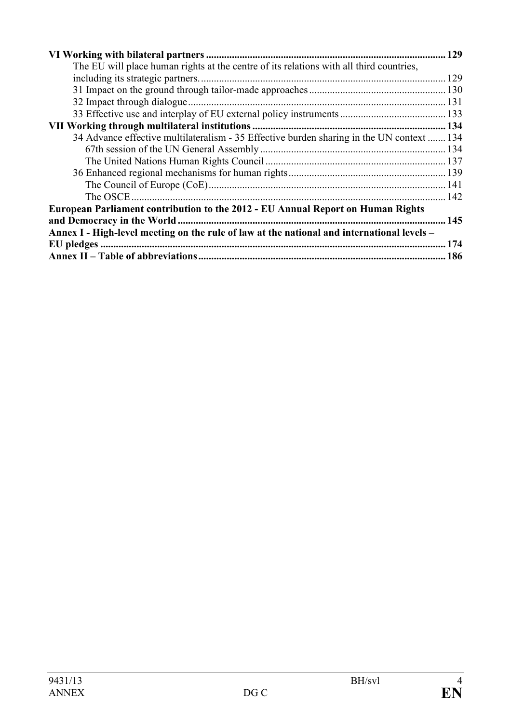|                                                                                            | 129 |  |
|--------------------------------------------------------------------------------------------|-----|--|
| The EU will place human rights at the centre of its relations with all third countries,    |     |  |
|                                                                                            |     |  |
|                                                                                            |     |  |
|                                                                                            |     |  |
|                                                                                            |     |  |
|                                                                                            |     |  |
| 34 Advance effective multilateralism - 35 Effective burden sharing in the UN context  134  |     |  |
|                                                                                            |     |  |
|                                                                                            |     |  |
|                                                                                            |     |  |
|                                                                                            |     |  |
| The OSCE                                                                                   |     |  |
| European Parliament contribution to the 2012 - EU Annual Report on Human Rights            |     |  |
|                                                                                            |     |  |
| Annex I - High-level meeting on the rule of law at the national and international levels - |     |  |
|                                                                                            |     |  |
|                                                                                            |     |  |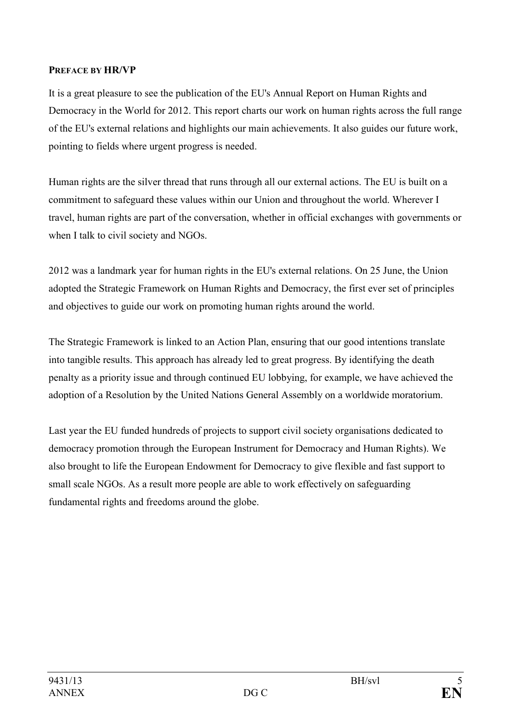### <span id="page-4-0"></span>**PREFACE BY HR/VP**

It is a great pleasure to see the publication of the EU's Annual Report on Human Rights and Democracy in the World for 2012. This report charts our work on human rights across the full range of the EU's external relations and highlights our main achievements. It also guides our future work, pointing to fields where urgent progress is needed.

Human rights are the silver thread that runs through all our external actions. The EU is built on a commitment to safeguard these values within our Union and throughout the world. Wherever I travel, human rights are part of the conversation, whether in official exchanges with governments or when I talk to civil society and NGOs.

2012 was a landmark year for human rights in the EU's external relations. On 25 June, the Union adopted the Strategic Framework on Human Rights and Democracy, the first ever set of principles and objectives to guide our work on promoting human rights around the world.

The Strategic Framework is linked to an Action Plan, ensuring that our good intentions translate into tangible results. This approach has already led to great progress. By identifying the death penalty as a priority issue and through continued EU lobbying, for example, we have achieved the adoption of a Resolution by the United Nations General Assembly on a worldwide moratorium.

Last year the EU funded hundreds of projects to support civil society organisations dedicated to democracy promotion through the European Instrument for Democracy and Human Rights). We also brought to life the European Endowment for Democracy to give flexible and fast support to small scale NGOs. As a result more people are able to work effectively on safeguarding fundamental rights and freedoms around the globe.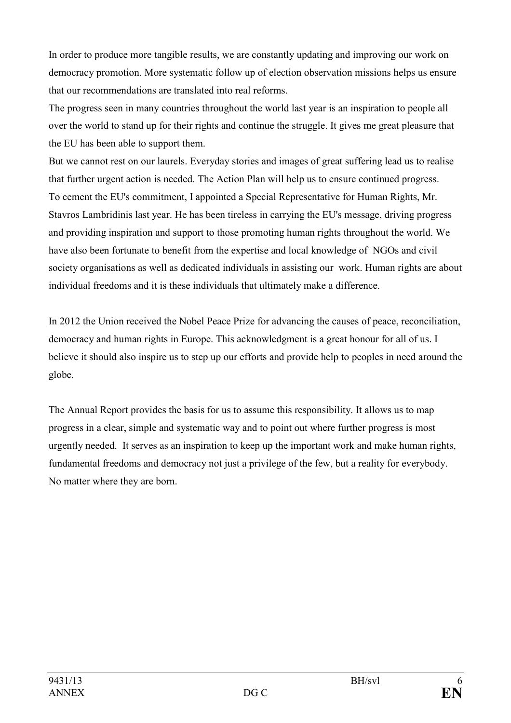In order to produce more tangible results, we are constantly updating and improving our work on democracy promotion. More systematic follow up of election observation missions helps us ensure that our recommendations are translated into real reforms.

The progress seen in many countries throughout the world last year is an inspiration to people all over the world to stand up for their rights and continue the struggle. It gives me great pleasure that the EU has been able to support them.

But we cannot rest on our laurels. Everyday stories and images of great suffering lead us to realise that further urgent action is needed. The Action Plan will help us to ensure continued progress. To cement the EU's commitment, I appointed a Special Representative for Human Rights, Mr. Stavros Lambridinis last year. He has been tireless in carrying the EU's message, driving progress and providing inspiration and support to those promoting human rights throughout the world. We have also been fortunate to benefit from the expertise and local knowledge of NGOs and civil society organisations as well as dedicated individuals in assisting our work. Human rights are about individual freedoms and it is these individuals that ultimately make a difference.

In 2012 the Union received the Nobel Peace Prize for advancing the causes of peace, reconciliation, democracy and human rights in Europe. This acknowledgment is a great honour for all of us. I believe it should also inspire us to step up our efforts and provide help to peoples in need around the globe.

The Annual Report provides the basis for us to assume this responsibility. It allows us to map progress in a clear, simple and systematic way and to point out where further progress is most urgently needed. It serves as an inspiration to keep up the important work and make human rights, fundamental freedoms and democracy not just a privilege of the few, but a reality for everybody. No matter where they are born.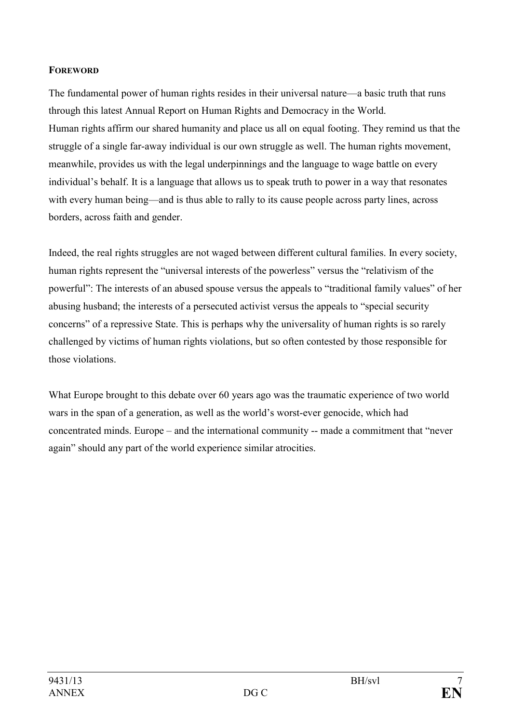### <span id="page-6-0"></span>**FOREWORD**

The fundamental power of human rights resides in their universal nature—a basic truth that runs through this latest Annual Report on Human Rights and Democracy in the World. Human rights affirm our shared humanity and place us all on equal footing. They remind us that the struggle of a single far-away individual is our own struggle as well. The human rights movement, meanwhile, provides us with the legal underpinnings and the language to wage battle on every individual's behalf. It is a language that allows us to speak truth to power in a way that resonates with every human being—and is thus able to rally to its cause people across party lines, across borders, across faith and gender.

Indeed, the real rights struggles are not waged between different cultural families. In every society, human rights represent the "universal interests of the powerless" versus the "relativism of the powerful": The interests of an abused spouse versus the appeals to "traditional family values" of her abusing husband; the interests of a persecuted activist versus the appeals to "special security concerns" of a repressive State. This is perhaps why the universality of human rights is so rarely challenged by victims of human rights violations, but so often contested by those responsible for those violations.

What Europe brought to this debate over 60 years ago was the traumatic experience of two world wars in the span of a generation, as well as the world's worst-ever genocide, which had concentrated minds. Europe – and the international community -- made a commitment that "never again" should any part of the world experience similar atrocities.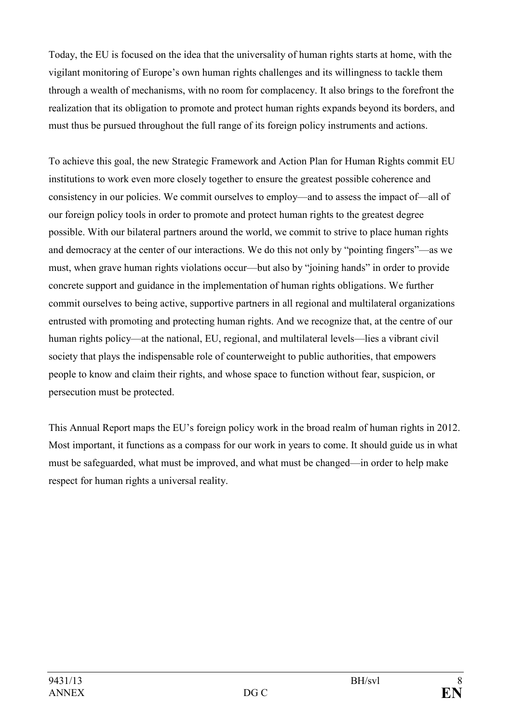Today, the EU is focused on the idea that the universality of human rights starts at home, with the vigilant monitoring of Europe's own human rights challenges and its willingness to tackle them through a wealth of mechanisms, with no room for complacency. It also brings to the forefront the realization that its obligation to promote and protect human rights expands beyond its borders, and must thus be pursued throughout the full range of its foreign policy instruments and actions.

To achieve this goal, the new Strategic Framework and Action Plan for Human Rights commit EU institutions to work even more closely together to ensure the greatest possible coherence and consistency in our policies. We commit ourselves to employ—and to assess the impact of—all of our foreign policy tools in order to promote and protect human rights to the greatest degree possible. With our bilateral partners around the world, we commit to strive to place human rights and democracy at the center of our interactions. We do this not only by "pointing fingers"—as we must, when grave human rights violations occur—but also by "joining hands" in order to provide concrete support and guidance in the implementation of human rights obligations. We further commit ourselves to being active, supportive partners in all regional and multilateral organizations entrusted with promoting and protecting human rights. And we recognize that, at the centre of our human rights policy—at the national, EU, regional, and multilateral levels—lies a vibrant civil society that plays the indispensable role of counterweight to public authorities, that empowers people to know and claim their rights, and whose space to function without fear, suspicion, or persecution must be protected.

This Annual Report maps the EU's foreign policy work in the broad realm of human rights in 2012. Most important, it functions as a compass for our work in years to come. It should guide us in what must be safeguarded, what must be improved, and what must be changed—in order to help make respect for human rights a universal reality.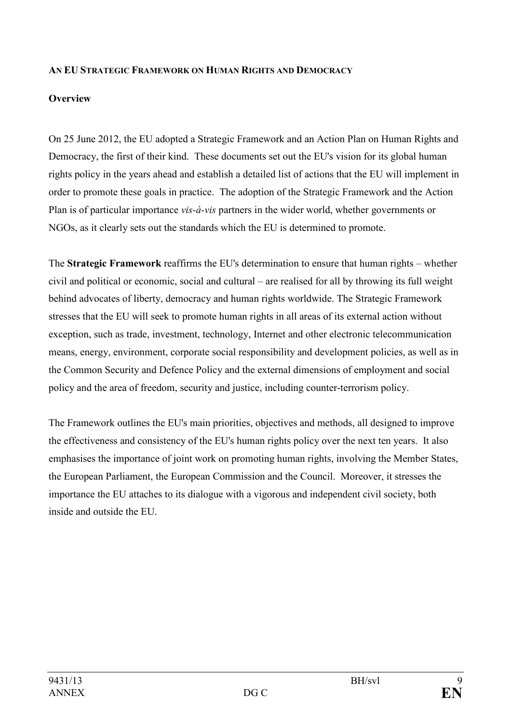### <span id="page-8-0"></span>**A EU STRATEGIC FRAMEWORK O HUMA RIGHTS AD DEMOCRACY**

#### **Overview**

On 25 June 2012, the EU adopted a Strategic Framework and an Action Plan on Human Rights and Democracy, the first of their kind. These documents set out the EU's vision for its global human rights policy in the years ahead and establish a detailed list of actions that the EU will implement in order to promote these goals in practice. The adoption of the Strategic Framework and the Action Plan is of particular importance *vis-à-vis* partners in the wider world, whether governments or NGOs, as it clearly sets out the standards which the EU is determined to promote.

The **Strategic Framework** reaffirms the EU's determination to ensure that human rights – whether civil and political or economic, social and cultural – are realised for all by throwing its full weight behind advocates of liberty, democracy and human rights worldwide. The Strategic Framework stresses that the EU will seek to promote human rights in all areas of its external action without exception, such as trade, investment, technology, Internet and other electronic telecommunication means, energy, environment, corporate social responsibility and development policies, as well as in the Common Security and Defence Policy and the external dimensions of employment and social policy and the area of freedom, security and justice, including counter-terrorism policy.

The Framework outlines the EU's main priorities, objectives and methods, all designed to improve the effectiveness and consistency of the EU's human rights policy over the next ten years. It also emphasises the importance of joint work on promoting human rights, involving the Member States, the European Parliament, the European Commission and the Council. Moreover, it stresses the importance the EU attaches to its dialogue with a vigorous and independent civil society, both inside and outside the EU.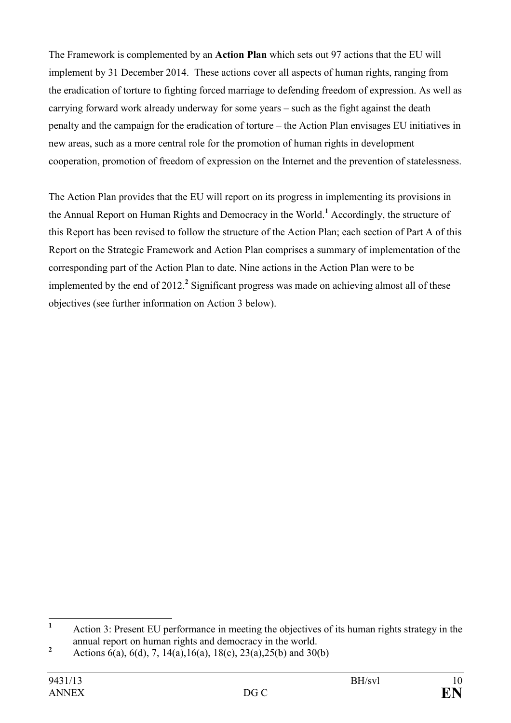The Framework is complemented by an **Action Plan** which sets out 97 actions that the EU will implement by 31 December 2014. These actions cover all aspects of human rights, ranging from the eradication of torture to fighting forced marriage to defending freedom of expression. As well as carrying forward work already underway for some years – such as the fight against the death penalty and the campaign for the eradication of torture – the Action Plan envisages EU initiatives in new areas, such as a more central role for the promotion of human rights in development cooperation, promotion of freedom of expression on the Internet and the prevention of statelessness.

The Action Plan provides that the EU will report on its progress in implementing its provisions in the Annual Report on Human Rights and Democracy in the World.**<sup>1</sup>** Accordingly, the structure of this Report has been revised to follow the structure of the Action Plan; each section of Part A of this Report on the Strategic Framework and Action Plan comprises a summary of implementation of the corresponding part of the Action Plan to date. Nine actions in the Action Plan were to be implemented by the end of 2012.**<sup>2</sup>** Significant progress was made on achieving almost all of these objectives (see further information on Action 3 below).

 **1** Action 3: Present EU performance in meeting the objectives of its human rights strategy in the annual report on human rights and democracy in the world.

**<sup>2</sup>** Actions 6(a), 6(d), 7, 14(a), 16(a), 18(c), 23(a), 25(b) and 30(b)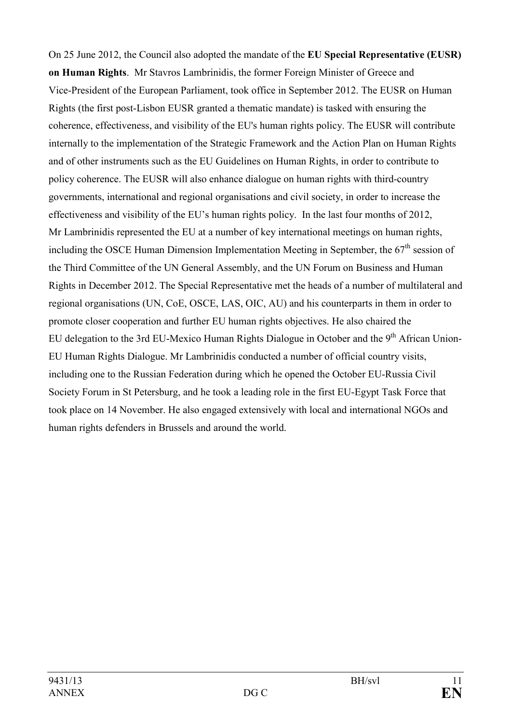On 25 June 2012, the Council also adopted the mandate of the **EU Special Representative (EUSR) on Human Rights**. Mr Stavros Lambrinidis, the former Foreign Minister of Greece and Vice-President of the European Parliament, took office in September 2012. The EUSR on Human Rights (the first post-Lisbon EUSR granted a thematic mandate) is tasked with ensuring the coherence, effectiveness, and visibility of the EU's human rights policy. The EUSR will contribute internally to the implementation of the Strategic Framework and the Action Plan on Human Rights and of other instruments such as the EU Guidelines on Human Rights, in order to contribute to policy coherence. The EUSR will also enhance dialogue on human rights with third-country governments, international and regional organisations and civil society, in order to increase the effectiveness and visibility of the EU's human rights policy. In the last four months of 2012, Mr Lambrinidis represented the EU at a number of key international meetings on human rights, including the OSCE Human Dimension Implementation Meeting in September, the  $67<sup>th</sup>$  session of the Third Committee of the UN General Assembly, and the UN Forum on Business and Human Rights in December 2012. The Special Representative met the heads of a number of multilateral and regional organisations (UN, CoE, OSCE, LAS, OIC, AU) and his counterparts in them in order to promote closer cooperation and further EU human rights objectives. He also chaired the EU delegation to the 3rd EU-Mexico Human Rights Dialogue in October and the  $9<sup>th</sup>$  African Union-EU Human Rights Dialogue. Mr Lambrinidis conducted a number of official country visits, including one to the Russian Federation during which he opened the October EU-Russia Civil Society Forum in St Petersburg, and he took a leading role in the first EU-Egypt Task Force that took place on 14 November. He also engaged extensively with local and international NGOs and human rights defenders in Brussels and around the world.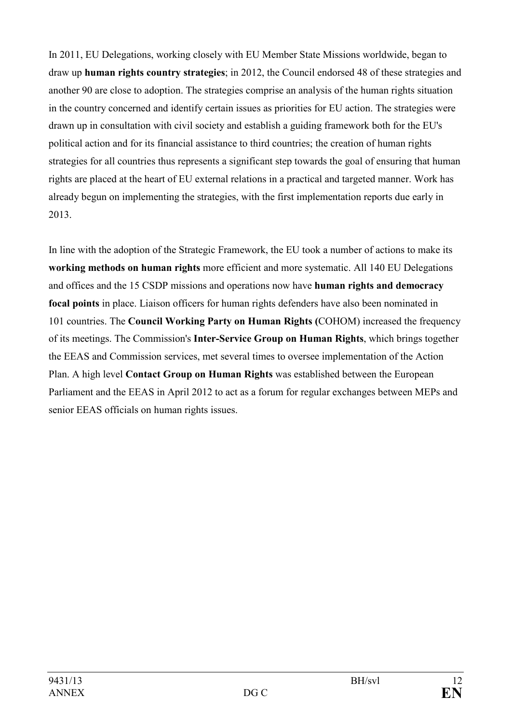In 2011, EU Delegations, working closely with EU Member State Missions worldwide, began to draw up **human rights country strategies**; in 2012, the Council endorsed 48 of these strategies and another 90 are close to adoption. The strategies comprise an analysis of the human rights situation in the country concerned and identify certain issues as priorities for EU action. The strategies were drawn up in consultation with civil society and establish a guiding framework both for the EU's political action and for its financial assistance to third countries; the creation of human rights strategies for all countries thus represents a significant step towards the goal of ensuring that human rights are placed at the heart of EU external relations in a practical and targeted manner. Work has already begun on implementing the strategies, with the first implementation reports due early in 2013.

In line with the adoption of the Strategic Framework, the EU took a number of actions to make its **working methods on human rights** more efficient and more systematic. All 140 EU Delegations and offices and the 15 CSDP missions and operations now have **human rights and democracy focal points** in place. Liaison officers for human rights defenders have also been nominated in 101 countries. The **Council Working Party on Human Rights (**COHOM) increased the frequency of its meetings. The Commission's **Inter-Service Group on Human Rights**, which brings together the EEAS and Commission services, met several times to oversee implementation of the Action Plan. A high level **Contact Group on Human Rights** was established between the European Parliament and the EEAS in April 2012 to act as a forum for regular exchanges between MEPs and senior EEAS officials on human rights issues.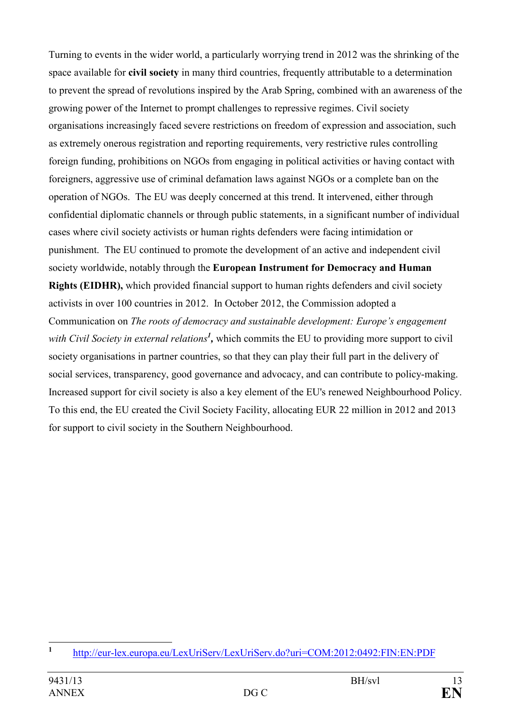Turning to events in the wider world, a particularly worrying trend in 2012 was the shrinking of the space available for **civil society** in many third countries, frequently attributable to a determination to prevent the spread of revolutions inspired by the Arab Spring, combined with an awareness of the growing power of the Internet to prompt challenges to repressive regimes. Civil society organisations increasingly faced severe restrictions on freedom of expression and association, such as extremely onerous registration and reporting requirements, very restrictive rules controlling foreign funding, prohibitions on NGOs from engaging in political activities or having contact with foreigners, aggressive use of criminal defamation laws against NGOs or a complete ban on the operation of NGOs. The EU was deeply concerned at this trend. It intervened, either through confidential diplomatic channels or through public statements, in a significant number of individual cases where civil society activists or human rights defenders were facing intimidation or punishment. The EU continued to promote the development of an active and independent civil society worldwide, notably through the **European Instrument for Democracy and Human Rights (EIDHR),** which provided financial support to human rights defenders and civil society activists in over 100 countries in 2012. In October 2012, the Commission adopted a Communication on *The roots of democracy and sustainable development: Europe's engagement*  with Civil Society in external relations<sup>1</sup>, which commits the EU to providing more support to civil society organisations in partner countries, so that they can play their full part in the delivery of social services, transparency, good governance and advocacy, and can contribute to policy-making. Increased support for civil society is also a key element of the EU's renewed Neighbourhood Policy. To this end, the EU created the Civil Society Facility, allocating EUR 22 million in 2012 and 2013 for support to civil society in the Southern Neighbourhood.

 **1** <http://eur-lex.europa.eu/LexUriServ/LexUriServ.do?uri=COM:2012:0492:FIN:EN:PDF>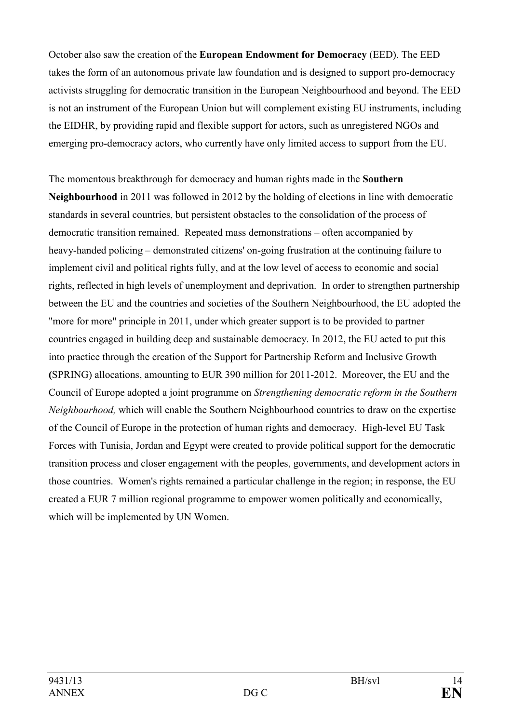October also saw the creation of the **European Endowment for Democracy** (EED). The EED takes the form of an autonomous private law foundation and is designed to support pro-democracy activists struggling for democratic transition in the European Neighbourhood and beyond. The EED is not an instrument of the European Union but will complement existing EU instruments, including the EIDHR, by providing rapid and flexible support for actors, such as unregistered NGOs and emerging pro-democracy actors, who currently have only limited access to support from the EU.

The momentous breakthrough for democracy and human rights made in the **Southern eighbourhood** in 2011 was followed in 2012 by the holding of elections in line with democratic standards in several countries, but persistent obstacles to the consolidation of the process of democratic transition remained. Repeated mass demonstrations – often accompanied by heavy-handed policing – demonstrated citizens' on-going frustration at the continuing failure to implement civil and political rights fully, and at the low level of access to economic and social rights, reflected in high levels of unemployment and deprivation. In order to strengthen partnership between the EU and the countries and societies of the Southern Neighbourhood, the EU adopted the "more for more" principle in 2011, under which greater support is to be provided to partner countries engaged in building deep and sustainable democracy. In 2012, the EU acted to put this into practice through the creation of the Support for Partnership Reform and Inclusive Growth **(**SPRING) allocations, amounting to EUR 390 million for 2011-2012. Moreover, the EU and the Council of Europe adopted a joint programme on *Strengthening democratic reform in the Southern Neighbourhood*, which will enable the Southern Neighbourhood countries to draw on the expertise of the Council of Europe in the protection of human rights and democracy. High-level EU Task Forces with Tunisia, Jordan and Egypt were created to provide political support for the democratic transition process and closer engagement with the peoples, governments, and development actors in those countries. Women's rights remained a particular challenge in the region; in response, the EU created a EUR 7 million regional programme to empower women politically and economically, which will be implemented by UN Women.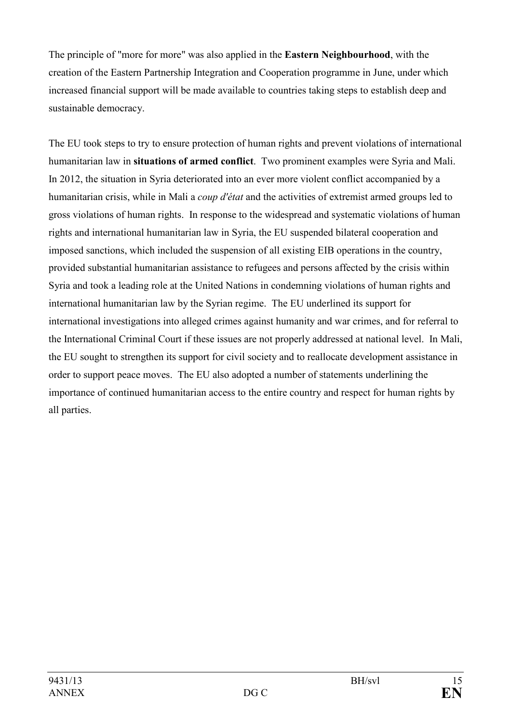The principle of "more for more" was also applied in the **Eastern Neighbourhood**, with the creation of the Eastern Partnership Integration and Cooperation programme in June, under which increased financial support will be made available to countries taking steps to establish deep and sustainable democracy.

The EU took steps to try to ensure protection of human rights and prevent violations of international humanitarian law in **situations of armed conflict**. Two prominent examples were Syria and Mali. In 2012, the situation in Syria deteriorated into an ever more violent conflict accompanied by a humanitarian crisis, while in Mali a *coup d'état* and the activities of extremist armed groups led to gross violations of human rights. In response to the widespread and systematic violations of human rights and international humanitarian law in Syria, the EU suspended bilateral cooperation and imposed sanctions, which included the suspension of all existing EIB operations in the country, provided substantial humanitarian assistance to refugees and persons affected by the crisis within Syria and took a leading role at the United Nations in condemning violations of human rights and international humanitarian law by the Syrian regime. The EU underlined its support for international investigations into alleged crimes against humanity and war crimes, and for referral to the International Criminal Court if these issues are not properly addressed at national level. In Mali, the EU sought to strengthen its support for civil society and to reallocate development assistance in order to support peace moves. The EU also adopted a number of statements underlining the importance of continued humanitarian access to the entire country and respect for human rights by all parties.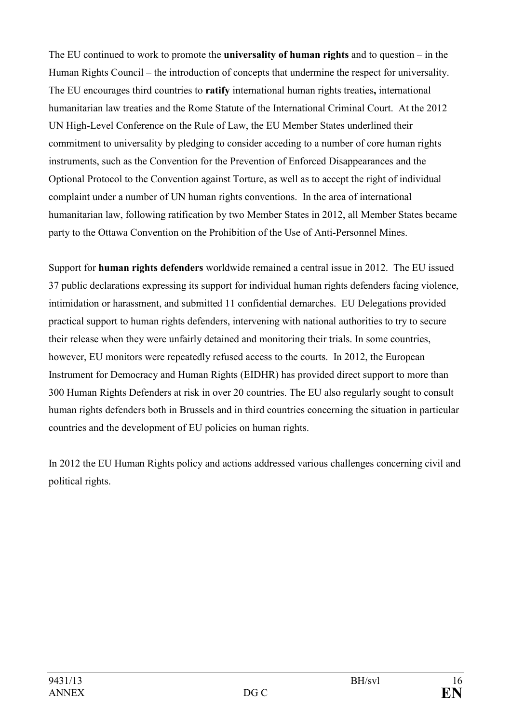The EU continued to work to promote the **universality of human rights** and to question – in the Human Rights Council – the introduction of concepts that undermine the respect for universality. The EU encourages third countries to **ratify** international human rights treaties**,** international humanitarian law treaties and the Rome Statute of the International Criminal Court. At the 2012 UN High-Level Conference on the Rule of Law, the EU Member States underlined their commitment to universality by pledging to consider acceding to a number of core human rights instruments, such as the Convention for the Prevention of Enforced Disappearances and the Optional Protocol to the Convention against Torture, as well as to accept the right of individual complaint under a number of UN human rights conventions. In the area of international humanitarian law, following ratification by two Member States in 2012, all Member States became party to the Ottawa Convention on the Prohibition of the Use of Anti-Personnel Mines.

Support for **human rights defenders** worldwide remained a central issue in 2012. The EU issued 37 public declarations expressing its support for individual human rights defenders facing violence, intimidation or harassment, and submitted 11 confidential demarches. EU Delegations provided practical support to human rights defenders, intervening with national authorities to try to secure their release when they were unfairly detained and monitoring their trials. In some countries, however, EU monitors were repeatedly refused access to the courts. In 2012, the European Instrument for Democracy and Human Rights (EIDHR) has provided direct support to more than 300 Human Rights Defenders at risk in over 20 countries. The EU also regularly sought to consult human rights defenders both in Brussels and in third countries concerning the situation in particular countries and the development of EU policies on human rights.

In 2012 the EU Human Rights policy and actions addressed various challenges concerning civil and political rights.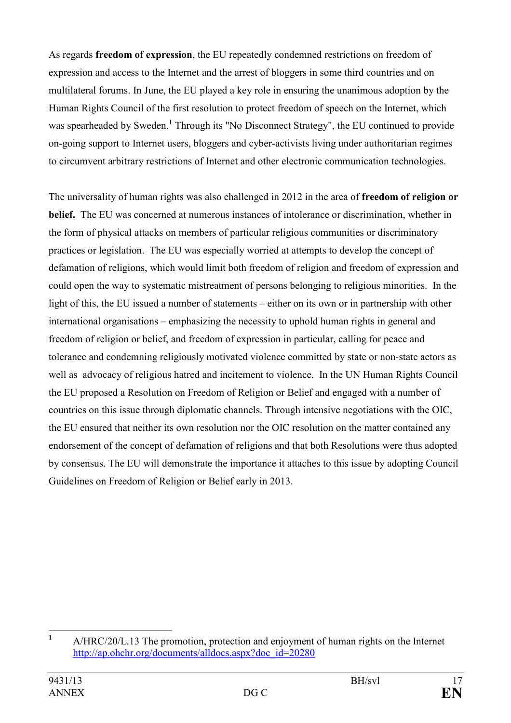As regards **freedom of expression**, the EU repeatedly condemned restrictions on freedom of expression and access to the Internet and the arrest of bloggers in some third countries and on multilateral forums. In June, the EU played a key role in ensuring the unanimous adoption by the Human Rights Council of the first resolution to protect freedom of speech on the Internet, which was spearheaded by Sweden.<sup>1</sup> Through its "No Disconnect Strategy", the EU continued to provide on-going support to Internet users, bloggers and cyber-activists living under authoritarian regimes to circumvent arbitrary restrictions of Internet and other electronic communication technologies.

The universality of human rights was also challenged in 2012 in the area of **freedom of religion or belief.** The EU was concerned at numerous instances of intolerance or discrimination, whether in the form of physical attacks on members of particular religious communities or discriminatory practices or legislation. The EU was especially worried at attempts to develop the concept of defamation of religions, which would limit both freedom of religion and freedom of expression and could open the way to systematic mistreatment of persons belonging to religious minorities. In the light of this, the EU issued a number of statements – either on its own or in partnership with other international organisations – emphasizing the necessity to uphold human rights in general and freedom of religion or belief, and freedom of expression in particular, calling for peace and tolerance and condemning religiously motivated violence committed by state or non-state actors as well as advocacy of religious hatred and incitement to violence. In the UN Human Rights Council the EU proposed a Resolution on Freedom of Religion or Belief and engaged with a number of countries on this issue through diplomatic channels. Through intensive negotiations with the OIC, the EU ensured that neither its own resolution nor the OIC resolution on the matter contained any endorsement of the concept of defamation of religions and that both Resolutions were thus adopted by consensus. The EU will demonstrate the importance it attaches to this issue by adopting Council Guidelines on Freedom of Religion or Belief early in 2013.

 **1** A/HRC/20/L.13 The promotion, protection and enjoyment of human rights on the Internet [http://ap.ohchr.org/documents/alldocs.aspx?doc\\_id=20280](http://ap.ohchr.org/documents/alldocs.aspx?doc_id=20280)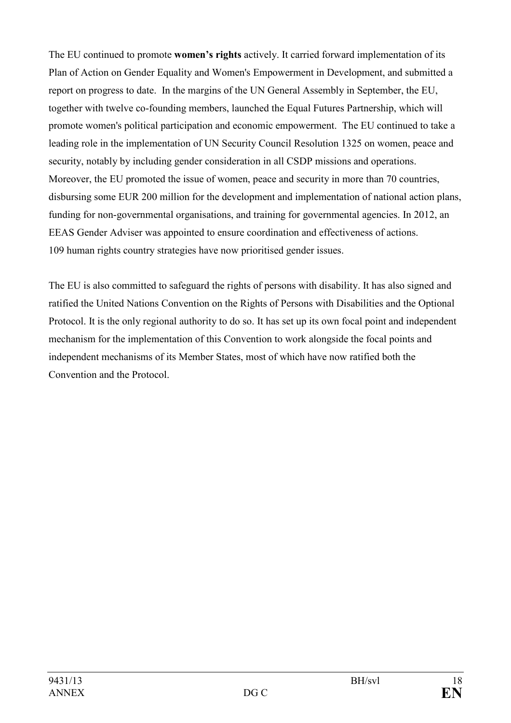The EU continued to promote **women's rights** actively. It carried forward implementation of its Plan of Action on Gender Equality and Women's Empowerment in Development, and submitted a report on progress to date. In the margins of the UN General Assembly in September, the EU, together with twelve co-founding members, launched the Equal Futures Partnership, which will promote women's political participation and economic empowerment. The EU continued to take a leading role in the implementation of UN Security Council Resolution 1325 on women, peace and security, notably by including gender consideration in all CSDP missions and operations. Moreover, the EU promoted the issue of women, peace and security in more than 70 countries, disbursing some EUR 200 million for the development and implementation of national action plans, funding for non-governmental organisations, and training for governmental agencies. In 2012, an EEAS Gender Adviser was appointed to ensure coordination and effectiveness of actions. 109 human rights country strategies have now prioritised gender issues.

The EU is also committed to safeguard the rights of persons with disability. It has also signed and ratified the United Nations Convention on the Rights of Persons with Disabilities and the Optional Protocol. It is the only regional authority to do so. It has set up its own focal point and independent mechanism for the implementation of this Convention to work alongside the focal points and independent mechanisms of its Member States, most of which have now ratified both the Convention and the Protocol.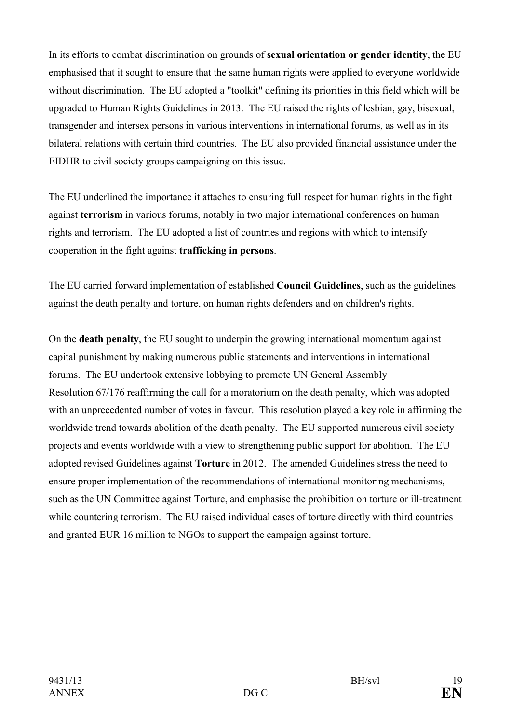In its efforts to combat discrimination on grounds of **sexual orientation or gender identity**, the EU emphasised that it sought to ensure that the same human rights were applied to everyone worldwide without discrimination. The EU adopted a "toolkit" defining its priorities in this field which will be upgraded to Human Rights Guidelines in 2013. The EU raised the rights of lesbian, gay, bisexual, transgender and intersex persons in various interventions in international forums, as well as in its bilateral relations with certain third countries. The EU also provided financial assistance under the EIDHR to civil society groups campaigning on this issue.

The EU underlined the importance it attaches to ensuring full respect for human rights in the fight against **terrorism** in various forums, notably in two major international conferences on human rights and terrorism. The EU adopted a list of countries and regions with which to intensify cooperation in the fight against **trafficking in persons**.

The EU carried forward implementation of established **Council Guidelines**, such as the guidelines against the death penalty and torture, on human rights defenders and on children's rights.

On the **death penalty**, the EU sought to underpin the growing international momentum against capital punishment by making numerous public statements and interventions in international forums. The EU undertook extensive lobbying to promote UN General Assembly Resolution 67/176 reaffirming the call for a moratorium on the death penalty, which was adopted with an unprecedented number of votes in favour. This resolution played a key role in affirming the worldwide trend towards abolition of the death penalty. The EU supported numerous civil society projects and events worldwide with a view to strengthening public support for abolition. The EU adopted revised Guidelines against **Torture** in 2012. The amended Guidelines stress the need to ensure proper implementation of the recommendations of international monitoring mechanisms, such as the UN Committee against Torture, and emphasise the prohibition on torture or ill-treatment while countering terrorism. The EU raised individual cases of torture directly with third countries and granted EUR 16 million to NGOs to support the campaign against torture.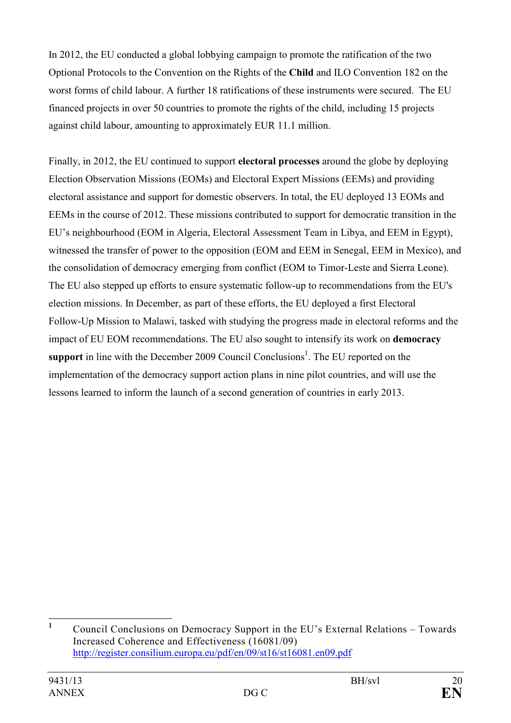In 2012, the EU conducted a global lobbying campaign to promote the ratification of the two Optional Protocols to the Convention on the Rights of the **Child** and ILO Convention 182 on the worst forms of child labour. A further 18 ratifications of these instruments were secured. The EU financed projects in over 50 countries to promote the rights of the child, including 15 projects against child labour, amounting to approximately EUR 11.1 million.

Finally, in 2012, the EU continued to support **electoral processes** around the globe by deploying Election Observation Missions (EOMs) and Electoral Expert Missions (EEMs) and providing electoral assistance and support for domestic observers. In total, the EU deployed 13 EOMs and EEMs in the course of 2012. These missions contributed to support for democratic transition in the EU's neighbourhood (EOM in Algeria, Electoral Assessment Team in Libya, and EEM in Egypt), witnessed the transfer of power to the opposition (EOM and EEM in Senegal, EEM in Mexico), and the consolidation of democracy emerging from conflict (EOM to Timor-Leste and Sierra Leone). The EU also stepped up efforts to ensure systematic follow-up to recommendations from the EU's election missions. In December, as part of these efforts, the EU deployed a first Electoral Follow-Up Mission to Malawi, tasked with studying the progress made in electoral reforms and the impact of EU EOM recommendations. The EU also sought to intensify its work on **democracy**  support in line with the December 2009 Council Conclusions<sup>1</sup>. The EU reported on the implementation of the democracy support action plans in nine pilot countries, and will use the lessons learned to inform the launch of a second generation of countries in early 2013.

 **1** Council Conclusions on Democracy Support in the EU's External Relations – Towards Increased Coherence and Effectiveness (16081/09) <http://register.consilium.europa.eu/pdf/en/09/st16/st16081.en09.pdf>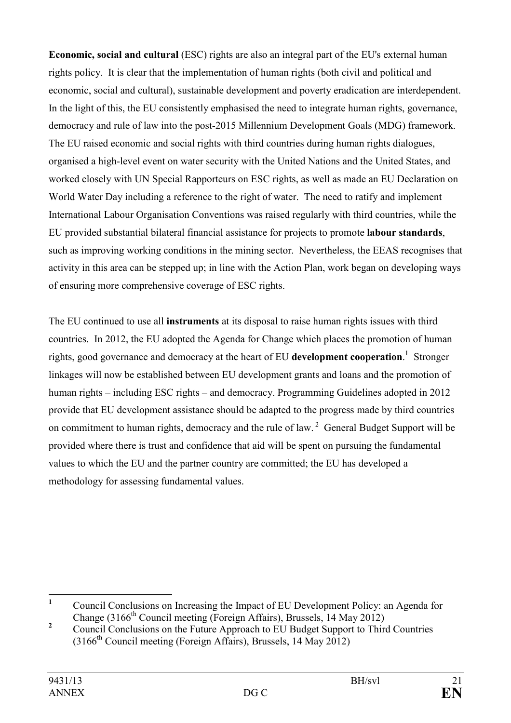**Economic, social and cultural** (ESC) rights are also an integral part of the EU's external human rights policy. It is clear that the implementation of human rights (both civil and political and economic, social and cultural), sustainable development and poverty eradication are interdependent. In the light of this, the EU consistently emphasised the need to integrate human rights, governance, democracy and rule of law into the post-2015 Millennium Development Goals (MDG) framework. The EU raised economic and social rights with third countries during human rights dialogues, organised a high-level event on water security with the United Nations and the United States, and worked closely with UN Special Rapporteurs on ESC rights, as well as made an EU Declaration on World Water Day including a reference to the right of water. The need to ratify and implement International Labour Organisation Conventions was raised regularly with third countries, while the EU provided substantial bilateral financial assistance for projects to promote **labour standards**, such as improving working conditions in the mining sector. Nevertheless, the EEAS recognises that activity in this area can be stepped up; in line with the Action Plan, work began on developing ways of ensuring more comprehensive coverage of ESC rights.

The EU continued to use all **instruments** at its disposal to raise human rights issues with third countries. In 2012, the EU adopted the Agenda for Change which places the promotion of human rights, good governance and democracy at the heart of EU **development cooperation**. 1 Stronger linkages will now be established between EU development grants and loans and the promotion of human rights – including ESC rights – and democracy. Programming Guidelines adopted in 2012 provide that EU development assistance should be adapted to the progress made by third countries on commitment to human rights, democracy and the rule of law.<sup>2</sup> General Budget Support will be provided where there is trust and confidence that aid will be spent on pursuing the fundamental values to which the EU and the partner country are committed; the EU has developed a methodology for assessing fundamental values.

 **1** Council Conclusions on Increasing the Impact of EU Development Policy: an Agenda for Change (3166<sup>th</sup> Council meeting (Foreign Affairs), Brussels, 14 May 2012)

**<sup>2</sup>** Council Conclusions on the Future Approach to EU Budget Support to Third Countries  $(3166<sup>th</sup>$  Council meeting (Foreign Affairs), Brussels, 14 May 2012)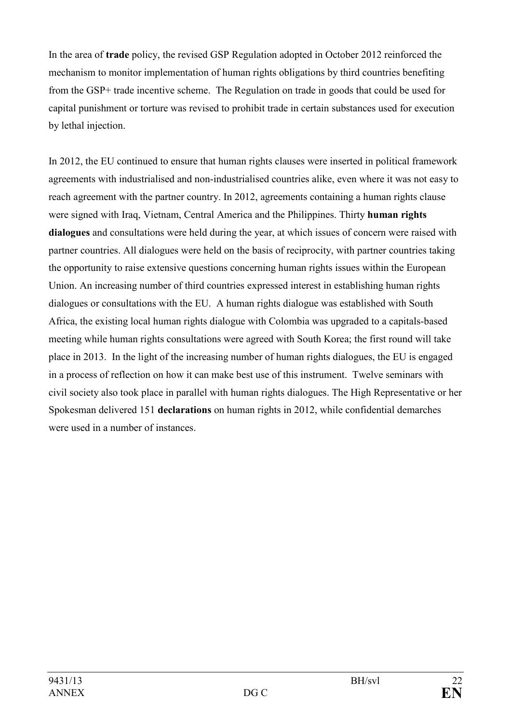In the area of **trade** policy, the revised GSP Regulation adopted in October 2012 reinforced the mechanism to monitor implementation of human rights obligations by third countries benefiting from the GSP+ trade incentive scheme. The Regulation on trade in goods that could be used for capital punishment or torture was revised to prohibit trade in certain substances used for execution by lethal injection.

In 2012, the EU continued to ensure that human rights clauses were inserted in political framework agreements with industrialised and non-industrialised countries alike, even where it was not easy to reach agreement with the partner country. In 2012, agreements containing a human rights clause were signed with Iraq, Vietnam, Central America and the Philippines. Thirty **human rights dialogues** and consultations were held during the year, at which issues of concern were raised with partner countries. All dialogues were held on the basis of reciprocity, with partner countries taking the opportunity to raise extensive questions concerning human rights issues within the European Union. An increasing number of third countries expressed interest in establishing human rights dialogues or consultations with the EU. A human rights dialogue was established with South Africa, the existing local human rights dialogue with Colombia was upgraded to a capitals-based meeting while human rights consultations were agreed with South Korea; the first round will take place in 2013. In the light of the increasing number of human rights dialogues, the EU is engaged in a process of reflection on how it can make best use of this instrument. Twelve seminars with civil society also took place in parallel with human rights dialogues. The High Representative or her Spokesman delivered 151 **declarations** on human rights in 2012, while confidential demarches were used in a number of instances.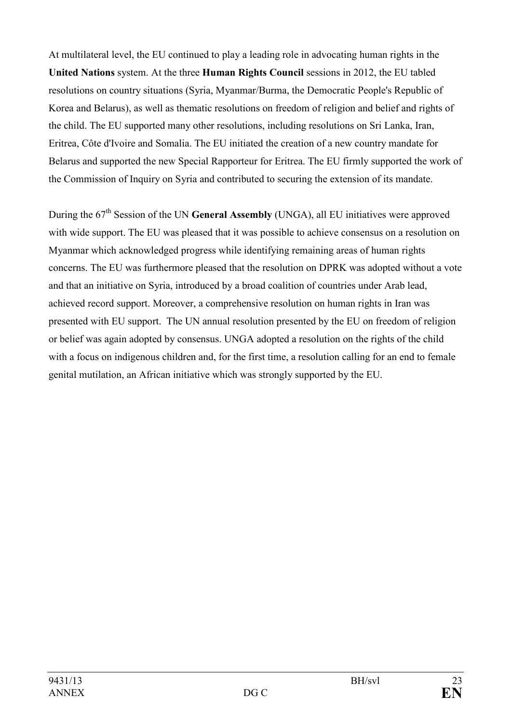At multilateral level, the EU continued to play a leading role in advocating human rights in the **United Nations** system. At the three **Human Rights Council** sessions in 2012, the EU tabled resolutions on country situations (Syria, Myanmar/Burma, the Democratic People's Republic of Korea and Belarus), as well as thematic resolutions on freedom of religion and belief and rights of the child. The EU supported many other resolutions, including resolutions on Sri Lanka, Iran, Eritrea, Côte d'Ivoire and Somalia. The EU initiated the creation of a new country mandate for Belarus and supported the new Special Rapporteur for Eritrea. The EU firmly supported the work of the Commission of Inquiry on Syria and contributed to securing the extension of its mandate.

During the 67<sup>th</sup> Session of the UN **General Assembly** (UNGA), all EU initiatives were approved with wide support. The EU was pleased that it was possible to achieve consensus on a resolution on Myanmar which acknowledged progress while identifying remaining areas of human rights concerns. The EU was furthermore pleased that the resolution on DPRK was adopted without a vote and that an initiative on Syria, introduced by a broad coalition of countries under Arab lead, achieved record support. Moreover, a comprehensive resolution on human rights in Iran was presented with EU support. The UN annual resolution presented by the EU on freedom of religion or belief was again adopted by consensus. UNGA adopted a resolution on the rights of the child with a focus on indigenous children and, for the first time, a resolution calling for an end to female genital mutilation, an African initiative which was strongly supported by the EU.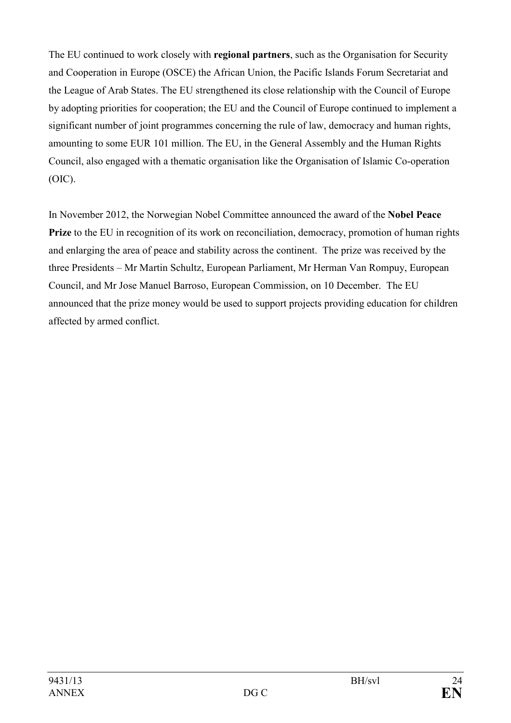The EU continued to work closely with **regional partners**, such as the Organisation for Security and Cooperation in Europe (OSCE) the African Union, the Pacific Islands Forum Secretariat and the League of Arab States. The EU strengthened its close relationship with the Council of Europe by adopting priorities for cooperation; the EU and the Council of Europe continued to implement a significant number of joint programmes concerning the rule of law, democracy and human rights, amounting to some EUR 101 million. The EU, in the General Assembly and the Human Rights Council, also engaged with a thematic organisation like the Organisation of Islamic Co-operation (OIC).

In November 2012, the Norwegian Nobel Committee announced the award of the **Nobel Peace Prize** to the EU in recognition of its work on reconciliation, democracy, promotion of human rights and enlarging the area of peace and stability across the continent. The prize was received by the three Presidents – Mr Martin Schultz, European Parliament, Mr Herman Van Rompuy, European Council, and Mr Jose Manuel Barroso, European Commission, on 10 December. The EU announced that the prize money would be used to support projects providing education for children affected by armed conflict.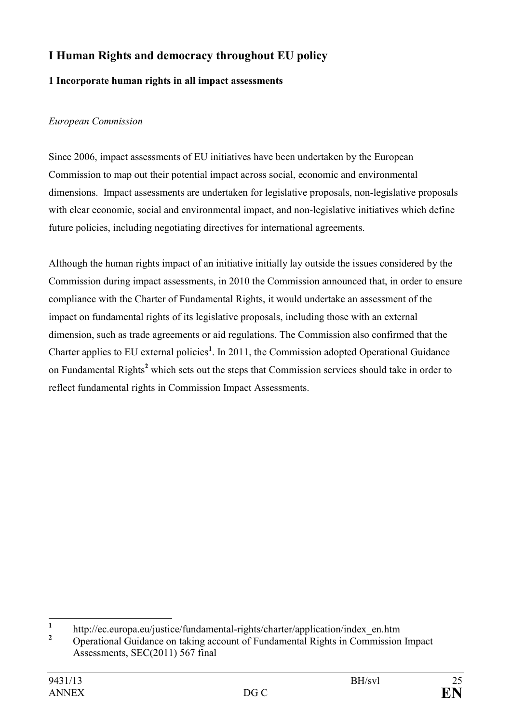# <span id="page-24-0"></span>**I Human Rights and democracy throughout EU policy**

# **1 Incorporate human rights in all impact assessments**

# *European Commission*

Since 2006, impact assessments of EU initiatives have been undertaken by the European Commission to map out their potential impact across social, economic and environmental dimensions. Impact assessments are undertaken for legislative proposals, non-legislative proposals with clear economic, social and environmental impact, and non-legislative initiatives which define future policies, including negotiating directives for international agreements.

Although the human rights impact of an initiative initially lay outside the issues considered by the Commission during impact assessments, in 2010 the Commission announced that, in order to ensure compliance with the Charter of Fundamental Rights, it would undertake an assessment of the impact on fundamental rights of its legislative proposals, including those with an external dimension, such as trade agreements or aid regulations. The Commission also confirmed that the Charter applies to EU external policies<sup>1</sup>. In 2011, the Commission adopted Operational Guidance on Fundamental Rights**<sup>2</sup>** which sets out the steps that Commission services should take in order to reflect fundamental rights in Commission Impact Assessments.

 **1** http://ec.europa.eu/justice/fundamental-rights/charter/application/index\_en.htm

**<sup>2</sup>** Operational Guidance on taking account of Fundamental Rights in Commission Impact Assessments, SEC(2011) 567 final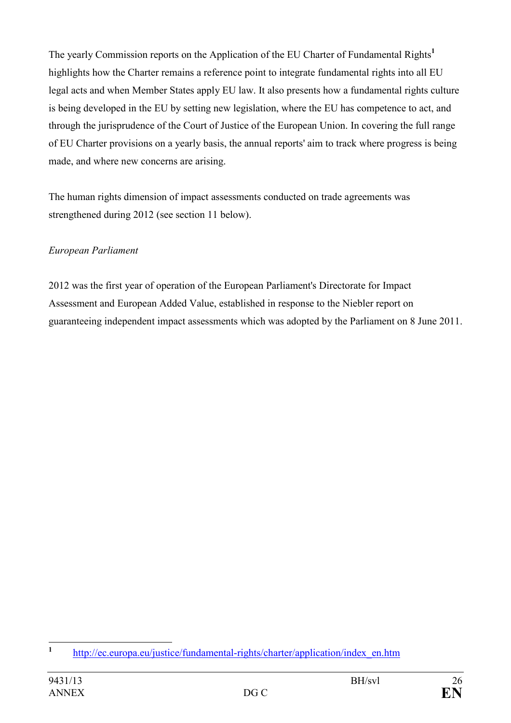The yearly Commission reports on the Application of the EU Charter of Fundamental Rights**<sup>1</sup>** highlights how the Charter remains a reference point to integrate fundamental rights into all EU legal acts and when Member States apply EU law. It also presents how a fundamental rights culture is being developed in the EU by setting new legislation, where the EU has competence to act, and through the jurisprudence of the Court of Justice of the European Union. In covering the full range of EU Charter provisions on a yearly basis, the annual reports' aim to track where progress is being made, and where new concerns are arising.

The human rights dimension of impact assessments conducted on trade agreements was strengthened during 2012 (see section 11 below).

### *European Parliament*

2012 was the first year of operation of the European Parliament's Directorate for Impact Assessment and European Added Value, established in response to the Niebler report on guaranteeing independent impact assessments which was adopted by the Parliament on 8 June 2011.

 **1** [http://ec.europa.eu/justice/fundamental-rights/charter/application/index\\_en.htm](http://ec.europa.eu/justice/fundamental-rights/charter/application/index_en.htm)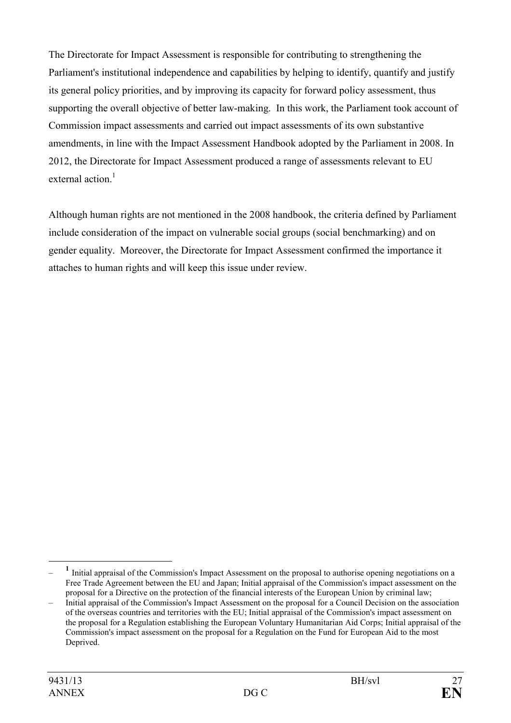The Directorate for Impact Assessment is responsible for contributing to strengthening the Parliament's institutional independence and capabilities by helping to identify, quantify and justify its general policy priorities, and by improving its capacity for forward policy assessment, thus supporting the overall objective of better law-making. In this work, the Parliament took account of Commission impact assessments and carried out impact assessments of its own substantive amendments, in line with the Impact Assessment Handbook adopted by the Parliament in 2008. In 2012, the Directorate for Impact Assessment produced a range of assessments relevant to EU external action.<sup>1</sup>

Although human rights are not mentioned in the 2008 handbook, the criteria defined by Parliament include consideration of the impact on vulnerable social groups (social benchmarking) and on gender equality. Moreover, the Directorate for Impact Assessment confirmed the importance it attaches to human rights and will keep this issue under review.

 $\overline{a}$ – <sup>1</sup> Initial appraisal of the Commission's Impact Assessment on the proposal to authorise opening negotiations on a Free Trade Agreement between the EU and Japan; Initial appraisal of the Commission's impact assessment on the proposal for a Directive on the protection of the financial interests of the European Union by criminal law;

<sup>–</sup> Initial appraisal of the Commission's Impact Assessment on the proposal for a Council Decision on the association of the overseas countries and territories with the EU; Initial appraisal of the Commission's impact assessment on the proposal for a Regulation establishing the European Voluntary Humanitarian Aid Corps; Initial appraisal of the Commission's impact assessment on the proposal for a Regulation on the Fund for European Aid to the most Deprived.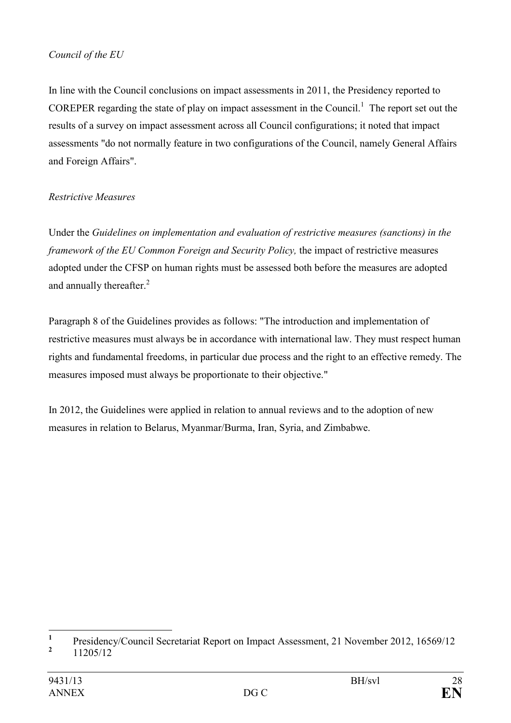#### *Council of the EU*

In line with the Council conclusions on impact assessments in 2011, the Presidency reported to COREPER regarding the state of play on impact assessment in the Council. $<sup>1</sup>$  The report set out the</sup> results of a survey on impact assessment across all Council configurations; it noted that impact assessments "do not normally feature in two configurations of the Council, namely General Affairs and Foreign Affairs".

### *Restrictive Measures*

Under the *Guidelines on implementation and evaluation of restrictive measures (sanctions) in the framework of the EU Common Foreign and Security Policy,* the impact of restrictive measures adopted under the CFSP on human rights must be assessed both before the measures are adopted and annually thereafter.<sup>2</sup>

Paragraph 8 of the Guidelines provides as follows: "The introduction and implementation of restrictive measures must always be in accordance with international law. They must respect human rights and fundamental freedoms, in particular due process and the right to an effective remedy. The measures imposed must always be proportionate to their objective."

In 2012, the Guidelines were applied in relation to annual reviews and to the adoption of new measures in relation to Belarus, Myanmar/Burma, Iran, Syria, and Zimbabwe.

 **1** Presidency/Council Secretariat Report on Impact Assessment, 21 November 2012, 16569/12 **2**

 <sup>11205/12</sup>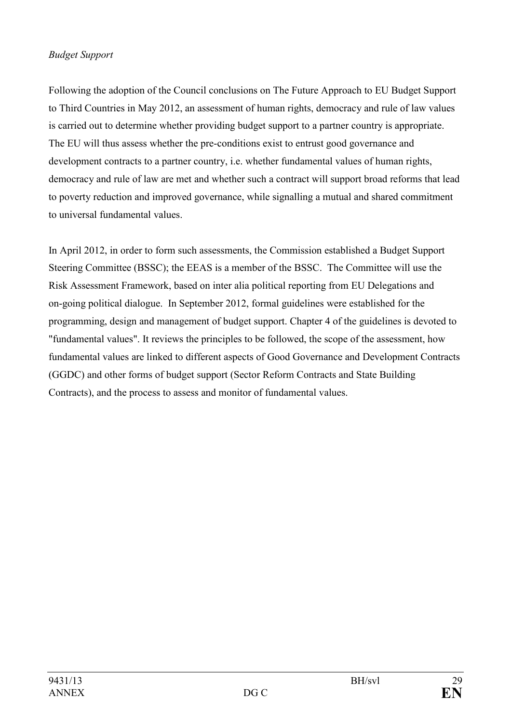#### *Budget Support*

Following the adoption of the Council conclusions on The Future Approach to EU Budget Support to Third Countries in May 2012, an assessment of human rights, democracy and rule of law values is carried out to determine whether providing budget support to a partner country is appropriate. The EU will thus assess whether the pre-conditions exist to entrust good governance and development contracts to a partner country, i.e. whether fundamental values of human rights, democracy and rule of law are met and whether such a contract will support broad reforms that lead to poverty reduction and improved governance, while signalling a mutual and shared commitment to universal fundamental values.

In April 2012, in order to form such assessments, the Commission established a Budget Support Steering Committee (BSSC); the EEAS is a member of the BSSC. The Committee will use the Risk Assessment Framework, based on inter alia political reporting from EU Delegations and on-going political dialogue. In September 2012, formal guidelines were established for the programming, design and management of budget support. Chapter 4 of the guidelines is devoted to "fundamental values". It reviews the principles to be followed, the scope of the assessment, how fundamental values are linked to different aspects of Good Governance and Development Contracts (GGDC) and other forms of budget support (Sector Reform Contracts and State Building Contracts), and the process to assess and monitor of fundamental values.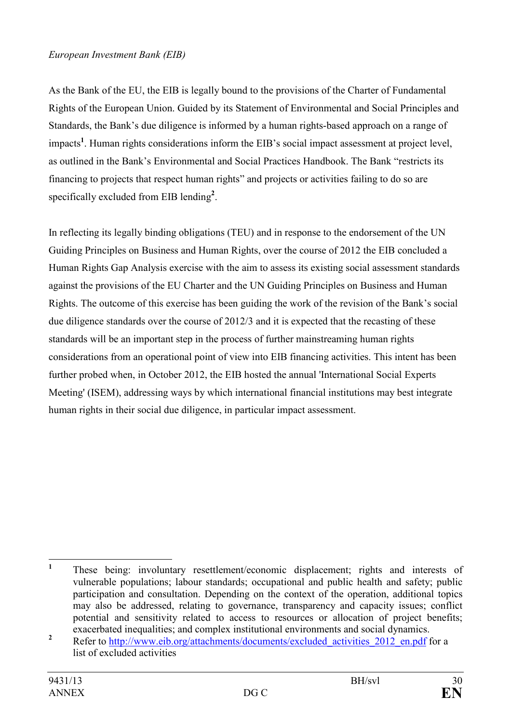#### *European Investment Bank (EIB)*

As the Bank of the EU, the EIB is legally bound to the provisions of the Charter of Fundamental Rights of the European Union. Guided by its Statement of Environmental and Social Principles and Standards, the Bank's due diligence is informed by a human rights-based approach on a range of impacts**<sup>1</sup>** . Human rights considerations inform the EIB's social impact assessment at project level, as outlined in the Bank's Environmental and Social Practices Handbook. The Bank "restricts its financing to projects that respect human rights" and projects or activities failing to do so are specifically excluded from EIB lending**<sup>2</sup>** .

In reflecting its legally binding obligations (TEU) and in response to the endorsement of the UN Guiding Principles on Business and Human Rights, over the course of 2012 the EIB concluded a Human Rights Gap Analysis exercise with the aim to assess its existing social assessment standards against the provisions of the EU Charter and the UN Guiding Principles on Business and Human Rights. The outcome of this exercise has been guiding the work of the revision of the Bank's social due diligence standards over the course of 2012/3 and it is expected that the recasting of these standards will be an important step in the process of further mainstreaming human rights considerations from an operational point of view into EIB financing activities. This intent has been further probed when, in October 2012, the EIB hosted the annual 'International Social Experts Meeting' (ISEM), addressing ways by which international financial institutions may best integrate human rights in their social due diligence, in particular impact assessment.

 **1** These being: involuntary resettlement/economic displacement; rights and interests of vulnerable populations; labour standards; occupational and public health and safety; public participation and consultation. Depending on the context of the operation, additional topics may also be addressed, relating to governance, transparency and capacity issues; conflict potential and sensitivity related to access to resources or allocation of project benefits; exacerbated inequalities; and complex institutional environments and social dynamics.

**<sup>2</sup>** Refer to http://www.eib.org/attachments/documents/excluded activities 2012 en.pdf for a list of excluded activities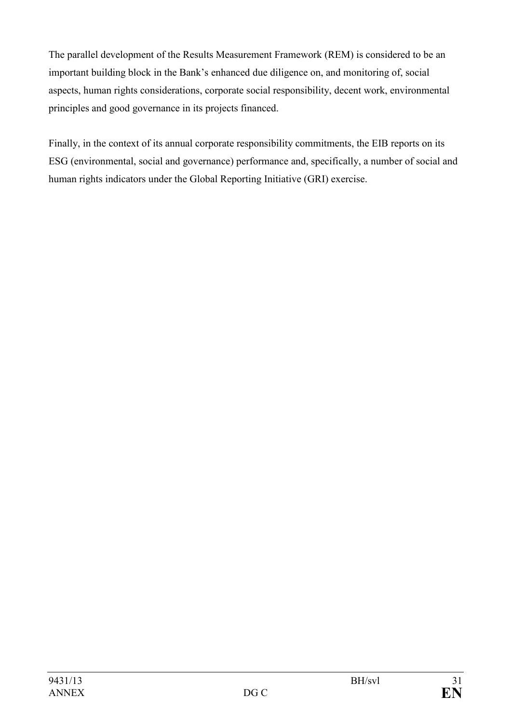The parallel development of the Results Measurement Framework (REM) is considered to be an important building block in the Bank's enhanced due diligence on, and monitoring of, social aspects, human rights considerations, corporate social responsibility, decent work, environmental principles and good governance in its projects financed.

Finally, in the context of its annual corporate responsibility commitments, the EIB reports on its ESG (environmental, social and governance) performance and, specifically, a number of social and human rights indicators under the Global Reporting Initiative (GRI) exercise.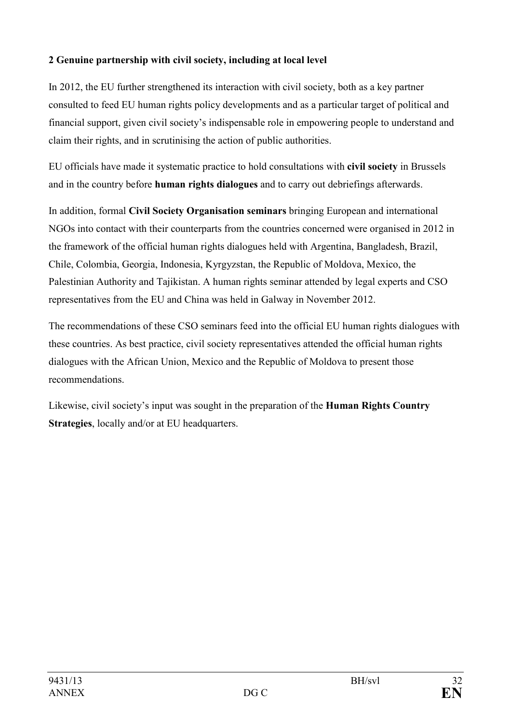# <span id="page-31-0"></span>**2 Genuine partnership with civil society, including at local level**

In 2012, the EU further strengthened its interaction with civil society, both as a key partner consulted to feed EU human rights policy developments and as a particular target of political and financial support, given civil society's indispensable role in empowering people to understand and claim their rights, and in scrutinising the action of public authorities.

EU officials have made it systematic practice to hold consultations with **civil society** in Brussels and in the country before **human rights dialogues** and to carry out debriefings afterwards.

In addition, formal **Civil Society Organisation seminars** bringing European and international NGOs into contact with their counterparts from the countries concerned were organised in 2012 in the framework of the official human rights dialogues held with Argentina, Bangladesh, Brazil, Chile, Colombia, Georgia, Indonesia, Kyrgyzstan, the Republic of Moldova, Mexico, the Palestinian Authority and Tajikistan. A human rights seminar attended by legal experts and CSO representatives from the EU and China was held in Galway in November 2012.

The recommendations of these CSO seminars feed into the official EU human rights dialogues with these countries. As best practice, civil society representatives attended the official human rights dialogues with the African Union, Mexico and the Republic of Moldova to present those recommendations.

Likewise, civil society's input was sought in the preparation of the **Human Rights Country Strategies**, locally and/or at EU headquarters.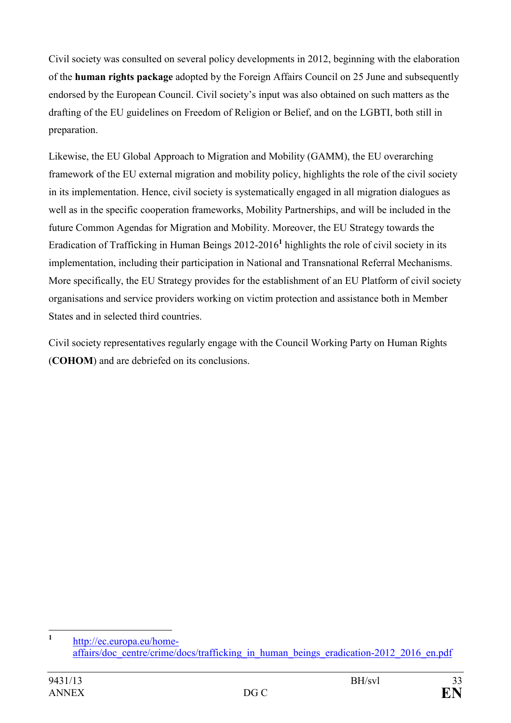Civil society was consulted on several policy developments in 2012, beginning with the elaboration of the **human rights package** adopted by the Foreign Affairs Council on 25 June and subsequently endorsed by the European Council. Civil society's input was also obtained on such matters as the drafting of the EU guidelines on Freedom of Religion or Belief, and on the LGBTI, both still in preparation.

Likewise, the EU Global Approach to Migration and Mobility (GAMM), the EU overarching framework of the EU external migration and mobility policy, highlights the role of the civil society in its implementation. Hence, civil society is systematically engaged in all migration dialogues as well as in the specific cooperation frameworks, Mobility Partnerships, and will be included in the future Common Agendas for Migration and Mobility. Moreover, the EU Strategy towards the Eradication of Trafficking in Human Beings 2012-2016**<sup>1</sup>** highlights the role of civil society in its implementation, including their participation in National and Transnational Referral Mechanisms. More specifically, the EU Strategy provides for the establishment of an EU Platform of civil society organisations and service providers working on victim protection and assistance both in Member States and in selected third countries.

Civil society representatives regularly engage with the Council Working Party on Human Rights (**COHOM**) and are debriefed on its conclusions.

 **1** [http://ec.europa.eu/home](http://ec.europa.eu/home-affairs/doc_centre/crime/docs/trafficking_in_human_beings_eradication-2012_2016_en.pdf)affairs/doc\_centre/crime/docs/trafficking\_in\_human\_beings\_eradication-2012\_2016\_en.pdf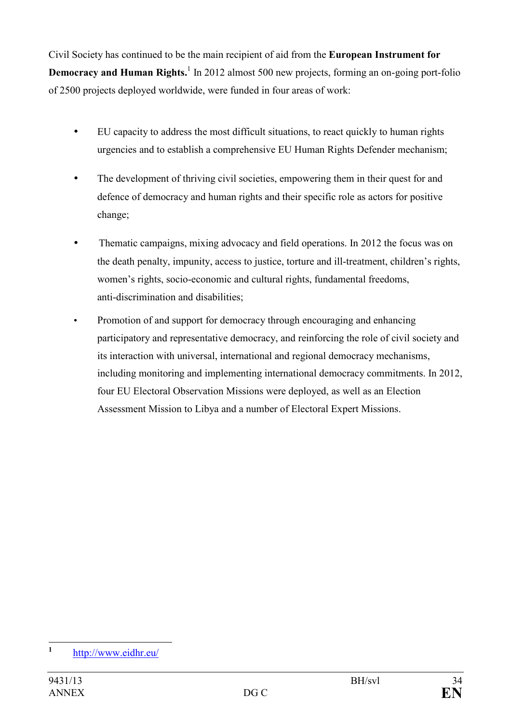Civil Society has continued to be the main recipient of aid from the **European Instrument for Democracy and Human Rights.**<sup>1</sup> In 2012 almost 500 new projects, forming an on-going port-folio of 2500 projects deployed worldwide, were funded in four areas of work:

- EU capacity to address the most difficult situations, to react quickly to human rights urgencies and to establish a comprehensive EU Human Rights Defender mechanism;
- The development of thriving civil societies, empowering them in their quest for and defence of democracy and human rights and their specific role as actors for positive change;
- Thematic campaigns, mixing advocacy and field operations. In 2012 the focus was on the death penalty, impunity, access to justice, torture and ill-treatment, children's rights, women's rights, socio-economic and cultural rights, fundamental freedoms, anti-discrimination and disabilities;
- Promotion of and support for democracy through encouraging and enhancing participatory and representative democracy, and reinforcing the role of civil society and its interaction with universal, international and regional democracy mechanisms, including monitoring and implementing international democracy commitments. In 2012, four EU Electoral Observation Missions were deployed, as well as an Election Assessment Mission to Libya and a number of Electoral Expert Missions.

 **1** <http://www.eidhr.eu/>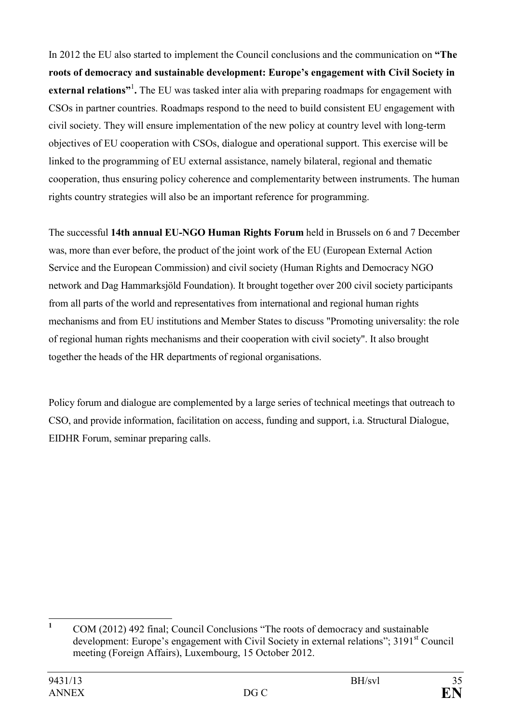In 2012 the EU also started to implement the Council conclusions and the communication on **"The roots of democracy and sustainable development: Europe's engagement with Civil Society in**  external relations"<sup>1</sup>. The EU was tasked inter alia with preparing roadmaps for engagement with CSOs in partner countries. Roadmaps respond to the need to build consistent EU engagement with civil society. They will ensure implementation of the new policy at country level with long-term objectives of EU cooperation with CSOs, dialogue and operational support. This exercise will be linked to the programming of EU external assistance, namely bilateral, regional and thematic cooperation, thus ensuring policy coherence and complementarity between instruments. The human rights country strategies will also be an important reference for programming.

The successful **14th annual EU-GO Human Rights Forum** held in Brussels on 6 and 7 December was, more than ever before, the product of the joint work of the EU (European External Action Service and the European Commission) and civil society (Human Rights and Democracy NGO network and Dag Hammarksjöld Foundation). It brought together over 200 civil society participants from all parts of the world and representatives from international and regional human rights mechanisms and from EU institutions and Member States to discuss "Promoting universality: the role of regional human rights mechanisms and their cooperation with civil society". It also brought together the heads of the HR departments of regional organisations.

Policy forum and dialogue are complemented by a large series of technical meetings that outreach to CSO, and provide information, facilitation on access, funding and support, i.a. Structural Dialogue, EIDHR Forum, seminar preparing calls.

 **1** COM (2012) 492 final; Council Conclusions "The roots of democracy and sustainable development: Europe's engagement with Civil Society in external relations": 3191<sup>st</sup> Council meeting (Foreign Affairs), Luxembourg, 15 October 2012.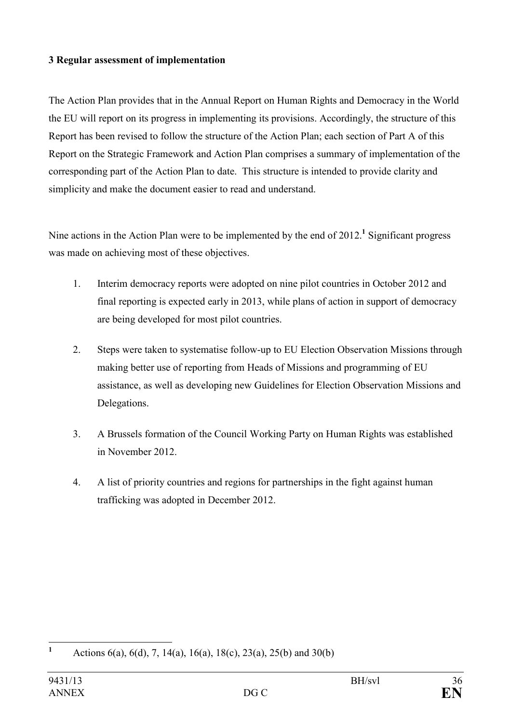#### <span id="page-35-0"></span>**3 Regular assessment of implementation**

The Action Plan provides that in the Annual Report on Human Rights and Democracy in the World the EU will report on its progress in implementing its provisions. Accordingly, the structure of this Report has been revised to follow the structure of the Action Plan; each section of Part A of this Report on the Strategic Framework and Action Plan comprises a summary of implementation of the corresponding part of the Action Plan to date. This structure is intended to provide clarity and simplicity and make the document easier to read and understand.

Nine actions in the Action Plan were to be implemented by the end of 2012.<sup>1</sup> Significant progress was made on achieving most of these objectives.

- 1. Interim democracy reports were adopted on nine pilot countries in October 2012 and final reporting is expected early in 2013, while plans of action in support of democracy are being developed for most pilot countries.
- 2. Steps were taken to systematise follow-up to EU Election Observation Missions through making better use of reporting from Heads of Missions and programming of EU assistance, as well as developing new Guidelines for Election Observation Missions and Delegations.
- 3. A Brussels formation of the Council Working Party on Human Rights was established in November 2012.
- 4. A list of priority countries and regions for partnerships in the fight against human trafficking was adopted in December 2012.

 **1** Actions 6(a), 6(d), 7, 14(a), 16(a), 18(c), 23(a), 25(b) and 30(b)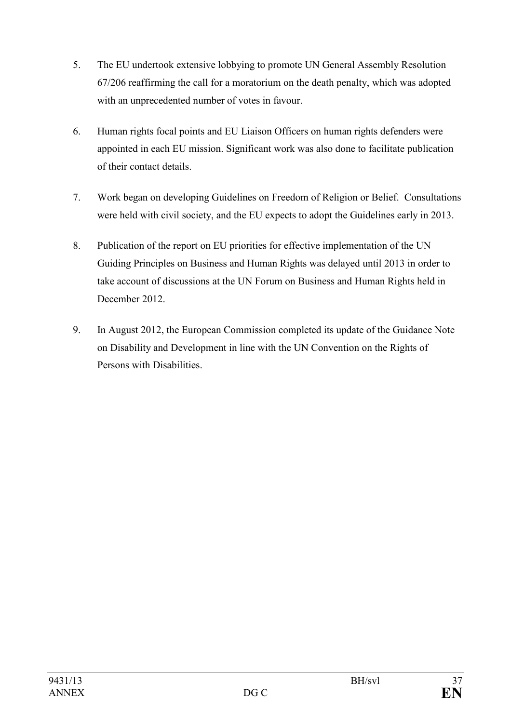- 5. The EU undertook extensive lobbying to promote UN General Assembly Resolution 67/206 reaffirming the call for a moratorium on the death penalty, which was adopted with an unprecedented number of votes in favour.
- 6. Human rights focal points and EU Liaison Officers on human rights defenders were appointed in each EU mission. Significant work was also done to facilitate publication of their contact details.
- 7. Work began on developing Guidelines on Freedom of Religion or Belief. Consultations were held with civil society, and the EU expects to adopt the Guidelines early in 2013.
- 8. Publication of the report on EU priorities for effective implementation of the UN Guiding Principles on Business and Human Rights was delayed until 2013 in order to take account of discussions at the UN Forum on Business and Human Rights held in December 2012.
- 9. In August 2012, the European Commission completed its update of the Guidance Note on Disability and Development in line with the UN Convention on the Rights of Persons with Disabilities.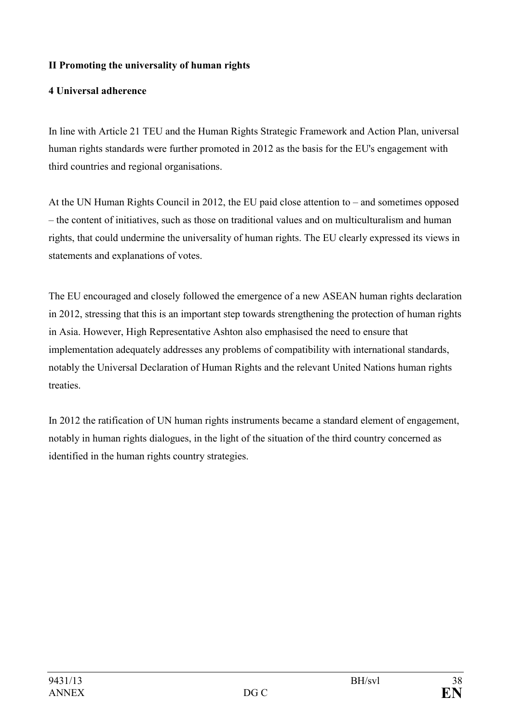# **II Promoting the universality of human rights**

# **4 Universal adherence**

In line with Article 21 TEU and the Human Rights Strategic Framework and Action Plan, universal human rights standards were further promoted in 2012 as the basis for the EU's engagement with third countries and regional organisations.

At the UN Human Rights Council in 2012, the EU paid close attention to – and sometimes opposed – the content of initiatives, such as those on traditional values and on multiculturalism and human rights, that could undermine the universality of human rights. The EU clearly expressed its views in statements and explanations of votes.

The EU encouraged and closely followed the emergence of a new ASEAN human rights declaration in 2012, stressing that this is an important step towards strengthening the protection of human rights in Asia. However, High Representative Ashton also emphasised the need to ensure that implementation adequately addresses any problems of compatibility with international standards, notably the Universal Declaration of Human Rights and the relevant United Nations human rights treaties.

In 2012 the ratification of UN human rights instruments became a standard element of engagement, notably in human rights dialogues, in the light of the situation of the third country concerned as identified in the human rights country strategies.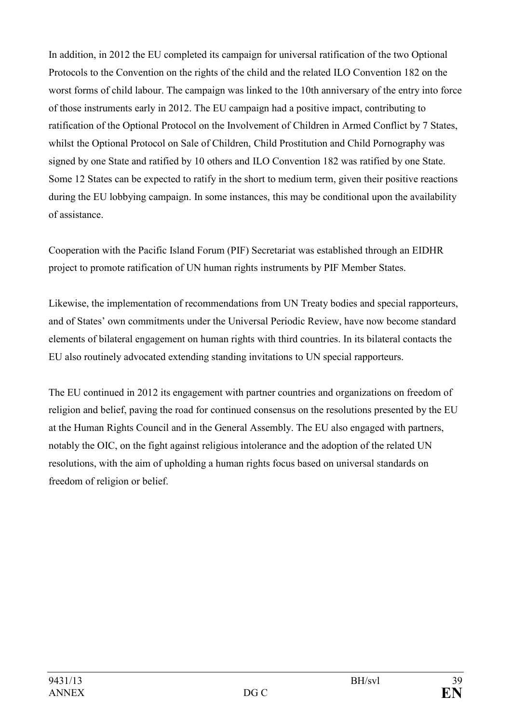In addition, in 2012 the EU completed its campaign for universal ratification of the two Optional Protocols to the Convention on the rights of the child and the related ILO Convention 182 on the worst forms of child labour. The campaign was linked to the 10th anniversary of the entry into force of those instruments early in 2012. The EU campaign had a positive impact, contributing to ratification of the Optional Protocol on the Involvement of Children in Armed Conflict by 7 States, whilst the Optional Protocol on Sale of Children, Child Prostitution and Child Pornography was signed by one State and ratified by 10 others and ILO Convention 182 was ratified by one State. Some 12 States can be expected to ratify in the short to medium term, given their positive reactions during the EU lobbying campaign. In some instances, this may be conditional upon the availability of assistance.

Cooperation with the Pacific Island Forum (PIF) Secretariat was established through an EIDHR project to promote ratification of UN human rights instruments by PIF Member States.

Likewise, the implementation of recommendations from UN Treaty bodies and special rapporteurs, and of States' own commitments under the Universal Periodic Review, have now become standard elements of bilateral engagement on human rights with third countries. In its bilateral contacts the EU also routinely advocated extending standing invitations to UN special rapporteurs.

The EU continued in 2012 its engagement with partner countries and organizations on freedom of religion and belief, paving the road for continued consensus on the resolutions presented by the EU at the Human Rights Council and in the General Assembly. The EU also engaged with partners, notably the OIC, on the fight against religious intolerance and the adoption of the related UN resolutions, with the aim of upholding a human rights focus based on universal standards on freedom of religion or belief.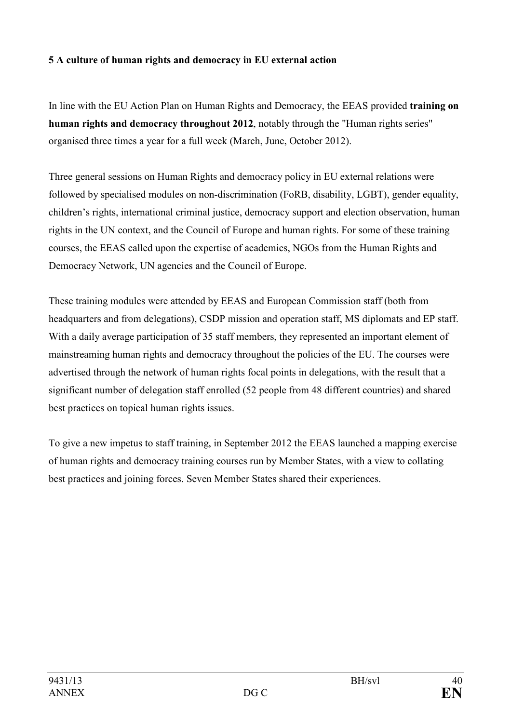# **5 A culture of human rights and democracy in EU external action**

In line with the EU Action Plan on Human Rights and Democracy, the EEAS provided **training on human rights and democracy throughout 2012**, notably through the "Human rights series" organised three times a year for a full week (March, June, October 2012).

Three general sessions on Human Rights and democracy policy in EU external relations were followed by specialised modules on non-discrimination (FoRB, disability, LGBT), gender equality, children's rights, international criminal justice, democracy support and election observation, human rights in the UN context, and the Council of Europe and human rights. For some of these training courses, the EEAS called upon the expertise of academics, NGOs from the Human Rights and Democracy Network, UN agencies and the Council of Europe.

These training modules were attended by EEAS and European Commission staff (both from headquarters and from delegations), CSDP mission and operation staff, MS diplomats and EP staff. With a daily average participation of 35 staff members, they represented an important element of mainstreaming human rights and democracy throughout the policies of the EU. The courses were advertised through the network of human rights focal points in delegations, with the result that a significant number of delegation staff enrolled (52 people from 48 different countries) and shared best practices on topical human rights issues.

To give a new impetus to staff training, in September 2012 the EEAS launched a mapping exercise of human rights and democracy training courses run by Member States, with a view to collating best practices and joining forces. Seven Member States shared their experiences.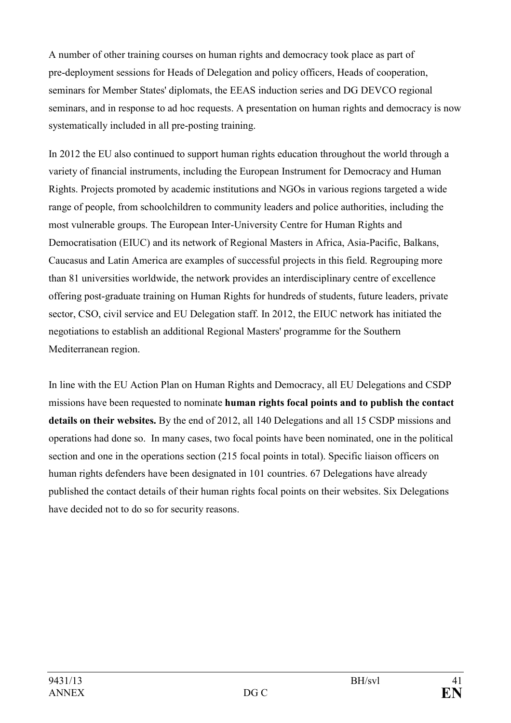A number of other training courses on human rights and democracy took place as part of pre-deployment sessions for Heads of Delegation and policy officers, Heads of cooperation, seminars for Member States' diplomats, the EEAS induction series and DG DEVCO regional seminars, and in response to ad hoc requests. A presentation on human rights and democracy is now systematically included in all pre-posting training.

In 2012 the EU also continued to support human rights education throughout the world through a variety of financial instruments, including the European Instrument for Democracy and Human Rights. Projects promoted by academic institutions and NGOs in various regions targeted a wide range of people, from schoolchildren to community leaders and police authorities, including the most vulnerable groups. The European Inter-University Centre for Human Rights and Democratisation (EIUC) and its network of Regional Masters in Africa, Asia-Pacific, Balkans, Caucasus and Latin America are examples of successful projects in this field. Regrouping more than 81 universities worldwide, the network provides an interdisciplinary centre of excellence offering post-graduate training on Human Rights for hundreds of students, future leaders, private sector, CSO, civil service and EU Delegation staff. In 2012, the EIUC network has initiated the negotiations to establish an additional Regional Masters' programme for the Southern Mediterranean region.

In line with the EU Action Plan on Human Rights and Democracy, all EU Delegations and CSDP missions have been requested to nominate **human rights focal points and to publish the contact details on their websites.** By the end of 2012, all 140 Delegations and all 15 CSDP missions and operations had done so. In many cases, two focal points have been nominated, one in the political section and one in the operations section (215 focal points in total). Specific liaison officers on human rights defenders have been designated in 101 countries. 67 Delegations have already published the contact details of their human rights focal points on their websites. Six Delegations have decided not to do so for security reasons.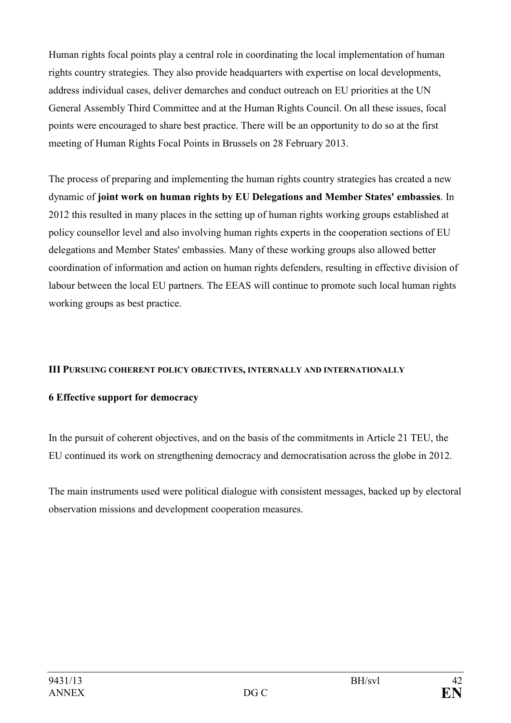Human rights focal points play a central role in coordinating the local implementation of human rights country strategies. They also provide headquarters with expertise on local developments, address individual cases, deliver demarches and conduct outreach on EU priorities at the UN General Assembly Third Committee and at the Human Rights Council. On all these issues, focal points were encouraged to share best practice. There will be an opportunity to do so at the first meeting of Human Rights Focal Points in Brussels on 28 February 2013.

The process of preparing and implementing the human rights country strategies has created a new dynamic of **joint work on human rights by EU Delegations and Member States' embassies**. In 2012 this resulted in many places in the setting up of human rights working groups established at policy counsellor level and also involving human rights experts in the cooperation sections of EU delegations and Member States' embassies. Many of these working groups also allowed better coordination of information and action on human rights defenders, resulting in effective division of labour between the local EU partners. The EEAS will continue to promote such local human rights working groups as best practice.

## **III** PURSUING COHERENT POLICY OBJECTIVES, INTERNALLY AND INTERNATIONALLY

## **6 Effective support for democracy**

In the pursuit of coherent objectives, and on the basis of the commitments in Article 21 TEU, the EU continued its work on strengthening democracy and democratisation across the globe in 2012.

The main instruments used were political dialogue with consistent messages, backed up by electoral observation missions and development cooperation measures.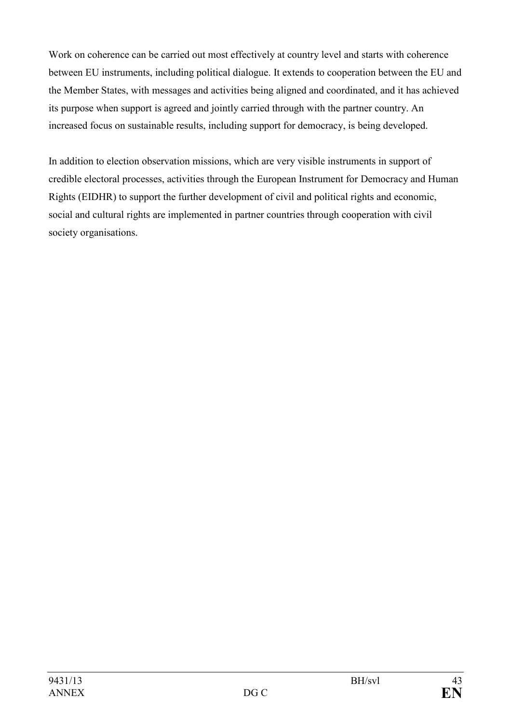Work on coherence can be carried out most effectively at country level and starts with coherence between EU instruments, including political dialogue. It extends to cooperation between the EU and the Member States, with messages and activities being aligned and coordinated, and it has achieved its purpose when support is agreed and jointly carried through with the partner country. An increased focus on sustainable results, including support for democracy, is being developed.

In addition to election observation missions, which are very visible instruments in support of credible electoral processes, activities through the European Instrument for Democracy and Human Rights (EIDHR) to support the further development of civil and political rights and economic, social and cultural rights are implemented in partner countries through cooperation with civil society organisations.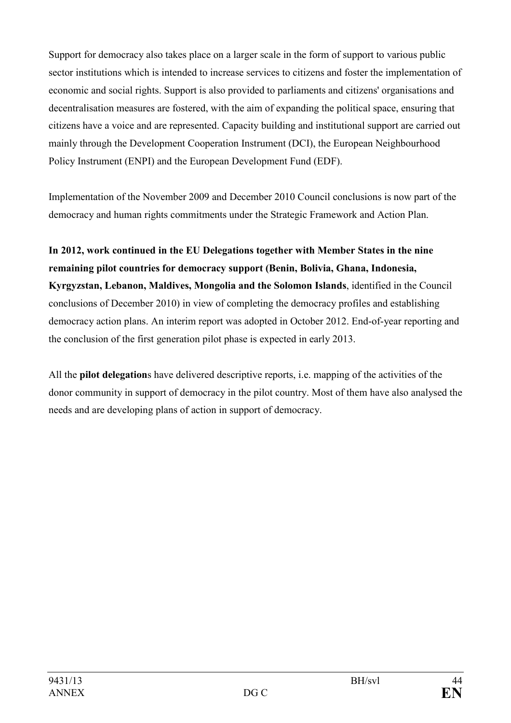Support for democracy also takes place on a larger scale in the form of support to various public sector institutions which is intended to increase services to citizens and foster the implementation of economic and social rights. Support is also provided to parliaments and citizens' organisations and decentralisation measures are fostered, with the aim of expanding the political space, ensuring that citizens have a voice and are represented. Capacity building and institutional support are carried out mainly through the Development Cooperation Instrument (DCI), the European Neighbourhood Policy Instrument (ENPI) and the European Development Fund (EDF).

Implementation of the November 2009 and December 2010 Council conclusions is now part of the democracy and human rights commitments under the Strategic Framework and Action Plan.

**In 2012, work continued in the EU Delegations together with Member States in the nine remaining pilot countries for democracy support (Benin, Bolivia, Ghana, Indonesia, Kyrgyzstan, Lebanon, Maldives, Mongolia and the Solomon Islands**, identified in the Council conclusions of December 2010) in view of completing the democracy profiles and establishing democracy action plans. An interim report was adopted in October 2012. End-of-year reporting and the conclusion of the first generation pilot phase is expected in early 2013.

All the **pilot delegation**s have delivered descriptive reports, i.e. mapping of the activities of the donor community in support of democracy in the pilot country. Most of them have also analysed the needs and are developing plans of action in support of democracy.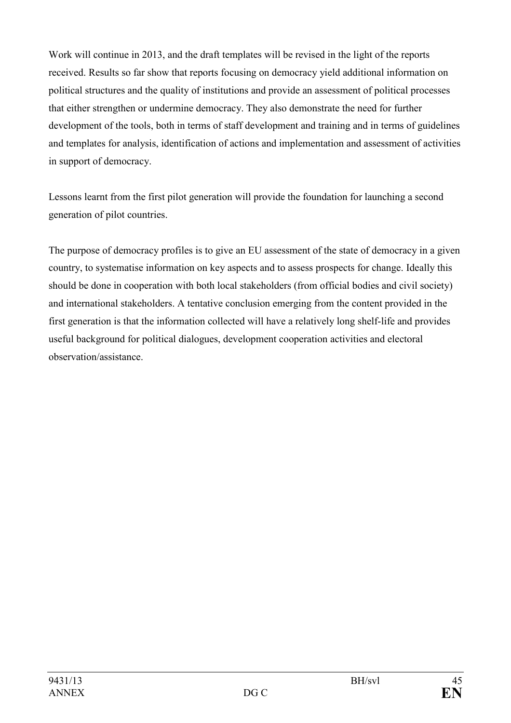Work will continue in 2013, and the draft templates will be revised in the light of the reports received. Results so far show that reports focusing on democracy yield additional information on political structures and the quality of institutions and provide an assessment of political processes that either strengthen or undermine democracy. They also demonstrate the need for further development of the tools, both in terms of staff development and training and in terms of guidelines and templates for analysis, identification of actions and implementation and assessment of activities in support of democracy.

Lessons learnt from the first pilot generation will provide the foundation for launching a second generation of pilot countries.

The purpose of democracy profiles is to give an EU assessment of the state of democracy in a given country, to systematise information on key aspects and to assess prospects for change. Ideally this should be done in cooperation with both local stakeholders (from official bodies and civil society) and international stakeholders. A tentative conclusion emerging from the content provided in the first generation is that the information collected will have a relatively long shelf-life and provides useful background for political dialogues, development cooperation activities and electoral observation/assistance.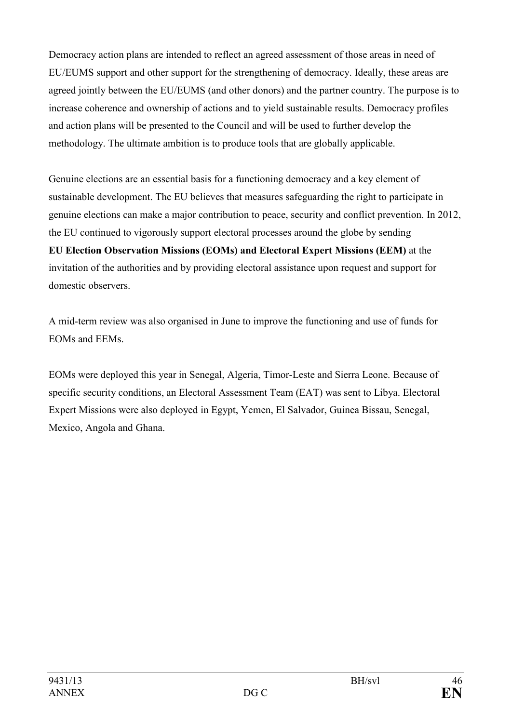Democracy action plans are intended to reflect an agreed assessment of those areas in need of EU/EUMS support and other support for the strengthening of democracy. Ideally, these areas are agreed jointly between the EU/EUMS (and other donors) and the partner country. The purpose is to increase coherence and ownership of actions and to yield sustainable results. Democracy profiles and action plans will be presented to the Council and will be used to further develop the methodology. The ultimate ambition is to produce tools that are globally applicable.

Genuine elections are an essential basis for a functioning democracy and a key element of sustainable development. The EU believes that measures safeguarding the right to participate in genuine elections can make a major contribution to peace, security and conflict prevention. In 2012, the EU continued to vigorously support electoral processes around the globe by sending **EU Election Observation Missions (EOMs) and Electoral Expert Missions (EEM)** at the invitation of the authorities and by providing electoral assistance upon request and support for domestic observers.

A mid-term review was also organised in June to improve the functioning and use of funds for EOMs and EEMs.

EOMs were deployed this year in Senegal, Algeria, Timor-Leste and Sierra Leone. Because of specific security conditions, an Electoral Assessment Team (EAT) was sent to Libya. Electoral Expert Missions were also deployed in Egypt, Yemen, El Salvador, Guinea Bissau, Senegal, Mexico, Angola and Ghana.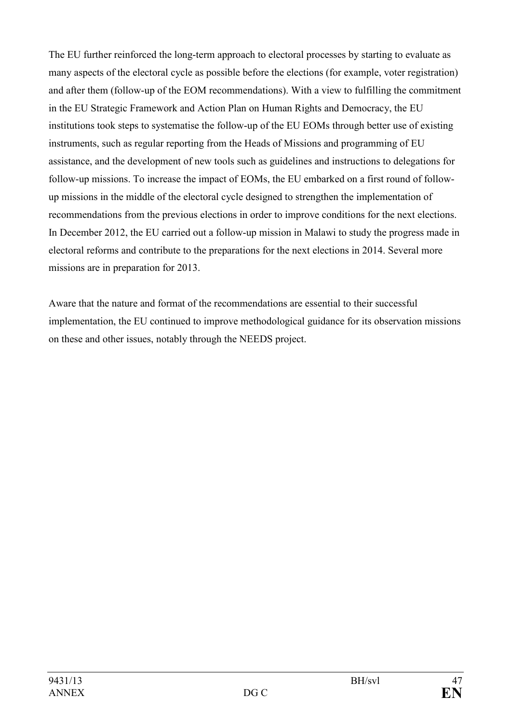The EU further reinforced the long-term approach to electoral processes by starting to evaluate as many aspects of the electoral cycle as possible before the elections (for example, voter registration) and after them (follow-up of the EOM recommendations). With a view to fulfilling the commitment in the EU Strategic Framework and Action Plan on Human Rights and Democracy, the EU institutions took steps to systematise the follow-up of the EU EOMs through better use of existing instruments, such as regular reporting from the Heads of Missions and programming of EU assistance, and the development of new tools such as guidelines and instructions to delegations for follow-up missions. To increase the impact of EOMs, the EU embarked on a first round of followup missions in the middle of the electoral cycle designed to strengthen the implementation of recommendations from the previous elections in order to improve conditions for the next elections. In December 2012, the EU carried out a follow-up mission in Malawi to study the progress made in electoral reforms and contribute to the preparations for the next elections in 2014. Several more missions are in preparation for 2013.

Aware that the nature and format of the recommendations are essential to their successful implementation, the EU continued to improve methodological guidance for its observation missions on these and other issues, notably through the NEEDS project.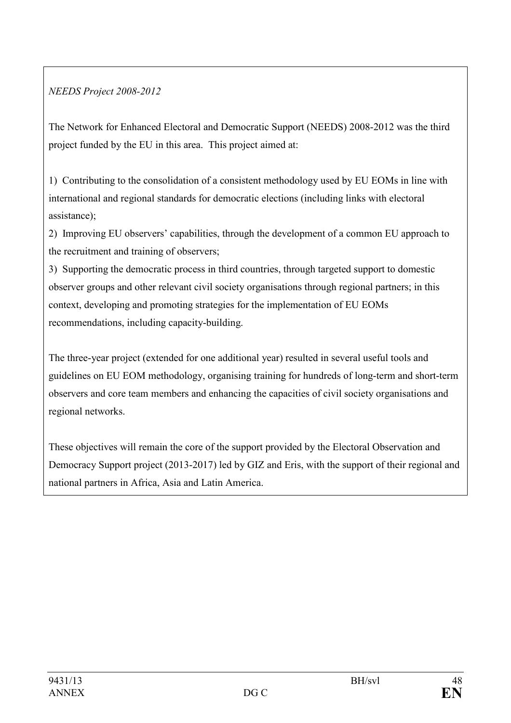# *EEDS Project 2008-2012*

The Network for Enhanced Electoral and Democratic Support (NEEDS) 2008-2012 was the third project funded by the EU in this area. This project aimed at:

1) Contributing to the consolidation of a consistent methodology used by EU EOMs in line with international and regional standards for democratic elections (including links with electoral assistance);

2) Improving EU observers' capabilities, through the development of a common EU approach to the recruitment and training of observers;

3) Supporting the democratic process in third countries, through targeted support to domestic observer groups and other relevant civil society organisations through regional partners; in this context, developing and promoting strategies for the implementation of EU EOMs recommendations, including capacity-building.

The three-year project (extended for one additional year) resulted in several useful tools and guidelines on EU EOM methodology, organising training for hundreds of long-term and short-term observers and core team members and enhancing the capacities of civil society organisations and regional networks.

These objectives will remain the core of the support provided by the Electoral Observation and Democracy Support project (2013-2017) led by GIZ and Eris, with the support of their regional and national partners in Africa, Asia and Latin America.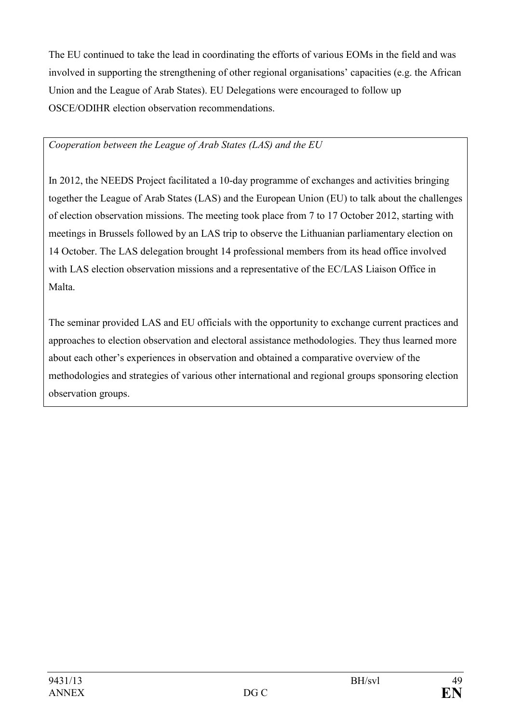The EU continued to take the lead in coordinating the efforts of various EOMs in the field and was involved in supporting the strengthening of other regional organisations' capacities (e.g. the African Union and the League of Arab States). EU Delegations were encouraged to follow up OSCE/ODIHR election observation recommendations.

# *Cooperation between the League of Arab States (LAS) and the EU*

In 2012, the NEEDS Project facilitated a 10-day programme of exchanges and activities bringing together the League of Arab States (LAS) and the European Union (EU) to talk about the challenges of election observation missions. The meeting took place from 7 to 17 October 2012, starting with meetings in Brussels followed by an LAS trip to observe the Lithuanian parliamentary election on 14 October. The LAS delegation brought 14 professional members from its head office involved with LAS election observation missions and a representative of the EC/LAS Liaison Office in Malta.

The seminar provided LAS and EU officials with the opportunity to exchange current practices and approaches to election observation and electoral assistance methodologies. They thus learned more about each other's experiences in observation and obtained a comparative overview of the methodologies and strategies of various other international and regional groups sponsoring election observation groups.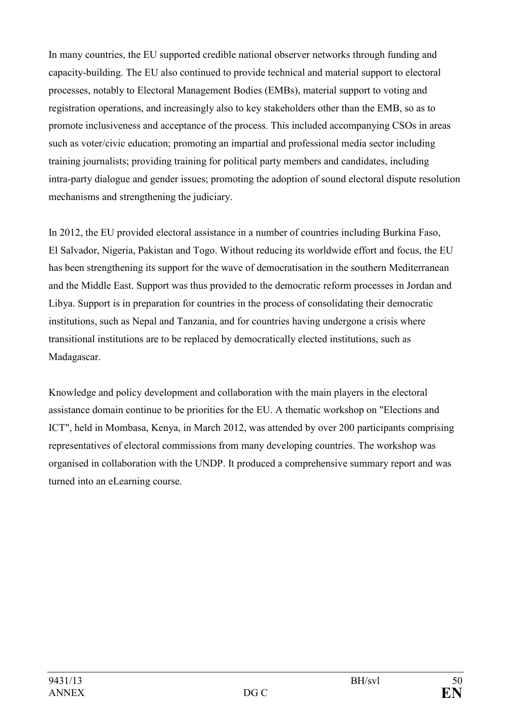In many countries, the EU supported credible national observer networks through funding and capacity-building. The EU also continued to provide technical and material support to electoral processes, notably to Electoral Management Bodies (EMBs), material support to voting and registration operations, and increasingly also to key stakeholders other than the EMB, so as to promote inclusiveness and acceptance of the process. This included accompanying CSOs in areas such as voter/civic education; promoting an impartial and professional media sector including training journalists; providing training for political party members and candidates, including intra-party dialogue and gender issues; promoting the adoption of sound electoral dispute resolution mechanisms and strengthening the judiciary.

In 2012, the EU provided electoral assistance in a number of countries including Burkina Faso, El Salvador, Nigeria, Pakistan and Togo. Without reducing its worldwide effort and focus, the EU has been strengthening its support for the wave of democratisation in the southern Mediterranean and the Middle East. Support was thus provided to the democratic reform processes in Jordan and Libya. Support is in preparation for countries in the process of consolidating their democratic institutions, such as Nepal and Tanzania, and for countries having undergone a crisis where transitional institutions are to be replaced by democratically elected institutions, such as Madagascar.

Knowledge and policy development and collaboration with the main players in the electoral assistance domain continue to be priorities for the EU. A thematic workshop on "Elections and ICT", held in Mombasa, Kenya, in March 2012, was attended by over 200 participants comprising representatives of electoral commissions from many developing countries. The workshop was organised in collaboration with the UNDP. It produced a comprehensive summary report and was turned into an eLearning course.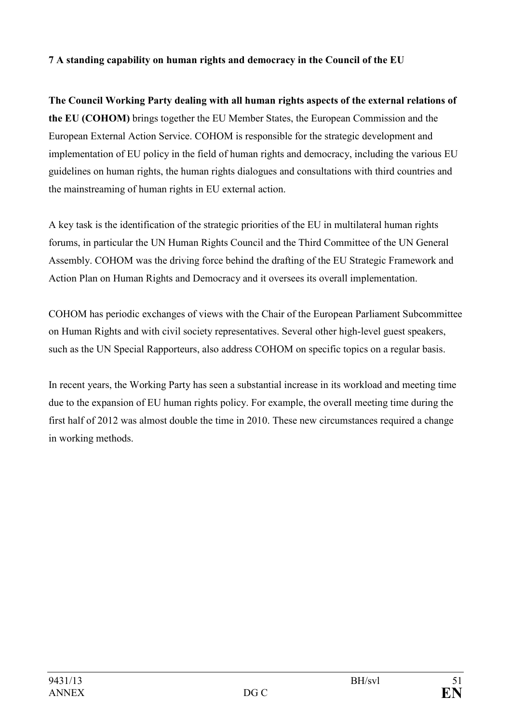# **7 A standing capability on human rights and democracy in the Council of the EU**

**The Council Working Party dealing with all human rights aspects of the external relations of the EU (COHOM)** brings together the EU Member States, the European Commission and the European External Action Service. COHOM is responsible for the strategic development and implementation of EU policy in the field of human rights and democracy, including the various EU guidelines on human rights, the human rights dialogues and consultations with third countries and the mainstreaming of human rights in EU external action.

A key task is the identification of the strategic priorities of the EU in multilateral human rights forums, in particular the UN Human Rights Council and the Third Committee of the UN General Assembly. COHOM was the driving force behind the drafting of the EU Strategic Framework and Action Plan on Human Rights and Democracy and it oversees its overall implementation.

COHOM has periodic exchanges of views with the Chair of the European Parliament Subcommittee on Human Rights and with civil society representatives. Several other high-level guest speakers, such as the UN Special Rapporteurs, also address COHOM on specific topics on a regular basis.

In recent years, the Working Party has seen a substantial increase in its workload and meeting time due to the expansion of EU human rights policy. For example, the overall meeting time during the first half of 2012 was almost double the time in 2010. These new circumstances required a change in working methods.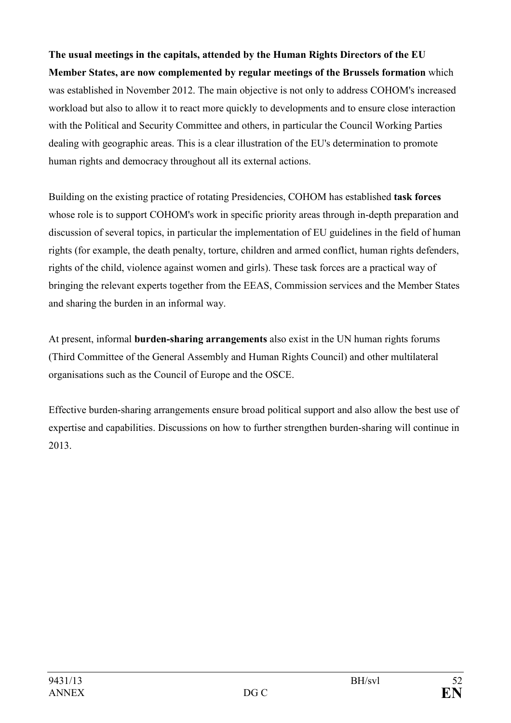**The usual meetings in the capitals, attended by the Human Rights Directors of the EU Member States, are now complemented by regular meetings of the Brussels formation** which was established in November 2012. The main objective is not only to address COHOM's increased workload but also to allow it to react more quickly to developments and to ensure close interaction with the Political and Security Committee and others, in particular the Council Working Parties dealing with geographic areas. This is a clear illustration of the EU's determination to promote human rights and democracy throughout all its external actions.

Building on the existing practice of rotating Presidencies, COHOM has established **task forces** whose role is to support COHOM's work in specific priority areas through in-depth preparation and discussion of several topics, in particular the implementation of EU guidelines in the field of human rights (for example, the death penalty, torture, children and armed conflict, human rights defenders, rights of the child, violence against women and girls). These task forces are a practical way of bringing the relevant experts together from the EEAS, Commission services and the Member States and sharing the burden in an informal way.

At present, informal **burden-sharing arrangements** also exist in the UN human rights forums (Third Committee of the General Assembly and Human Rights Council) and other multilateral organisations such as the Council of Europe and the OSCE.

Effective burden-sharing arrangements ensure broad political support and also allow the best use of expertise and capabilities. Discussions on how to further strengthen burden-sharing will continue in 2013.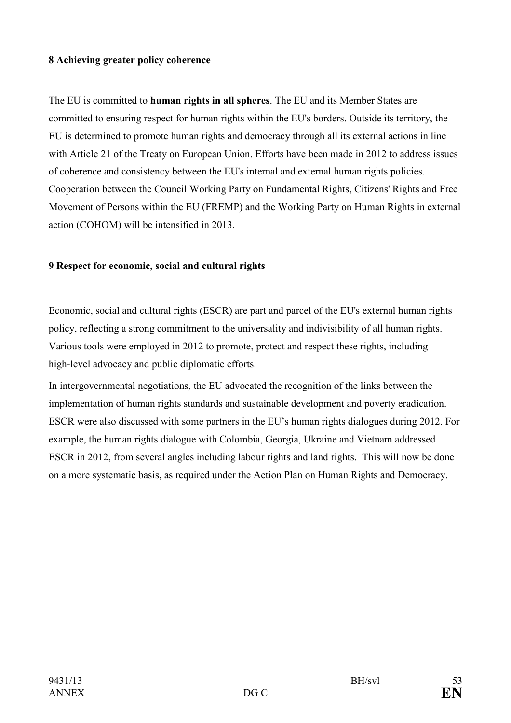# **8 Achieving greater policy coherence**

The EU is committed to **human rights in all spheres**. The EU and its Member States are committed to ensuring respect for human rights within the EU's borders. Outside its territory, the EU is determined to promote human rights and democracy through all its external actions in line with Article 21 of the Treaty on European Union. Efforts have been made in 2012 to address issues of coherence and consistency between the EU's internal and external human rights policies. Cooperation between the Council Working Party on Fundamental Rights, Citizens' Rights and Free Movement of Persons within the EU (FREMP) and the Working Party on Human Rights in external action (COHOM) will be intensified in 2013.

## **9 Respect for economic, social and cultural rights**

Economic, social and cultural rights (ESCR) are part and parcel of the EU's external human rights policy, reflecting a strong commitment to the universality and indivisibility of all human rights. Various tools were employed in 2012 to promote, protect and respect these rights, including high-level advocacy and public diplomatic efforts.

In intergovernmental negotiations, the EU advocated the recognition of the links between the implementation of human rights standards and sustainable development and poverty eradication. ESCR were also discussed with some partners in the EU's human rights dialogues during 2012. For example, the human rights dialogue with Colombia, Georgia, Ukraine and Vietnam addressed ESCR in 2012, from several angles including labour rights and land rights. This will now be done on a more systematic basis, as required under the Action Plan on Human Rights and Democracy.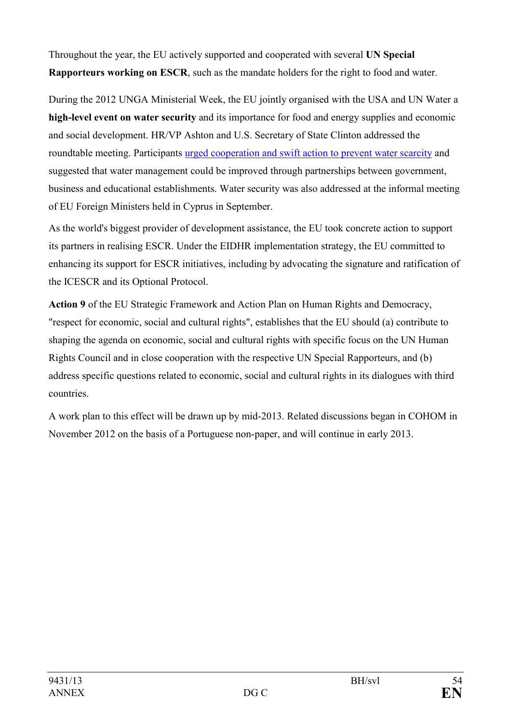Throughout the year, the EU actively supported and cooperated with several UN Special **Rapporteurs working on ESCR**, such as the mandate holders for the right to food and water.

During the 2012 UNGA Ministerial Week, the EU jointly organised with the USA and UN Water a **high-level event on water security** and its importance for food and energy supplies and economic and social development. HR/VP Ashton and U.S. Secretary of State Clinton addressed the roundtable meeting. Participants [urged cooperation and swift action to prevent water scarcity](http://m.state.gov/md198179.htm) and suggested that water management could be improved through partnerships between government, business and educational establishments. Water security was also addressed at the informal meeting of EU Foreign Ministers held in Cyprus in September.

As the world's biggest provider of development assistance, the EU took concrete action to support its partners in realising ESCR. Under the EIDHR implementation strategy, the EU committed to enhancing its support for ESCR initiatives, including by advocating the signature and ratification of the ICESCR and its Optional Protocol.

**Action 9** of the EU Strategic Framework and Action Plan on Human Rights and Democracy, "respect for economic, social and cultural rights", establishes that the EU should (a) contribute to shaping the agenda on economic, social and cultural rights with specific focus on the UN Human Rights Council and in close cooperation with the respective UN Special Rapporteurs, and (b) address specific questions related to economic, social and cultural rights in its dialogues with third countries.

A work plan to this effect will be drawn up by mid-2013. Related discussions began in COHOM in November 2012 on the basis of a Portuguese non-paper, and will continue in early 2013.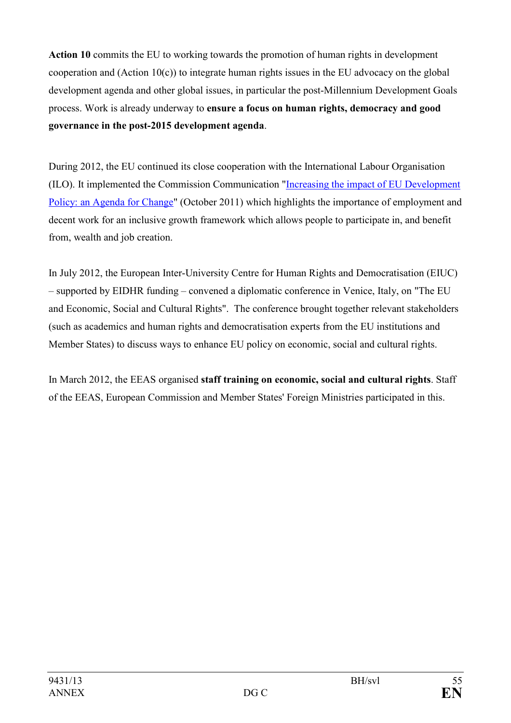**Action 10** commits the EU to working towards the promotion of human rights in development cooperation and (Action 10 $(c)$ ) to integrate human rights issues in the EU advocacy on the global development agenda and other global issues, in particular the post-Millennium Development Goals process. Work is already underway to **ensure a focus on human rights, democracy and good governance in the post-2015 development agenda**.

During 2012, the EU continued its close cooperation with the International Labour Organisation (ILO). It implemented the Commission Communication ["Increasing the impact of EU Development](http://ec.europa.eu/europeaid/news/agenda_for_change_en.htm)  [Policy: an Agenda for Change"](http://ec.europa.eu/europeaid/news/agenda_for_change_en.htm) (October 2011) which highlights the importance of employment and decent work for an inclusive growth framework which allows people to participate in, and benefit from, wealth and job creation.

In July 2012, the European Inter-University Centre for Human Rights and Democratisation (EIUC) – supported by EIDHR funding – convened a diplomatic conference in Venice, Italy, on "The EU and Economic, Social and Cultural Rights". The conference brought together relevant stakeholders (such as academics and human rights and democratisation experts from the EU institutions and Member States) to discuss ways to enhance EU policy on economic, social and cultural rights.

In March 2012, the EEAS organised **staff training on economic, social and cultural rights**. Staff of the EEAS, European Commission and Member States' Foreign Ministries participated in this.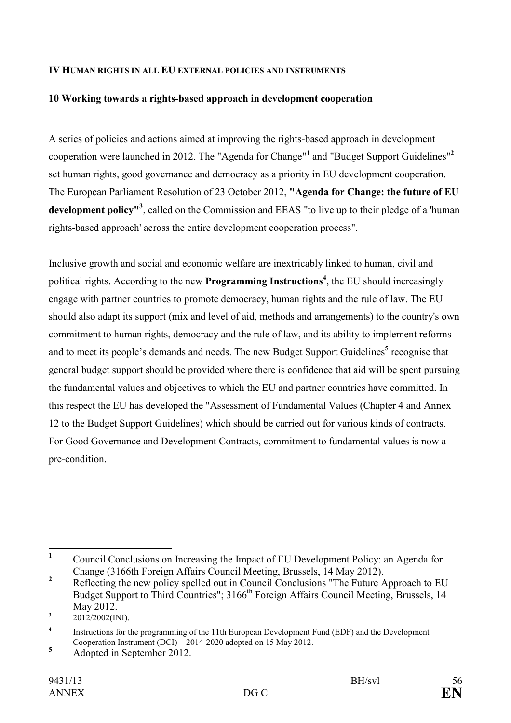#### **IV HUMAN RIGHTS IN ALL EU EXTERNAL POLICIES AND INSTRUMENTS**

#### **10 Working towards a rights-based approach in development cooperation**

A series of policies and actions aimed at improving the rights-based approach in development cooperation were launched in 2012. The "Agenda for Change"**<sup>1</sup>** and "Budget Support Guidelines"**<sup>2</sup>** set human rights, good governance and democracy as a priority in EU development cooperation. The European Parliament Resolution of 23 October 2012, **"Agenda for Change: the future of EU development policy"<sup>3</sup>** , called on the Commission and EEAS "to live up to their pledge of a 'human rights-based approach' across the entire development cooperation process".

Inclusive growth and social and economic welfare are inextricably linked to human, civil and political rights. According to the new **Programming Instructions<sup>4</sup>** , the EU should increasingly engage with partner countries to promote democracy, human rights and the rule of law. The EU should also adapt its support (mix and level of aid, methods and arrangements) to the country's own commitment to human rights, democracy and the rule of law, and its ability to implement reforms and to meet its people's demands and needs. The new Budget Support Guidelines<sup>5</sup> recognise that general budget support should be provided where there is confidence that aid will be spent pursuing the fundamental values and objectives to which the EU and partner countries have committed. In this respect the EU has developed the "Assessment of Fundamental Values (Chapter 4 and Annex 12 to the Budget Support Guidelines) which should be carried out for various kinds of contracts. For Good Governance and Development Contracts, commitment to fundamental values is now a pre-condition.

 **1** Council Conclusions on Increasing the Impact of EU Development Policy: an Agenda for Change (3166th Foreign Affairs Council Meeting, Brussels, 14 May 2012).

**<sup>2</sup>** Reflecting the new policy spelled out in Council Conclusions "The Future Approach to EU Budget Support to Third Countries"; 3166<sup>th</sup> Foreign Affairs Council Meeting, Brussels, 14 May 2012.

**<sup>3</sup>** 2012/2002(INI).

**<sup>4</sup>** Instructions for the programming of the 11th European Development Fund (EDF) and the Development Cooperation Instrument (DCI) – 2014-2020 adopted on 15 May 2012.

**<sup>5</sup>** Adopted in September 2012.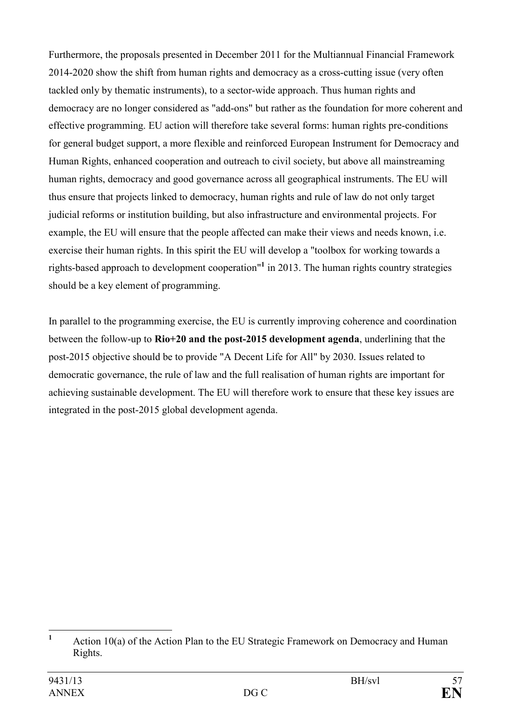Furthermore, the proposals presented in December 2011 for the Multiannual Financial Framework 2014-2020 show the shift from human rights and democracy as a cross-cutting issue (very often tackled only by thematic instruments), to a sector-wide approach. Thus human rights and democracy are no longer considered as "add-ons" but rather as the foundation for more coherent and effective programming. EU action will therefore take several forms: human rights pre-conditions for general budget support, a more flexible and reinforced European Instrument for Democracy and Human Rights, enhanced cooperation and outreach to civil society, but above all mainstreaming human rights, democracy and good governance across all geographical instruments. The EU will thus ensure that projects linked to democracy, human rights and rule of law do not only target judicial reforms or institution building, but also infrastructure and environmental projects. For example, the EU will ensure that the people affected can make their views and needs known, i.e. exercise their human rights. In this spirit the EU will develop a "toolbox for working towards a rights-based approach to development cooperation"**<sup>1</sup>** in 2013. The human rights country strategies should be a key element of programming.

In parallel to the programming exercise, the EU is currently improving coherence and coordination between the follow-up to **Rio+20 and the post-2015 development agenda**, underlining that the post-2015 objective should be to provide "A Decent Life for All" by 2030. Issues related to democratic governance, the rule of law and the full realisation of human rights are important for achieving sustainable development. The EU will therefore work to ensure that these key issues are integrated in the post-2015 global development agenda.

 **1** Action 10(a) of the Action Plan to the EU Strategic Framework on Democracy and Human Rights.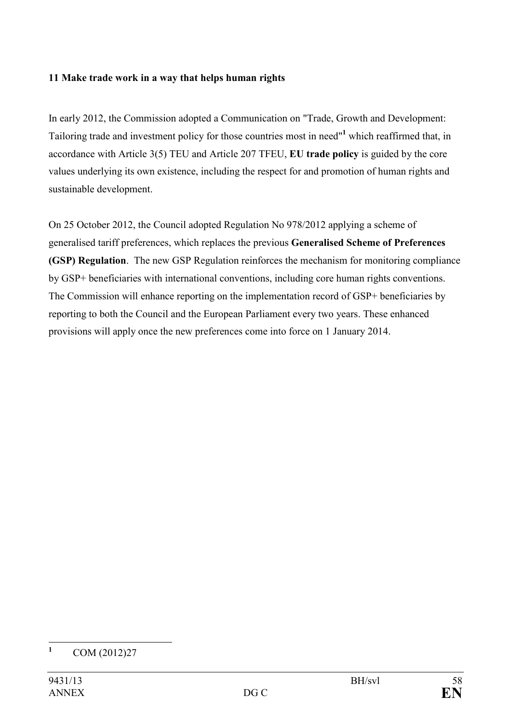#### **11 Make trade work in a way that helps human rights**

In early 2012, the Commission adopted a Communication on "Trade, Growth and Development: Tailoring trade and investment policy for those countries most in need"**<sup>1</sup>** which reaffirmed that, in accordance with Article 3(5) TEU and Article 207 TFEU, **EU trade policy** is guided by the core values underlying its own existence, including the respect for and promotion of human rights and sustainable development.

On 25 October 2012, the Council adopted Regulation No 978/2012 applying a scheme of generalised tariff preferences, which replaces the previous **Generalised Scheme of Preferences (GSP) Regulation**. The new GSP Regulation reinforces the mechanism for monitoring compliance by GSP+ beneficiaries with international conventions, including core human rights conventions. The Commission will enhance reporting on the implementation record of GSP+ beneficiaries by reporting to both the Council and the European Parliament every two years. These enhanced provisions will apply once the new preferences come into force on 1 January 2014.

 **1** COM (2012)27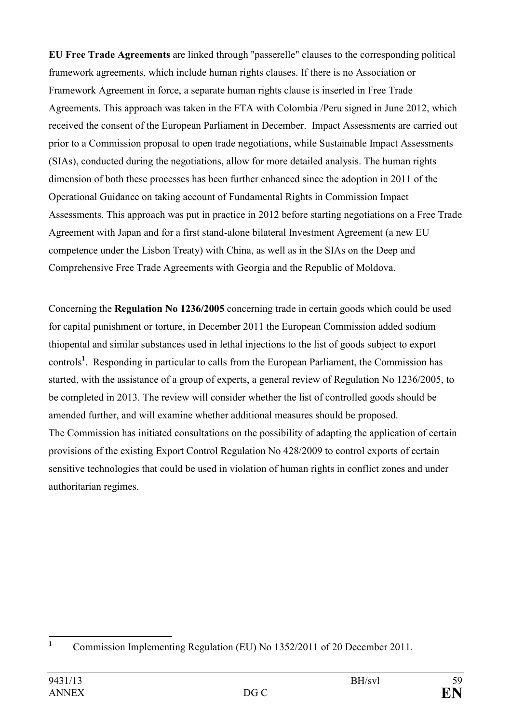**EU Free Trade Agreements** are linked through ''passerelle" clauses to the corresponding political framework agreements, which include human rights clauses. If there is no Association or Framework Agreement in force, a separate human rights clause is inserted in Free Trade Agreements. This approach was taken in the FTA with Colombia /Peru signed in June 2012, which received the consent of the European Parliament in December. Impact Assessments are carried out prior to a Commission proposal to open trade negotiations, while Sustainable Impact Assessments (SIAs), conducted during the negotiations, allow for more detailed analysis. The human rights dimension of both these processes has been further enhanced since the adoption in 2011 of the Operational Guidance on taking account of Fundamental Rights in Commission Impact Assessments. This approach was put in practice in 2012 before starting negotiations on a Free Trade Agreement with Japan and for a first stand-alone bilateral Investment Agreement (a new EU competence under the Lisbon Treaty) with China, as well as in the SIAs on the Deep and Comprehensive Free Trade Agreements with Georgia and the Republic of Moldova.

Concerning the **Regulation No 1236/2005** concerning trade in certain goods which could be used for capital punishment or torture, in December 2011 the European Commission added sodium thiopental and similar substances used in lethal injections to the list of goods subject to export controls**<sup>1</sup>** . Responding in particular to calls from the European Parliament, the Commission has started, with the assistance of a group of experts, a general review of Regulation No 1236/2005, to be completed in 2013. The review will consider whether the list of controlled goods should be amended further, and will examine whether additional measures should be proposed. The Commission has initiated consultations on the possibility of adapting the application of certain provisions of the existing Export Control Regulation No 428/2009 to control exports of certain sensitive technologies that could be used in violation of human rights in conflict zones and under authoritarian regimes.

 **1** Commission Implementing Regulation (EU) No 1352/2011 of 20 December 2011.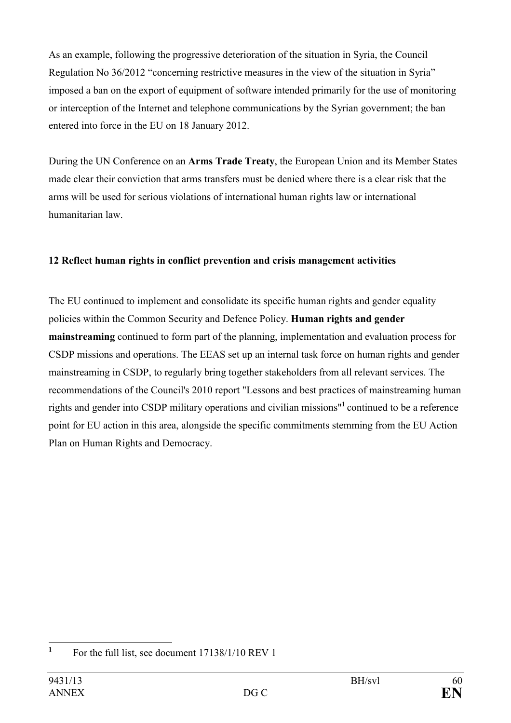As an example, following the progressive deterioration of the situation in Syria, the Council Regulation No 36/2012 "concerning restrictive measures in the view of the situation in Syria" imposed a ban on the export of equipment of software intended primarily for the use of monitoring or interception of the Internet and telephone communications by the Syrian government; the ban entered into force in the EU on 18 January 2012.

During the UN Conference on an **Arms Trade Treaty**, the European Union and its Member States made clear their conviction that arms transfers must be denied where there is a clear risk that the arms will be used for serious violations of international human rights law or international humanitarian law.

# **12 Reflect human rights in conflict prevention and crisis management activities**

The EU continued to implement and consolidate its specific human rights and gender equality policies within the Common Security and Defence Policy. **Human rights and gender mainstreaming** continued to form part of the planning, implementation and evaluation process for CSDP missions and operations. The EEAS set up an internal task force on human rights and gender mainstreaming in CSDP, to regularly bring together stakeholders from all relevant services. The recommendations of the Council's 2010 report "Lessons and best practices of mainstreaming human rights and gender into CSDP military operations and civilian missions"**<sup>1</sup>** continued to be a reference point for EU action in this area, alongside the specific commitments stemming from the EU Action Plan on Human Rights and Democracy.

 **1** For the full list, see document 17138/1/10 REV 1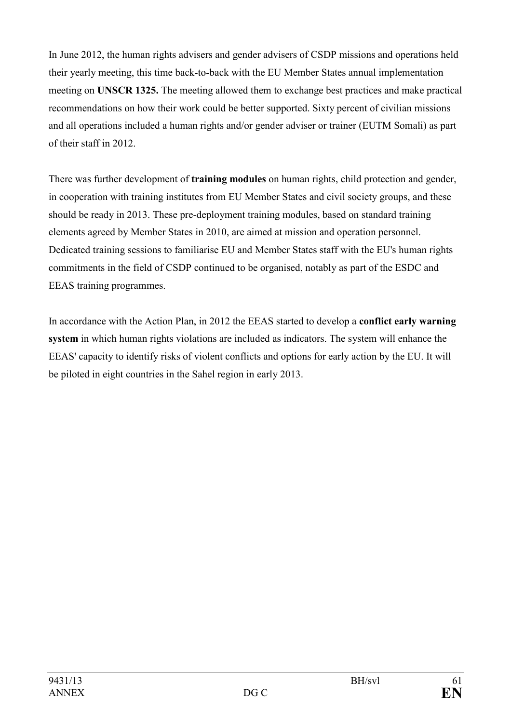In June 2012, the human rights advisers and gender advisers of CSDP missions and operations held their yearly meeting, this time back-to-back with the EU Member States annual implementation meeting on **USCR 1325.** The meeting allowed them to exchange best practices and make practical recommendations on how their work could be better supported. Sixty percent of civilian missions and all operations included a human rights and/or gender adviser or trainer (EUTM Somali) as part of their staff in 2012.

There was further development of **training modules** on human rights, child protection and gender, in cooperation with training institutes from EU Member States and civil society groups, and these should be ready in 2013. These pre-deployment training modules, based on standard training elements agreed by Member States in 2010, are aimed at mission and operation personnel. Dedicated training sessions to familiarise EU and Member States staff with the EU's human rights commitments in the field of CSDP continued to be organised, notably as part of the ESDC and EEAS training programmes.

In accordance with the Action Plan, in 2012 the EEAS started to develop a **conflict early warning system** in which human rights violations are included as indicators. The system will enhance the EEAS' capacity to identify risks of violent conflicts and options for early action by the EU. It will be piloted in eight countries in the Sahel region in early 2013.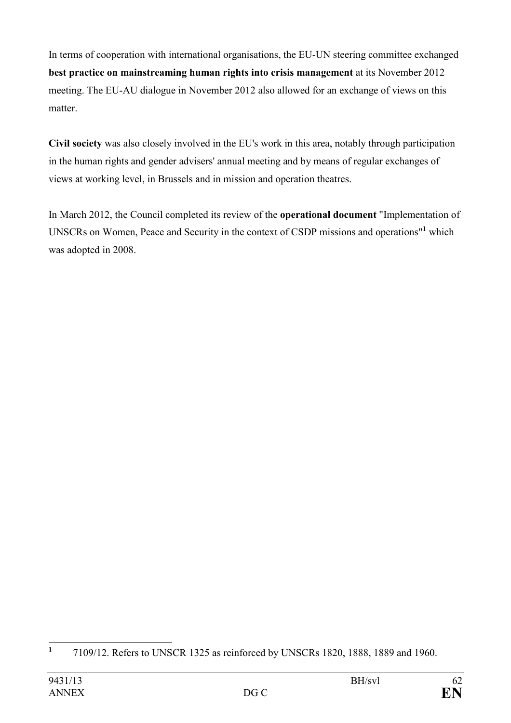In terms of cooperation with international organisations, the EU-UN steering committee exchanged **best practice on mainstreaming human rights into crisis management** at its November 2012 meeting. The EU-AU dialogue in November 2012 also allowed for an exchange of views on this matter.

**Civil society** was also closely involved in the EU's work in this area, notably through participation in the human rights and gender advisers' annual meeting and by means of regular exchanges of views at working level, in Brussels and in mission and operation theatres.

In March 2012, the Council completed its review of the **operational document** "Implementation of UNSCRs on Women, Peace and Security in the context of CSDP missions and operations<sup>"1</sup> which was adopted in 2008.

 **1** 7109/12. Refers to UNSCR 1325 as reinforced by UNSCRs 1820, 1888, 1889 and 1960.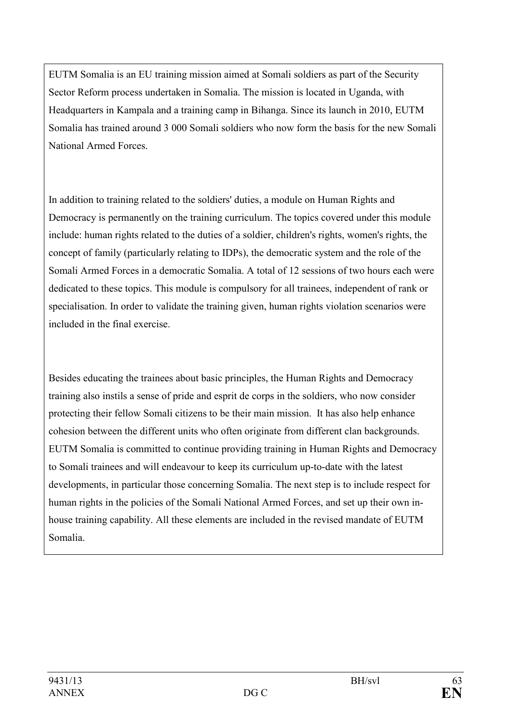EUTM Somalia is an EU training mission aimed at Somali soldiers as part of the Security Sector Reform process undertaken in Somalia. The mission is located in Uganda, with Headquarters in Kampala and a training camp in Bihanga. Since its launch in 2010, EUTM Somalia has trained around 3 000 Somali soldiers who now form the basis for the new Somali National Armed Forces.

In addition to training related to the soldiers' duties, a module on Human Rights and Democracy is permanently on the training curriculum. The topics covered under this module include: human rights related to the duties of a soldier, children's rights, women's rights, the concept of family (particularly relating to IDPs), the democratic system and the role of the Somali Armed Forces in a democratic Somalia. A total of 12 sessions of two hours each were dedicated to these topics. This module is compulsory for all trainees, independent of rank or specialisation. In order to validate the training given, human rights violation scenarios were included in the final exercise.

Besides educating the trainees about basic principles, the Human Rights and Democracy training also instils a sense of pride and esprit de corps in the soldiers, who now consider protecting their fellow Somali citizens to be their main mission. It has also help enhance cohesion between the different units who often originate from different clan backgrounds. EUTM Somalia is committed to continue providing training in Human Rights and Democracy to Somali trainees and will endeavour to keep its curriculum up-to-date with the latest developments, in particular those concerning Somalia. The next step is to include respect for human rights in the policies of the Somali National Armed Forces, and set up their own inhouse training capability. All these elements are included in the revised mandate of EUTM Somalia.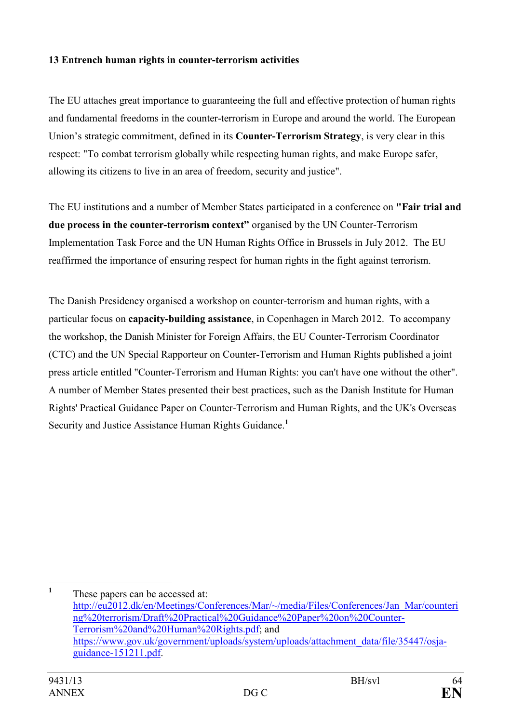# **13 Entrench human rights in counter-terrorism activities**

The EU attaches great importance to guaranteeing the full and effective protection of human rights and fundamental freedoms in the counter-terrorism in Europe and around the world. The European Union's strategic commitment, defined in its **Counter-Terrorism Strategy**, is very clear in this respect: "To combat terrorism globally while respecting human rights, and make Europe safer, allowing its citizens to live in an area of freedom, security and justice".

The EU institutions and a number of Member States participated in a conference on **"Fair trial and due process in the counter-terrorism context"** organised by the UN Counter-Terrorism Implementation Task Force and the UN Human Rights Office in Brussels in July 2012. The EU reaffirmed the importance of ensuring respect for human rights in the fight against terrorism.

The Danish Presidency organised a workshop on counter-terrorism and human rights, with a particular focus on **capacity-building assistance**, in Copenhagen in March 2012. To accompany the workshop, the Danish Minister for Foreign Affairs, the EU Counter-Terrorism Coordinator (CTC) and the UN Special Rapporteur on Counter-Terrorism and Human Rights published a joint press article entitled "Counter-Terrorism and Human Rights: you can't have one without the other". A number of Member States presented their best practices, such as the Danish Institute for Human Rights' Practical Guidance Paper on Counter-Terrorism and Human Rights, and the UK's Overseas Security and Justice Assistance Human Rights Guidance.**<sup>1</sup>**

 **1** These papers can be accessed at: [http://eu2012.dk/en/Meetings/Conferences/Mar/~/media/Files/Conferences/Jan\\_Mar/counter](http://eu2012.dk/en/Meetings/Conferences/Mar/~/media/Files/Conferences/Jan_Mar/countering%20terrorism/Draft%20Practical%20Guidance%20Paper%20on%20Counter-Terrorism%20and%20Human%20Rights.pdf)i [ng%20terrorism/Draft%20Practical%20Guidance%20Paper%20on%20Counter-](http://eu2012.dk/en/Meetings/Conferences/Mar/~/media/Files/Conferences/Jan_Mar/countering%20terrorism/Draft%20Practical%20Guidance%20Paper%20on%20Counter-Terrorism%20and%20Human%20Rights.pdf)[Terrorism%20and%20Human%20Rights.pdf;](http://eu2012.dk/en/Meetings/Conferences/Mar/~/media/Files/Conferences/Jan_Mar/countering%20terrorism/Draft%20Practical%20Guidance%20Paper%20on%20Counter-Terrorism%20and%20Human%20Rights.pdf) and [https://www.gov.uk/government/uploads/system/uploads/attachment\\_data/file/35447/osja](https://www.gov.uk/government/uploads/system/uploads/attachment_data/file/35447/osja-guidance-151211.pdf)[guidance-151211.pdf.](https://www.gov.uk/government/uploads/system/uploads/attachment_data/file/35447/osja-guidance-151211.pdf)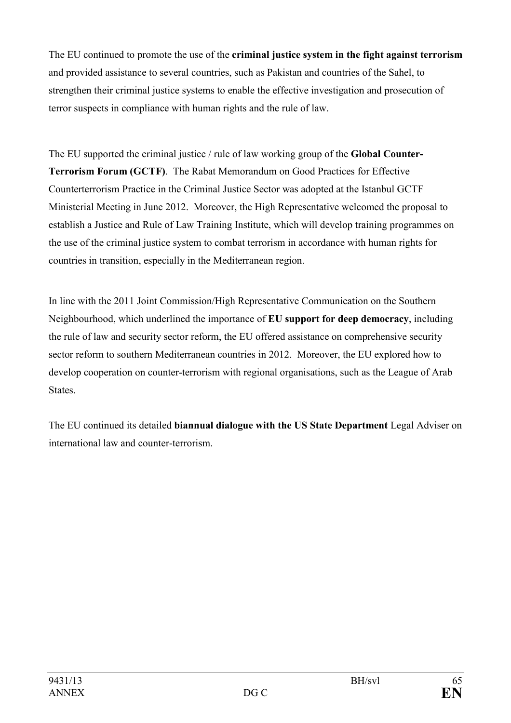The EU continued to promote the use of the **criminal justice system in the fight against terrorism** and provided assistance to several countries, such as Pakistan and countries of the Sahel, to strengthen their criminal justice systems to enable the effective investigation and prosecution of terror suspects in compliance with human rights and the rule of law.

The EU supported the criminal justice / rule of law working group of the **Global Counter-Terrorism Forum (GCTF)**. The Rabat Memorandum on Good Practices for Effective Counterterrorism Practice in the Criminal Justice Sector was adopted at the Istanbul GCTF Ministerial Meeting in June 2012. Moreover, the High Representative welcomed the proposal to establish a Justice and Rule of Law Training Institute, which will develop training programmes on the use of the criminal justice system to combat terrorism in accordance with human rights for countries in transition, especially in the Mediterranean region.

In line with the 2011 Joint Commission/High Representative Communication on the Southern Neighbourhood, which underlined the importance of **EU support for deep democracy**, including the rule of law and security sector reform, the EU offered assistance on comprehensive security sector reform to southern Mediterranean countries in 2012. Moreover, the EU explored how to develop cooperation on counter-terrorism with regional organisations, such as the League of Arab States.

The EU continued its detailed **biannual dialogue with the US State Department** Legal Adviser on international law and counter-terrorism.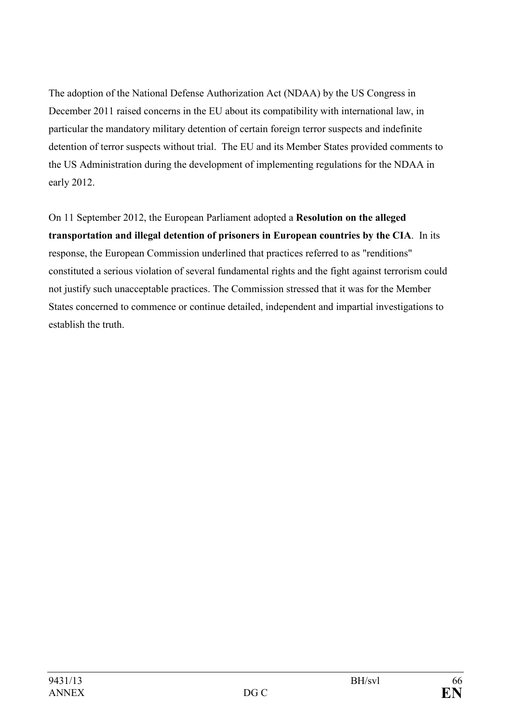The adoption of the National Defense Authorization Act (NDAA) by the US Congress in December 2011 raised concerns in the EU about its compatibility with international law, in particular the mandatory military detention of certain foreign terror suspects and indefinite detention of terror suspects without trial. The EU and its Member States provided comments to the US Administration during the development of implementing regulations for the NDAA in early 2012.

On 11 September 2012, the European Parliament adopted a **Resolution on the alleged transportation and illegal detention of prisoners in European countries by the CIA**. In its response, the European Commission underlined that practices referred to as "renditions" constituted a serious violation of several fundamental rights and the fight against terrorism could not justify such unacceptable practices. The Commission stressed that it was for the Member States concerned to commence or continue detailed, independent and impartial investigations to establish the truth.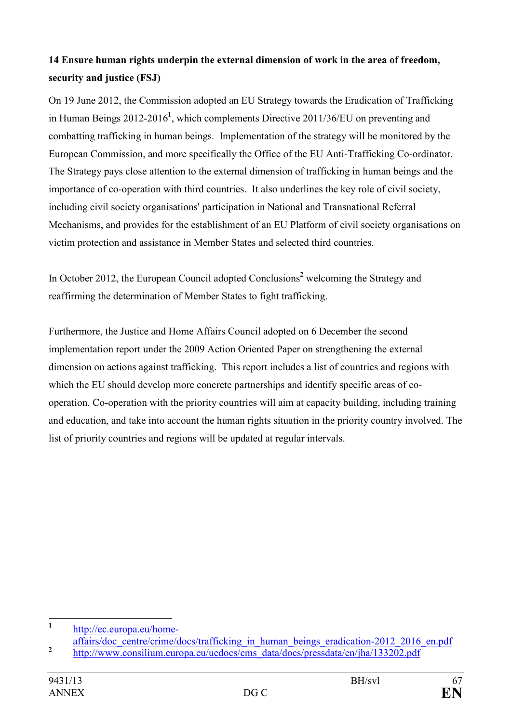# **14 Ensure human rights underpin the external dimension of work in the area of freedom, security and justice (FSJ)**

On 19 June 2012, the Commission adopted an EU Strategy towards the Eradication of Trafficking in Human Beings 2012-2016**<sup>1</sup>** , which complements Directive 2011/36/EU on preventing and combatting trafficking in human beings. Implementation of the strategy will be monitored by the European Commission, and more specifically the Office of the EU Anti-Trafficking Co-ordinator. The Strategy pays close attention to the external dimension of trafficking in human beings and the importance of co-operation with third countries. It also underlines the key role of civil society, including civil society organisations' participation in National and Transnational Referral Mechanisms, and provides for the establishment of an EU Platform of civil society organisations on victim protection and assistance in Member States and selected third countries.

In October 2012, the European Council adopted Conclusions<sup>2</sup> welcoming the Strategy and reaffirming the determination of Member States to fight trafficking.

Furthermore, the Justice and Home Affairs Council adopted on 6 December the second implementation report under the 2009 Action Oriented Paper on strengthening the external dimension on actions against trafficking. This report includes a list of countries and regions with which the EU should develop more concrete partnerships and identify specific areas of cooperation. Co-operation with the priority countries will aim at capacity building, including training and education, and take into account the human rights situation in the priority country involved. The list of priority countries and regions will be updated at regular intervals.

 **1** [http://ec.europa.eu/home](http://ec.europa.eu/home-affairs/doc_centre/crime/docs/trafficking_in_human_beings_eradication-2012_2016_en.pdf)-

affairs/doc\_centre/crime/docs/trafficking\_in\_human\_beings\_eradication-2012\_2016\_en.pdf **2** [http://www.consilium.europa.eu/uedocs/cms\\_data/docs/pressdata/en/jha/133202.pdf](http://www.consilium.europa.eu/uedocs/cms_data/docs/pressdata/en/jha/133202.pdf)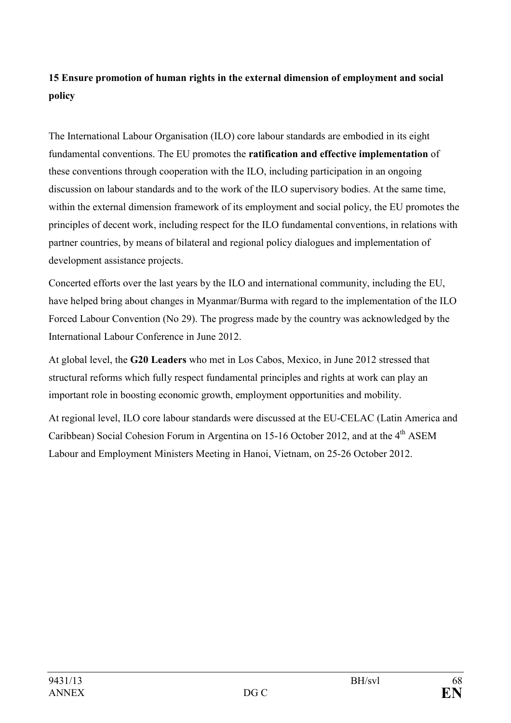# **15 Ensure promotion of human rights in the external dimension of employment and social policy**

The International Labour Organisation (ILO) core labour standards are embodied in its eight fundamental conventions. The EU promotes the **ratification and effective implementation** of these conventions through cooperation with the ILO, including participation in an ongoing discussion on labour standards and to the work of the ILO supervisory bodies. At the same time, within the external dimension framework of its employment and social policy, the EU promotes the principles of decent work, including respect for the ILO fundamental conventions, in relations with partner countries, by means of bilateral and regional policy dialogues and implementation of development assistance projects.

Concerted efforts over the last years by the ILO and international community, including the EU, have helped bring about changes in Myanmar/Burma with regard to the implementation of the ILO Forced Labour Convention (No 29). The progress made by the country was acknowledged by the International Labour Conference in June 2012.

At global level, the **G20 Leaders** who met in Los Cabos, Mexico, in June 2012 stressed that structural reforms which fully respect fundamental principles and rights at work can play an important role in boosting economic growth, employment opportunities and mobility.

At regional level, ILO core labour standards were discussed at the EU-CELAC (Latin America and Caribbean) Social Cohesion Forum in Argentina on 15-16 October 2012, and at the  $4<sup>th</sup>$  ASEM Labour and Employment Ministers Meeting in Hanoi, Vietnam, on 25-26 October 2012.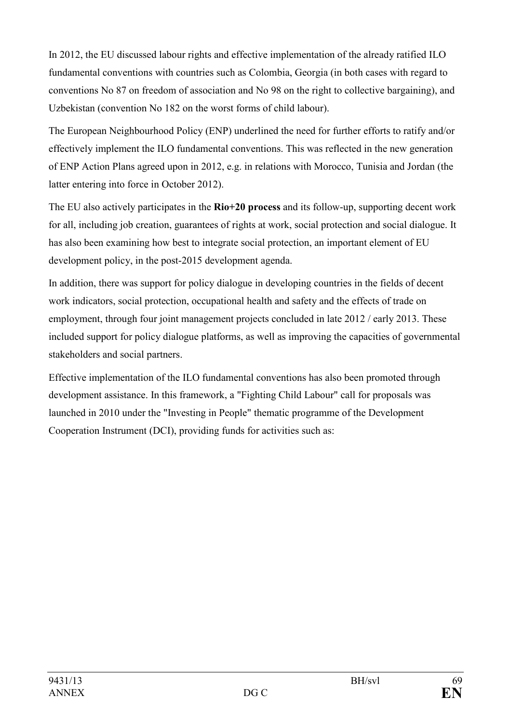In 2012, the EU discussed labour rights and effective implementation of the already ratified ILO fundamental conventions with countries such as Colombia, Georgia (in both cases with regard to conventions No 87 on freedom of association and No 98 on the right to collective bargaining), and Uzbekistan (convention No 182 on the worst forms of child labour).

The European Neighbourhood Policy (ENP) underlined the need for further efforts to ratify and/or effectively implement the ILO fundamental conventions. This was reflected in the new generation of ENP Action Plans agreed upon in 2012, e.g. in relations with Morocco, Tunisia and Jordan (the latter entering into force in October 2012).

The EU also actively participates in the **Rio+20 process** and its follow-up, supporting decent work for all, including job creation, guarantees of rights at work, social protection and social dialogue. It has also been examining how best to integrate social protection, an important element of EU development policy, in the post-2015 development agenda.

In addition, there was support for policy dialogue in developing countries in the fields of decent work indicators, social protection, occupational health and safety and the effects of trade on employment, through four joint management projects concluded in late 2012 / early 2013. These included support for policy dialogue platforms, as well as improving the capacities of governmental stakeholders and social partners.

Effective implementation of the ILO fundamental conventions has also been promoted through development assistance. In this framework, a "Fighting Child Labour" call for proposals was launched in 2010 under the "Investing in People" thematic programme of the Development Cooperation Instrument (DCI), providing funds for activities such as: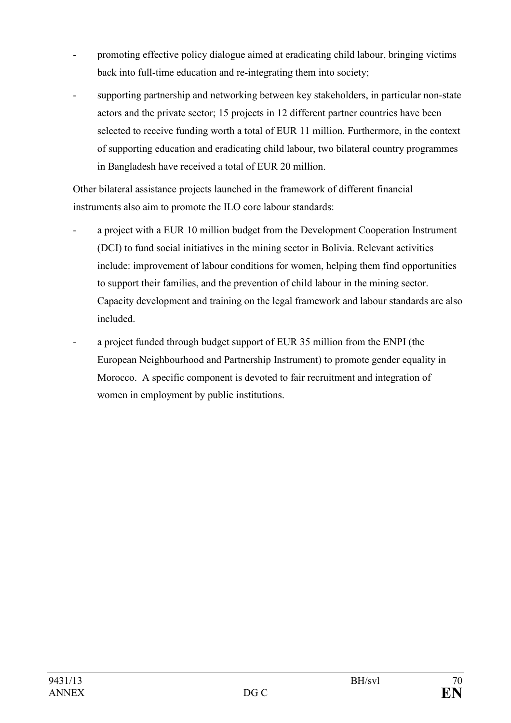- promoting effective policy dialogue aimed at eradicating child labour, bringing victims back into full-time education and re-integrating them into society;
- supporting partnership and networking between key stakeholders, in particular non-state actors and the private sector; 15 projects in 12 different partner countries have been selected to receive funding worth a total of EUR 11 million. Furthermore, in the context of supporting education and eradicating child labour, two bilateral country programmes in Bangladesh have received a total of EUR 20 million.

Other bilateral assistance projects launched in the framework of different financial instruments also aim to promote the ILO core labour standards:

- a project with a EUR 10 million budget from the Development Cooperation Instrument (DCI) to fund social initiatives in the mining sector in Bolivia. Relevant activities include: improvement of labour conditions for women, helping them find opportunities to support their families, and the prevention of child labour in the mining sector. Capacity development and training on the legal framework and labour standards are also included.
- a project funded through budget support of EUR 35 million from the ENPI (the European Neighbourhood and Partnership Instrument) to promote gender equality in Morocco. A specific component is devoted to fair recruitment and integration of women in employment by public institutions.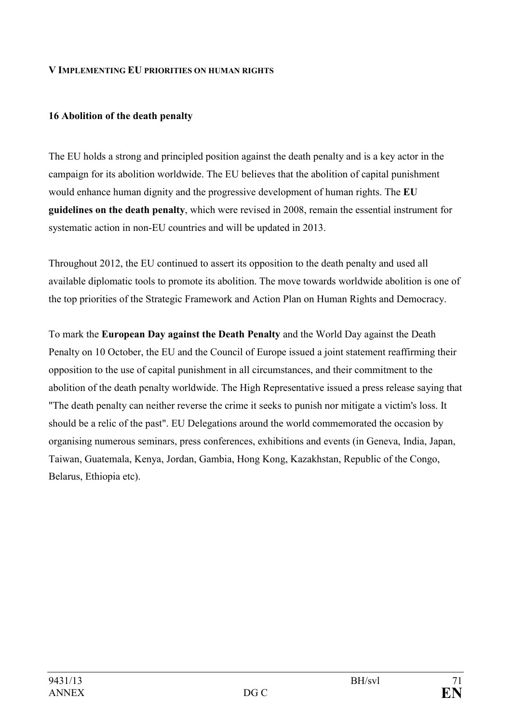#### **V IMPLEMETIG EU PRIORITIES O HUMA RIGHTS**

#### **16 Abolition of the death penalty**

The EU holds a strong and principled position against the death penalty and is a key actor in the campaign for its abolition worldwide. The EU believes that the abolition of capital punishment would enhance human dignity and the progressive development of human rights. The **EU guidelines on the death penalty**, which were revised in 2008, remain the essential instrument for systematic action in non-EU countries and will be updated in 2013.

Throughout 2012, the EU continued to assert its opposition to the death penalty and used all available diplomatic tools to promote its abolition. The move towards worldwide abolition is one of the top priorities of the Strategic Framework and Action Plan on Human Rights and Democracy.

To mark the **European Day against the Death Penalty** and the World Day against the Death Penalty on 10 October, the EU and the Council of Europe issued a joint statement reaffirming their opposition to the use of capital punishment in all circumstances, and their commitment to the abolition of the death penalty worldwide. The High Representative issued a press release saying that "The death penalty can neither reverse the crime it seeks to punish nor mitigate a victim's loss. It should be a relic of the past". EU Delegations around the world commemorated the occasion by organising numerous seminars, press conferences, exhibitions and events (in Geneva, India, Japan, Taiwan, Guatemala, Kenya, Jordan, Gambia, Hong Kong, Kazakhstan, Republic of the Congo, Belarus, Ethiopia etc).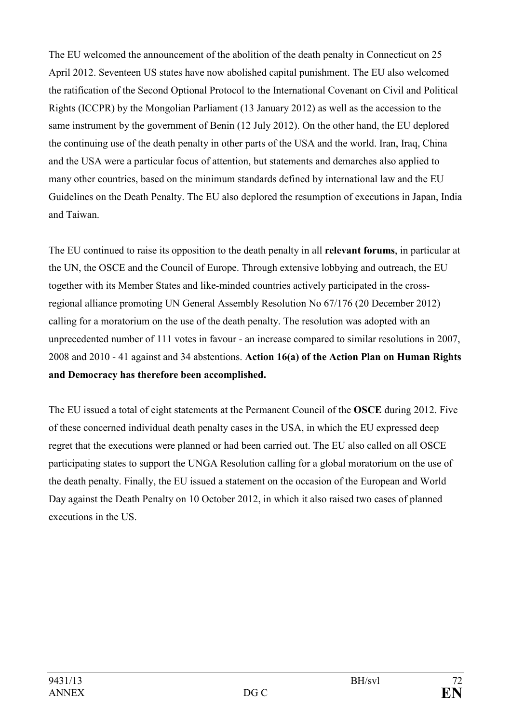The EU welcomed the announcement of the abolition of the death penalty in Connecticut on 25 April 2012. Seventeen US states have now abolished capital punishment. The EU also welcomed the ratification of the Second Optional Protocol to the International Covenant on Civil and Political Rights (ICCPR) by the Mongolian Parliament (13 January 2012) as well as the accession to the same instrument by the government of Benin (12 July 2012). On the other hand, the EU deplored the continuing use of the death penalty in other parts of the USA and the world. Iran, Iraq, China and the USA were a particular focus of attention, but statements and demarches also applied to many other countries, based on the minimum standards defined by international law and the EU Guidelines on the Death Penalty. The EU also deplored the resumption of executions in Japan, India and Taiwan.

The EU continued to raise its opposition to the death penalty in all **relevant forums**, in particular at the UN, the OSCE and the Council of Europe. Through extensive lobbying and outreach, the EU together with its Member States and like-minded countries actively participated in the crossregional alliance promoting UN General Assembly Resolution No 67/176 (20 December 2012) calling for a moratorium on the use of the death penalty. The resolution was adopted with an unprecedented number of 111 votes in favour - an increase compared to similar resolutions in 2007, 2008 and 2010 - 41 against and 34 abstentions. **Action 16(a) of the Action Plan on Human Rights and Democracy has therefore been accomplished.** 

The EU issued a total of eight statements at the Permanent Council of the **OSCE** during 2012. Five of these concerned individual death penalty cases in the USA, in which the EU expressed deep regret that the executions were planned or had been carried out. The EU also called on all OSCE participating states to support the UNGA Resolution calling for a global moratorium on the use of the death penalty. Finally, the EU issued a statement on the occasion of the European and World Day against the Death Penalty on 10 October 2012, in which it also raised two cases of planned executions in the US.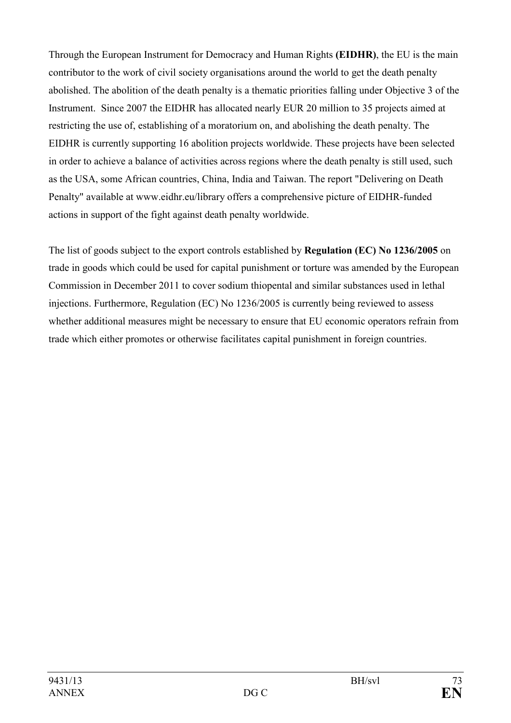Through the European Instrument for Democracy and Human Rights **(EIDHR)**, the EU is the main contributor to the work of civil society organisations around the world to get the death penalty abolished. The abolition of the death penalty is a thematic priorities falling under Objective 3 of the Instrument. Since 2007 the EIDHR has allocated nearly EUR 20 million to 35 projects aimed at restricting the use of, establishing of a moratorium on, and abolishing the death penalty. The EIDHR is currently supporting 16 abolition projects worldwide. These projects have been selected in order to achieve a balance of activities across regions where the death penalty is still used, such as the USA, some African countries, China, India and Taiwan. The report "Delivering on Death Penalty" available at www.eidhr.eu/library offers a comprehensive picture of EIDHR-funded actions in support of the fight against death penalty worldwide.

The list of goods subject to the export controls established by **Regulation (EC) No 1236/2005** on trade in goods which could be used for capital punishment or torture was amended by the European Commission in December 2011 to cover sodium thiopental and similar substances used in lethal injections. Furthermore, Regulation (EC) No 1236/2005 is currently being reviewed to assess whether additional measures might be necessary to ensure that EU economic operators refrain from trade which either promotes or otherwise facilitates capital punishment in foreign countries.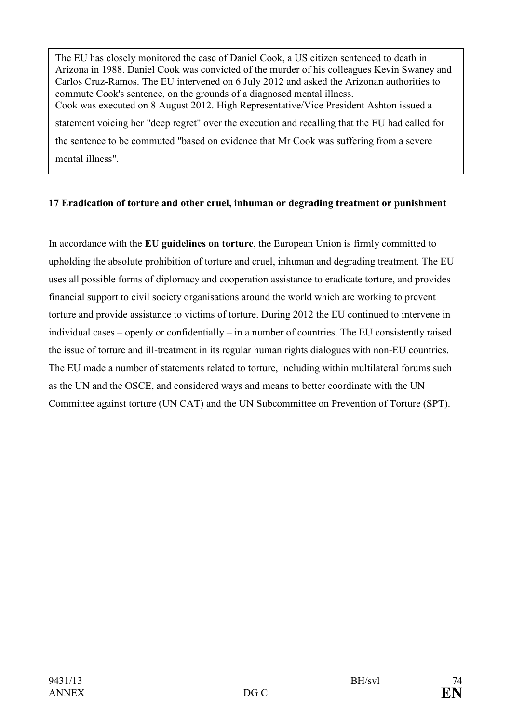The EU has closely monitored the case of Daniel Cook, a US citizen sentenced to death in Arizona in 1988. Daniel Cook was convicted of the murder of his colleagues Kevin Swaney and Carlos Cruz-Ramos. The EU intervened on 6 July 2012 and asked the Arizonan authorities to commute Cook's sentence, on the grounds of a diagnosed mental illness. Cook was executed on 8 August 2012. High Representative/Vice President Ashton issued a statement voicing her "deep regret" over the execution and recalling that the EU had called for the sentence to be commuted "based on evidence that Mr Cook was suffering from a severe mental illness".

#### **17 Eradication of torture and other cruel, inhuman or degrading treatment or punishment**

In accordance with the **EU guidelines on torture**, the European Union is firmly committed to upholding the absolute prohibition of torture and cruel, inhuman and degrading treatment. The EU uses all possible forms of diplomacy and cooperation assistance to eradicate torture, and provides financial support to civil society organisations around the world which are working to prevent torture and provide assistance to victims of torture. During 2012 the EU continued to intervene in individual cases – openly or confidentially – in a number of countries. The EU consistently raised the issue of torture and ill-treatment in its regular human rights dialogues with non-EU countries. The EU made a number of statements related to torture, including within multilateral forums such as the UN and the OSCE, and considered ways and means to better coordinate with the UN Committee against torture (UN CAT) and the UN Subcommittee on Prevention of Torture (SPT).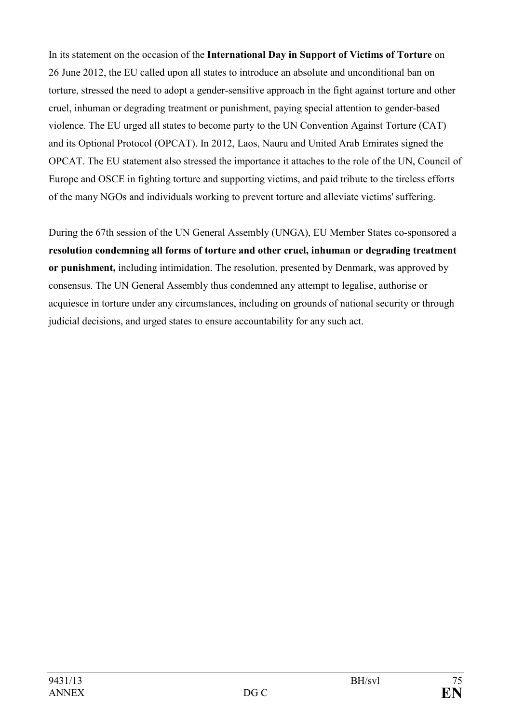In its statement on the occasion of the **International Day in Support of Victims of Torture** on 26 June 2012, the EU called upon all states to introduce an absolute and unconditional ban on torture, stressed the need to adopt a gender-sensitive approach in the fight against torture and other cruel, inhuman or degrading treatment or punishment, paying special attention to gender-based violence. The EU urged all states to become party to the UN Convention Against Torture (CAT) and its Optional Protocol (OPCAT). In 2012, Laos, Nauru and United Arab Emirates signed the OPCAT. The EU statement also stressed the importance it attaches to the role of the UN, Council of Europe and OSCE in fighting torture and supporting victims, and paid tribute to the tireless efforts of the many NGOs and individuals working to prevent torture and alleviate victims' suffering.

During the 67th session of the UN General Assembly (UNGA), EU Member States co-sponsored a **resolution condemning all forms of torture and other cruel, inhuman or degrading treatment or punishment,** including intimidation. The resolution, presented by Denmark, was approved by consensus. The UN General Assembly thus condemned any attempt to legalise, authorise or acquiesce in torture under any circumstances, including on grounds of national security or through judicial decisions, and urged states to ensure accountability for any such act.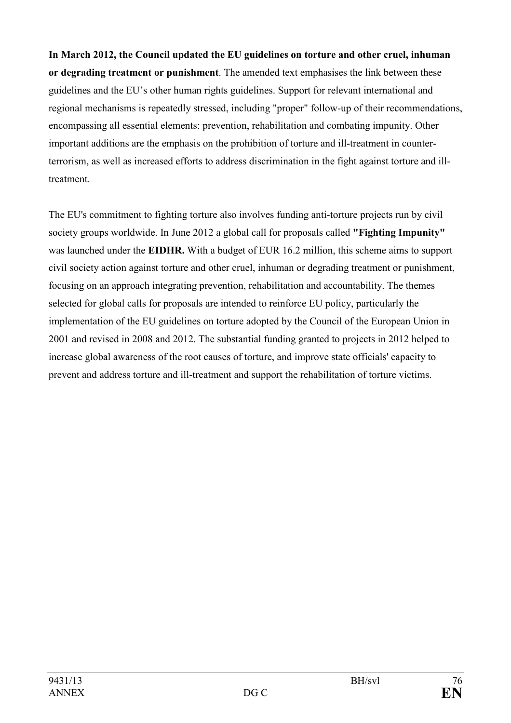**In March 2012, the Council updated the EU guidelines on torture and other cruel, inhuman or degrading treatment or punishment**. The amended text emphasises the link between these guidelines and the EU's other human rights guidelines. Support for relevant international and regional mechanisms is repeatedly stressed, including "proper" follow-up of their recommendations, encompassing all essential elements: prevention, rehabilitation and combating impunity. Other important additions are the emphasis on the prohibition of torture and ill-treatment in counterterrorism, as well as increased efforts to address discrimination in the fight against torture and illtreatment.

The EU's commitment to fighting torture also involves funding anti-torture projects run by civil society groups worldwide. In June 2012 a global call for proposals called **"Fighting Impunity"** was launched under the **EIDHR.** With a budget of EUR 16.2 million, this scheme aims to support civil society action against torture and other cruel, inhuman or degrading treatment or punishment, focusing on an approach integrating prevention, rehabilitation and accountability. The themes selected for global calls for proposals are intended to reinforce EU policy, particularly the implementation of the EU guidelines on torture adopted by the Council of the European Union in 2001 and revised in 2008 and 2012. The substantial funding granted to projects in 2012 helped to increase global awareness of the root causes of torture, and improve state officials' capacity to prevent and address torture and ill-treatment and support the rehabilitation of torture victims.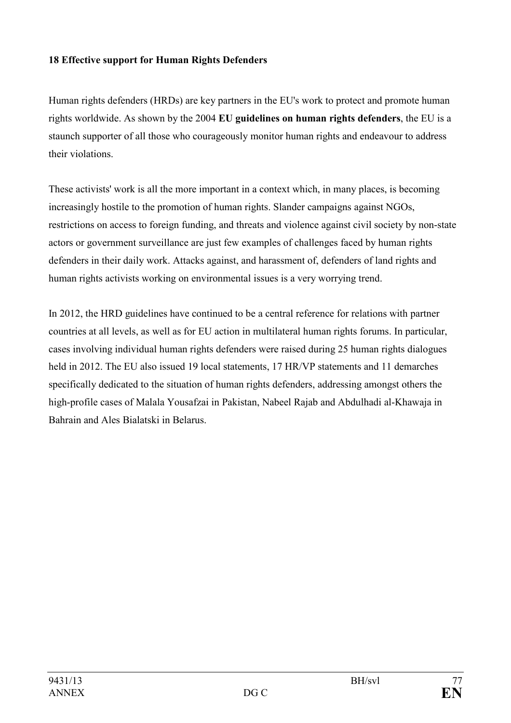#### **18 Effective support for Human Rights Defenders**

Human rights defenders (HRDs) are key partners in the EU's work to protect and promote human rights worldwide. As shown by the 2004 **EU guidelines on human rights defenders**, the EU is a staunch supporter of all those who courageously monitor human rights and endeavour to address their violations.

These activists' work is all the more important in a context which, in many places, is becoming increasingly hostile to the promotion of human rights. Slander campaigns against NGOs, restrictions on access to foreign funding, and threats and violence against civil society by non-state actors or government surveillance are just few examples of challenges faced by human rights defenders in their daily work. Attacks against, and harassment of, defenders of land rights and human rights activists working on environmental issues is a very worrying trend.

In 2012, the HRD guidelines have continued to be a central reference for relations with partner countries at all levels, as well as for EU action in multilateral human rights forums. In particular, cases involving individual human rights defenders were raised during 25 human rights dialogues held in 2012. The EU also issued 19 local statements, 17 HR/VP statements and 11 demarches specifically dedicated to the situation of human rights defenders, addressing amongst others the high-profile cases of Malala Yousafzai in Pakistan, Nabeel Rajab and Abdulhadi al-Khawaja in Bahrain and Ales Bialatski in Belarus.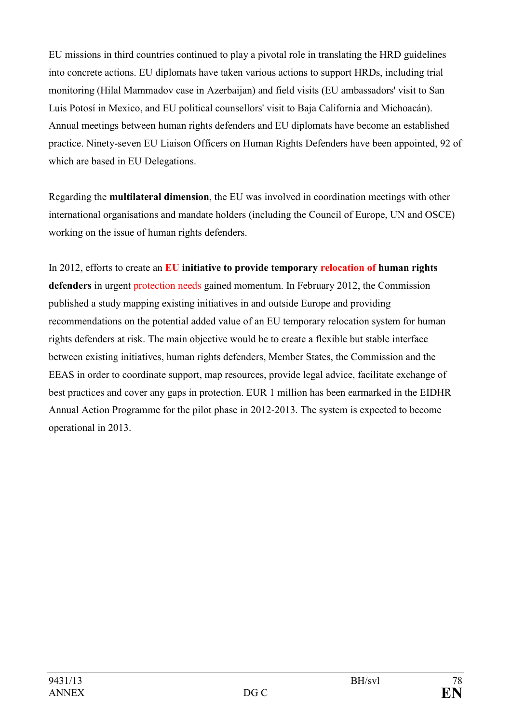EU missions in third countries continued to play a pivotal role in translating the HRD guidelines into concrete actions. EU diplomats have taken various actions to support HRDs, including trial monitoring (Hilal Mammadov case in Azerbaijan) and field visits (EU ambassadors' visit to San Luis Potosí in Mexico, and EU political counsellors' visit to Baja California and Michoacán). Annual meetings between human rights defenders and EU diplomats have become an established practice. Ninety-seven EU Liaison Officers on Human Rights Defenders have been appointed, 92 of which are based in EU Delegations.

Regarding the **multilateral dimension**, the EU was involved in coordination meetings with other international organisations and mandate holders (including the Council of Europe, UN and OSCE) working on the issue of human rights defenders.

In 2012, efforts to create an **EU initiative to provide temporary relocation of human rights defenders** in urgent protection needs gained momentum. In February 2012, the Commission published a study mapping existing initiatives in and outside Europe and providing recommendations on the potential added value of an EU temporary relocation system for human rights defenders at risk. The main objective would be to create a flexible but stable interface between existing initiatives, human rights defenders, Member States, the Commission and the EEAS in order to coordinate support, map resources, provide legal advice, facilitate exchange of best practices and cover any gaps in protection. EUR 1 million has been earmarked in the EIDHR Annual Action Programme for the pilot phase in 2012-2013. The system is expected to become operational in 2013.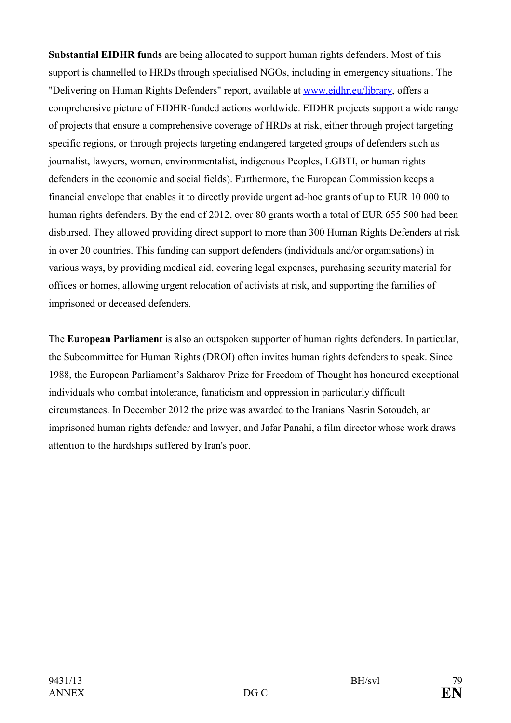**Substantial EIDHR funds** are being allocated to support human rights defenders. Most of this support is channelled to HRDs through specialised NGOs, including in emergency situations. The "Delivering on Human Rights Defenders" report, available at [www.eidhr.eu/library,](http://www.eidhr.eu/library) offers a comprehensive picture of EIDHR-funded actions worldwide. EIDHR projects support a wide range of projects that ensure a comprehensive coverage of HRDs at risk, either through project targeting specific regions, or through projects targeting endangered targeted groups of defenders such as journalist, lawyers, women, environmentalist, indigenous Peoples, LGBTI, or human rights defenders in the economic and social fields). Furthermore, the European Commission keeps a financial envelope that enables it to directly provide urgent ad-hoc grants of up to EUR 10 000 to human rights defenders. By the end of 2012, over 80 grants worth a total of EUR 655 500 had been disbursed. They allowed providing direct support to more than 300 Human Rights Defenders at risk in over 20 countries. This funding can support defenders (individuals and/or organisations) in various ways, by providing medical aid, covering legal expenses, purchasing security material for offices or homes, allowing urgent relocation of activists at risk, and supporting the families of imprisoned or deceased defenders.

The **European Parliament** is also an outspoken supporter of human rights defenders. In particular, the Subcommittee for Human Rights (DROI) often invites human rights defenders to speak. Since 1988, the European Parliament's Sakharov Prize for Freedom of Thought has honoured exceptional individuals who combat intolerance, fanaticism and oppression in particularly difficult circumstances. In December 2012 the prize was awarded to the Iranians Nasrin Sotoudeh, an imprisoned human rights defender and lawyer, and Jafar Panahi, a film director whose work draws attention to the hardships suffered by Iran's poor.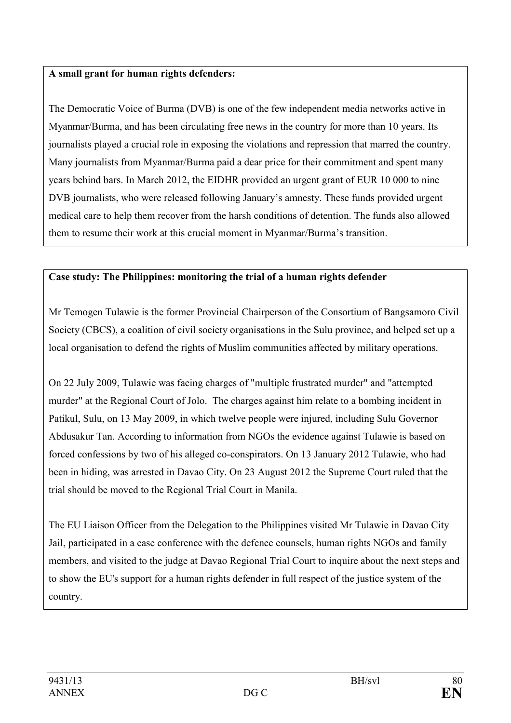#### **A small grant for human rights defenders:**

The Democratic Voice of Burma (DVB) is one of the few independent media networks active in Myanmar/Burma, and has been circulating free news in the country for more than 10 years. Its journalists played a crucial role in exposing the violations and repression that marred the country. Many journalists from Myanmar/Burma paid a dear price for their commitment and spent many years behind bars. In March 2012, the EIDHR provided an urgent grant of EUR 10 000 to nine DVB journalists, who were released following January's amnesty. These funds provided urgent medical care to help them recover from the harsh conditions of detention. The funds also allowed them to resume their work at this crucial moment in Myanmar/Burma's transition.

# **Case study: The Philippines: monitoring the trial of a human rights defender**

Mr Temogen Tulawie is the former Provincial Chairperson of the Consortium of Bangsamoro Civil Society (CBCS), a coalition of civil society organisations in the Sulu province, and helped set up a local organisation to defend the rights of Muslim communities affected by military operations.

On 22 July 2009, Tulawie was facing charges of "multiple frustrated murder" and "attempted murder" at the Regional Court of Jolo. The charges against him relate to a bombing incident in Patikul, Sulu, on 13 May 2009, in which twelve people were injured, including Sulu Governor Abdusakur Tan. According to information from NGOs the evidence against Tulawie is based on forced confessions by two of his alleged co-conspirators. On 13 January 2012 Tulawie, who had been in hiding, was arrested in Davao City. On 23 August 2012 the Supreme Court ruled that the trial should be moved to the Regional Trial Court in Manila.

The EU Liaison Officer from the Delegation to the Philippines visited Mr Tulawie in Davao City Jail, participated in a case conference with the defence counsels, human rights NGOs and family members, and visited to the judge at Davao Regional Trial Court to inquire about the next steps and to show the EU's support for a human rights defender in full respect of the justice system of the country.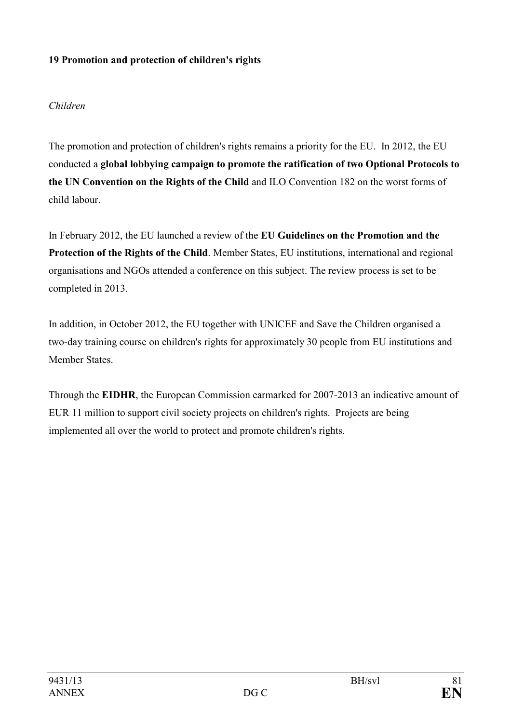#### **19 Promotion and protection of children's rights**

#### *Children*

The promotion and protection of children's rights remains a priority for the EU. In 2012, the EU conducted a **global lobbying campaign to promote the ratification of two Optional Protocols to**  the UN Convention on the Rights of the Child and ILO Convention 182 on the worst forms of child labour.

In February 2012, the EU launched a review of the **EU Guidelines on the Promotion and the Protection of the Rights of the Child**. Member States, EU institutions, international and regional organisations and NGOs attended a conference on this subject. The review process is set to be completed in 2013.

In addition, in October 2012, the EU together with UNICEF and Save the Children organised a two-day training course on children's rights for approximately 30 people from EU institutions and Member States.

Through the **EIDHR**, the European Commission earmarked for 2007-2013 an indicative amount of EUR 11 million to support civil society projects on children's rights. Projects are being implemented all over the world to protect and promote children's rights.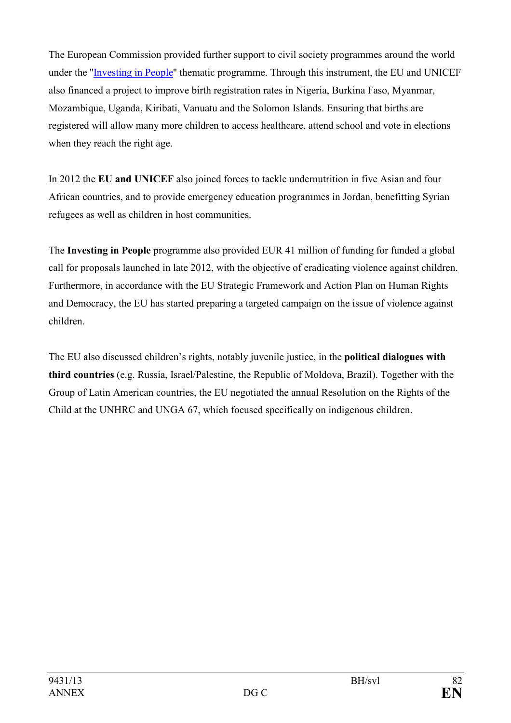The European Commission provided further support to civil society programmes around the world under the "[Investing in People](http://europa.eu/legislation_summaries/development/general_development_framework/r12547_en.htm)" thematic programme. Through this instrument, the EU and UNICEF also financed a project to improve birth registration rates in Nigeria, Burkina Faso, Myanmar, Mozambique, Uganda, Kiribati, Vanuatu and the Solomon Islands. Ensuring that births are registered will allow many more children to access healthcare, attend school and vote in elections when they reach the right age.

In 2012 the EU and UNICEF also joined forces to tackle undernutrition in five Asian and four African countries, and to provide emergency education programmes in Jordan, benefitting Syrian refugees as well as children in host communities.

The **Investing in People** programme also provided EUR 41 million of funding for funded a global call for proposals launched in late 2012, with the objective of eradicating violence against children. Furthermore, in accordance with the EU Strategic Framework and Action Plan on Human Rights and Democracy, the EU has started preparing a targeted campaign on the issue of violence against children.

The EU also discussed children's rights, notably juvenile justice, in the **political dialogues with third countries** (e.g. Russia, Israel/Palestine, the Republic of Moldova, Brazil). Together with the Group of Latin American countries, the EU negotiated the annual Resolution on the Rights of the Child at the UNHRC and UNGA 67, which focused specifically on indigenous children.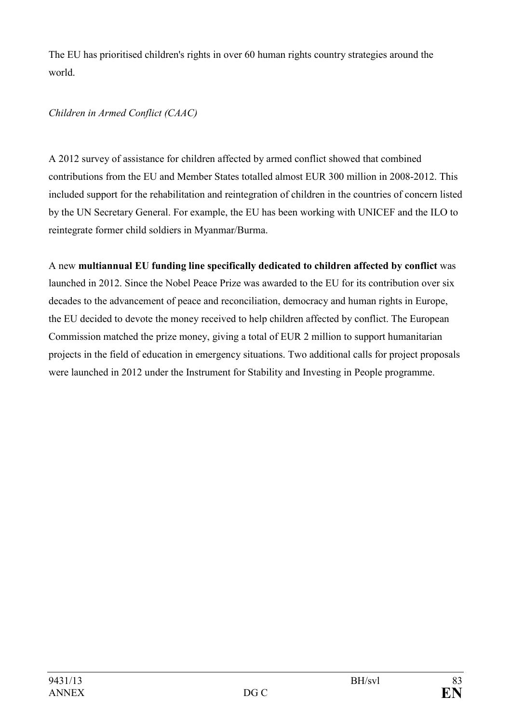The EU has prioritised children's rights in over 60 human rights country strategies around the world.

# *Children in Armed Conflict (CAAC)*

A 2012 survey of assistance for children affected by armed conflict showed that combined contributions from the EU and Member States totalled almost EUR 300 million in 2008-2012. This included support for the rehabilitation and reintegration of children in the countries of concern listed by the UN Secretary General. For example, the EU has been working with UNICEF and the ILO to reintegrate former child soldiers in Myanmar/Burma.

A new **multiannual EU funding line specifically dedicated to children affected by conflict** was launched in 2012. Since the Nobel Peace Prize was awarded to the EU for its contribution over six decades to the advancement of peace and reconciliation, democracy and human rights in Europe, the EU decided to devote the money received to help children affected by conflict. The European Commission matched the prize money, giving a total of EUR 2 million to support humanitarian projects in the field of education in emergency situations. Two additional calls for project proposals were launched in 2012 under the Instrument for Stability and Investing in People programme.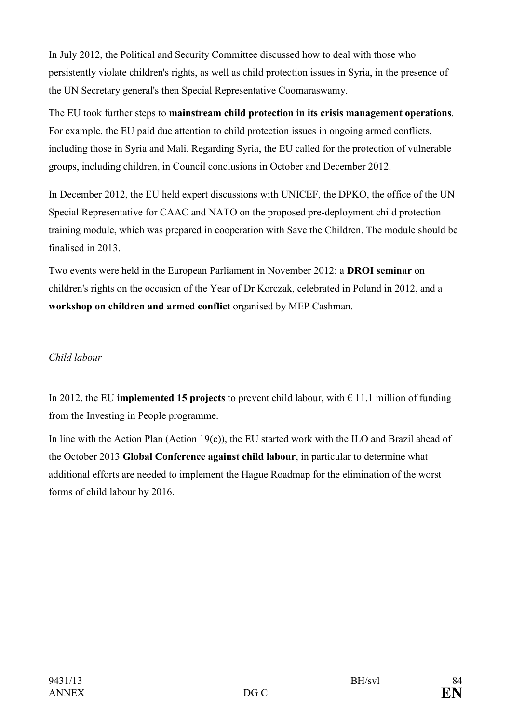In July 2012, the Political and Security Committee discussed how to deal with those who persistently violate children's rights, as well as child protection issues in Syria, in the presence of the UN Secretary general's then Special Representative Coomaraswamy.

The EU took further steps to **mainstream child protection in its crisis management operations**. For example, the EU paid due attention to child protection issues in ongoing armed conflicts, including those in Syria and Mali. Regarding Syria, the EU called for the protection of vulnerable groups, including children, in Council conclusions in October and December 2012.

In December 2012, the EU held expert discussions with UNICEF, the DPKO, the office of the UN Special Representative for CAAC and NATO on the proposed pre-deployment child protection training module, which was prepared in cooperation with Save the Children. The module should be finalised in 2013.

Two events were held in the European Parliament in November 2012: a **DROI seminar** on children's rights on the occasion of the Year of Dr Korczak, celebrated in Poland in 2012, and a **workshop on children and armed conflict** organised by MEP Cashman.

# *Child labour*

In 2012, the EU **implemented 15 projects** to prevent child labour, with  $\epsilon$  11.1 million of funding from the Investing in People programme.

In line with the Action Plan (Action 19(c)), the EU started work with the ILO and Brazil ahead of the October 2013 **Global Conference against child labour**, in particular to determine what additional efforts are needed to implement the Hague Roadmap for the elimination of the worst forms of child labour by 2016.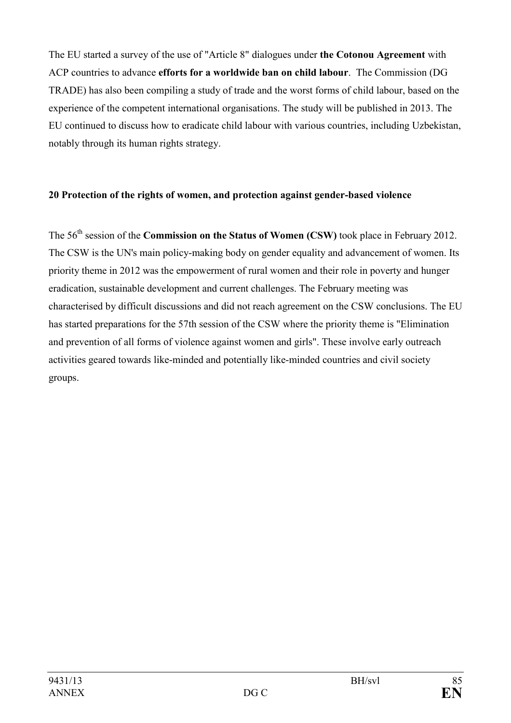The EU started a survey of the use of "Article 8" dialogues under **the Cotonou Agreement** with ACP countries to advance **efforts for a worldwide ban on child labour**. The Commission (DG TRADE) has also been compiling a study of trade and the worst forms of child labour, based on the experience of the competent international organisations. The study will be published in 2013. The EU continued to discuss how to eradicate child labour with various countries, including Uzbekistan, notably through its human rights strategy.

#### **20 Protection of the rights of women, and protection against gender-based violence**

The 56th session of the **Commission on the Status of Women (CSW)** took place in February 2012. The CSW is the UN's main policy-making body on gender equality and advancement of women. Its priority theme in 2012 was the empowerment of rural women and their role in poverty and hunger eradication, sustainable development and current challenges. The February meeting was characterised by difficult discussions and did not reach agreement on the CSW conclusions. The EU has started preparations for the 57th session of the CSW where the priority theme is "Elimination and prevention of all forms of violence against women and girls". These involve early outreach activities geared towards like-minded and potentially like-minded countries and civil society groups.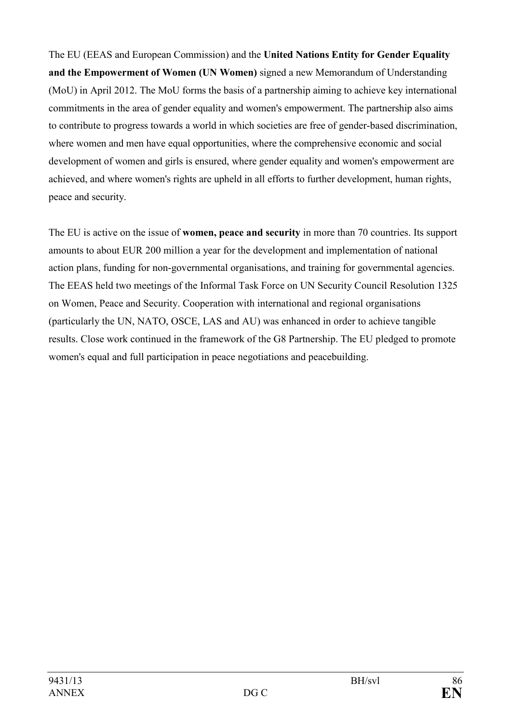The EU (EEAS and European Commission) and the **United Nations Entity for Gender Equality and the Empowerment of Women (UN Women)** signed a new Memorandum of Understanding (MoU) in April 2012. The MoU forms the basis of a partnership aiming to achieve key international commitments in the area of gender equality and women's empowerment. The partnership also aims to contribute to progress towards a world in which societies are free of gender-based discrimination, where women and men have equal opportunities, where the comprehensive economic and social development of women and girls is ensured, where gender equality and women's empowerment are achieved, and where women's rights are upheld in all efforts to further development, human rights, peace and security.

The EU is active on the issue of **women, peace and security** in more than 70 countries. Its support amounts to about EUR 200 million a year for the development and implementation of national action plans, funding for non-governmental organisations, and training for governmental agencies. The EEAS held two meetings of the Informal Task Force on UN Security Council Resolution 1325 on Women, Peace and Security. Cooperation with international and regional organisations (particularly the UN, NATO, OSCE, LAS and AU) was enhanced in order to achieve tangible results. Close work continued in the framework of the G8 Partnership. The EU pledged to promote women's equal and full participation in peace negotiations and peacebuilding.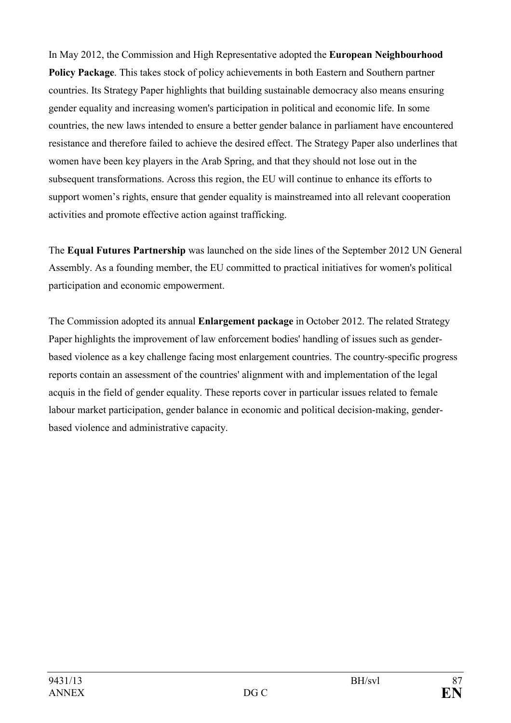In May 2012, the Commission and High Representative adopted the **European Neighbourhood Policy Package**. This takes stock of policy achievements in both Eastern and Southern partner countries. Its Strategy Paper highlights that building sustainable democracy also means ensuring gender equality and increasing women's participation in political and economic life. In some countries, the new laws intended to ensure a better gender balance in parliament have encountered resistance and therefore failed to achieve the desired effect. The Strategy Paper also underlines that women have been key players in the Arab Spring, and that they should not lose out in the subsequent transformations. Across this region, the EU will continue to enhance its efforts to support women's rights, ensure that gender equality is mainstreamed into all relevant cooperation activities and promote effective action against trafficking.

The **Equal Futures Partnership** was launched on the side lines of the September 2012 UN General Assembly. As a founding member, the EU committed to practical initiatives for women's political participation and economic empowerment.

The Commission adopted its annual **Enlargement package** in October 2012. The related Strategy Paper highlights the improvement of law enforcement bodies' handling of issues such as genderbased violence as a key challenge facing most enlargement countries. The country-specific progress reports contain an assessment of the countries' alignment with and implementation of the legal acquis in the field of gender equality. These reports cover in particular issues related to female labour market participation, gender balance in economic and political decision-making, genderbased violence and administrative capacity.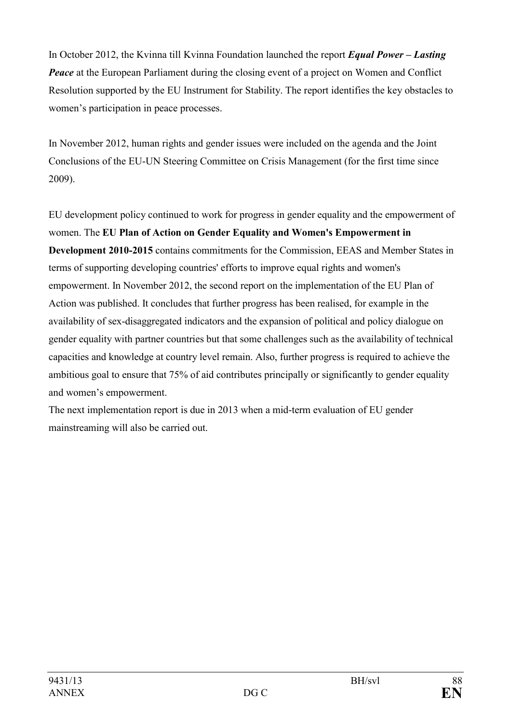In October 2012, the Kvinna till Kvinna Foundation launched the report *Equal Power – Lasting Peace* at the European Parliament during the closing event of a project on Women and Conflict Resolution supported by the EU Instrument for Stability. The report identifies the key obstacles to women's participation in peace processes.

In November 2012, human rights and gender issues were included on the agenda and the Joint Conclusions of the EU-UN Steering Committee on Crisis Management (for the first time since 2009).

EU development policy continued to work for progress in gender equality and the empowerment of women. The **EU Plan of Action on Gender Equality and Women's Empowerment in Development 2010-2015** contains commitments for the Commission, EEAS and Member States in terms of supporting developing countries' efforts to improve equal rights and women's empowerment. In November 2012, the second report on the implementation of the EU Plan of Action was published. It concludes that further progress has been realised, for example in the availability of sex-disaggregated indicators and the expansion of political and policy dialogue on gender equality with partner countries but that some challenges such as the availability of technical capacities and knowledge at country level remain. Also, further progress is required to achieve the ambitious goal to ensure that 75% of aid contributes principally or significantly to gender equality and women's empowerment.

The next implementation report is due in 2013 when a mid-term evaluation of EU gender mainstreaming will also be carried out.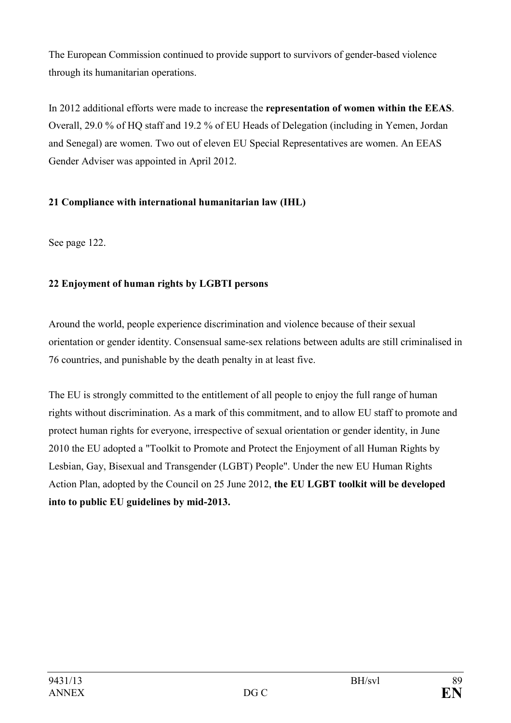The European Commission continued to provide support to survivors of gender-based violence through its humanitarian operations.

In 2012 additional efforts were made to increase the **representation of women within the EEAS**. Overall, 29.0 % of HQ staff and 19.2 % of EU Heads of Delegation (including in Yemen, Jordan and Senegal) are women. Two out of eleven EU Special Representatives are women. An EEAS Gender Adviser was appointed in April 2012.

# **21 Compliance with international humanitarian law (IHL)**

See page [122](#page-121-0).

# **22 Enjoyment of human rights by LGBTI persons**

Around the world, people experience discrimination and violence because of their sexual orientation or gender identity. Consensual same-sex relations between adults are still criminalised in 76 countries, and punishable by the death penalty in at least five.

The EU is strongly committed to the entitlement of all people to enjoy the full range of human rights without discrimination. As a mark of this commitment, and to allow EU staff to promote and protect human rights for everyone, irrespective of sexual orientation or gender identity, in June 2010 the EU adopted a "Toolkit to Promote and Protect the Enjoyment of all Human Rights by Lesbian, Gay, Bisexual and Transgender (LGBT) People". Under the new EU Human Rights Action Plan, adopted by the Council on 25 June 2012, **the EU LGBT toolkit will be developed into to public EU guidelines by mid-2013.**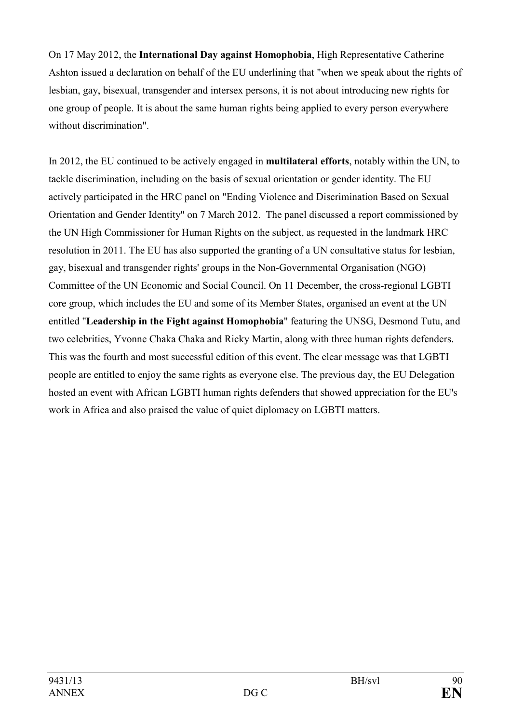On 17 May 2012, the **International Day against Homophobia**, High Representative Catherine Ashton issued a declaration on behalf of the EU underlining that "when we speak about the rights of lesbian, gay, bisexual, transgender and intersex persons, it is not about introducing new rights for one group of people. It is about the same human rights being applied to every person everywhere without discrimination".

In 2012, the EU continued to be actively engaged in **multilateral efforts**, notably within the UN, to tackle discrimination, including on the basis of sexual orientation or gender identity. The EU actively participated in the HRC panel on "Ending Violence and Discrimination Based on Sexual Orientation and Gender Identity" on 7 March 2012. The panel discussed a report commissioned by the UN High Commissioner for Human Rights on the subject, as requested in the landmark HRC resolution in 2011. The EU has also supported the granting of a UN consultative status for lesbian, gay, bisexual and transgender rights' groups in the Non-Governmental Organisation (NGO) Committee of the UN Economic and Social Council. On 11 December, the cross-regional LGBTI core group, which includes the EU and some of its Member States, organised an event at the UN entitled "**Leadership in the Fight against Homophobia**" featuring the UNSG, Desmond Tutu, and two celebrities, Yvonne Chaka Chaka and Ricky Martin, along with three human rights defenders. This was the fourth and most successful edition of this event. The clear message was that LGBTI people are entitled to enjoy the same rights as everyone else. The previous day, the EU Delegation hosted an event with African LGBTI human rights defenders that showed appreciation for the EU's work in Africa and also praised the value of quiet diplomacy on LGBTI matters.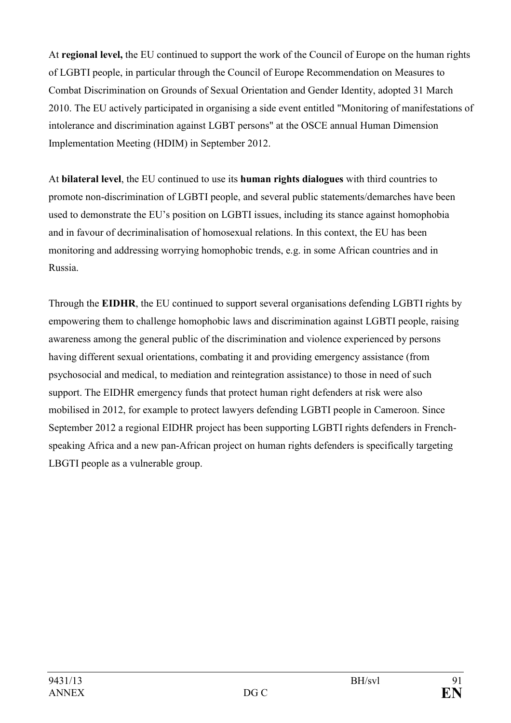At **regional level,** the EU continued to support the work of the Council of Europe on the human rights of LGBTI people, in particular through the Council of Europe Recommendation on Measures to Combat Discrimination on Grounds of Sexual Orientation and Gender Identity, adopted 31 March 2010. The EU actively participated in organising a side event entitled "Monitoring of manifestations of intolerance and discrimination against LGBT persons" at the OSCE annual Human Dimension Implementation Meeting (HDIM) in September 2012.

At **bilateral level**, the EU continued to use its **human rights dialogues** with third countries to promote non-discrimination of LGBTI people, and several public statements/demarches have been used to demonstrate the EU's position on LGBTI issues, including its stance against homophobia and in favour of decriminalisation of homosexual relations. In this context, the EU has been monitoring and addressing worrying homophobic trends, e.g. in some African countries and in Russia.

Through the **EIDHR**, the EU continued to support several organisations defending LGBTI rights by empowering them to challenge homophobic laws and discrimination against LGBTI people, raising awareness among the general public of the discrimination and violence experienced by persons having different sexual orientations, combating it and providing emergency assistance (from psychosocial and medical, to mediation and reintegration assistance) to those in need of such support. The EIDHR emergency funds that protect human right defenders at risk were also mobilised in 2012, for example to protect lawyers defending LGBTI people in Cameroon. Since September 2012 a regional EIDHR project has been supporting LGBTI rights defenders in Frenchspeaking Africa and a new pan-African project on human rights defenders is specifically targeting LBGTI people as a vulnerable group.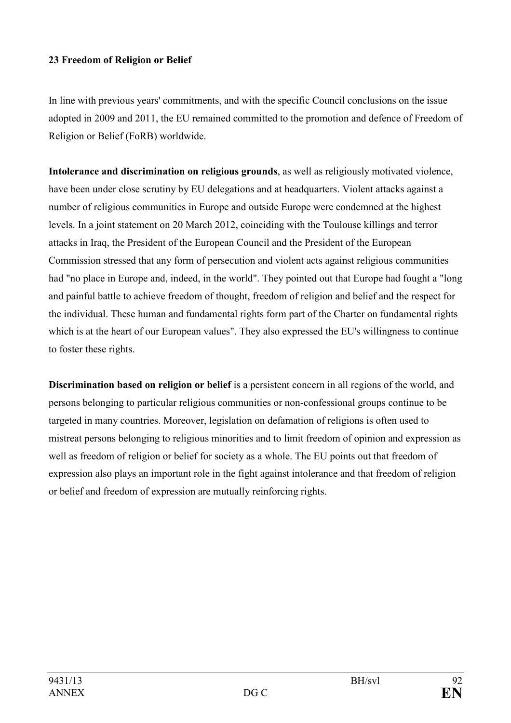#### **23 Freedom of Religion or Belief**

In line with previous years' commitments, and with the specific Council conclusions on the issue adopted in 2009 and 2011, the EU remained committed to the promotion and defence of Freedom of Religion or Belief (FoRB) worldwide.

**Intolerance and discrimination on religious grounds**, as well as religiously motivated violence, have been under close scrutiny by EU delegations and at headquarters. Violent attacks against a number of religious communities in Europe and outside Europe were condemned at the highest levels. In a joint statement on 20 March 2012, coinciding with the Toulouse killings and terror attacks in Iraq, the President of the European Council and the President of the European Commission stressed that any form of persecution and violent acts against religious communities had "no place in Europe and, indeed, in the world". They pointed out that Europe had fought a "long and painful battle to achieve freedom of thought, freedom of religion and belief and the respect for the individual. These human and fundamental rights form part of the Charter on fundamental rights which is at the heart of our European values". They also expressed the EU's willingness to continue to foster these rights.

**Discrimination based on religion or belief** is a persistent concern in all regions of the world, and persons belonging to particular religious communities or non-confessional groups continue to be targeted in many countries. Moreover, legislation on defamation of religions is often used to mistreat persons belonging to religious minorities and to limit freedom of opinion and expression as well as freedom of religion or belief for society as a whole. The EU points out that freedom of expression also plays an important role in the fight against intolerance and that freedom of religion or belief and freedom of expression are mutually reinforcing rights.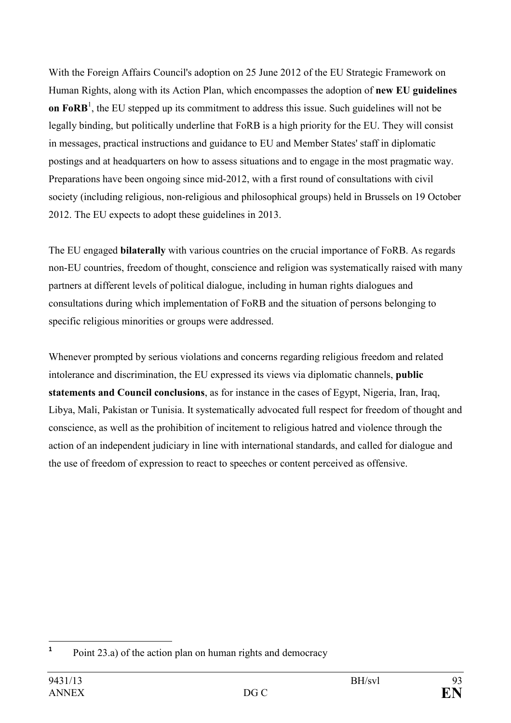With the Foreign Affairs Council's adoption on 25 June 2012 of the EU Strategic Framework on Human Rights, along with its Action Plan, which encompasses the adoption of **new EU guidelines on FoRB**<sup>1</sup>, the EU stepped up its commitment to address this issue. Such guidelines will not be legally binding, but politically underline that FoRB is a high priority for the EU. They will consist in messages, practical instructions and guidance to EU and Member States' staff in diplomatic postings and at headquarters on how to assess situations and to engage in the most pragmatic way. Preparations have been ongoing since mid-2012, with a first round of consultations with civil society (including religious, non-religious and philosophical groups) held in Brussels on 19 October 2012. The EU expects to adopt these guidelines in 2013.

The EU engaged **bilaterally** with various countries on the crucial importance of FoRB. As regards non-EU countries, freedom of thought, conscience and religion was systematically raised with many partners at different levels of political dialogue, including in human rights dialogues and consultations during which implementation of FoRB and the situation of persons belonging to specific religious minorities or groups were addressed.

Whenever prompted by serious violations and concerns regarding religious freedom and related intolerance and discrimination, the EU expressed its views via diplomatic channels, **public statements and Council conclusions**, as for instance in the cases of Egypt, Nigeria, Iran, Iraq, Libya, Mali, Pakistan or Tunisia. It systematically advocated full respect for freedom of thought and conscience, as well as the prohibition of incitement to religious hatred and violence through the action of an independent judiciary in line with international standards, and called for dialogue and the use of freedom of expression to react to speeches or content perceived as offensive.

 **1** Point 23.a) of the action plan on human rights and democracy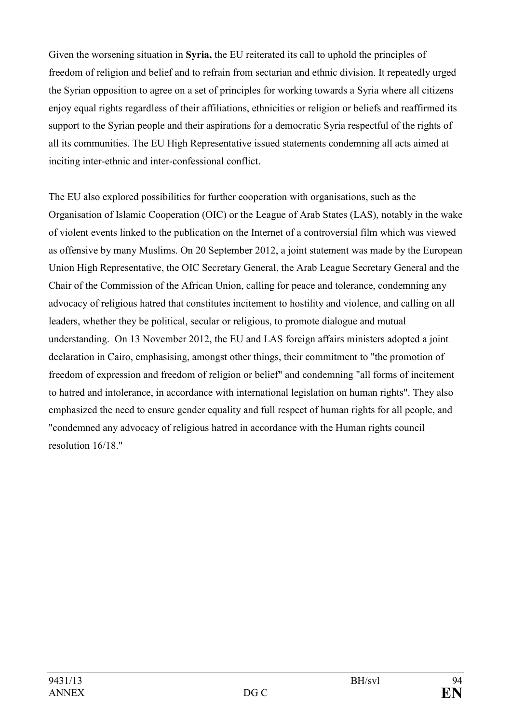Given the worsening situation in **Syria,** the EU reiterated its call to uphold the principles of freedom of religion and belief and to refrain from sectarian and ethnic division. It repeatedly urged the Syrian opposition to agree on a set of principles for working towards a Syria where all citizens enjoy equal rights regardless of their affiliations, ethnicities or religion or beliefs and reaffirmed its support to the Syrian people and their aspirations for a democratic Syria respectful of the rights of all its communities. The EU High Representative issued statements condemning all acts aimed at inciting inter-ethnic and inter-confessional conflict.

The EU also explored possibilities for further cooperation with organisations, such as the Organisation of Islamic Cooperation (OIC) or the League of Arab States (LAS), notably in the wake of violent events linked to the publication on the Internet of a controversial film which was viewed as offensive by many Muslims. On 20 September 2012, a joint statement was made by the European Union High Representative, the OIC Secretary General, the Arab League Secretary General and the Chair of the Commission of the African Union, calling for peace and tolerance, condemning any advocacy of religious hatred that constitutes incitement to hostility and violence, and calling on all leaders, whether they be political, secular or religious, to promote dialogue and mutual understanding. On 13 November 2012, the EU and LAS foreign affairs ministers adopted a joint declaration in Cairo, emphasising, amongst other things, their commitment to "the promotion of freedom of expression and freedom of religion or belief" and condemning "all forms of incitement to hatred and intolerance, in accordance with international legislation on human rights". They also emphasized the need to ensure gender equality and full respect of human rights for all people, and "condemned any advocacy of religious hatred in accordance with the Human rights council resolution 16/18."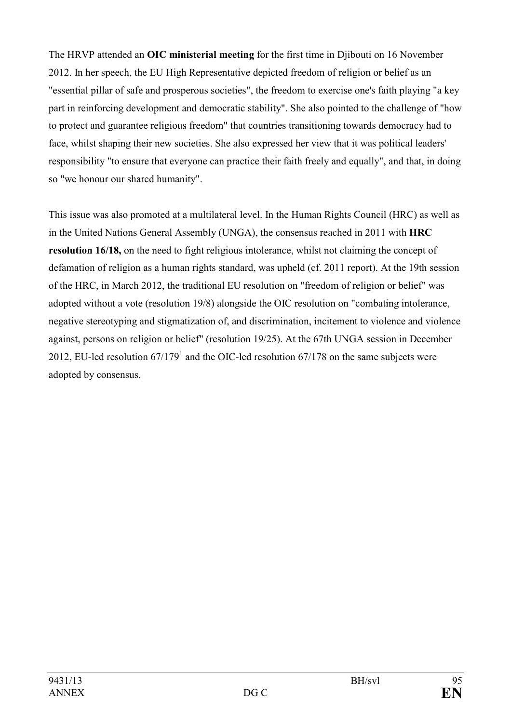The HRVP attended an **OIC ministerial meeting** for the first time in Djibouti on 16 November 2012. In her speech, the EU High Representative depicted freedom of religion or belief as an "essential pillar of safe and prosperous societies", the freedom to exercise one's faith playing "a key part in reinforcing development and democratic stability". She also pointed to the challenge of "how to protect and guarantee religious freedom" that countries transitioning towards democracy had to face, whilst shaping their new societies. She also expressed her view that it was political leaders' responsibility "to ensure that everyone can practice their faith freely and equally", and that, in doing so "we honour our shared humanity".

This issue was also promoted at a multilateral level. In the Human Rights Council (HRC) as well as in the United Nations General Assembly (UNGA), the consensus reached in 2011 with **HRC resolution 16/18,** on the need to fight religious intolerance, whilst not claiming the concept of defamation of religion as a human rights standard, was upheld (cf. 2011 report). At the 19th session of the HRC, in March 2012, the traditional EU resolution on "freedom of religion or belief" was adopted without a vote (resolution 19/8) alongside the OIC resolution on "combating intolerance, negative stereotyping and stigmatization of, and discrimination, incitement to violence and violence against, persons on religion or belief" (resolution 19/25). At the 67th UNGA session in December 2012, EU-led resolution  $67/179<sup>1</sup>$  and the OIC-led resolution  $67/178$  on the same subjects were adopted by consensus.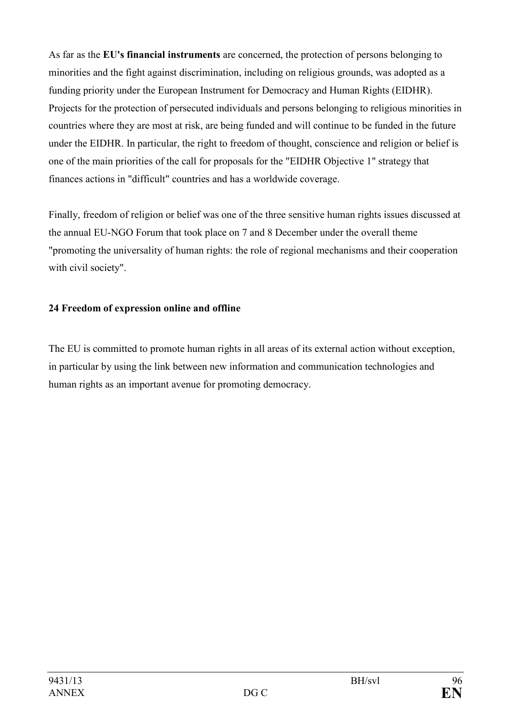As far as the **EU's financial instruments** are concerned, the protection of persons belonging to minorities and the fight against discrimination, including on religious grounds, was adopted as a funding priority under the European Instrument for Democracy and Human Rights (EIDHR). Projects for the protection of persecuted individuals and persons belonging to religious minorities in countries where they are most at risk, are being funded and will continue to be funded in the future under the EIDHR. In particular, the right to freedom of thought, conscience and religion or belief is one of the main priorities of the call for proposals for the "EIDHR Objective 1" strategy that finances actions in "difficult" countries and has a worldwide coverage.

Finally, freedom of religion or belief was one of the three sensitive human rights issues discussed at the annual EU-NGO Forum that took place on 7 and 8 December under the overall theme "promoting the universality of human rights: the role of regional mechanisms and their cooperation with civil society".

# **24 Freedom of expression online and offline**

The EU is committed to promote human rights in all areas of its external action without exception, in particular by using the link between new information and communication technologies and human rights as an important avenue for promoting democracy.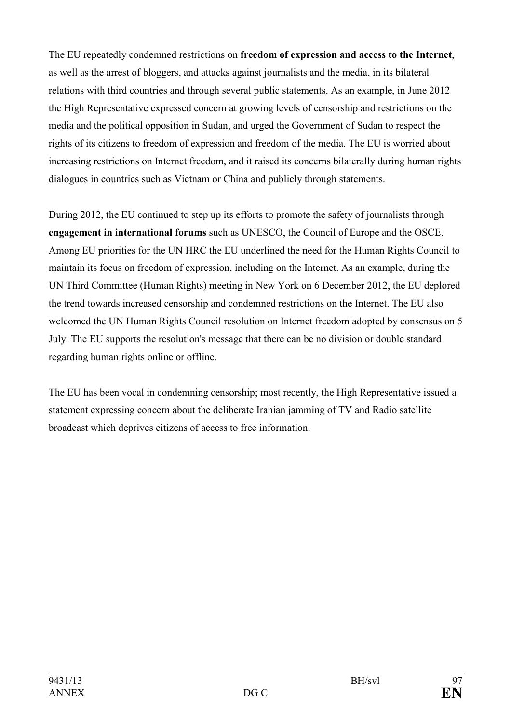The EU repeatedly condemned restrictions on **freedom of expression and access to the Internet**, as well as the arrest of bloggers, and attacks against journalists and the media, in its bilateral relations with third countries and through several public statements. As an example, in June 2012 the High Representative expressed concern at growing levels of censorship and restrictions on the media and the political opposition in Sudan, and urged the Government of Sudan to respect the rights of its citizens to freedom of expression and freedom of the media. The EU is worried about increasing restrictions on Internet freedom, and it raised its concerns bilaterally during human rights dialogues in countries such as Vietnam or China and publicly through statements.

During 2012, the EU continued to step up its efforts to promote the safety of journalists through **engagement in international forums** such as UNESCO, the Council of Europe and the OSCE. Among EU priorities for the UN HRC the EU underlined the need for the Human Rights Council to maintain its focus on freedom of expression, including on the Internet. As an example, during the UN Third Committee (Human Rights) meeting in New York on 6 December 2012, the EU deplored the trend towards increased censorship and condemned restrictions on the Internet. The EU also welcomed the UN Human Rights Council resolution on Internet freedom adopted by consensus on 5 July. The EU supports the resolution's message that there can be no division or double standard regarding human rights online or offline.

The EU has been vocal in condemning censorship; most recently, the High Representative issued a statement expressing concern about the deliberate Iranian jamming of TV and Radio satellite broadcast which deprives citizens of access to free information.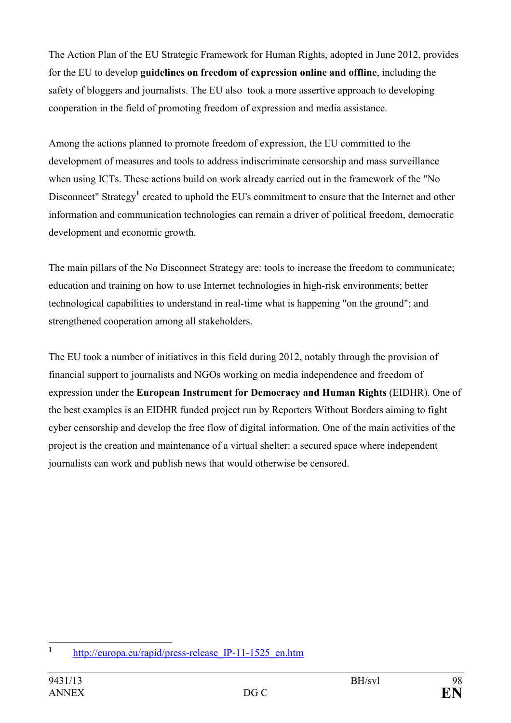The Action Plan of the EU Strategic Framework for Human Rights, adopted in June 2012, provides for the EU to develop **guidelines on freedom of expression online and offline**, including the safety of bloggers and journalists. The EU also took a more assertive approach to developing cooperation in the field of promoting freedom of expression and media assistance.

Among the actions planned to promote freedom of expression, the EU committed to the development of measures and tools to address indiscriminate censorship and mass surveillance when using ICTs. These actions build on work already carried out in the framework of the "No Disconnect" Strategy<sup>1</sup> created to uphold the EU's commitment to ensure that the Internet and other information and communication technologies can remain a driver of political freedom, democratic development and economic growth.

The main pillars of the No Disconnect Strategy are: tools to increase the freedom to communicate; education and training on how to use Internet technologies in high-risk environments; better technological capabilities to understand in real-time what is happening "on the ground"; and strengthened cooperation among all stakeholders.

The EU took a number of initiatives in this field during 2012, notably through the provision of financial support to journalists and NGOs working on media independence and freedom of expression under the **European Instrument for Democracy and Human Rights** (EIDHR). One of the best examples is an EIDHR funded project run by Reporters Without Borders aiming to fight cyber censorship and develop the free flow of digital information. One of the main activities of the project is the creation and maintenance of a virtual shelter: a secured space where independent journalists can work and publish news that would otherwise be censored.

 **1** [http://europa.eu/rapid/press-release\\_IP-11-1525\\_en.htm](http://europa.eu/rapid/press-release_IP-11-1525_en.htm)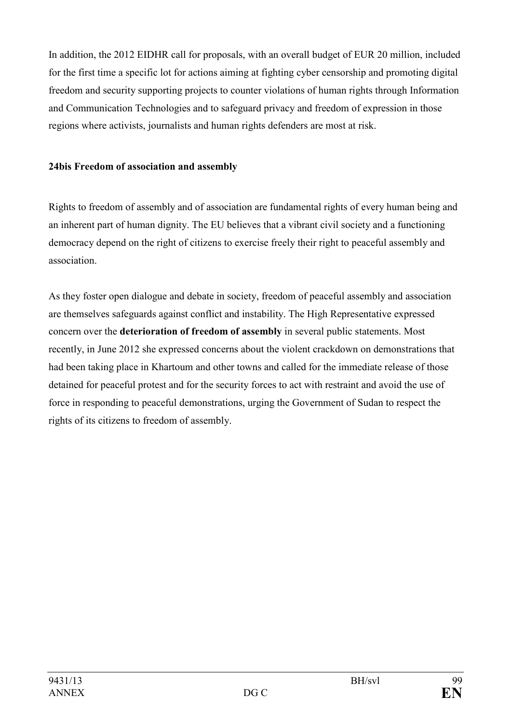In addition, the 2012 EIDHR call for proposals, with an overall budget of EUR 20 million, included for the first time a specific lot for actions aiming at fighting cyber censorship and promoting digital freedom and security supporting projects to counter violations of human rights through Information and Communication Technologies and to safeguard privacy and freedom of expression in those regions where activists, journalists and human rights defenders are most at risk.

#### **24bis Freedom of association and assembly**

Rights to freedom of assembly and of association are fundamental rights of every human being and an inherent part of human dignity. The EU believes that a vibrant civil society and a functioning democracy depend on the right of citizens to exercise freely their right to peaceful assembly and association.

As they foster open dialogue and debate in society, freedom of peaceful assembly and association are themselves safeguards against conflict and instability. The High Representative expressed concern over the **deterioration of freedom of assembly** in several public statements. Most recently, in June 2012 she expressed concerns about the violent crackdown on demonstrations that had been taking place in Khartoum and other towns and called for the immediate release of those detained for peaceful protest and for the security forces to act with restraint and avoid the use of force in responding to peaceful demonstrations, urging the Government of Sudan to respect the rights of its citizens to freedom of assembly.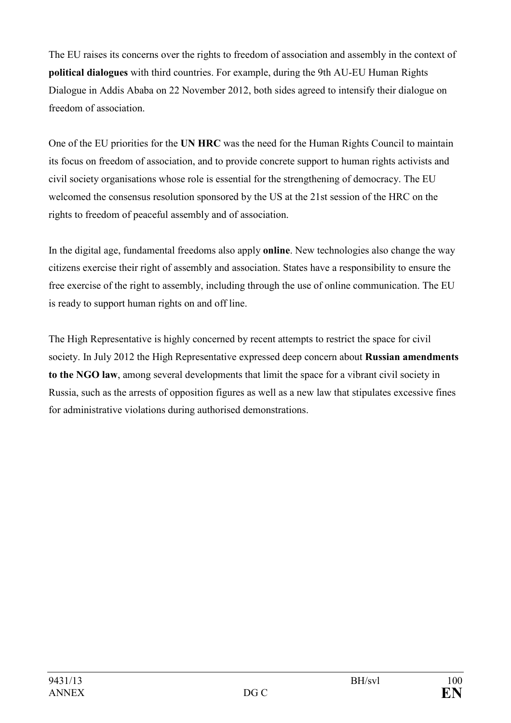The EU raises its concerns over the rights to freedom of association and assembly in the context of **political dialogues** with third countries. For example, during the 9th AU-EU Human Rights Dialogue in Addis Ababa on 22 November 2012, both sides agreed to intensify their dialogue on freedom of association.

One of the EU priorities for the UN HRC was the need for the Human Rights Council to maintain its focus on freedom of association, and to provide concrete support to human rights activists and civil society organisations whose role is essential for the strengthening of democracy. The EU welcomed the consensus resolution sponsored by the US at the 21st session of the HRC on the rights to freedom of peaceful assembly and of association.

In the digital age, fundamental freedoms also apply **online**. New technologies also change the way citizens exercise their right of assembly and association. States have a responsibility to ensure the free exercise of the right to assembly, including through the use of online communication. The EU is ready to support human rights on and off line.

The High Representative is highly concerned by recent attempts to restrict the space for civil society. In July 2012 the High Representative expressed deep concern about **Russian amendments to the GO law**, among several developments that limit the space for a vibrant civil society in Russia, such as the arrests of opposition figures as well as a new law that stipulates excessive fines for administrative violations during authorised demonstrations.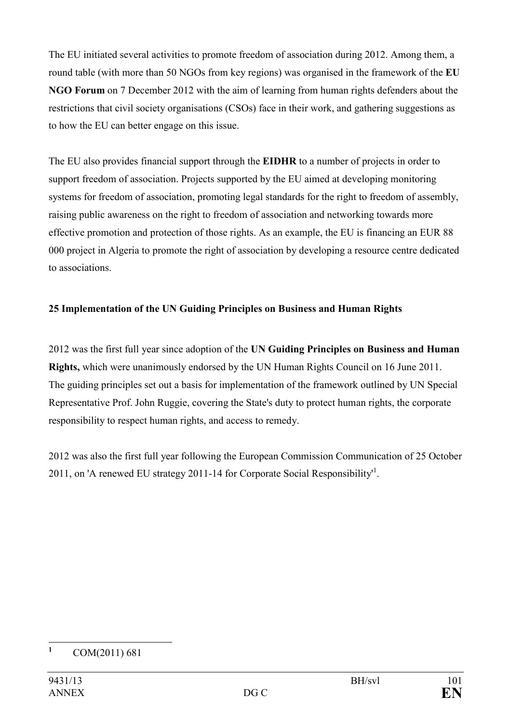The EU initiated several activities to promote freedom of association during 2012. Among them, a round table (with more than 50 NGOs from key regions) was organised in the framework of the **EU GO Forum** on 7 December 2012 with the aim of learning from human rights defenders about the restrictions that civil society organisations (CSOs) face in their work, and gathering suggestions as to how the EU can better engage on this issue.

The EU also provides financial support through the **EIDHR** to a number of projects in order to support freedom of association. Projects supported by the EU aimed at developing monitoring systems for freedom of association, promoting legal standards for the right to freedom of assembly, raising public awareness on the right to freedom of association and networking towards more effective promotion and protection of those rights. As an example, the EU is financing an EUR 88 000 project in Algeria to promote the right of association by developing a resource centre dedicated to associations.

# 25 Implementation of the UN Guiding Principles on Business and Human Rights

2012 was the first full year since adoption of the UN Guiding Principles on Business and Human **Rights,** which were unanimously endorsed by the UN Human Rights Council on 16 June 2011. The guiding principles set out a basis for implementation of the framework outlined by UN Special Representative Prof. John Ruggie, covering the State's duty to protect human rights, the corporate responsibility to respect human rights, and access to remedy.

2012 was also the first full year following the European Commission Communication of 25 October 2011, on 'A renewed EU strategy 2011-14 for Corporate Social Responsibility<sup>11</sup>.

 **1** COM(2011) 681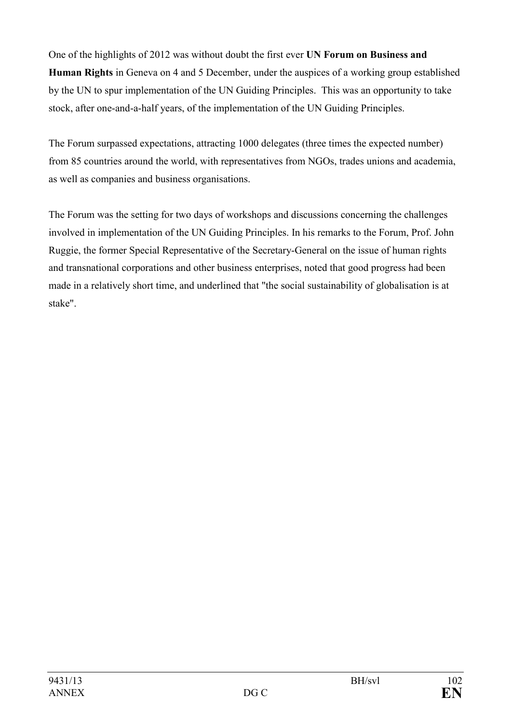One of the highlights of 2012 was without doubt the first ever UN Forum on Business and **Human Rights** in Geneva on 4 and 5 December, under the auspices of a working group established by the UN to spur implementation of the UN Guiding Principles. This was an opportunity to take stock, after one-and-a-half years, of the implementation of the UN Guiding Principles.

The Forum surpassed expectations, attracting 1000 delegates (three times the expected number) from 85 countries around the world, with representatives from NGOs, trades unions and academia, as well as companies and business organisations.

The Forum was the setting for two days of workshops and discussions concerning the challenges involved in implementation of the UN Guiding Principles. In his remarks to the Forum, Prof. John Ruggie, the former Special Representative of the Secretary-General on the issue of human rights and transnational corporations and other business enterprises, noted that good progress had been made in a relatively short time, and underlined that "the social sustainability of globalisation is at stake".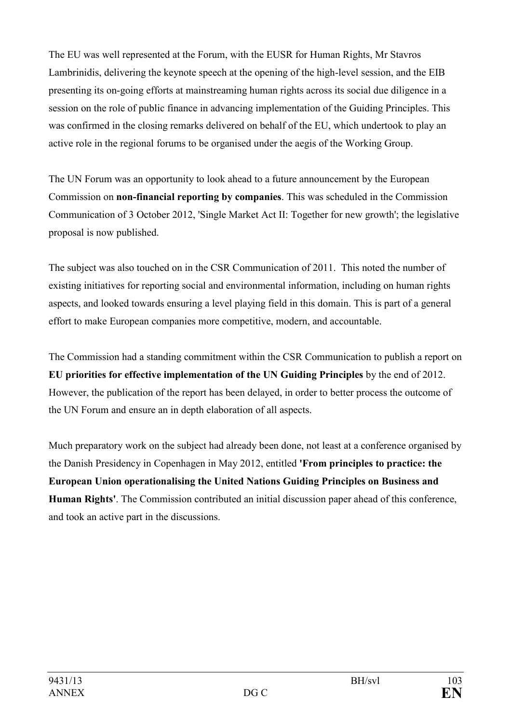The EU was well represented at the Forum, with the EUSR for Human Rights, Mr Stavros Lambrinidis, delivering the keynote speech at the opening of the high-level session, and the EIB presenting its on-going efforts at mainstreaming human rights across its social due diligence in a session on the role of public finance in advancing implementation of the Guiding Principles. This was confirmed in the closing remarks delivered on behalf of the EU, which undertook to play an active role in the regional forums to be organised under the aegis of the Working Group.

The UN Forum was an opportunity to look ahead to a future announcement by the European Commission on **non-financial reporting by companies**. This was scheduled in the Commission Communication of 3 October 2012, 'Single Market Act II: Together for new growth'; the legislative proposal is now published.

The subject was also touched on in the CSR Communication of 2011. This noted the number of existing initiatives for reporting social and environmental information, including on human rights aspects, and looked towards ensuring a level playing field in this domain. This is part of a general effort to make European companies more competitive, modern, and accountable.

The Commission had a standing commitment within the CSR Communication to publish a report on **EU priorities for effective implementation of the UN Guiding Principles** by the end of 2012. However, the publication of the report has been delayed, in order to better process the outcome of the UN Forum and ensure an in depth elaboration of all aspects.

Much preparatory work on the subject had already been done, not least at a conference organised by the Danish Presidency in Copenhagen in May 2012, entitled **'From principles to practice: the European Union operationalising the United Nations Guiding Principles on Business and Human Rights'**. The Commission contributed an initial discussion paper ahead of this conference, and took an active part in the discussions.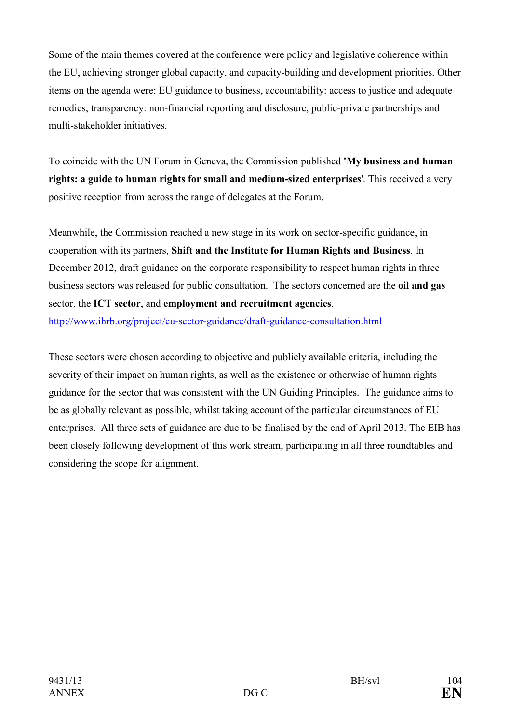Some of the main themes covered at the conference were policy and legislative coherence within the EU, achieving stronger global capacity, and capacity-building and development priorities. Other items on the agenda were: EU guidance to business, accountability: access to justice and adequate remedies, transparency: non-financial reporting and disclosure, public-private partnerships and multi-stakeholder initiatives.

To coincide with the UN Forum in Geneva, the Commission published **'My business and human rights: a guide to human rights for small and medium-sized enterprises**'. This received a very positive reception from across the range of delegates at the Forum.

Meanwhile, the Commission reached a new stage in its work on sector-specific guidance, in cooperation with its partners, **Shift and the Institute for Human Rights and Business**. In December 2012, draft guidance on the corporate responsibility to respect human rights in three business sectors was released for public consultation. The sectors concerned are the **oil and gas** sector, the **ICT sector**, and **employment and recruitment agencies**. <http://www.ihrb.org/project/eu-sector-guidance/draft-guidance-consultation.html>

These sectors were chosen according to objective and publicly available criteria, including the severity of their impact on human rights, as well as the existence or otherwise of human rights guidance for the sector that was consistent with the UN Guiding Principles. The guidance aims to be as globally relevant as possible, whilst taking account of the particular circumstances of EU enterprises. All three sets of guidance are due to be finalised by the end of April 2013. The EIB has been closely following development of this work stream, participating in all three roundtables and considering the scope for alignment.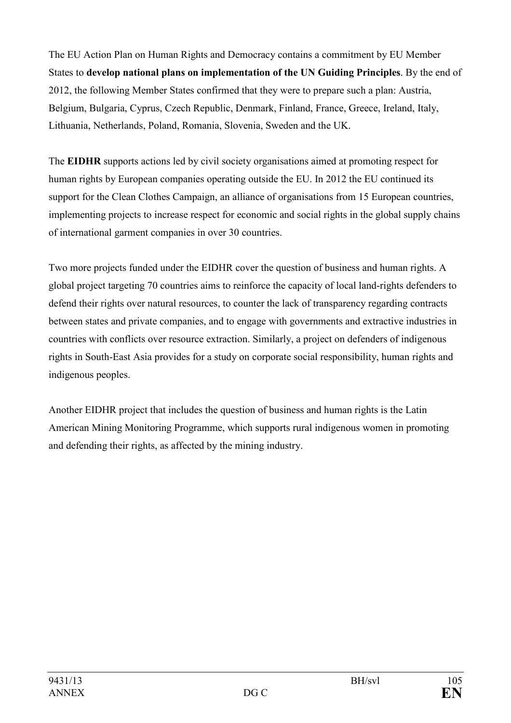The EU Action Plan on Human Rights and Democracy contains a commitment by EU Member States to **develop national plans on implementation of the UN Guiding Principles**. By the end of 2012, the following Member States confirmed that they were to prepare such a plan: Austria, Belgium, Bulgaria, Cyprus, Czech Republic, Denmark, Finland, France, Greece, Ireland, Italy, Lithuania, Netherlands, Poland, Romania, Slovenia, Sweden and the UK.

The **EIDHR** supports actions led by civil society organisations aimed at promoting respect for human rights by European companies operating outside the EU. In 2012 the EU continued its support for the Clean Clothes Campaign, an alliance of organisations from 15 European countries, implementing projects to increase respect for economic and social rights in the global supply chains of international garment companies in over 30 countries.

Two more projects funded under the EIDHR cover the question of business and human rights. A global project targeting 70 countries aims to reinforce the capacity of local land-rights defenders to defend their rights over natural resources, to counter the lack of transparency regarding contracts between states and private companies, and to engage with governments and extractive industries in countries with conflicts over resource extraction. Similarly, a project on defenders of indigenous rights in South-East Asia provides for a study on corporate social responsibility, human rights and indigenous peoples.

Another EIDHR project that includes the question of business and human rights is the Latin American Mining Monitoring Programme, which supports rural indigenous women in promoting and defending their rights, as affected by the mining industry.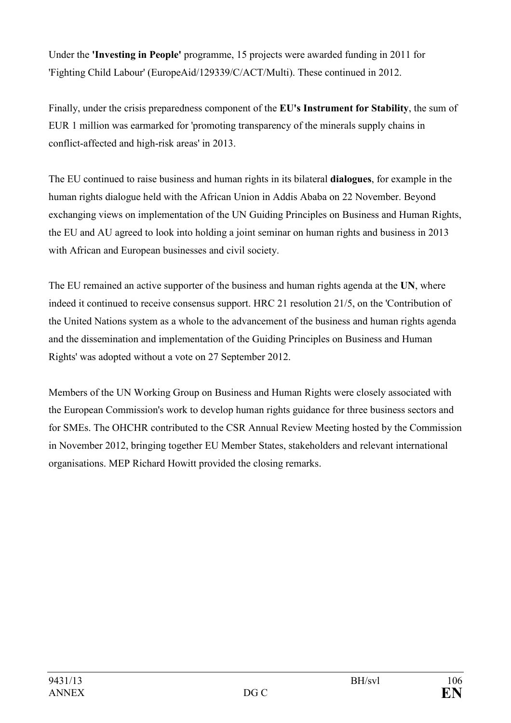Under the **'Investing in People'** programme, 15 projects were awarded funding in 2011 for 'Fighting Child Labour' (EuropeAid/129339/C/ACT/Multi). These continued in 2012.

Finally, under the crisis preparedness component of the **EU's Instrument for Stability**, the sum of EUR 1 million was earmarked for 'promoting transparency of the minerals supply chains in conflict-affected and high-risk areas' in 2013.

The EU continued to raise business and human rights in its bilateral **dialogues**, for example in the human rights dialogue held with the African Union in Addis Ababa on 22 November. Beyond exchanging views on implementation of the UN Guiding Principles on Business and Human Rights, the EU and AU agreed to look into holding a joint seminar on human rights and business in 2013 with African and European businesses and civil society.

The EU remained an active supporter of the business and human rights agenda at the **U**, where indeed it continued to receive consensus support. HRC 21 resolution 21/5, on the 'Contribution of the United Nations system as a whole to the advancement of the business and human rights agenda and the dissemination and implementation of the Guiding Principles on Business and Human Rights' was adopted without a vote on 27 September 2012.

Members of the UN Working Group on Business and Human Rights were closely associated with the European Commission's work to develop human rights guidance for three business sectors and for SMEs. The OHCHR contributed to the CSR Annual Review Meeting hosted by the Commission in November 2012, bringing together EU Member States, stakeholders and relevant international organisations. MEP Richard Howitt provided the closing remarks.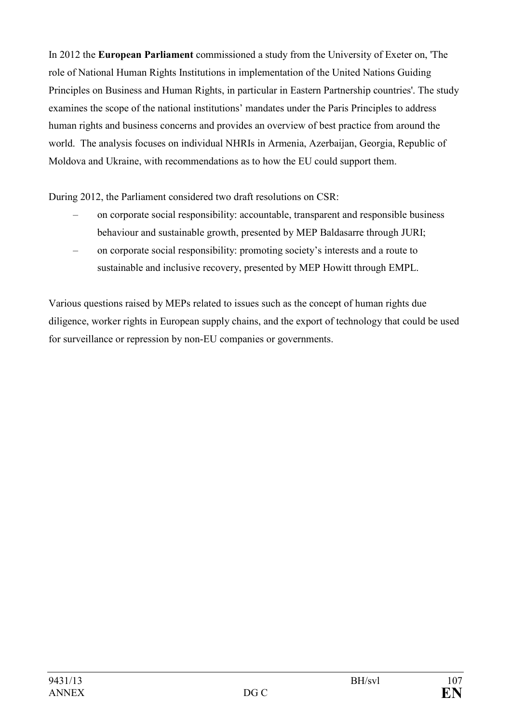In 2012 the **European Parliament** commissioned a study from the University of Exeter on, 'The role of National Human Rights Institutions in implementation of the United Nations Guiding Principles on Business and Human Rights, in particular in Eastern Partnership countries'. The study examines the scope of the national institutions' mandates under the Paris Principles to address human rights and business concerns and provides an overview of best practice from around the world. The analysis focuses on individual NHRIs in Armenia, Azerbaijan, Georgia, Republic of Moldova and Ukraine, with recommendations as to how the EU could support them.

During 2012, the Parliament considered two draft resolutions on CSR:

- on corporate social responsibility: accountable, transparent and responsible business behaviour and sustainable growth, presented by MEP Baldasarre through JURI;
- on corporate social responsibility: promoting society's interests and a route to sustainable and inclusive recovery, presented by MEP Howitt through EMPL.

Various questions raised by MEPs related to issues such as the concept of human rights due diligence, worker rights in European supply chains, and the export of technology that could be used for surveillance or repression by non-EU companies or governments.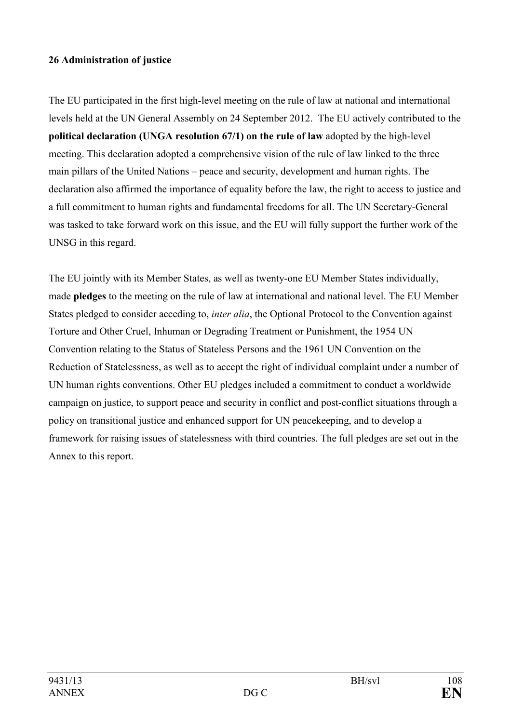#### **26 Administration of justice**

The EU participated in the first high-level meeting on the rule of law at national and international levels held at the UN General Assembly on 24 September 2012. The EU actively contributed to the **political declaration (UGA resolution 67/1) on the rule of law** adopted by the high-level meeting. This declaration adopted a comprehensive vision of the rule of law linked to the three main pillars of the United Nations – peace and security, development and human rights. The declaration also affirmed the importance of equality before the law, the right to access to justice and a full commitment to human rights and fundamental freedoms for all. The UN Secretary-General was tasked to take forward work on this issue, and the EU will fully support the further work of the UNSG in this regard.

The EU jointly with its Member States, as well as twenty-one EU Member States individually, made **pledges** to the meeting on the rule of law at international and national level. The EU Member States pledged to consider acceding to, *inter alia*, the Optional Protocol to the Convention against Torture and Other Cruel, Inhuman or Degrading Treatment or Punishment, the 1954 UN Convention relating to the Status of Stateless Persons and the 1961 UN Convention on the Reduction of Statelessness, as well as to accept the right of individual complaint under a number of UN human rights conventions. Other EU pledges included a commitment to conduct a worldwide campaign on justice, to support peace and security in conflict and post-conflict situations through a policy on transitional justice and enhanced support for UN peacekeeping, and to develop a framework for raising issues of statelessness with third countries. The full pledges are set out in the Annex to this report.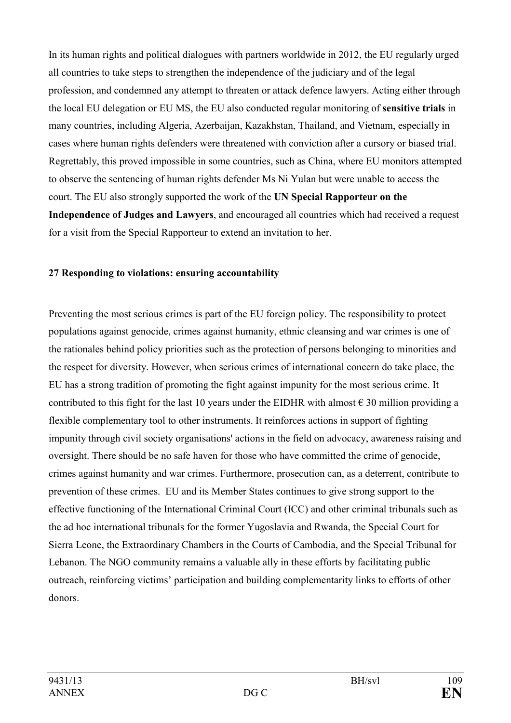In its human rights and political dialogues with partners worldwide in 2012, the EU regularly urged all countries to take steps to strengthen the independence of the judiciary and of the legal profession, and condemned any attempt to threaten or attack defence lawyers. Acting either through the local EU delegation or EU MS, the EU also conducted regular monitoring of **sensitive trials** in many countries, including Algeria, Azerbaijan, Kazakhstan, Thailand, and Vietnam, especially in cases where human rights defenders were threatened with conviction after a cursory or biased trial. Regrettably, this proved impossible in some countries, such as China, where EU monitors attempted to observe the sentencing of human rights defender Ms Ni Yulan but were unable to access the court. The EU also strongly supported the work of the UN Special Rapporteur on the **Independence of Judges and Lawyers**, and encouraged all countries which had received a request for a visit from the Special Rapporteur to extend an invitation to her.

## **27 Responding to violations: ensuring accountability**

Preventing the most serious crimes is part of the EU foreign policy. The responsibility to protect populations against genocide, crimes against humanity, ethnic cleansing and war crimes is one of the rationales behind policy priorities such as the protection of persons belonging to minorities and the respect for diversity. However, when serious crimes of international concern do take place, the EU has a strong tradition of promoting the fight against impunity for the most serious crime. It contributed to this fight for the last 10 years under the EIDHR with almost  $\epsilon$  30 million providing a flexible complementary tool to other instruments. It reinforces actions in support of fighting impunity through civil society organisations' actions in the field on advocacy, awareness raising and oversight. There should be no safe haven for those who have committed the crime of genocide, crimes against humanity and war crimes. Furthermore, prosecution can, as a deterrent, contribute to prevention of these crimes. EU and its Member States continues to give strong support to the effective functioning of the International Criminal Court (ICC) and other criminal tribunals such as the ad hoc international tribunals for the former Yugoslavia and Rwanda, the Special Court for Sierra Leone, the Extraordinary Chambers in the Courts of Cambodia, and the Special Tribunal for Lebanon. The NGO community remains a valuable ally in these efforts by facilitating public outreach, reinforcing victims' participation and building complementarity links to efforts of other donors.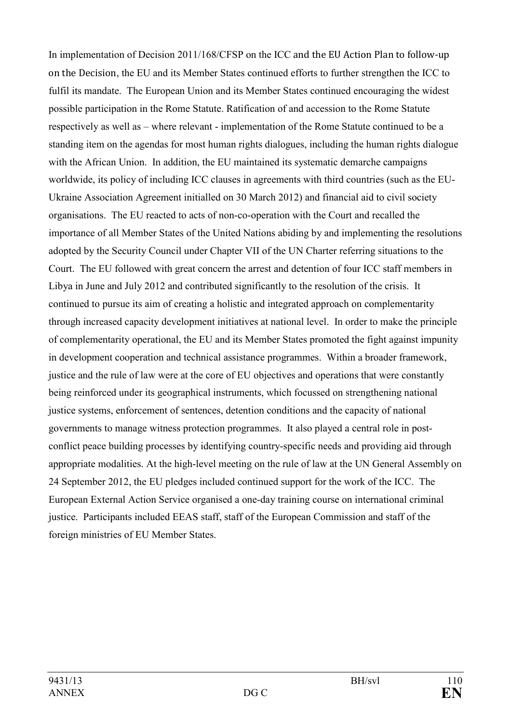In implementation of Decision 2011/168/CFSP on the ICC and the EU Action Plan to follow-up on the Decision, the EU and its Member States continued efforts to further strengthen the ICC to fulfil its mandate. The European Union and its Member States continued encouraging the widest possible participation in the Rome Statute. Ratification of and accession to the Rome Statute respectively as well as – where relevant - implementation of the Rome Statute continued to be a standing item on the agendas for most human rights dialogues, including the human rights dialogue with the African Union. In addition, the EU maintained its systematic demarche campaigns worldwide, its policy of including ICC clauses in agreements with third countries (such as the EU-Ukraine Association Agreement initialled on 30 March 2012) and financial aid to civil society organisations. The EU reacted to acts of non-co-operation with the Court and recalled the importance of all Member States of the United Nations abiding by and implementing the resolutions adopted by the Security Council under Chapter VII of the UN Charter referring situations to the Court. The EU followed with great concern the arrest and detention of four ICC staff members in Libya in June and July 2012 and contributed significantly to the resolution of the crisis. It continued to pursue its aim of creating a holistic and integrated approach on complementarity through increased capacity development initiatives at national level. In order to make the principle of complementarity operational, the EU and its Member States promoted the fight against impunity in development cooperation and technical assistance programmes. Within a broader framework, justice and the rule of law were at the core of EU objectives and operations that were constantly being reinforced under its geographical instruments, which focussed on strengthening national justice systems, enforcement of sentences, detention conditions and the capacity of national governments to manage witness protection programmes. It also played a central role in postconflict peace building processes by identifying country-specific needs and providing aid through appropriate modalities. At the high-level meeting on the rule of law at the UN General Assembly on 24 September 2012, the EU pledges included continued support for the work of the ICC. The European External Action Service organised a one-day training course on international criminal justice. Participants included EEAS staff, staff of the European Commission and staff of the foreign ministries of EU Member States.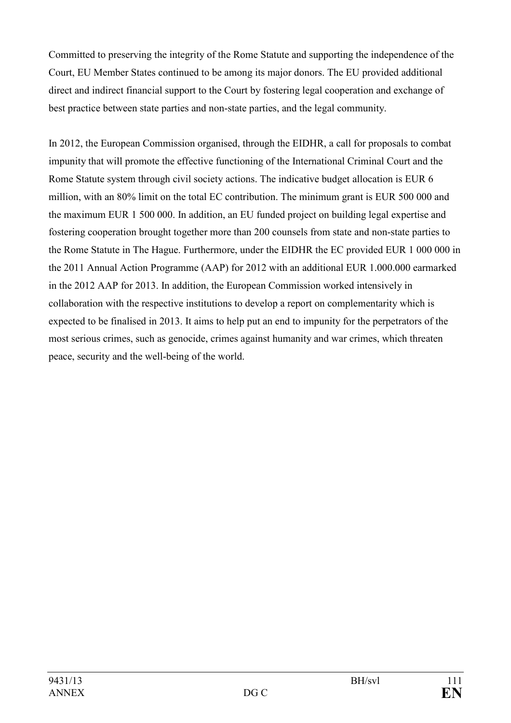Committed to preserving the integrity of the Rome Statute and supporting the independence of the Court, EU Member States continued to be among its major donors. The EU provided additional direct and indirect financial support to the Court by fostering legal cooperation and exchange of best practice between state parties and non-state parties, and the legal community.

In 2012, the European Commission organised, through the EIDHR, a call for proposals to combat impunity that will promote the effective functioning of the International Criminal Court and the Rome Statute system through civil society actions. The indicative budget allocation is EUR 6 million, with an 80% limit on the total EC contribution. The minimum grant is EUR 500 000 and the maximum EUR 1 500 000. In addition, an EU funded project on building legal expertise and fostering cooperation brought together more than 200 counsels from state and non-state parties to the Rome Statute in The Hague. Furthermore, under the EIDHR the EC provided EUR 1 000 000 in the 2011 Annual Action Programme (AAP) for 2012 with an additional EUR 1.000.000 earmarked in the 2012 AAP for 2013. In addition, the European Commission worked intensively in collaboration with the respective institutions to develop a report on complementarity which is expected to be finalised in 2013. It aims to help put an end to impunity for the perpetrators of the most serious crimes, such as genocide, crimes against humanity and war crimes, which threaten peace, security and the well-being of the world.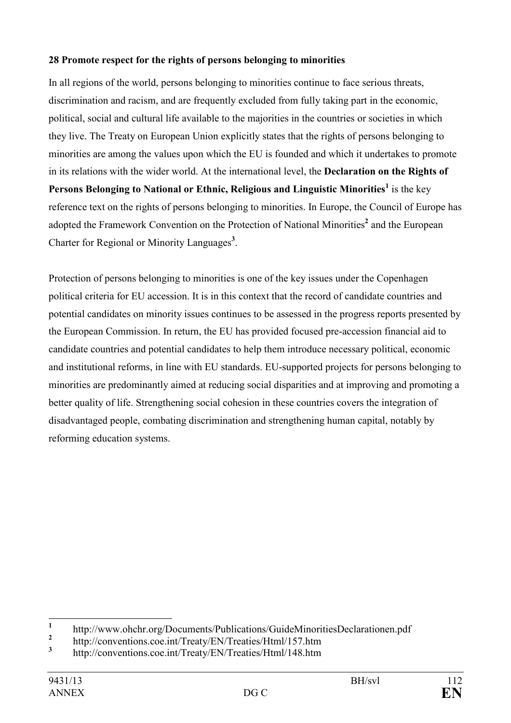## **28 Promote respect for the rights of persons belonging to minorities**

In all regions of the world, persons belonging to minorities continue to face serious threats, discrimination and racism, and are frequently excluded from fully taking part in the economic, political, social and cultural life available to the majorities in the countries or societies in which they live. The Treaty on European Union explicitly states that the rights of persons belonging to minorities are among the values upon which the EU is founded and which it undertakes to promote in its relations with the wider world. At the international level, the **Declaration on the Rights of Persons Belonging to National or Ethnic, Religious and Linguistic Minorities<sup>1</sup> is the key** reference text on the rights of persons belonging to minorities. In Europe, the Council of Europe has adopted the Framework Convention on the Protection of National Minorities**<sup>2</sup>** and the European Charter for Regional or Minority Languages**<sup>3</sup>** .

Protection of persons belonging to minorities is one of the key issues under the Copenhagen political criteria for EU accession. It is in this context that the record of candidate countries and potential candidates on minority issues continues to be assessed in the progress reports presented by the European Commission. In return, the EU has provided focused pre-accession financial aid to candidate countries and potential candidates to help them introduce necessary political, economic and institutional reforms, in line with EU standards. EU-supported projects for persons belonging to minorities are predominantly aimed at reducing social disparities and at improving and promoting a better quality of life. Strengthening social cohesion in these countries covers the integration of disadvantaged people, combating discrimination and strengthening human capital, notably by reforming education systems.

 **1** http://www.ohchr.org/Documents/Publications/GuideMinoritiesDeclarationen.pdf

**<sup>2</sup>** http://conventions.coe.int/Treaty/EN/Treaties/Html/157.htm

**<sup>3</sup>** http://conventions.coe.int/Treaty/EN/Treaties/Html/148.htm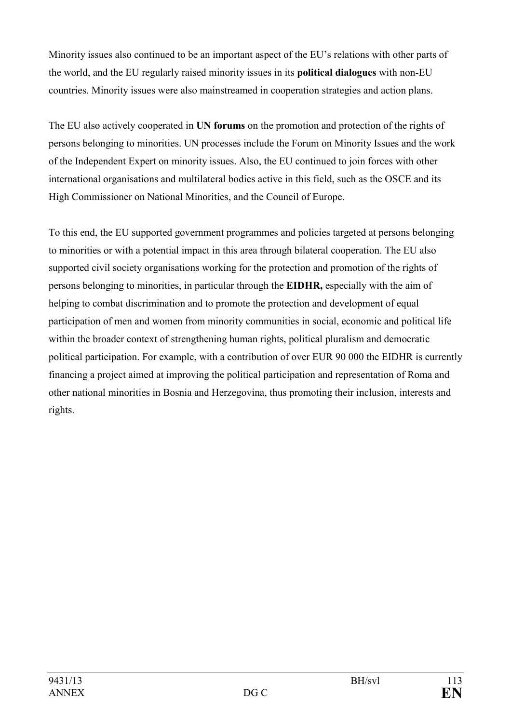Minority issues also continued to be an important aspect of the EU's relations with other parts of the world, and the EU regularly raised minority issues in its **political dialogues** with non-EU countries. Minority issues were also mainstreamed in cooperation strategies and action plans.

The EU also actively cooperated in UN forums on the promotion and protection of the rights of persons belonging to minorities. UN processes include the Forum on Minority Issues and the work of the Independent Expert on minority issues. Also, the EU continued to join forces with other international organisations and multilateral bodies active in this field, such as the OSCE and its High Commissioner on National Minorities, and the Council of Europe.

To this end, the EU supported government programmes and policies targeted at persons belonging to minorities or with a potential impact in this area through bilateral cooperation. The EU also supported civil society organisations working for the protection and promotion of the rights of persons belonging to minorities, in particular through the **EIDHR,** especially with the aim of helping to combat discrimination and to promote the protection and development of equal participation of men and women from minority communities in social, economic and political life within the broader context of strengthening human rights, political pluralism and democratic political participation. For example, with a contribution of over EUR 90 000 the EIDHR is currently financing a project aimed at improving the political participation and representation of Roma and other national minorities in Bosnia and Herzegovina, thus promoting their inclusion, interests and rights.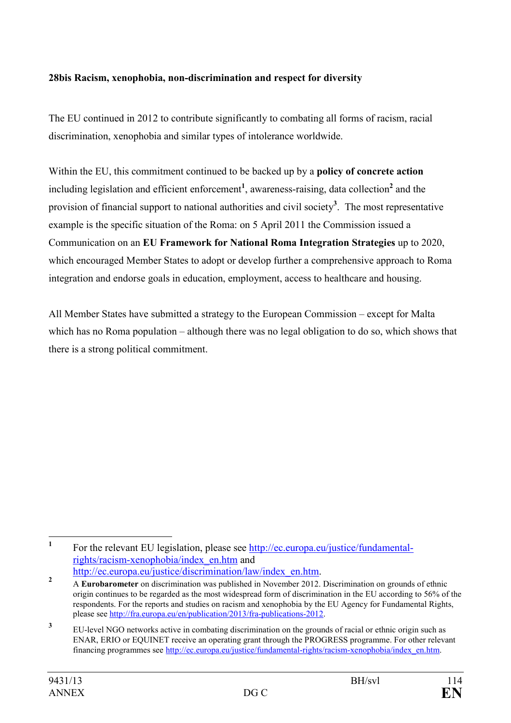## **28bis Racism, xenophobia, non-discrimination and respect for diversity**

The EU continued in 2012 to contribute significantly to combating all forms of racism, racial discrimination, xenophobia and similar types of intolerance worldwide.

Within the EU, this commitment continued to be backed up by a **policy of concrete action** including legislation and efficient enforcement<sup>1</sup>, awareness-raising, data collection<sup>2</sup> and the provision of financial support to national authorities and civil society**<sup>3</sup>** . The most representative example is the specific situation of the Roma: on 5 April 2011 the Commission issued a Communication on an **EU Framework for National Roma Integration Strategies** up to 2020, which encouraged Member States to adopt or develop further a comprehensive approach to Roma integration and endorse goals in education, employment, access to healthcare and housing.

All Member States have submitted a strategy to the European Commission – except for Malta which has no Roma population – although there was no legal obligation to do so, which shows that there is a strong political commitment.

 **1** For the relevant EU legislation, please see [http://ec.europa.eu/justice/fundamental](http://ec.europa.eu/justice/fundamental-rights/racism-xenophobia/index_en.htm)[rights/racism-xenophobia/index\\_en.htm](http://ec.europa.eu/justice/fundamental-rights/racism-xenophobia/index_en.htm) and

[http://ec.europa.eu/justice/discrimination/law/index\\_en.htm.](http://ec.europa.eu/justice/discrimination/law/index_en.htm) **2**

A **Eurobarometer** on discrimination was published in November 2012. Discrimination on grounds of ethnic origin continues to be regarded as the most widespread form of discrimination in the EU according to 56% of the respondents. For the reports and studies on racism and xenophobia by the EU Agency for Fundamental Rights, please see<http://fra.europa.eu/en/publication/2013/fra-publications-2012>.

**<sup>3</sup>** EU-level NGO networks active in combating discrimination on the grounds of racial or ethnic origin such as ENAR, ERIO or EQUINET receive an operating grant through the PROGRESS programme. For other relevant financing programmes see [http://ec.europa.eu/justice/fundamental-rights/racism-xenophobia/index\\_en.htm.](http://ec.europa.eu/justice/fundamental-rights/racism-xenophobia/index_en.htm)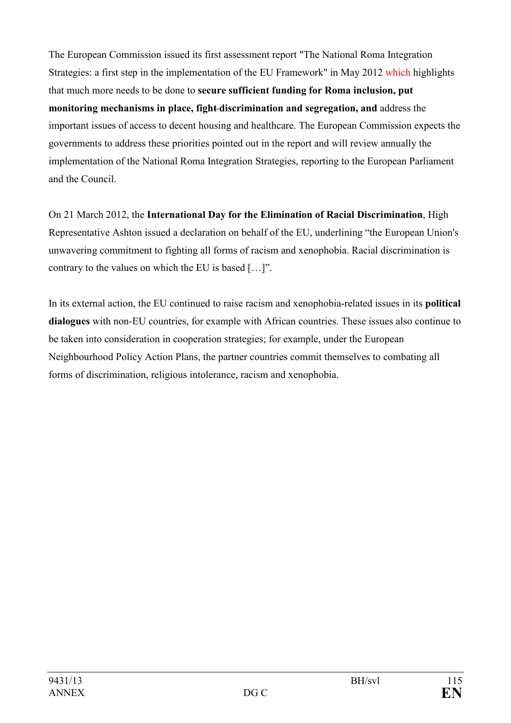The European Commission issued its first assessment report "The National Roma Integration Strategies: a first step in the implementation of the EU Framework" in May 2012 which highlights that much more needs to be done to **secure sufficient funding for Roma inclusion, put monitoring mechanisms in place, fight discrimination and segregation, and** address the important issues of access to decent housing and healthcare. The European Commission expects the governments to address these priorities pointed out in the report and will review annually the implementation of the National Roma Integration Strategies, reporting to the European Parliament and the Council.

On 21 March 2012, the **International Day for the Elimination of Racial Discrimination**, High Representative Ashton issued a declaration on behalf of the EU, underlining "the European Union's unwavering commitment to fighting all forms of racism and xenophobia. Racial discrimination is contrary to the values on which the EU is based […]".

In its external action, the EU continued to raise racism and xenophobia-related issues in its **political dialogues** with non-EU countries, for example with African countries. These issues also continue to be taken into consideration in cooperation strategies; for example, under the European Neighbourhood Policy Action Plans, the partner countries commit themselves to combating all forms of discrimination, religious intolerance, racism and xenophobia.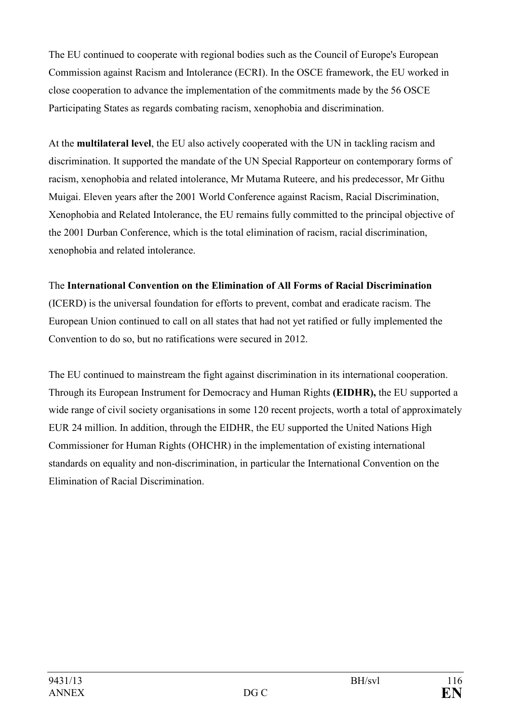The EU continued to cooperate with regional bodies such as the Council of Europe's European Commission against Racism and Intolerance (ECRI). In the OSCE framework, the EU worked in close cooperation to advance the implementation of the commitments made by the 56 OSCE Participating States as regards combating racism, xenophobia and discrimination.

At the **multilateral level**, the EU also actively cooperated with the UN in tackling racism and discrimination. It supported the mandate of the UN Special Rapporteur on contemporary forms of racism, xenophobia and related intolerance, Mr Mutama Ruteere, and his predecessor, Mr Githu Muigai. Eleven years after the 2001 World Conference against Racism, Racial Discrimination, Xenophobia and Related Intolerance, the EU remains fully committed to the principal objective of the 2001 Durban Conference, which is the total elimination of racism, racial discrimination, xenophobia and related intolerance.

# The **International Convention on the Elimination of All Forms of Racial Discrimination**

(ICERD) is the universal foundation for efforts to prevent, combat and eradicate racism. The European Union continued to call on all states that had not yet ratified or fully implemented the Convention to do so, but no ratifications were secured in 2012.

The EU continued to mainstream the fight against discrimination in its international cooperation. Through its European Instrument for Democracy and Human Rights **(EIDHR),** the EU supported a wide range of civil society organisations in some 120 recent projects, worth a total of approximately EUR 24 million. In addition, through the EIDHR, the EU supported the United Nations High Commissioner for Human Rights (OHCHR) in the implementation of existing international standards on equality and non-discrimination, in particular the International Convention on the Elimination of Racial Discrimination.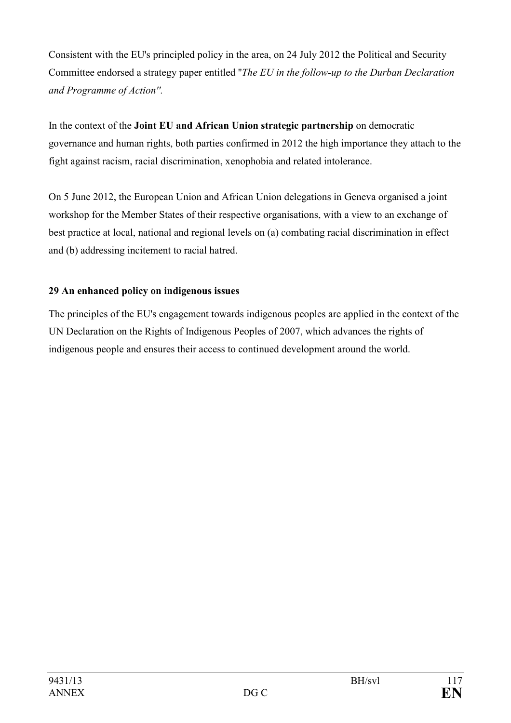Consistent with the EU's principled policy in the area, on 24 July 2012 the Political and Security Committee endorsed a strategy paper entitled ''*The EU in the follow-up to the Durban Declaration and Programme of Action''.* 

In the context of the **Joint EU and African Union strategic partnership** on democratic governance and human rights, both parties confirmed in 2012 the high importance they attach to the fight against racism, racial discrimination, xenophobia and related intolerance.

On 5 June 2012, the European Union and African Union delegations in Geneva organised a joint workshop for the Member States of their respective organisations, with a view to an exchange of best practice at local, national and regional levels on (a) combating racial discrimination in effect and (b) addressing incitement to racial hatred.

# **29 An enhanced policy on indigenous issues**

The principles of the EU's engagement towards indigenous peoples are applied in the context of the UN Declaration on the Rights of Indigenous Peoples of 2007, which advances the rights of indigenous people and ensures their access to continued development around the world.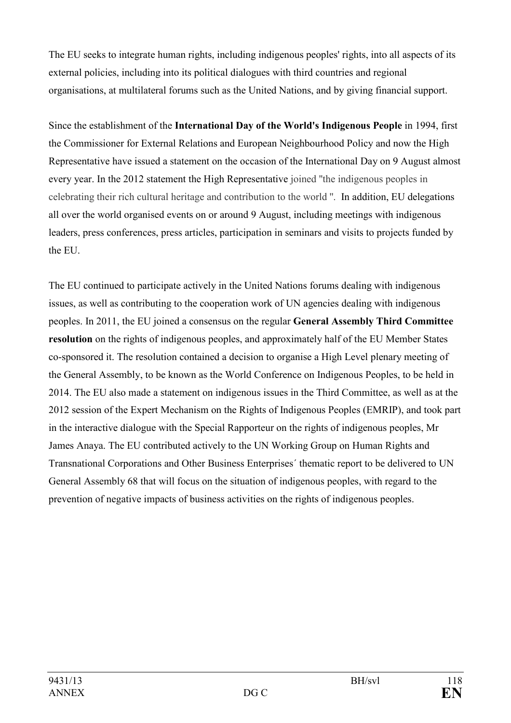The EU seeks to integrate human rights, including indigenous peoples' rights, into all aspects of its external policies, including into its political dialogues with third countries and regional organisations, at multilateral forums such as the United Nations, and by giving financial support.

Since the establishment of the **International Day of the World's Indigenous People** in 1994, first the Commissioner for External Relations and European Neighbourhood Policy and now the High Representative have issued a statement on the occasion of the International Day on 9 August almost every year. In the 2012 statement the High Representative joined ''the indigenous peoples in celebrating their rich cultural heritage and contribution to the world ''. In addition, EU delegations all over the world organised events on or around 9 August, including meetings with indigenous leaders, press conferences, press articles, participation in seminars and visits to projects funded by the EU.

The EU continued to participate actively in the United Nations forums dealing with indigenous issues, as well as contributing to the cooperation work of UN agencies dealing with indigenous peoples. In 2011, the EU joined a consensus on the regular **General Assembly Third Committee resolution** on the rights of indigenous peoples, and approximately half of the EU Member States co-sponsored it. The resolution contained a decision to organise a High Level plenary meeting of the General Assembly, to be known as the World Conference on Indigenous Peoples, to be held in 2014. The EU also made a statement on indigenous issues in the Third Committee, as well as at the 2012 session of the Expert Mechanism on the Rights of Indigenous Peoples (EMRIP), and took part in the interactive dialogue with the Special Rapporteur on the rights of indigenous peoples, Mr James Anaya. The EU contributed actively to the UN Working Group on Human Rights and Transnational Corporations and Other Business Enterprises´ thematic report to be delivered to UN General Assembly 68 that will focus on the situation of indigenous peoples, with regard to the prevention of negative impacts of business activities on the rights of indigenous peoples.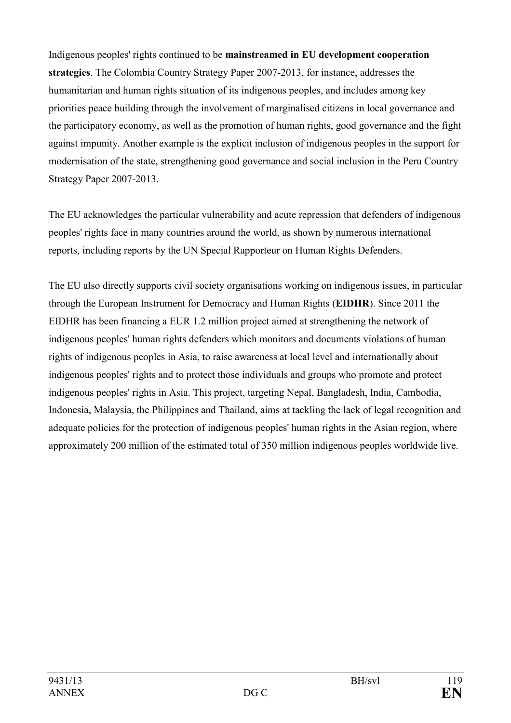Indigenous peoples' rights continued to be **mainstreamed in EU development cooperation strategies**. The Colombia Country Strategy Paper 2007-2013, for instance, addresses the humanitarian and human rights situation of its indigenous peoples, and includes among key priorities peace building through the involvement of marginalised citizens in local governance and the participatory economy, as well as the promotion of human rights, good governance and the fight against impunity. Another example is the explicit inclusion of indigenous peoples in the support for modernisation of the state, strengthening good governance and social inclusion in the Peru Country Strategy Paper 2007-2013.

The EU acknowledges the particular vulnerability and acute repression that defenders of indigenous peoples' rights face in many countries around the world, as shown by numerous international reports, including reports by the UN Special Rapporteur on Human Rights Defenders.

The EU also directly supports civil society organisations working on indigenous issues, in particular through the European Instrument for Democracy and Human Rights (**EIDHR**). Since 2011 the EIDHR has been financing a EUR 1.2 million project aimed at strengthening the network of indigenous peoples' human rights defenders which monitors and documents violations of human rights of indigenous peoples in Asia, to raise awareness at local level and internationally about indigenous peoples' rights and to protect those individuals and groups who promote and protect indigenous peoples' rights in Asia. This project, targeting Nepal, Bangladesh, India, Cambodia, Indonesia, Malaysia, the Philippines and Thailand, aims at tackling the lack of legal recognition and adequate policies for the protection of indigenous peoples' human rights in the Asian region, where approximately 200 million of the estimated total of 350 million indigenous peoples worldwide live.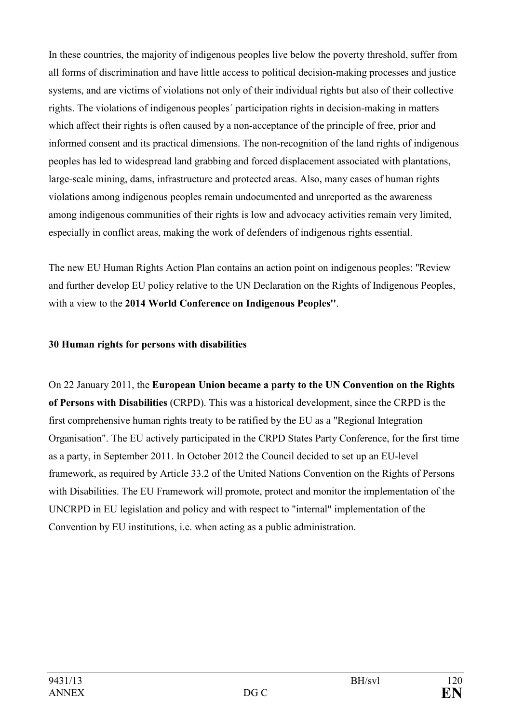In these countries, the majority of indigenous peoples live below the poverty threshold, suffer from all forms of discrimination and have little access to political decision-making processes and justice systems, and are victims of violations not only of their individual rights but also of their collective rights. The violations of indigenous peoples´ participation rights in decision-making in matters which affect their rights is often caused by a non-acceptance of the principle of free, prior and informed consent and its practical dimensions. The non-recognition of the land rights of indigenous peoples has led to widespread land grabbing and forced displacement associated with plantations, large-scale mining, dams, infrastructure and protected areas. Also, many cases of human rights violations among indigenous peoples remain undocumented and unreported as the awareness among indigenous communities of their rights is low and advocacy activities remain very limited, especially in conflict areas, making the work of defenders of indigenous rights essential.

The new EU Human Rights Action Plan contains an action point on indigenous peoples: ''Review and further develop EU policy relative to the UN Declaration on the Rights of Indigenous Peoples, with a view to the **2014 World Conference on Indigenous Peoples''**.

## **30 Human rights for persons with disabilities**

On 22 January 2011, the **European Union became a party to the UN Convention on the Rights of Persons with Disabilities** (CRPD). This was a historical development, since the CRPD is the first comprehensive human rights treaty to be ratified by the EU as a "Regional Integration Organisation". The EU actively participated in the CRPD States Party Conference, for the first time as a party, in September 2011. In October 2012 the Council decided to set up an EU-level framework, as required by Article 33.2 of the United Nations Convention on the Rights of Persons with Disabilities. The EU Framework will promote, protect and monitor the implementation of the UNCRPD in EU legislation and policy and with respect to "internal" implementation of the Convention by EU institutions, i.e. when acting as a public administration.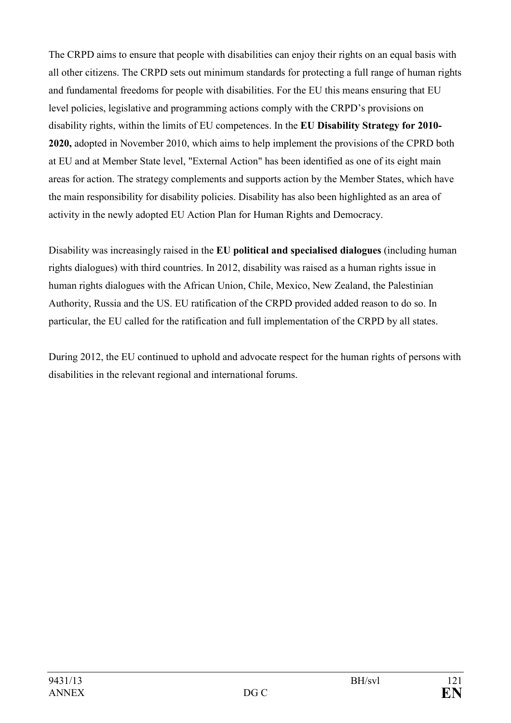The CRPD aims to ensure that people with disabilities can enjoy their rights on an equal basis with all other citizens. The CRPD sets out minimum standards for protecting a full range of human rights and fundamental freedoms for people with disabilities. For the EU this means ensuring that EU level policies, legislative and programming actions comply with the CRPD's provisions on disability rights, within the limits of EU competences. In the **EU Disability Strategy for 2010- 2020,** adopted in November 2010, which aims to help implement the provisions of the CPRD both at EU and at Member State level, "External Action" has been identified as one of its eight main areas for action. The strategy complements and supports action by the Member States, which have the main responsibility for disability policies. Disability has also been highlighted as an area of activity in the newly adopted EU Action Plan for Human Rights and Democracy.

Disability was increasingly raised in the **EU political and specialised dialogues** (including human rights dialogues) with third countries. In 2012, disability was raised as a human rights issue in human rights dialogues with the African Union, Chile, Mexico, New Zealand, the Palestinian Authority, Russia and the US. EU ratification of the CRPD provided added reason to do so. In particular, the EU called for the ratification and full implementation of the CRPD by all states.

During 2012, the EU continued to uphold and advocate respect for the human rights of persons with disabilities in the relevant regional and international forums.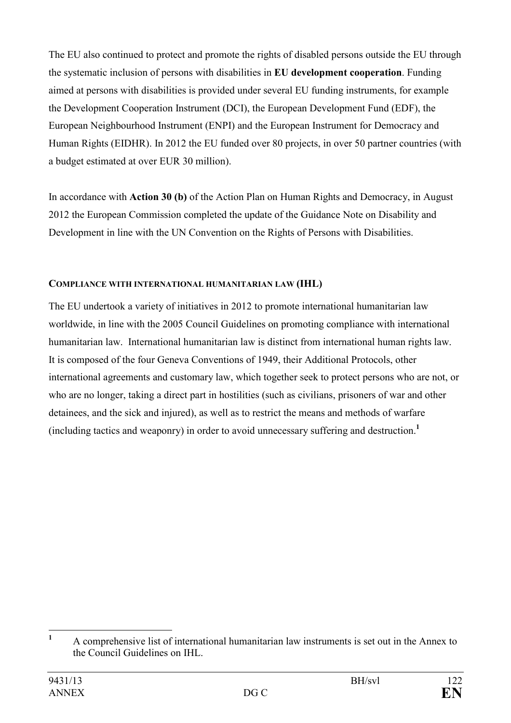The EU also continued to protect and promote the rights of disabled persons outside the EU through the systematic inclusion of persons with disabilities in **EU development cooperation**. Funding aimed at persons with disabilities is provided under several EU funding instruments, for example the Development Cooperation Instrument (DCI), the European Development Fund (EDF), the European Neighbourhood Instrument (ENPI) and the European Instrument for Democracy and Human Rights (EIDHR). In 2012 the EU funded over 80 projects, in over 50 partner countries (with a budget estimated at over EUR 30 million).

In accordance with **Action 30 (b)** of the Action Plan on Human Rights and Democracy, in August 2012 the European Commission completed the update of the Guidance Note on Disability and Development in line with the UN Convention on the Rights of Persons with Disabilities.

## **COMPLIANCE WITH INTERNATIONAL HUMANITARIAN LAW (IHL)**

The EU undertook a variety of initiatives in 2012 to promote international humanitarian law worldwide, in line with the 2005 Council Guidelines on promoting compliance with international humanitarian law. International humanitarian law is distinct from international human rights law. It is composed of the four Geneva Conventions of 1949, their Additional Protocols, other international agreements and customary law, which together seek to protect persons who are not, or who are no longer, taking a direct part in hostilities (such as civilians, prisoners of war and other detainees, and the sick and injured), as well as to restrict the means and methods of warfare (including tactics and weaponry) in order to avoid unnecessary suffering and destruction.**<sup>1</sup>**

 **1** A comprehensive list of international humanitarian law instruments is set out in the Annex to the Council Guidelines on IHL.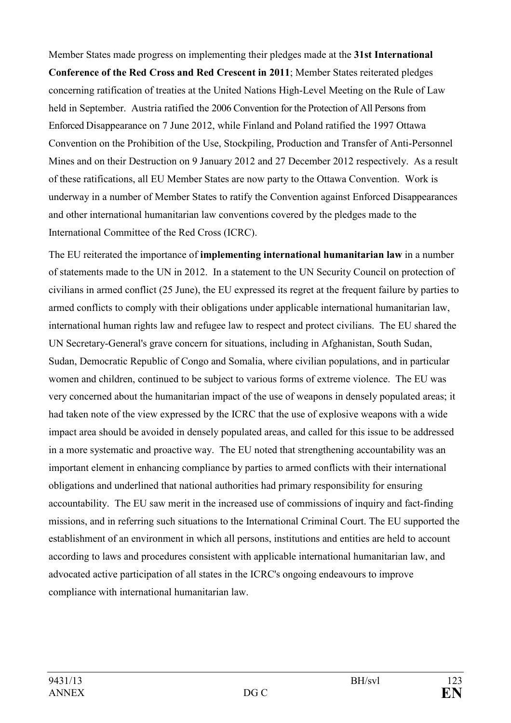Member States made progress on implementing their pledges made at the **31st International Conference of the Red Cross and Red Crescent in 2011**; Member States reiterated pledges concerning ratification of treaties at the United Nations High-Level Meeting on the Rule of Law held in September. Austria ratified the 2006 Convention for the Protection of All Persons from Enforced Disappearance on 7 June 2012, while Finland and Poland ratified the 1997 Ottawa Convention on the Prohibition of the Use, Stockpiling, Production and Transfer of Anti-Personnel Mines and on their Destruction on 9 January 2012 and 27 December 2012 respectively. As a result of these ratifications, all EU Member States are now party to the Ottawa Convention. Work is underway in a number of Member States to ratify the Convention against Enforced Disappearances and other international humanitarian law conventions covered by the pledges made to the International Committee of the Red Cross (ICRC).

The EU reiterated the importance of **implementing international humanitarian law** in a number of statements made to the UN in 2012. In a statement to the UN Security Council on protection of civilians in armed conflict (25 June), the EU expressed its regret at the frequent failure by parties to armed conflicts to comply with their obligations under applicable international humanitarian law, international human rights law and refugee law to respect and protect civilians. The EU shared the UN Secretary-General's grave concern for situations, including in Afghanistan, South Sudan, Sudan, Democratic Republic of Congo and Somalia, where civilian populations, and in particular women and children, continued to be subject to various forms of extreme violence. The EU was very concerned about the humanitarian impact of the use of weapons in densely populated areas; it had taken note of the view expressed by the ICRC that the use of explosive weapons with a wide impact area should be avoided in densely populated areas, and called for this issue to be addressed in a more systematic and proactive way. The EU noted that strengthening accountability was an important element in enhancing compliance by parties to armed conflicts with their international obligations and underlined that national authorities had primary responsibility for ensuring accountability. The EU saw merit in the increased use of commissions of inquiry and fact-finding missions, and in referring such situations to the International Criminal Court. The EU supported the establishment of an environment in which all persons, institutions and entities are held to account according to laws and procedures consistent with applicable international humanitarian law, and advocated active participation of all states in the ICRC's ongoing endeavours to improve compliance with international humanitarian law.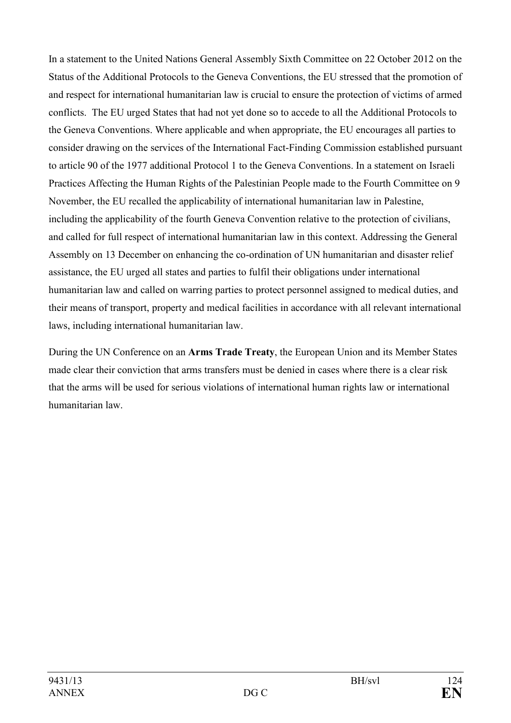In a statement to the United Nations General Assembly Sixth Committee on 22 October 2012 on the Status of the Additional Protocols to the Geneva Conventions, the EU stressed that the promotion of and respect for international humanitarian law is crucial to ensure the protection of victims of armed conflicts. The EU urged States that had not yet done so to accede to all the Additional Protocols to the Geneva Conventions. Where applicable and when appropriate, the EU encourages all parties to consider drawing on the services of the International Fact-Finding Commission established pursuant to article 90 of the 1977 additional Protocol 1 to the Geneva Conventions. In a statement on Israeli Practices Affecting the Human Rights of the Palestinian People made to the Fourth Committee on 9 November, the EU recalled the applicability of international humanitarian law in Palestine, including the applicability of the fourth Geneva Convention relative to the protection of civilians, and called for full respect of international humanitarian law in this context. Addressing the General Assembly on 13 December on enhancing the co-ordination of UN humanitarian and disaster relief assistance, the EU urged all states and parties to fulfil their obligations under international humanitarian law and called on warring parties to protect personnel assigned to medical duties, and their means of transport, property and medical facilities in accordance with all relevant international laws, including international humanitarian law.

During the UN Conference on an **Arms Trade Treaty**, the European Union and its Member States made clear their conviction that arms transfers must be denied in cases where there is a clear risk that the arms will be used for serious violations of international human rights law or international humanitarian law.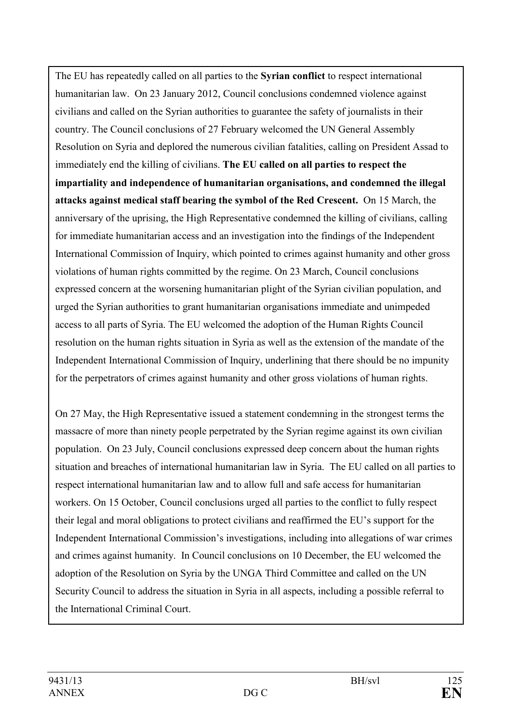The EU has repeatedly called on all parties to the **Syrian conflict** to respect international humanitarian law. On 23 January 2012, Council conclusions condemned violence against civilians and called on the Syrian authorities to guarantee the safety of journalists in their country. The Council conclusions of 27 February welcomed the UN General Assembly Resolution on Syria and deplored the numerous civilian fatalities, calling on President Assad to immediately end the killing of civilians. **The EU called on all parties to respect the impartiality and independence of humanitarian organisations, and condemned the illegal attacks against medical staff bearing the symbol of the Red Crescent.** On 15 March, the anniversary of the uprising, the High Representative condemned the killing of civilians, calling for immediate humanitarian access and an investigation into the findings of the Independent International Commission of Inquiry, which pointed to crimes against humanity and other gross violations of human rights committed by the regime. On 23 March, Council conclusions expressed concern at the worsening humanitarian plight of the Syrian civilian population, and urged the Syrian authorities to grant humanitarian organisations immediate and unimpeded access to all parts of Syria. The EU welcomed the adoption of the Human Rights Council resolution on the human rights situation in Syria as well as the extension of the mandate of the Independent International Commission of Inquiry, underlining that there should be no impunity for the perpetrators of crimes against humanity and other gross violations of human rights.

On 27 May, the High Representative issued a statement condemning in the strongest terms the massacre of more than ninety people perpetrated by the Syrian regime against its own civilian population. On 23 July, Council conclusions expressed deep concern about the human rights situation and breaches of international humanitarian law in Syria. The EU called on all parties to respect international humanitarian law and to allow full and safe access for humanitarian workers. On 15 October, Council conclusions urged all parties to the conflict to fully respect their legal and moral obligations to protect civilians and reaffirmed the EU's support for the Independent International Commission's investigations, including into allegations of war crimes and crimes against humanity. In Council conclusions on 10 December, the EU welcomed the adoption of the Resolution on Syria by the UNGA Third Committee and called on the UN Security Council to address the situation in Syria in all aspects, including a possible referral to the International Criminal Court.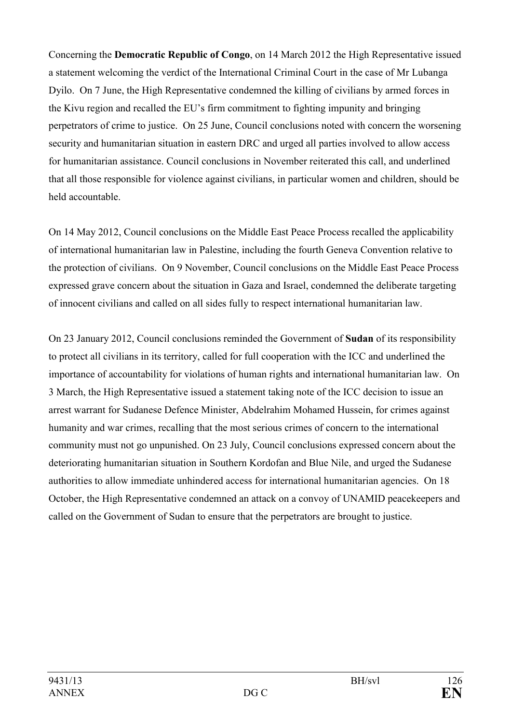Concerning the **Democratic Republic of Congo**, on 14 March 2012 the High Representative issued a statement welcoming the verdict of the International Criminal Court in the case of Mr Lubanga Dyilo. On 7 June, the High Representative condemned the killing of civilians by armed forces in the Kivu region and recalled the EU's firm commitment to fighting impunity and bringing perpetrators of crime to justice. On 25 June, Council conclusions noted with concern the worsening security and humanitarian situation in eastern DRC and urged all parties involved to allow access for humanitarian assistance. Council conclusions in November reiterated this call, and underlined that all those responsible for violence against civilians, in particular women and children, should be held accountable.

On 14 May 2012, Council conclusions on the Middle East Peace Process recalled the applicability of international humanitarian law in Palestine, including the fourth Geneva Convention relative to the protection of civilians. On 9 November, Council conclusions on the Middle East Peace Process expressed grave concern about the situation in Gaza and Israel, condemned the deliberate targeting of innocent civilians and called on all sides fully to respect international humanitarian law.

On 23 January 2012, Council conclusions reminded the Government of **Sudan** of its responsibility to protect all civilians in its territory, called for full cooperation with the ICC and underlined the importance of accountability for violations of human rights and international humanitarian law. On 3 March, the High Representative issued a statement taking note of the ICC decision to issue an arrest warrant for Sudanese Defence Minister, Abdelrahim Mohamed Hussein, for crimes against humanity and war crimes, recalling that the most serious crimes of concern to the international community must not go unpunished. On 23 July, Council conclusions expressed concern about the deteriorating humanitarian situation in Southern Kordofan and Blue Nile, and urged the Sudanese authorities to allow immediate unhindered access for international humanitarian agencies. On 18 October, the High Representative condemned an attack on a convoy of UNAMID peacekeepers and called on the Government of Sudan to ensure that the perpetrators are brought to justice.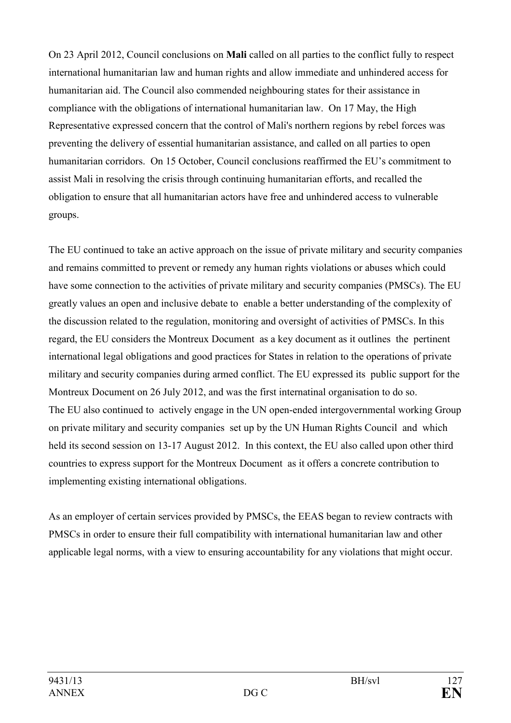On 23 April 2012, Council conclusions on **Mali** called on all parties to the conflict fully to respect international humanitarian law and human rights and allow immediate and unhindered access for humanitarian aid. The Council also commended neighbouring states for their assistance in compliance with the obligations of international humanitarian law. On 17 May, the High Representative expressed concern that the control of Mali's northern regions by rebel forces was preventing the delivery of essential humanitarian assistance, and called on all parties to open humanitarian corridors. On 15 October, Council conclusions reaffirmed the EU's commitment to assist Mali in resolving the crisis through continuing humanitarian efforts, and recalled the obligation to ensure that all humanitarian actors have free and unhindered access to vulnerable groups.

The EU continued to take an active approach on the issue of private military and security companies and remains committed to prevent or remedy any human rights violations or abuses which could have some connection to the activities of private military and security companies (PMSCs). The EU greatly values an open and inclusive debate to enable a better understanding of the complexity of the discussion related to the regulation, monitoring and oversight of activities of PMSCs. In this regard, the EU considers the Montreux Document as a key document as it outlines the pertinent international legal obligations and good practices for States in relation to the operations of private military and security companies during armed conflict. The EU expressed its public support for the Montreux Document on 26 July 2012, and was the first internatinal organisation to do so. The EU also continued to actively engage in the UN open-ended intergovernmental working Group on private military and security companies set up by the UN Human Rights Council and which held its second session on 13-17 August 2012. In this context, the EU also called upon other third countries to express support for the Montreux Document as it offers a concrete contribution to implementing existing international obligations.

As an employer of certain services provided by PMSCs, the EEAS began to review contracts with PMSCs in order to ensure their full compatibility with international humanitarian law and other applicable legal norms, with a view to ensuring accountability for any violations that might occur.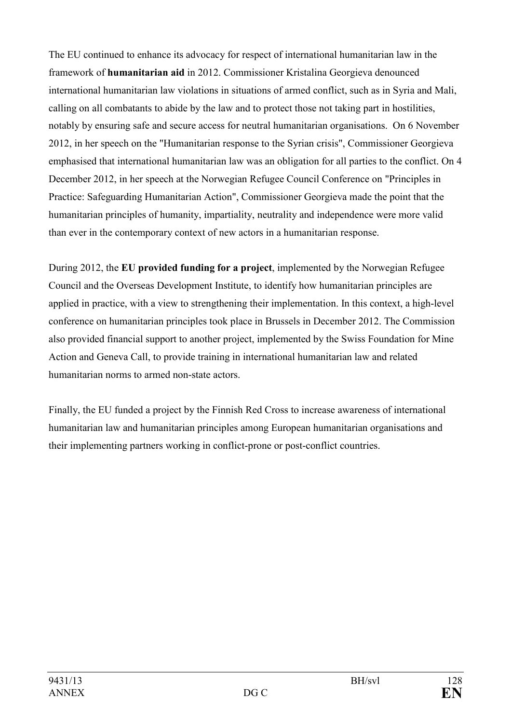The EU continued to enhance its advocacy for respect of international humanitarian law in the framework of **humanitarian aid** in 2012. Commissioner Kristalina Georgieva denounced international humanitarian law violations in situations of armed conflict, such as in Syria and Mali, calling on all combatants to abide by the law and to protect those not taking part in hostilities, notably by ensuring safe and secure access for neutral humanitarian organisations. On 6 November 2012, in her speech on the "Humanitarian response to the Syrian crisis", Commissioner Georgieva emphasised that international humanitarian law was an obligation for all parties to the conflict. On 4 December 2012, in her speech at the Norwegian Refugee Council Conference on "Principles in Practice: Safeguarding Humanitarian Action", Commissioner Georgieva made the point that the humanitarian principles of humanity, impartiality, neutrality and independence were more valid than ever in the contemporary context of new actors in a humanitarian response.

During 2012, the **EU provided funding for a project**, implemented by the Norwegian Refugee Council and the Overseas Development Institute, to identify how humanitarian principles are applied in practice, with a view to strengthening their implementation. In this context, a high-level conference on humanitarian principles took place in Brussels in December 2012. The Commission also provided financial support to another project, implemented by the Swiss Foundation for Mine Action and Geneva Call, to provide training in international humanitarian law and related humanitarian norms to armed non-state actors.

Finally, the EU funded a project by the Finnish Red Cross to increase awareness of international humanitarian law and humanitarian principles among European humanitarian organisations and their implementing partners working in conflict-prone or post-conflict countries.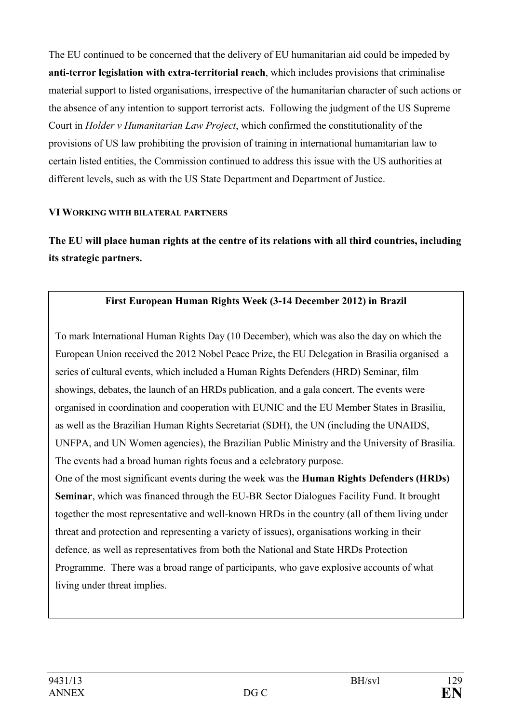The EU continued to be concerned that the delivery of EU humanitarian aid could be impeded by **anti-terror legislation with extra-territorial reach**, which includes provisions that criminalise material support to listed organisations, irrespective of the humanitarian character of such actions or the absence of any intention to support terrorist acts. Following the judgment of the US Supreme Court in *Holder v Humanitarian Law Project*, which confirmed the constitutionality of the provisions of US law prohibiting the provision of training in international humanitarian law to certain listed entities, the Commission continued to address this issue with the US authorities at different levels, such as with the US State Department and Department of Justice.

#### **VI WORKIG WITH BILATERAL PARTERS**

**The EU will place human rights at the centre of its relations with all third countries, including its strategic partners.** 

# **First European Human Rights Week (3-14 December 2012) in Brazil**

To mark International Human Rights Day (10 December), which was also the day on which the European Union received the 2012 Nobel Peace Prize, the EU Delegation in Brasilia organised a series of cultural events, which included a Human Rights Defenders (HRD) Seminar, film showings, debates, the launch of an HRDs publication, and a gala concert. The events were organised in coordination and cooperation with EUNIC and the EU Member States in Brasilia, as well as the Brazilian Human Rights Secretariat (SDH), the UN (including the UNAIDS, UNFPA, and UN Women agencies), the Brazilian Public Ministry and the University of Brasilia. The events had a broad human rights focus and a celebratory purpose. One of the most significant events during the week was the **Human Rights Defenders (HRDs) Seminar**, which was financed through the EU-BR Sector Dialogues Facility Fund. It brought together the most representative and well-known HRDs in the country (all of them living under threat and protection and representing a variety of issues), organisations working in their

defence, as well as representatives from both the National and State HRDs Protection Programme. There was a broad range of participants, who gave explosive accounts of what living under threat implies.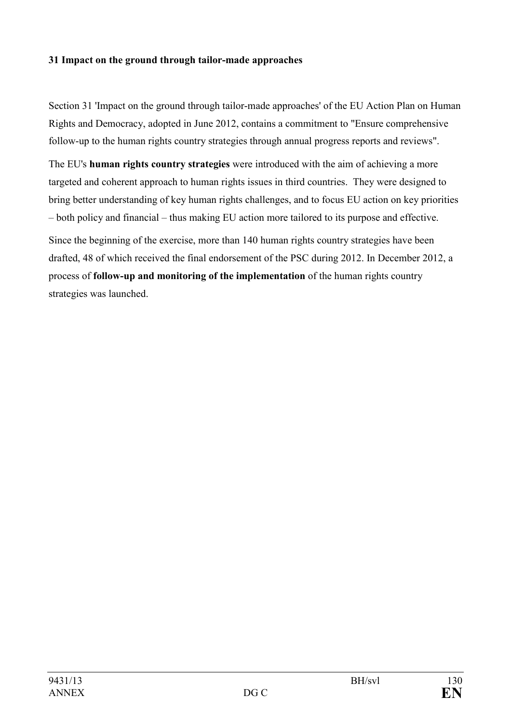## **31 Impact on the ground through tailor-made approaches**

Section 31 'Impact on the ground through tailor-made approaches' of the EU Action Plan on Human Rights and Democracy, adopted in June 2012, contains a commitment to "Ensure comprehensive follow-up to the human rights country strategies through annual progress reports and reviews".

The EU's **human rights country strategies** were introduced with the aim of achieving a more targeted and coherent approach to human rights issues in third countries. They were designed to bring better understanding of key human rights challenges, and to focus EU action on key priorities – both policy and financial – thus making EU action more tailored to its purpose and effective.

Since the beginning of the exercise, more than 140 human rights country strategies have been drafted, 48 of which received the final endorsement of the PSC during 2012. In December 2012, a process of **follow-up and monitoring of the implementation** of the human rights country strategies was launched.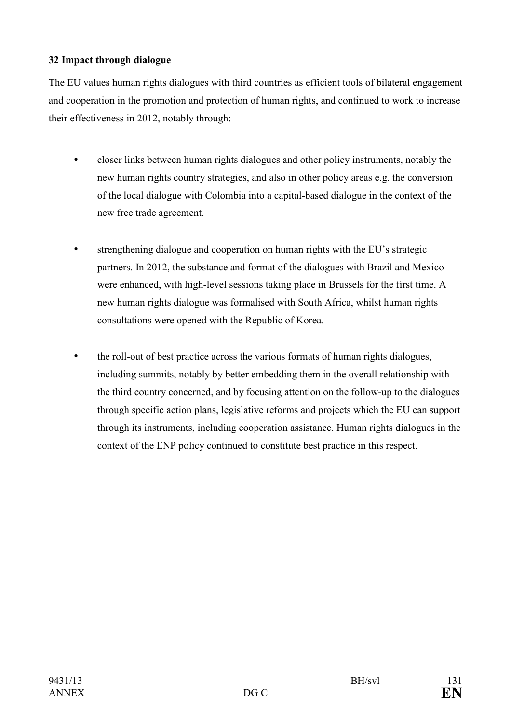# **32 Impact through dialogue**

The EU values human rights dialogues with third countries as efficient tools of bilateral engagement and cooperation in the promotion and protection of human rights, and continued to work to increase their effectiveness in 2012, notably through:

- closer links between human rights dialogues and other policy instruments, notably the new human rights country strategies, and also in other policy areas e.g. the conversion of the local dialogue with Colombia into a capital-based dialogue in the context of the new free trade agreement.
- strengthening dialogue and cooperation on human rights with the EU's strategic partners. In 2012, the substance and format of the dialogues with Brazil and Mexico were enhanced, with high-level sessions taking place in Brussels for the first time. A new human rights dialogue was formalised with South Africa, whilst human rights consultations were opened with the Republic of Korea.
- the roll-out of best practice across the various formats of human rights dialogues, including summits, notably by better embedding them in the overall relationship with the third country concerned, and by focusing attention on the follow-up to the dialogues through specific action plans, legislative reforms and projects which the EU can support through its instruments, including cooperation assistance. Human rights dialogues in the context of the ENP policy continued to constitute best practice in this respect.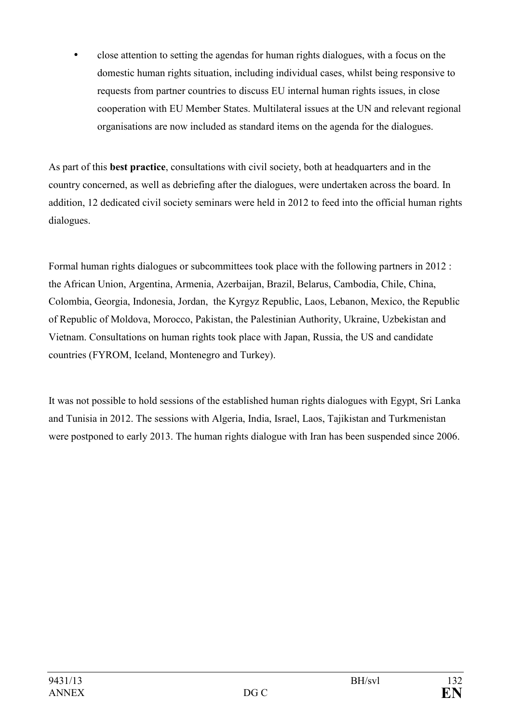• close attention to setting the agendas for human rights dialogues, with a focus on the domestic human rights situation, including individual cases, whilst being responsive to requests from partner countries to discuss EU internal human rights issues, in close cooperation with EU Member States. Multilateral issues at the UN and relevant regional organisations are now included as standard items on the agenda for the dialogues.

As part of this **best practice**, consultations with civil society, both at headquarters and in the country concerned, as well as debriefing after the dialogues, were undertaken across the board. In addition, 12 dedicated civil society seminars were held in 2012 to feed into the official human rights dialogues.

Formal human rights dialogues or subcommittees took place with the following partners in 2012 : the African Union, Argentina, Armenia, Azerbaijan, Brazil, Belarus, Cambodia, Chile, China, Colombia, Georgia, Indonesia, Jordan, the Kyrgyz Republic, Laos, Lebanon, Mexico, the Republic of Republic of Moldova, Morocco, Pakistan, the Palestinian Authority, Ukraine, Uzbekistan and Vietnam. Consultations on human rights took place with Japan, Russia, the US and candidate countries (FYROM, Iceland, Montenegro and Turkey).

It was not possible to hold sessions of the established human rights dialogues with Egypt, Sri Lanka and Tunisia in 2012. The sessions with Algeria, India, Israel, Laos, Tajikistan and Turkmenistan were postponed to early 2013. The human rights dialogue with Iran has been suspended since 2006.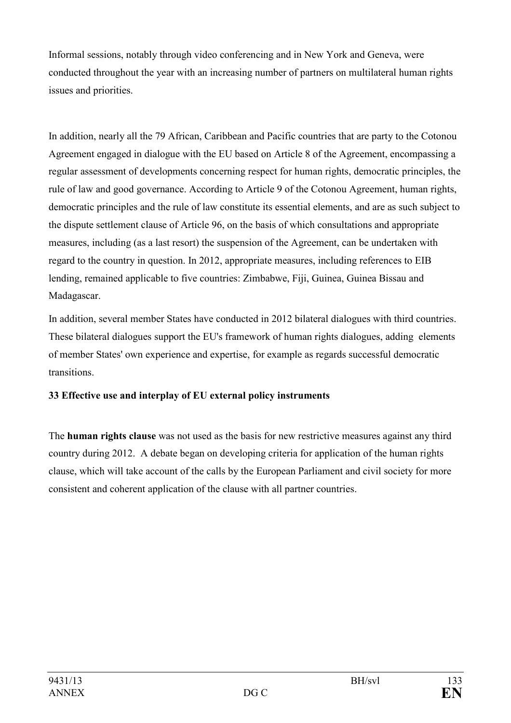Informal sessions, notably through video conferencing and in New York and Geneva, were conducted throughout the year with an increasing number of partners on multilateral human rights issues and priorities.

In addition, nearly all the 79 African, Caribbean and Pacific countries that are party to the Cotonou Agreement engaged in dialogue with the EU based on Article 8 of the Agreement, encompassing a regular assessment of developments concerning respect for human rights, democratic principles, the rule of law and good governance. According to Article 9 of the Cotonou Agreement, human rights, democratic principles and the rule of law constitute its essential elements, and are as such subject to the dispute settlement clause of Article 96, on the basis of which consultations and appropriate measures, including (as a last resort) the suspension of the Agreement, can be undertaken with regard to the country in question. In 2012, appropriate measures, including references to EIB lending, remained applicable to five countries: Zimbabwe, Fiji, Guinea, Guinea Bissau and Madagascar.

In addition, several member States have conducted in 2012 bilateral dialogues with third countries. These bilateral dialogues support the EU's framework of human rights dialogues, adding elements of member States' own experience and expertise, for example as regards successful democratic transitions.

# **33 Effective use and interplay of EU external policy instruments**

The **human rights clause** was not used as the basis for new restrictive measures against any third country during 2012. A debate began on developing criteria for application of the human rights clause, which will take account of the calls by the European Parliament and civil society for more consistent and coherent application of the clause with all partner countries.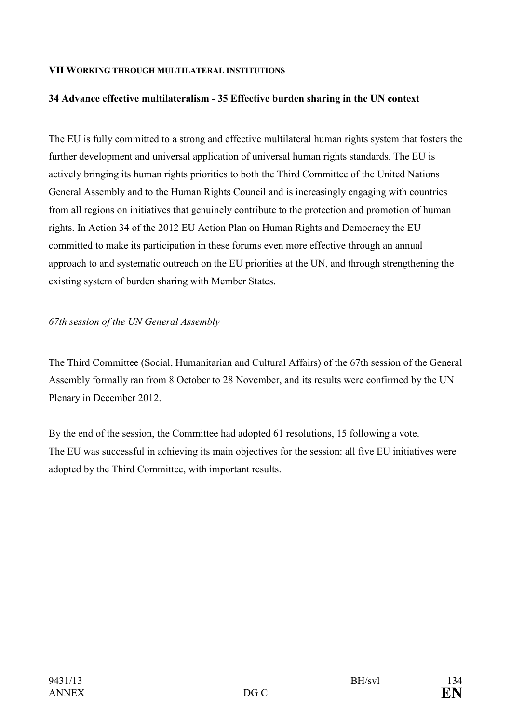#### **VII WORKIG THROUGH MULTILATERAL ISTITUTIOS**

#### 34 Advance effective multilateralism - 35 Effective burden sharing in the UN context

The EU is fully committed to a strong and effective multilateral human rights system that fosters the further development and universal application of universal human rights standards. The EU is actively bringing its human rights priorities to both the Third Committee of the United Nations General Assembly and to the Human Rights Council and is increasingly engaging with countries from all regions on initiatives that genuinely contribute to the protection and promotion of human rights. In Action 34 of the 2012 EU Action Plan on Human Rights and Democracy the EU committed to make its participation in these forums even more effective through an annual approach to and systematic outreach on the EU priorities at the UN, and through strengthening the existing system of burden sharing with Member States.

#### 67th session of the UN General Assembly

The Third Committee (Social, Humanitarian and Cultural Affairs) of the 67th session of the General Assembly formally ran from 8 October to 28 November, and its results were confirmed by the UN Plenary in December 2012.

By the end of the session, the Committee had adopted 61 resolutions, 15 following a vote. The EU was successful in achieving its main objectives for the session: all five EU initiatives were adopted by the Third Committee, with important results.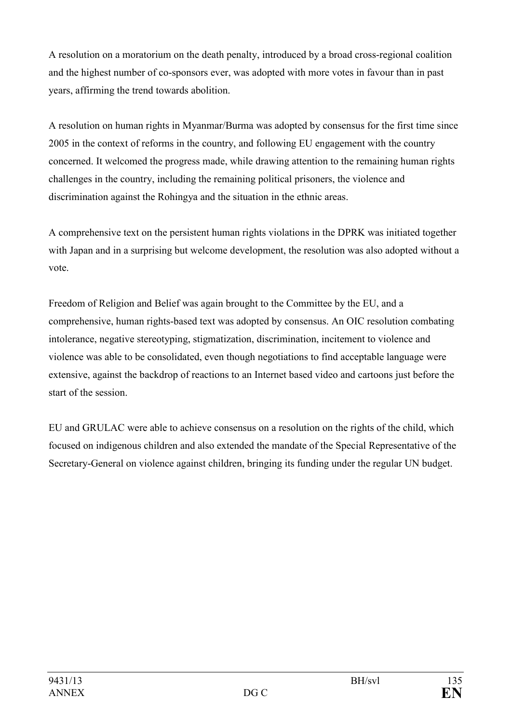A resolution on a moratorium on the death penalty, introduced by a broad cross-regional coalition and the highest number of co-sponsors ever, was adopted with more votes in favour than in past years, affirming the trend towards abolition.

A resolution on human rights in Myanmar/Burma was adopted by consensus for the first time since 2005 in the context of reforms in the country, and following EU engagement with the country concerned. It welcomed the progress made, while drawing attention to the remaining human rights challenges in the country, including the remaining political prisoners, the violence and discrimination against the Rohingya and the situation in the ethnic areas.

A comprehensive text on the persistent human rights violations in the DPRK was initiated together with Japan and in a surprising but welcome development, the resolution was also adopted without a vote.

Freedom of Religion and Belief was again brought to the Committee by the EU, and a comprehensive, human rights-based text was adopted by consensus. An OIC resolution combating intolerance, negative stereotyping, stigmatization, discrimination, incitement to violence and violence was able to be consolidated, even though negotiations to find acceptable language were extensive, against the backdrop of reactions to an Internet based video and cartoons just before the start of the session.

EU and GRULAC were able to achieve consensus on a resolution on the rights of the child, which focused on indigenous children and also extended the mandate of the Special Representative of the Secretary-General on violence against children, bringing its funding under the regular UN budget.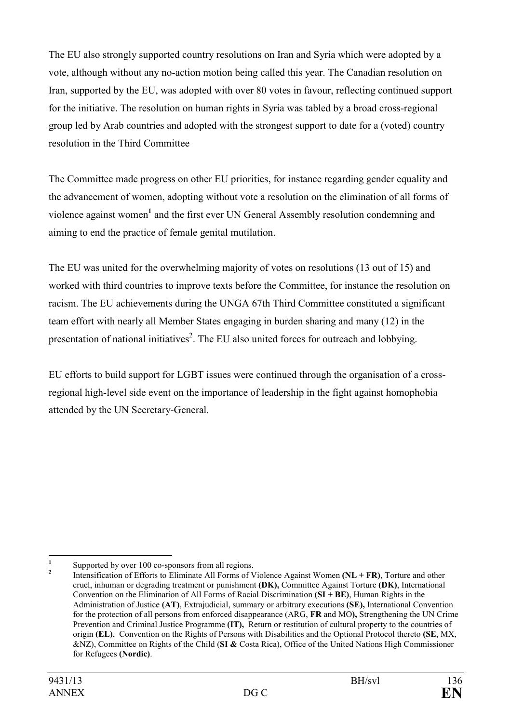The EU also strongly supported country resolutions on Iran and Syria which were adopted by a vote, although without any no-action motion being called this year. The Canadian resolution on Iran, supported by the EU, was adopted with over 80 votes in favour, reflecting continued support for the initiative. The resolution on human rights in Syria was tabled by a broad cross-regional group led by Arab countries and adopted with the strongest support to date for a (voted) country resolution in the Third Committee

The Committee made progress on other EU priorities, for instance regarding gender equality and the advancement of women, adopting without vote a resolution on the elimination of all forms of violence against women<sup>1</sup> and the first ever UN General Assembly resolution condemning and aiming to end the practice of female genital mutilation.

The EU was united for the overwhelming majority of votes on resolutions (13 out of 15) and worked with third countries to improve texts before the Committee, for instance the resolution on racism. The EU achievements during the UNGA 67th Third Committee constituted a significant team effort with nearly all Member States engaging in burden sharing and many (12) in the presentation of national initiatives<sup>2</sup>. The EU also united forces for outreach and lobbying.

EU efforts to build support for LGBT issues were continued through the organisation of a crossregional high-level side event on the importance of leadership in the fight against homophobia attended by the UN Secretary-General.

 **1** Supported by over 100 co-sponsors from all regions.

**<sup>2</sup>** Intensification of Efforts to Eliminate All Forms of Violence Against Women **(NL + FR)**, Torture and other cruel, inhuman or degrading treatment or punishment **(DK),** Committee Against Torture **(DK)**, International Convention on the Elimination of All Forms of Racial Discrimination **(SI + BE)**, Human Rights in the Administration of Justice **(AT)**, Extrajudicial, summary or arbitrary executions **(SE),** International Convention for the protection of all persons from enforced disappearance (ARG, **FR** and MO**),** Strengthening the UN Crime Prevention and Criminal Justice Programme **(IT),** Return or restitution of cultural property to the countries of origin **(EL)**, Convention on the Rights of Persons with Disabilities and the Optional Protocol thereto **(SE**, MX, &NZ), Committee on Rights of the Child (**SI &** Costa Rica), Office of the United Nations High Commissioner for Refugees (Nordic).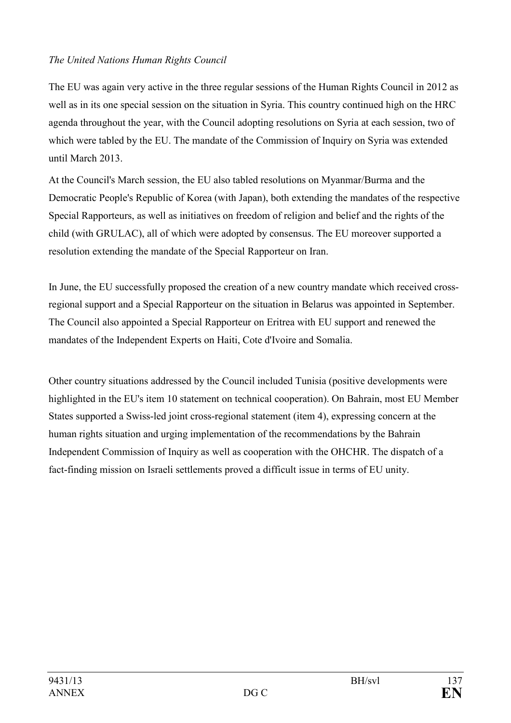# *The United Nations Human Rights Council*

The EU was again very active in the three regular sessions of the Human Rights Council in 2012 as well as in its one special session on the situation in Syria. This country continued high on the HRC agenda throughout the year, with the Council adopting resolutions on Syria at each session, two of which were tabled by the EU. The mandate of the Commission of Inquiry on Syria was extended until March 2013.

At the Council's March session, the EU also tabled resolutions on Myanmar/Burma and the Democratic People's Republic of Korea (with Japan), both extending the mandates of the respective Special Rapporteurs, as well as initiatives on freedom of religion and belief and the rights of the child (with GRULAC), all of which were adopted by consensus. The EU moreover supported a resolution extending the mandate of the Special Rapporteur on Iran.

In June, the EU successfully proposed the creation of a new country mandate which received crossregional support and a Special Rapporteur on the situation in Belarus was appointed in September. The Council also appointed a Special Rapporteur on Eritrea with EU support and renewed the mandates of the Independent Experts on Haiti, Cote d'Ivoire and Somalia.

Other country situations addressed by the Council included Tunisia (positive developments were highlighted in the EU's item 10 statement on technical cooperation). On Bahrain, most EU Member States supported a Swiss-led joint cross-regional statement (item 4), expressing concern at the human rights situation and urging implementation of the recommendations by the Bahrain Independent Commission of Inquiry as well as cooperation with the OHCHR. The dispatch of a fact-finding mission on Israeli settlements proved a difficult issue in terms of EU unity.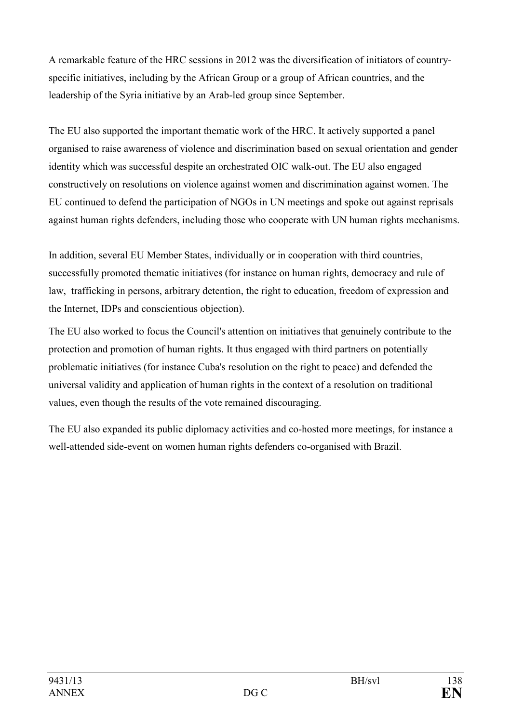A remarkable feature of the HRC sessions in 2012 was the diversification of initiators of countryspecific initiatives, including by the African Group or a group of African countries, and the leadership of the Syria initiative by an Arab-led group since September.

The EU also supported the important thematic work of the HRC. It actively supported a panel organised to raise awareness of violence and discrimination based on sexual orientation and gender identity which was successful despite an orchestrated OIC walk-out. The EU also engaged constructively on resolutions on violence against women and discrimination against women. The EU continued to defend the participation of NGOs in UN meetings and spoke out against reprisals against human rights defenders, including those who cooperate with UN human rights mechanisms.

In addition, several EU Member States, individually or in cooperation with third countries, successfully promoted thematic initiatives (for instance on human rights, democracy and rule of law, trafficking in persons, arbitrary detention, the right to education, freedom of expression and the Internet, IDPs and conscientious objection).

The EU also worked to focus the Council's attention on initiatives that genuinely contribute to the protection and promotion of human rights. It thus engaged with third partners on potentially problematic initiatives (for instance Cuba's resolution on the right to peace) and defended the universal validity and application of human rights in the context of a resolution on traditional values, even though the results of the vote remained discouraging.

The EU also expanded its public diplomacy activities and co-hosted more meetings, for instance a well-attended side-event on women human rights defenders co-organised with Brazil.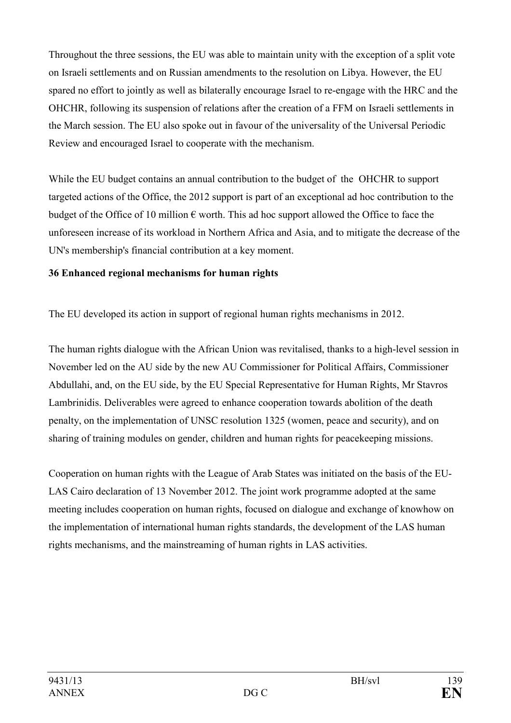Throughout the three sessions, the EU was able to maintain unity with the exception of a split vote on Israeli settlements and on Russian amendments to the resolution on Libya. However, the EU spared no effort to jointly as well as bilaterally encourage Israel to re-engage with the HRC and the OHCHR, following its suspension of relations after the creation of a FFM on Israeli settlements in the March session. The EU also spoke out in favour of the universality of the Universal Periodic Review and encouraged Israel to cooperate with the mechanism.

While the EU budget contains an annual contribution to the budget of the OHCHR to support targeted actions of the Office, the 2012 support is part of an exceptional ad hoc contribution to the budget of the Office of 10 million  $\epsilon$  worth. This ad hoc support allowed the Office to face the unforeseen increase of its workload in Northern Africa and Asia, and to mitigate the decrease of the UN's membership's financial contribution at a key moment.

## **36 Enhanced regional mechanisms for human rights**

The EU developed its action in support of regional human rights mechanisms in 2012.

The human rights dialogue with the African Union was revitalised, thanks to a high-level session in November led on the AU side by the new AU Commissioner for Political Affairs, Commissioner Abdullahi, and, on the EU side, by the EU Special Representative for Human Rights, Mr Stavros Lambrinidis. Deliverables were agreed to enhance cooperation towards abolition of the death penalty, on the implementation of UNSC resolution 1325 (women, peace and security), and on sharing of training modules on gender, children and human rights for peacekeeping missions.

Cooperation on human rights with the League of Arab States was initiated on the basis of the EU-LAS Cairo declaration of 13 November 2012. The joint work programme adopted at the same meeting includes cooperation on human rights, focused on dialogue and exchange of knowhow on the implementation of international human rights standards, the development of the LAS human rights mechanisms, and the mainstreaming of human rights in LAS activities.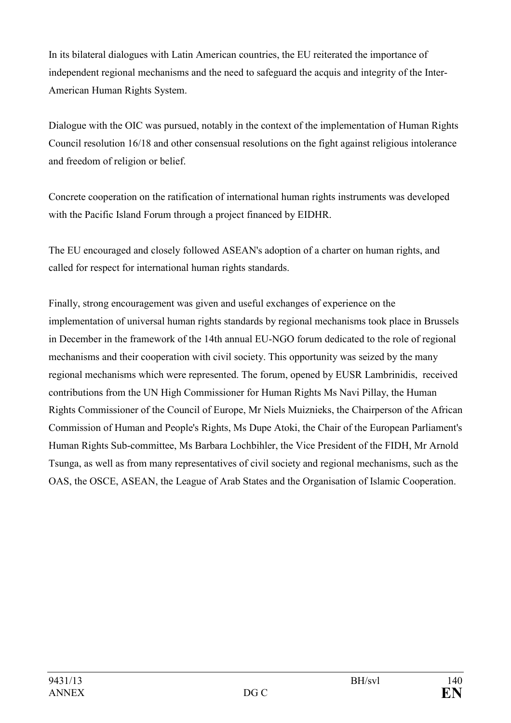In its bilateral dialogues with Latin American countries, the EU reiterated the importance of independent regional mechanisms and the need to safeguard the acquis and integrity of the Inter-American Human Rights System.

Dialogue with the OIC was pursued, notably in the context of the implementation of Human Rights Council resolution 16/18 and other consensual resolutions on the fight against religious intolerance and freedom of religion or belief.

Concrete cooperation on the ratification of international human rights instruments was developed with the Pacific Island Forum through a project financed by EIDHR.

The EU encouraged and closely followed ASEAN's adoption of a charter on human rights, and called for respect for international human rights standards.

Finally, strong encouragement was given and useful exchanges of experience on the implementation of universal human rights standards by regional mechanisms took place in Brussels in December in the framework of the 14th annual EU-NGO forum dedicated to the role of regional mechanisms and their cooperation with civil society. This opportunity was seized by the many regional mechanisms which were represented. The forum, opened by EUSR Lambrinidis, received contributions from the UN High Commissioner for Human Rights Ms Navi Pillay, the Human Rights Commissioner of the Council of Europe, Mr Niels Muiznieks, the Chairperson of the African Commission of Human and People's Rights, Ms Dupe Atoki, the Chair of the European Parliament's Human Rights Sub-committee, Ms Barbara Lochbihler, the Vice President of the FIDH, Mr Arnold Tsunga, as well as from many representatives of civil society and regional mechanisms, such as the OAS, the OSCE, ASEAN, the League of Arab States and the Organisation of Islamic Cooperation.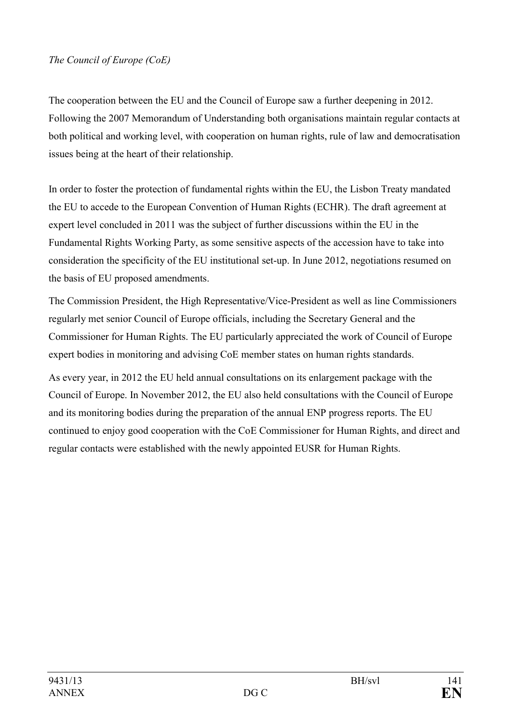The cooperation between the EU and the Council of Europe saw a further deepening in 2012. Following the 2007 Memorandum of Understanding both organisations maintain regular contacts at both political and working level, with cooperation on human rights, rule of law and democratisation issues being at the heart of their relationship.

In order to foster the protection of fundamental rights within the EU, the Lisbon Treaty mandated the EU to accede to the European Convention of Human Rights (ECHR). The draft agreement at expert level concluded in 2011 was the subject of further discussions within the EU in the Fundamental Rights Working Party, as some sensitive aspects of the accession have to take into consideration the specificity of the EU institutional set-up. In June 2012, negotiations resumed on the basis of EU proposed amendments.

The Commission President, the High Representative/Vice-President as well as line Commissioners regularly met senior Council of Europe officials, including the Secretary General and the Commissioner for Human Rights. The EU particularly appreciated the work of Council of Europe expert bodies in monitoring and advising CoE member states on human rights standards.

As every year, in 2012 the EU held annual consultations on its enlargement package with the Council of Europe. In November 2012, the EU also held consultations with the Council of Europe and its monitoring bodies during the preparation of the annual ENP progress reports. The EU continued to enjoy good cooperation with the CoE Commissioner for Human Rights, and direct and regular contacts were established with the newly appointed EUSR for Human Rights.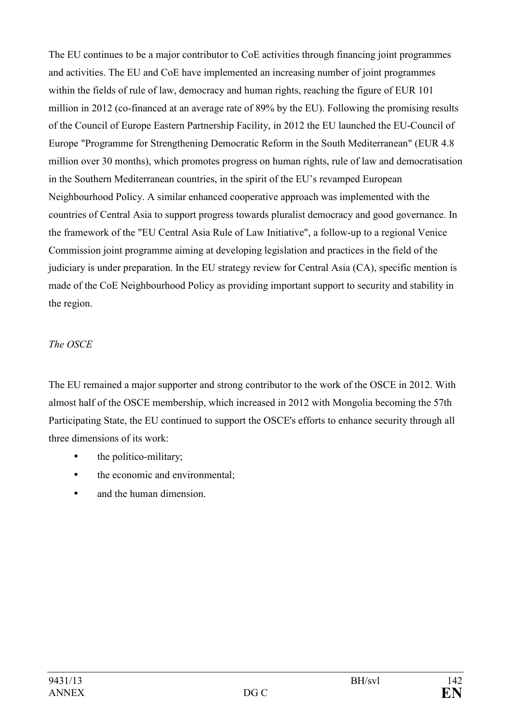The EU continues to be a major contributor to CoE activities through financing joint programmes and activities. The EU and CoE have implemented an increasing number of joint programmes within the fields of rule of law, democracy and human rights, reaching the figure of EUR 101 million in 2012 (co-financed at an average rate of 89% by the EU). Following the promising results of the Council of Europe Eastern Partnership Facility, in 2012 the EU launched the EU-Council of Europe "Programme for Strengthening Democratic Reform in the South Mediterranean" (EUR 4.8 million over 30 months), which promotes progress on human rights, rule of law and democratisation in the Southern Mediterranean countries, in the spirit of the EU's revamped European Neighbourhood Policy. A similar enhanced cooperative approach was implemented with the countries of Central Asia to support progress towards pluralist democracy and good governance. In the framework of the "EU Central Asia Rule of Law Initiative", a follow-up to a regional Venice Commission joint programme aiming at developing legislation and practices in the field of the judiciary is under preparation. In the EU strategy review for Central Asia (CA), specific mention is made of the CoE Neighbourhood Policy as providing important support to security and stability in the region.

# *The OSCE*

The EU remained a major supporter and strong contributor to the work of the OSCE in 2012. With almost half of the OSCE membership, which increased in 2012 with Mongolia becoming the 57th Participating State, the EU continued to support the OSCE's efforts to enhance security through all three dimensions of its work:

- the politico-military;
- the economic and environmental:
- and the human dimension.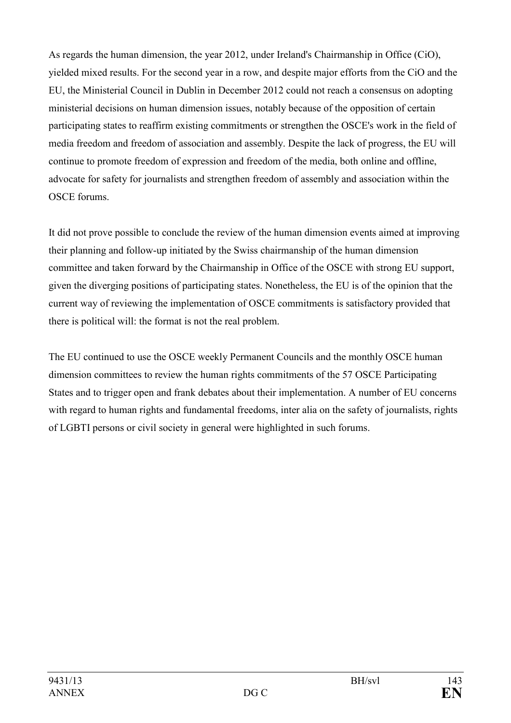As regards the human dimension, the year 2012, under Ireland's Chairmanship in Office (CiO), yielded mixed results. For the second year in a row, and despite major efforts from the CiO and the EU, the Ministerial Council in Dublin in December 2012 could not reach a consensus on adopting ministerial decisions on human dimension issues, notably because of the opposition of certain participating states to reaffirm existing commitments or strengthen the OSCE's work in the field of media freedom and freedom of association and assembly. Despite the lack of progress, the EU will continue to promote freedom of expression and freedom of the media, both online and offline, advocate for safety for journalists and strengthen freedom of assembly and association within the OSCE forums.

It did not prove possible to conclude the review of the human dimension events aimed at improving their planning and follow-up initiated by the Swiss chairmanship of the human dimension committee and taken forward by the Chairmanship in Office of the OSCE with strong EU support, given the diverging positions of participating states. Nonetheless, the EU is of the opinion that the current way of reviewing the implementation of OSCE commitments is satisfactory provided that there is political will: the format is not the real problem.

The EU continued to use the OSCE weekly Permanent Councils and the monthly OSCE human dimension committees to review the human rights commitments of the 57 OSCE Participating States and to trigger open and frank debates about their implementation. A number of EU concerns with regard to human rights and fundamental freedoms, inter alia on the safety of journalists, rights of LGBTI persons or civil society in general were highlighted in such forums.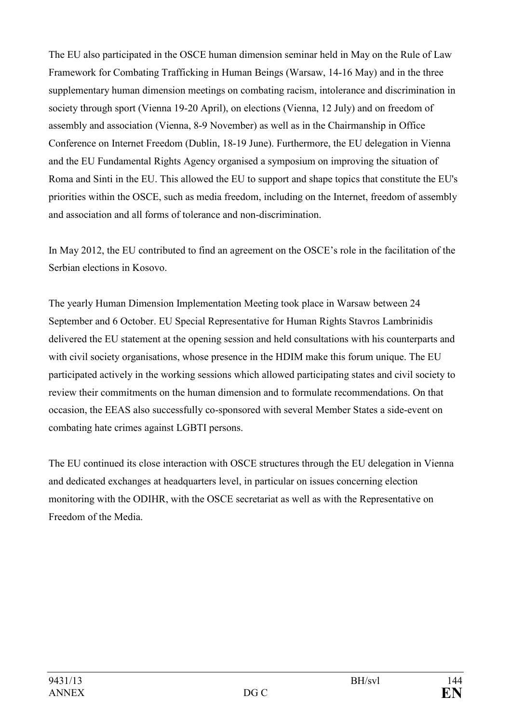The EU also participated in the OSCE human dimension seminar held in May on the Rule of Law Framework for Combating Trafficking in Human Beings (Warsaw, 14-16 May) and in the three supplementary human dimension meetings on combating racism, intolerance and discrimination in society through sport (Vienna 19-20 April), on elections (Vienna, 12 July) and on freedom of assembly and association (Vienna, 8-9 November) as well as in the Chairmanship in Office Conference on Internet Freedom (Dublin, 18-19 June). Furthermore, the EU delegation in Vienna and the EU Fundamental Rights Agency organised a symposium on improving the situation of Roma and Sinti in the EU. This allowed the EU to support and shape topics that constitute the EU's priorities within the OSCE, such as media freedom, including on the Internet, freedom of assembly and association and all forms of tolerance and non-discrimination.

In May 2012, the EU contributed to find an agreement on the OSCE's role in the facilitation of the Serbian elections in Kosovo.

The yearly Human Dimension Implementation Meeting took place in Warsaw between 24 September and 6 October. EU Special Representative for Human Rights Stavros Lambrinidis delivered the EU statement at the opening session and held consultations with his counterparts and with civil society organisations, whose presence in the HDIM make this forum unique. The EU participated actively in the working sessions which allowed participating states and civil society to review their commitments on the human dimension and to formulate recommendations. On that occasion, the EEAS also successfully co-sponsored with several Member States a side-event on combating hate crimes against LGBTI persons.

The EU continued its close interaction with OSCE structures through the EU delegation in Vienna and dedicated exchanges at headquarters level, in particular on issues concerning election monitoring with the ODIHR, with the OSCE secretariat as well as with the Representative on Freedom of the Media.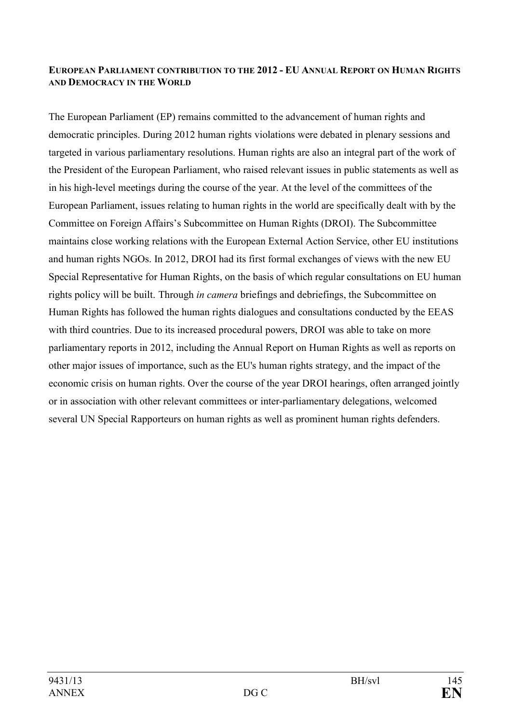#### **EUROPEA PARLIAMET COTRIBUTIO TO THE 2012 - EU AUAL REPORT O HUMA RIGHTS AND DEMOCRACY IN THE WORLD**

The European Parliament (EP) remains committed to the advancement of human rights and democratic principles. During 2012 human rights violations were debated in plenary sessions and targeted in various parliamentary resolutions. Human rights are also an integral part of the work of the President of the European Parliament, who raised relevant issues in public statements as well as in his high-level meetings during the course of the year. At the level of the committees of the European Parliament, issues relating to human rights in the world are specifically dealt with by the Committee on Foreign Affairs's Subcommittee on Human Rights (DROI). The Subcommittee maintains close working relations with the European External Action Service, other EU institutions and human rights NGOs. In 2012, DROI had its first formal exchanges of views with the new EU Special Representative for Human Rights, on the basis of which regular consultations on EU human rights policy will be built. Through *in camera* briefings and debriefings, the Subcommittee on Human Rights has followed the human rights dialogues and consultations conducted by the EEAS with third countries. Due to its increased procedural powers, DROI was able to take on more parliamentary reports in 2012, including the Annual Report on Human Rights as well as reports on other major issues of importance, such as the EU's human rights strategy, and the impact of the economic crisis on human rights. Over the course of the year DROI hearings, often arranged jointly or in association with other relevant committees or inter-parliamentary delegations, welcomed several UN Special Rapporteurs on human rights as well as prominent human rights defenders.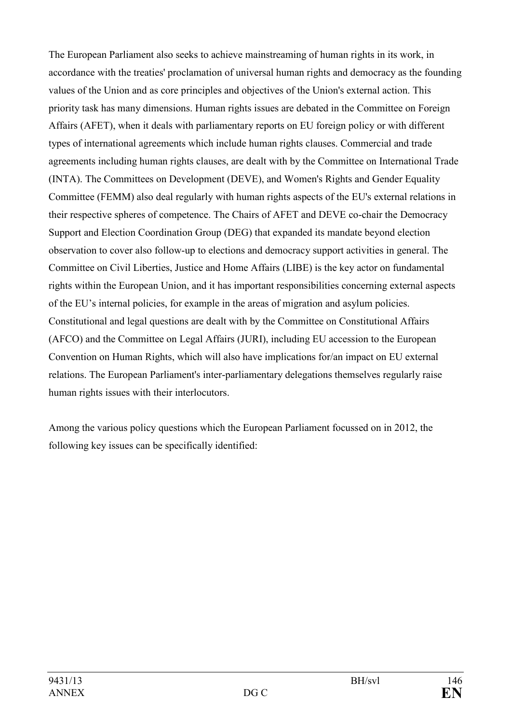The European Parliament also seeks to achieve mainstreaming of human rights in its work, in accordance with the treaties' proclamation of universal human rights and democracy as the founding values of the Union and as core principles and objectives of the Union's external action. This priority task has many dimensions. Human rights issues are debated in the Committee on Foreign Affairs (AFET), when it deals with parliamentary reports on EU foreign policy or with different types of international agreements which include human rights clauses. Commercial and trade agreements including human rights clauses, are dealt with by the Committee on International Trade (INTA). The Committees on Development (DEVE), and Women's Rights and Gender Equality Committee (FEMM) also deal regularly with human rights aspects of the EU's external relations in their respective spheres of competence. The Chairs of AFET and DEVE co-chair the Democracy Support and Election Coordination Group (DEG) that expanded its mandate beyond election observation to cover also follow-up to elections and democracy support activities in general. The Committee on Civil Liberties, Justice and Home Affairs (LIBE) is the key actor on fundamental rights within the European Union, and it has important responsibilities concerning external aspects of the EU's internal policies, for example in the areas of migration and asylum policies. Constitutional and legal questions are dealt with by the Committee on Constitutional Affairs (AFCO) and the Committee on Legal Affairs (JURI), including EU accession to the European Convention on Human Rights, which will also have implications for/an impact on EU external relations. The European Parliament's inter-parliamentary delegations themselves regularly raise human rights issues with their interlocutors.

Among the various policy questions which the European Parliament focussed on in 2012, the following key issues can be specifically identified: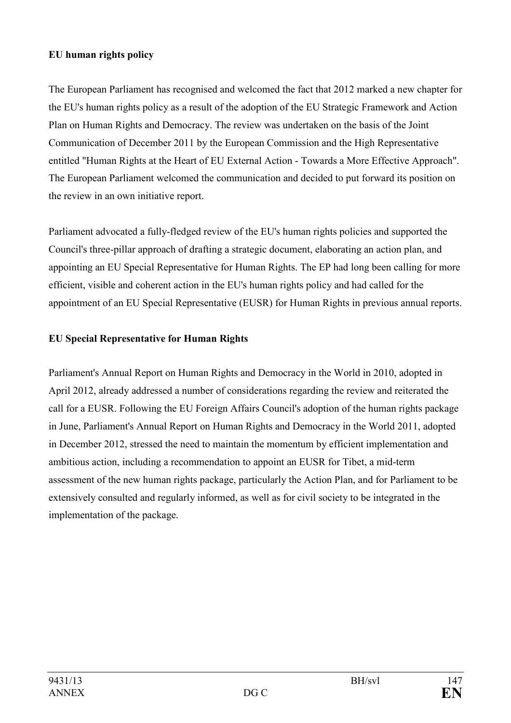## **EU human rights policy**

The European Parliament has recognised and welcomed the fact that 2012 marked a new chapter for the EU's human rights policy as a result of the adoption of the EU Strategic Framework and Action Plan on Human Rights and Democracy. The review was undertaken on the basis of the Joint Communication of December 2011 by the European Commission and the High Representative entitled "Human Rights at the Heart of EU External Action - Towards a More Effective Approach". The European Parliament welcomed the communication and decided to put forward its position on the review in an own initiative report.

Parliament advocated a fully-fledged review of the EU's human rights policies and supported the Council's three-pillar approach of drafting a strategic document, elaborating an action plan, and appointing an EU Special Representative for Human Rights. The EP had long been calling for more efficient, visible and coherent action in the EU's human rights policy and had called for the appointment of an EU Special Representative (EUSR) for Human Rights in previous annual reports.

# **EU Special Representative for Human Rights**

Parliament's Annual Report on Human Rights and Democracy in the World in 2010, adopted in April 2012, already addressed a number of considerations regarding the review and reiterated the call for a EUSR. Following the EU Foreign Affairs Council's adoption of the human rights package in June, Parliament's Annual Report on Human Rights and Democracy in the World 2011, adopted in December 2012, stressed the need to maintain the momentum by efficient implementation and ambitious action, including a recommendation to appoint an EUSR for Tibet, a mid-term assessment of the new human rights package, particularly the Action Plan, and for Parliament to be extensively consulted and regularly informed, as well as for civil society to be integrated in the implementation of the package.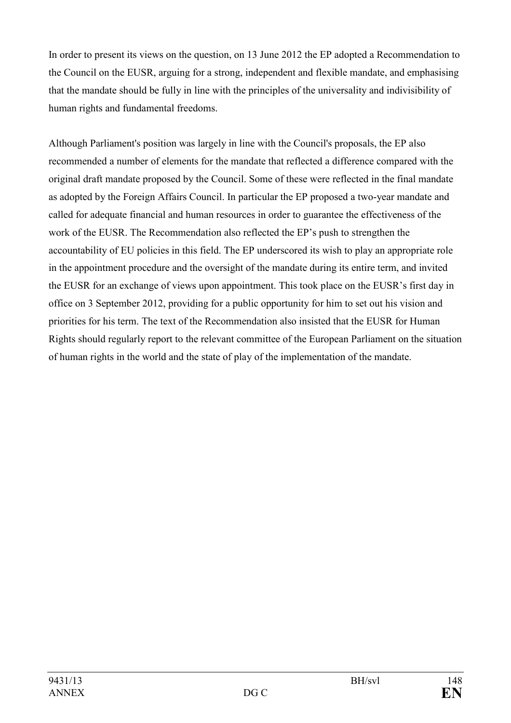In order to present its views on the question, on 13 June 2012 the EP adopted a Recommendation to the Council on the EUSR, arguing for a strong, independent and flexible mandate, and emphasising that the mandate should be fully in line with the principles of the universality and indivisibility of human rights and fundamental freedoms.

Although Parliament's position was largely in line with the Council's proposals, the EP also recommended a number of elements for the mandate that reflected a difference compared with the original draft mandate proposed by the Council. Some of these were reflected in the final mandate as adopted by the Foreign Affairs Council. In particular the EP proposed a two-year mandate and called for adequate financial and human resources in order to guarantee the effectiveness of the work of the EUSR. The Recommendation also reflected the EP's push to strengthen the accountability of EU policies in this field. The EP underscored its wish to play an appropriate role in the appointment procedure and the oversight of the mandate during its entire term, and invited the EUSR for an exchange of views upon appointment. This took place on the EUSR's first day in office on 3 September 2012, providing for a public opportunity for him to set out his vision and priorities for his term. The text of the Recommendation also insisted that the EUSR for Human Rights should regularly report to the relevant committee of the European Parliament on the situation of human rights in the world and the state of play of the implementation of the mandate.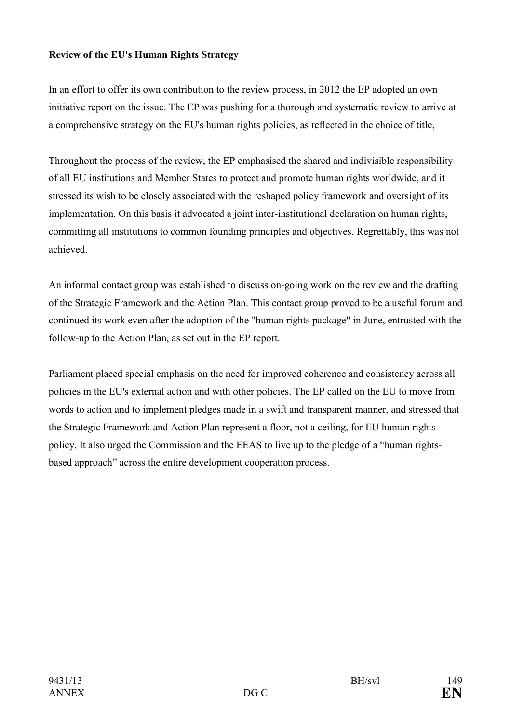## **Review of the EU's Human Rights Strategy**

In an effort to offer its own contribution to the review process, in 2012 the EP adopted an own initiative report on the issue. The EP was pushing for a thorough and systematic review to arrive at a comprehensive strategy on the EU's human rights policies, as reflected in the choice of title,

Throughout the process of the review, the EP emphasised the shared and indivisible responsibility of all EU institutions and Member States to protect and promote human rights worldwide, and it stressed its wish to be closely associated with the reshaped policy framework and oversight of its implementation. On this basis it advocated a joint inter-institutional declaration on human rights, committing all institutions to common founding principles and objectives. Regrettably, this was not achieved.

An informal contact group was established to discuss on-going work on the review and the drafting of the Strategic Framework and the Action Plan. This contact group proved to be a useful forum and continued its work even after the adoption of the "human rights package" in June, entrusted with the follow-up to the Action Plan, as set out in the EP report.

Parliament placed special emphasis on the need for improved coherence and consistency across all policies in the EU's external action and with other policies. The EP called on the EU to move from words to action and to implement pledges made in a swift and transparent manner, and stressed that the Strategic Framework and Action Plan represent a floor, not a ceiling, for EU human rights policy. It also urged the Commission and the EEAS to live up to the pledge of a "human rightsbased approach" across the entire development cooperation process.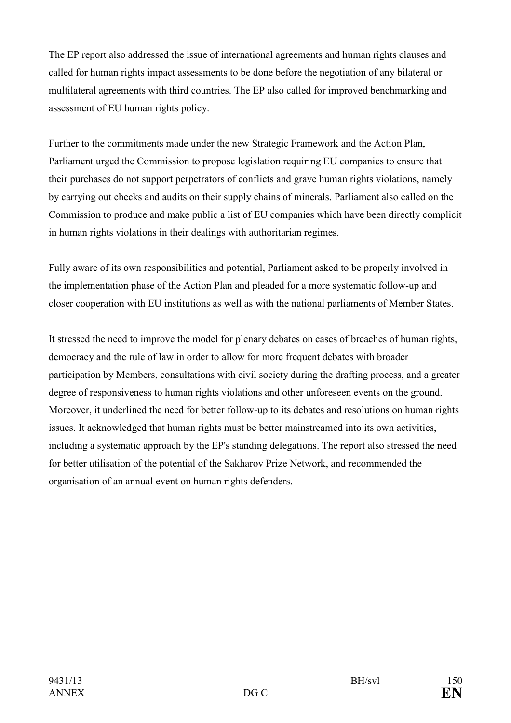The EP report also addressed the issue of international agreements and human rights clauses and called for human rights impact assessments to be done before the negotiation of any bilateral or multilateral agreements with third countries. The EP also called for improved benchmarking and assessment of EU human rights policy.

Further to the commitments made under the new Strategic Framework and the Action Plan, Parliament urged the Commission to propose legislation requiring EU companies to ensure that their purchases do not support perpetrators of conflicts and grave human rights violations, namely by carrying out checks and audits on their supply chains of minerals. Parliament also called on the Commission to produce and make public a list of EU companies which have been directly complicit in human rights violations in their dealings with authoritarian regimes.

Fully aware of its own responsibilities and potential, Parliament asked to be properly involved in the implementation phase of the Action Plan and pleaded for a more systematic follow-up and closer cooperation with EU institutions as well as with the national parliaments of Member States.

It stressed the need to improve the model for plenary debates on cases of breaches of human rights, democracy and the rule of law in order to allow for more frequent debates with broader participation by Members, consultations with civil society during the drafting process, and a greater degree of responsiveness to human rights violations and other unforeseen events on the ground. Moreover, it underlined the need for better follow-up to its debates and resolutions on human rights issues. It acknowledged that human rights must be better mainstreamed into its own activities, including a systematic approach by the EP's standing delegations. The report also stressed the need for better utilisation of the potential of the Sakharov Prize Network, and recommended the organisation of an annual event on human rights defenders.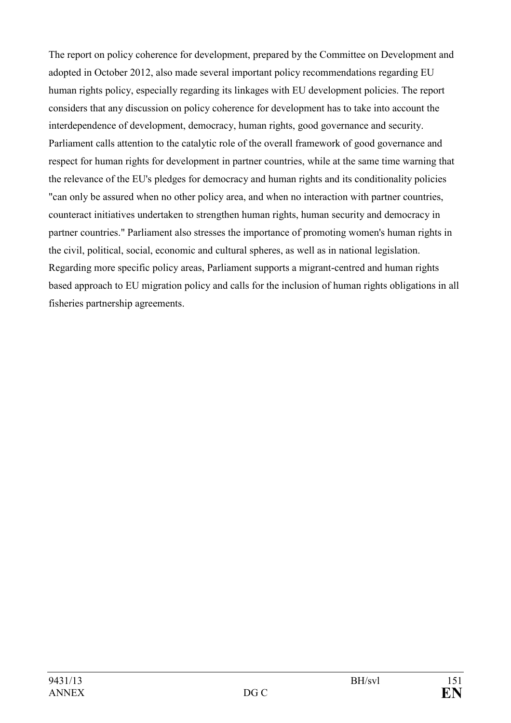The report on policy coherence for development, prepared by the Committee on Development and adopted in October 2012, also made several important policy recommendations regarding EU human rights policy, especially regarding its linkages with EU development policies. The report considers that any discussion on policy coherence for development has to take into account the interdependence of development, democracy, human rights, good governance and security. Parliament calls attention to the catalytic role of the overall framework of good governance and respect for human rights for development in partner countries, while at the same time warning that the relevance of the EU's pledges for democracy and human rights and its conditionality policies "can only be assured when no other policy area, and when no interaction with partner countries, counteract initiatives undertaken to strengthen human rights, human security and democracy in partner countries." Parliament also stresses the importance of promoting women's human rights in the civil, political, social, economic and cultural spheres, as well as in national legislation. Regarding more specific policy areas, Parliament supports a migrant-centred and human rights based approach to EU migration policy and calls for the inclusion of human rights obligations in all fisheries partnership agreements.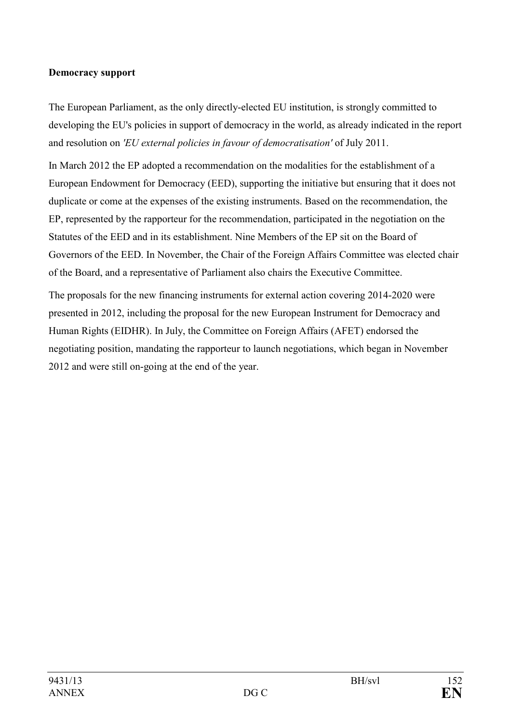#### **Democracy support**

The European Parliament, as the only directly-elected EU institution, is strongly committed to developing the EU's policies in support of democracy in the world, as already indicated in the report and resolution on *'EU external policies in favour of democratisation'* of July 2011.

In March 2012 the EP adopted a recommendation on the modalities for the establishment of a European Endowment for Democracy (EED), supporting the initiative but ensuring that it does not duplicate or come at the expenses of the existing instruments. Based on the recommendation, the EP, represented by the rapporteur for the recommendation, participated in the negotiation on the Statutes of the EED and in its establishment. Nine Members of the EP sit on the Board of Governors of the EED. In November, the Chair of the Foreign Affairs Committee was elected chair of the Board, and a representative of Parliament also chairs the Executive Committee.

The proposals for the new financing instruments for external action covering 2014-2020 were presented in 2012, including the proposal for the new European Instrument for Democracy and Human Rights (EIDHR). In July, the Committee on Foreign Affairs (AFET) endorsed the negotiating position, mandating the rapporteur to launch negotiations, which began in November 2012 and were still on-going at the end of the year.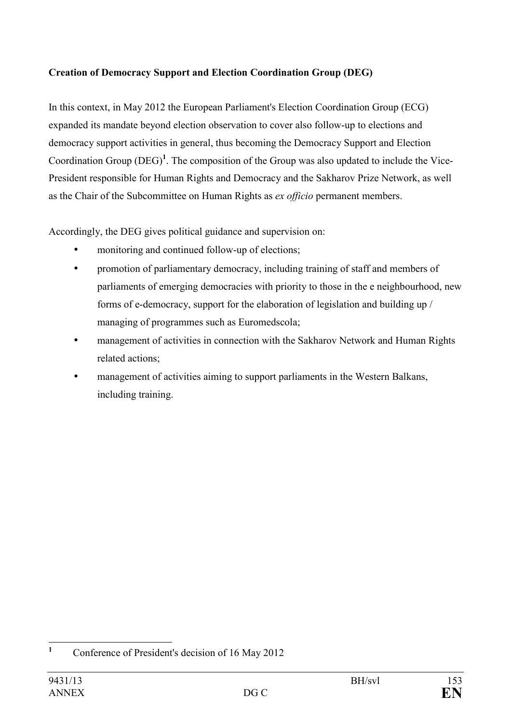# **Creation of Democracy Support and Election Coordination Group (DEG)**

In this context, in May 2012 the European Parliament's Election Coordination Group (ECG) expanded its mandate beyond election observation to cover also follow-up to elections and democracy support activities in general, thus becoming the Democracy Support and Election Coordination Group (DEG)**<sup>1</sup>** . The composition of the Group was also updated to include the Vice-President responsible for Human Rights and Democracy and the Sakharov Prize Network, as well as the Chair of the Subcommittee on Human Rights as *ex officio* permanent members.

Accordingly, the DEG gives political guidance and supervision on:

- monitoring and continued follow-up of elections;
- promotion of parliamentary democracy, including training of staff and members of parliaments of emerging democracies with priority to those in the e neighbourhood, new forms of e-democracy, support for the elaboration of legislation and building up / managing of programmes such as Euromedscola;
- management of activities in connection with the Sakharov Network and Human Rights related actions;
- management of activities aiming to support parliaments in the Western Balkans, including training.

 **1** Conference of President's decision of 16 May 2012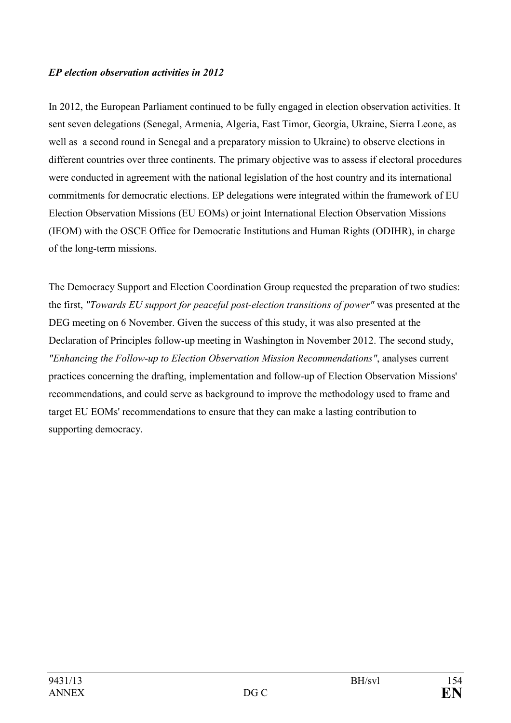## *EP election observation activities in 2012*

In 2012, the European Parliament continued to be fully engaged in election observation activities. It sent seven delegations (Senegal, Armenia, Algeria, East Timor, Georgia, Ukraine, Sierra Leone, as well as a second round in Senegal and a preparatory mission to Ukraine) to observe elections in different countries over three continents. The primary objective was to assess if electoral procedures were conducted in agreement with the national legislation of the host country and its international commitments for democratic elections. EP delegations were integrated within the framework of EU Election Observation Missions (EU EOMs) or joint International Election Observation Missions (IEOM) with the OSCE Office for Democratic Institutions and Human Rights (ODIHR), in charge of the long-term missions.

The Democracy Support and Election Coordination Group requested the preparation of two studies: the first, *"Towards EU support for peaceful post-election transitions of power"* was presented at the DEG meeting on 6 November. Given the success of this study, it was also presented at the Declaration of Principles follow-up meeting in Washington in November 2012. The second study, *"Enhancing the Follow-up to Election Observation Mission Recommendations"*, analyses current practices concerning the drafting, implementation and follow-up of Election Observation Missions' recommendations, and could serve as background to improve the methodology used to frame and target EU EOMs' recommendations to ensure that they can make a lasting contribution to supporting democracy.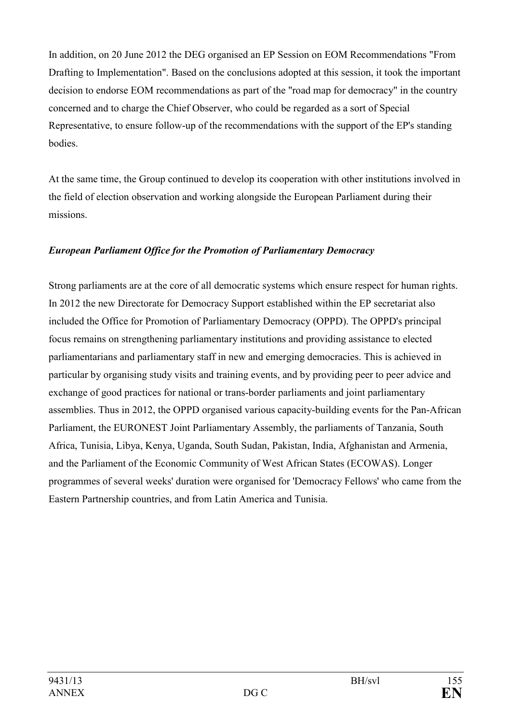In addition, on 20 June 2012 the DEG organised an EP Session on EOM Recommendations "From Drafting to Implementation". Based on the conclusions adopted at this session, it took the important decision to endorse EOM recommendations as part of the "road map for democracy" in the country concerned and to charge the Chief Observer, who could be regarded as a sort of Special Representative, to ensure follow-up of the recommendations with the support of the EP's standing bodies.

At the same time, the Group continued to develop its cooperation with other institutions involved in the field of election observation and working alongside the European Parliament during their missions.

## *European Parliament Office for the Promotion of Parliamentary Democracy*

Strong parliaments are at the core of all democratic systems which ensure respect for human rights. In 2012 the new Directorate for Democracy Support established within the EP secretariat also included the Office for Promotion of Parliamentary Democracy (OPPD). The OPPD's principal focus remains on strengthening parliamentary institutions and providing assistance to elected parliamentarians and parliamentary staff in new and emerging democracies. This is achieved in particular by organising study visits and training events, and by providing peer to peer advice and exchange of good practices for national or trans-border parliaments and joint parliamentary assemblies. Thus in 2012, the OPPD organised various capacity-building events for the Pan-African Parliament, the EURONEST Joint Parliamentary Assembly, the parliaments of Tanzania, South Africa, Tunisia, Libya, Kenya, Uganda, South Sudan, Pakistan, India, Afghanistan and Armenia, and the Parliament of the Economic Community of West African States (ECOWAS). Longer programmes of several weeks' duration were organised for 'Democracy Fellows' who came from the Eastern Partnership countries, and from Latin America and Tunisia.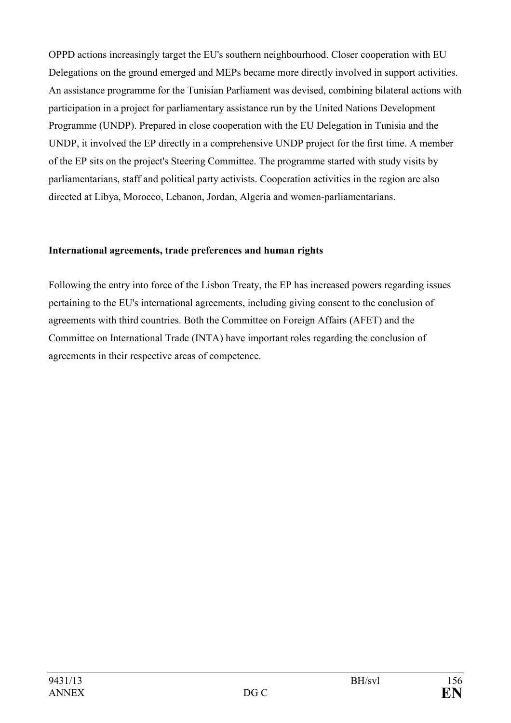OPPD actions increasingly target the EU's southern neighbourhood. Closer cooperation with EU Delegations on the ground emerged and MEPs became more directly involved in support activities. An assistance programme for the Tunisian Parliament was devised, combining bilateral actions with participation in a project for parliamentary assistance run by the United Nations Development Programme (UNDP). Prepared in close cooperation with the EU Delegation in Tunisia and the UNDP, it involved the EP directly in a comprehensive UNDP project for the first time. A member of the EP sits on the project's Steering Committee. The programme started with study visits by parliamentarians, staff and political party activists. Cooperation activities in the region are also directed at Libya, Morocco, Lebanon, Jordan, Algeria and women-parliamentarians.

#### **International agreements, trade preferences and human rights**

Following the entry into force of the Lisbon Treaty, the EP has increased powers regarding issues pertaining to the EU's international agreements, including giving consent to the conclusion of agreements with third countries. Both the Committee on Foreign Affairs (AFET) and the Committee on International Trade (INTA) have important roles regarding the conclusion of agreements in their respective areas of competence.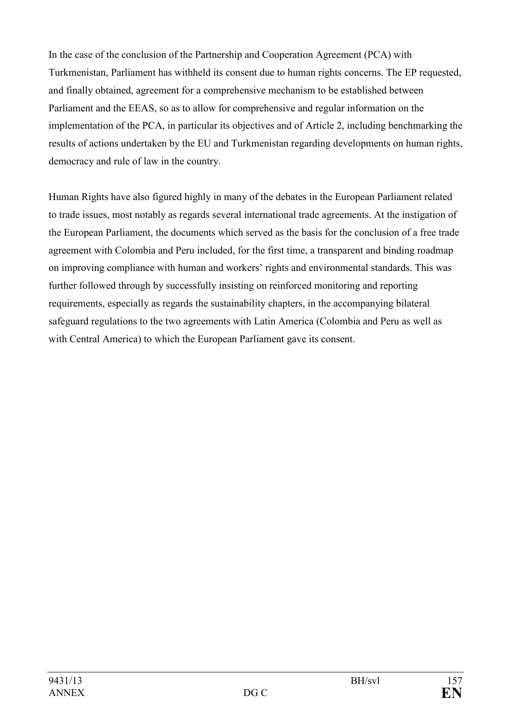In the case of the conclusion of the Partnership and Cooperation Agreement (PCA) with Turkmenistan, Parliament has withheld its consent due to human rights concerns. The EP requested, and finally obtained, agreement for a comprehensive mechanism to be established between Parliament and the EEAS, so as to allow for comprehensive and regular information on the implementation of the PCA, in particular its objectives and of Article 2, including benchmarking the results of actions undertaken by the EU and Turkmenistan regarding developments on human rights, democracy and rule of law in the country.

Human Rights have also figured highly in many of the debates in the European Parliament related to trade issues, most notably as regards several international trade agreements. At the instigation of the European Parliament, the documents which served as the basis for the conclusion of a free trade agreement with Colombia and Peru included, for the first time, a transparent and binding roadmap on improving compliance with human and workers' rights and environmental standards. This was further followed through by successfully insisting on reinforced monitoring and reporting requirements, especially as regards the sustainability chapters, in the accompanying bilateral safeguard regulations to the two agreements with Latin America (Colombia and Peru as well as with Central America) to which the European Parliament gave its consent.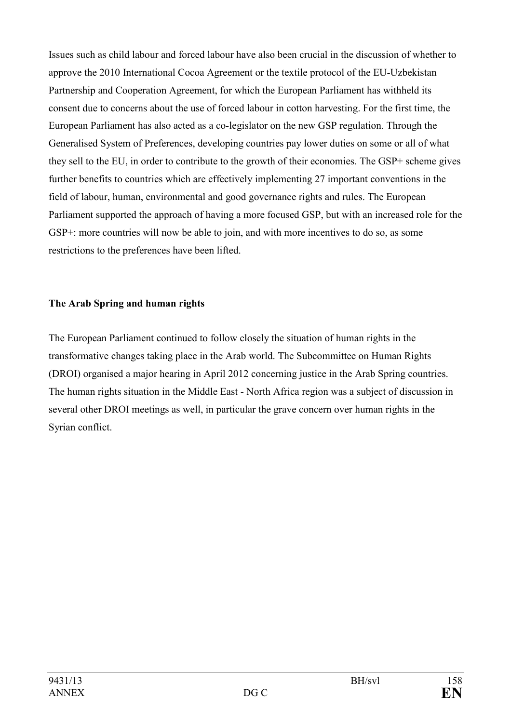Issues such as child labour and forced labour have also been crucial in the discussion of whether to approve the 2010 International Cocoa Agreement or the textile protocol of the EU-Uzbekistan Partnership and Cooperation Agreement, for which the European Parliament has withheld its consent due to concerns about the use of forced labour in cotton harvesting. For the first time, the European Parliament has also acted as a co-legislator on the new GSP regulation. Through the Generalised System of Preferences, developing countries pay lower duties on some or all of what they sell to the EU, in order to contribute to the growth of their economies. The GSP+ scheme gives further benefits to countries which are effectively implementing 27 important conventions in the field of labour, human, environmental and good governance rights and rules. The European Parliament supported the approach of having a more focused GSP, but with an increased role for the GSP+: more countries will now be able to join, and with more incentives to do so, as some restrictions to the preferences have been lifted.

## **The Arab Spring and human rights**

The European Parliament continued to follow closely the situation of human rights in the transformative changes taking place in the Arab world. The Subcommittee on Human Rights (DROI) organised a major hearing in April 2012 concerning justice in the Arab Spring countries. The human rights situation in the Middle East - North Africa region was a subject of discussion in several other DROI meetings as well, in particular the grave concern over human rights in the Syrian conflict.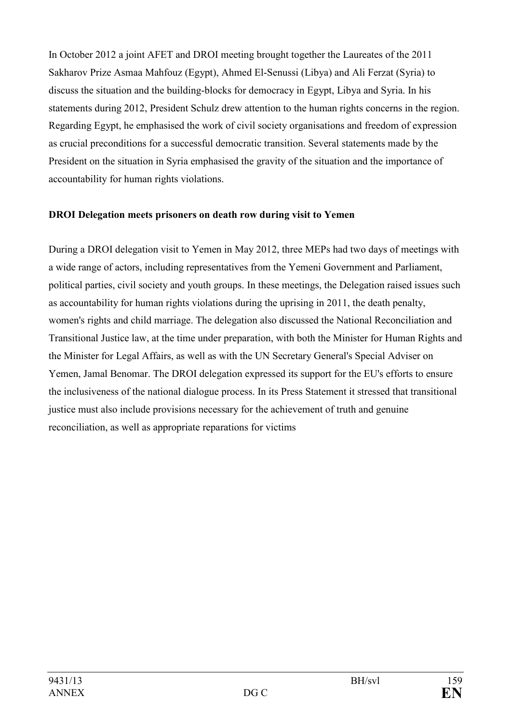In October 2012 a joint AFET and DROI meeting brought together the Laureates of the 2011 Sakharov Prize Asmaa Mahfouz (Egypt), Ahmed El-Senussi (Libya) and Ali Ferzat (Syria) to discuss the situation and the building-blocks for democracy in Egypt, Libya and Syria. In his statements during 2012, President Schulz drew attention to the human rights concerns in the region. Regarding Egypt, he emphasised the work of civil society organisations and freedom of expression as crucial preconditions for a successful democratic transition. Several statements made by the President on the situation in Syria emphasised the gravity of the situation and the importance of accountability for human rights violations.

#### **DROI Delegation meets prisoners on death row during visit to Yemen**

During a DROI delegation visit to Yemen in May 2012, three MEPs had two days of meetings with a wide range of actors, including representatives from the Yemeni Government and Parliament, political parties, civil society and youth groups. In these meetings, the Delegation raised issues such as accountability for human rights violations during the uprising in 2011, the death penalty, women's rights and child marriage. The delegation also discussed the National Reconciliation and Transitional Justice law, at the time under preparation, with both the Minister for Human Rights and the Minister for Legal Affairs, as well as with the UN Secretary General's Special Adviser on Yemen, Jamal Benomar. The DROI delegation expressed its support for the EU's efforts to ensure the inclusiveness of the national dialogue process. In its Press Statement it stressed that transitional justice must also include provisions necessary for the achievement of truth and genuine reconciliation, as well as appropriate reparations for victims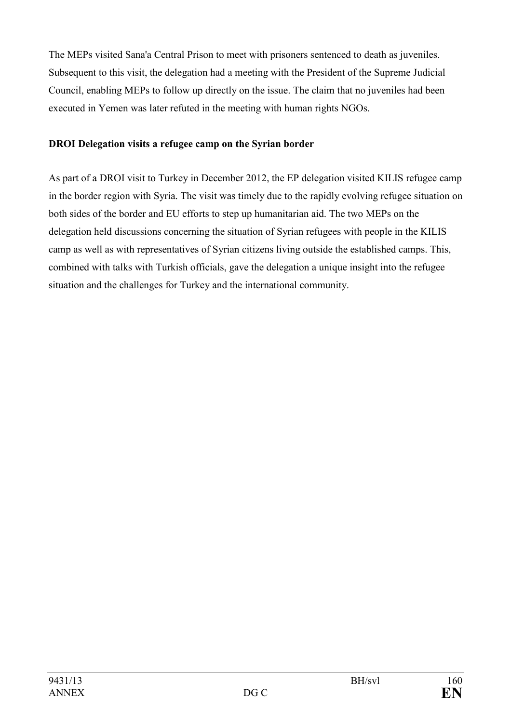The MEPs visited Sana'a Central Prison to meet with prisoners sentenced to death as juveniles. Subsequent to this visit, the delegation had a meeting with the President of the Supreme Judicial Council, enabling MEPs to follow up directly on the issue. The claim that no juveniles had been executed in Yemen was later refuted in the meeting with human rights NGOs.

# **DROI Delegation visits a refugee camp on the Syrian border**

As part of a DROI visit to Turkey in December 2012, the EP delegation visited KILIS refugee camp in the border region with Syria. The visit was timely due to the rapidly evolving refugee situation on both sides of the border and EU efforts to step up humanitarian aid. The two MEPs on the delegation held discussions concerning the situation of Syrian refugees with people in the KILIS camp as well as with representatives of Syrian citizens living outside the established camps. This, combined with talks with Turkish officials, gave the delegation a unique insight into the refugee situation and the challenges for Turkey and the international community.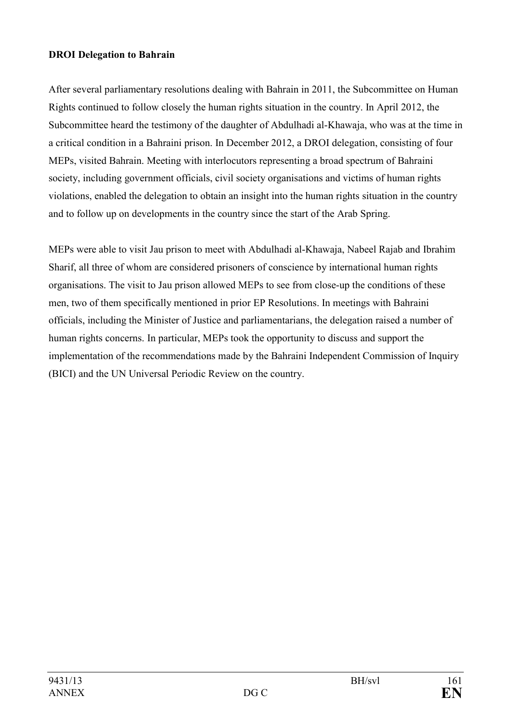#### **DROI Delegation to Bahrain**

After several parliamentary resolutions dealing with Bahrain in 2011, the Subcommittee on Human Rights continued to follow closely the human rights situation in the country. In April 2012, the Subcommittee heard the testimony of the daughter of Abdulhadi al-Khawaja, who was at the time in a critical condition in a Bahraini prison. In December 2012, a DROI delegation, consisting of four MEPs, visited Bahrain. Meeting with interlocutors representing a broad spectrum of Bahraini society, including government officials, civil society organisations and victims of human rights violations, enabled the delegation to obtain an insight into the human rights situation in the country and to follow up on developments in the country since the start of the Arab Spring.

MEPs were able to visit Jau prison to meet with Abdulhadi al-Khawaja, Nabeel Rajab and Ibrahim Sharif, all three of whom are considered prisoners of conscience by international human rights organisations. The visit to Jau prison allowed MEPs to see from close-up the conditions of these men, two of them specifically mentioned in prior EP Resolutions. In meetings with Bahraini officials, including the Minister of Justice and parliamentarians, the delegation raised a number of human rights concerns. In particular, MEPs took the opportunity to discuss and support the implementation of the recommendations made by the Bahraini Independent Commission of Inquiry (BICI) and the UN Universal Periodic Review on the country.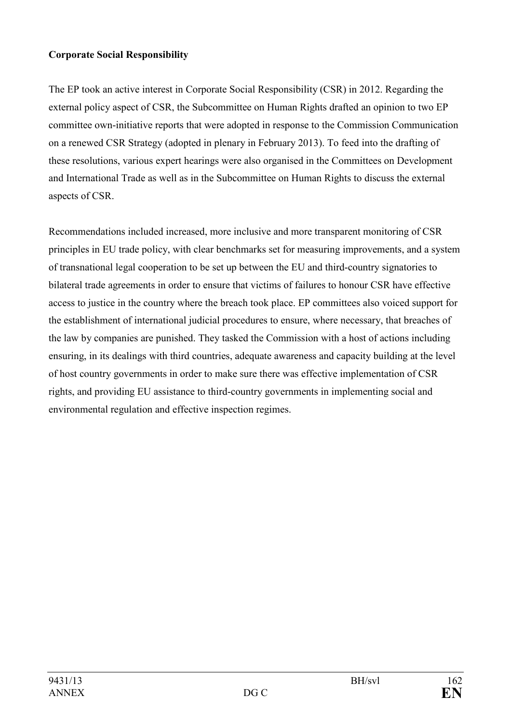## **Corporate Social Responsibility**

The EP took an active interest in Corporate Social Responsibility (CSR) in 2012. Regarding the external policy aspect of CSR, the Subcommittee on Human Rights drafted an opinion to two EP committee own-initiative reports that were adopted in response to the Commission Communication on a renewed CSR Strategy (adopted in plenary in February 2013). To feed into the drafting of these resolutions, various expert hearings were also organised in the Committees on Development and International Trade as well as in the Subcommittee on Human Rights to discuss the external aspects of CSR.

Recommendations included increased, more inclusive and more transparent monitoring of CSR principles in EU trade policy, with clear benchmarks set for measuring improvements, and a system of transnational legal cooperation to be set up between the EU and third-country signatories to bilateral trade agreements in order to ensure that victims of failures to honour CSR have effective access to justice in the country where the breach took place. EP committees also voiced support for the establishment of international judicial procedures to ensure, where necessary, that breaches of the law by companies are punished. They tasked the Commission with a host of actions including ensuring, in its dealings with third countries, adequate awareness and capacity building at the level of host country governments in order to make sure there was effective implementation of CSR rights, and providing EU assistance to third-country governments in implementing social and environmental regulation and effective inspection regimes.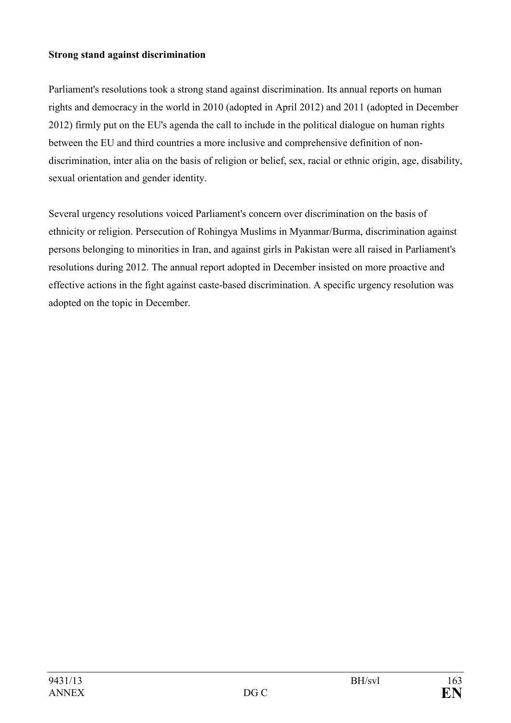## **Strong stand against discrimination**

Parliament's resolutions took a strong stand against discrimination. Its annual reports on human rights and democracy in the world in 2010 (adopted in April 2012) and 2011 (adopted in December 2012) firmly put on the EU's agenda the call to include in the political dialogue on human rights between the EU and third countries a more inclusive and comprehensive definition of nondiscrimination, inter alia on the basis of religion or belief, sex, racial or ethnic origin, age, disability, sexual orientation and gender identity.

Several urgency resolutions voiced Parliament's concern over discrimination on the basis of ethnicity or religion. Persecution of Rohingya Muslims in Myanmar/Burma, discrimination against persons belonging to minorities in Iran, and against girls in Pakistan were all raised in Parliament's resolutions during 2012. The annual report adopted in December insisted on more proactive and effective actions in the fight against caste-based discrimination. A specific urgency resolution was adopted on the topic in December.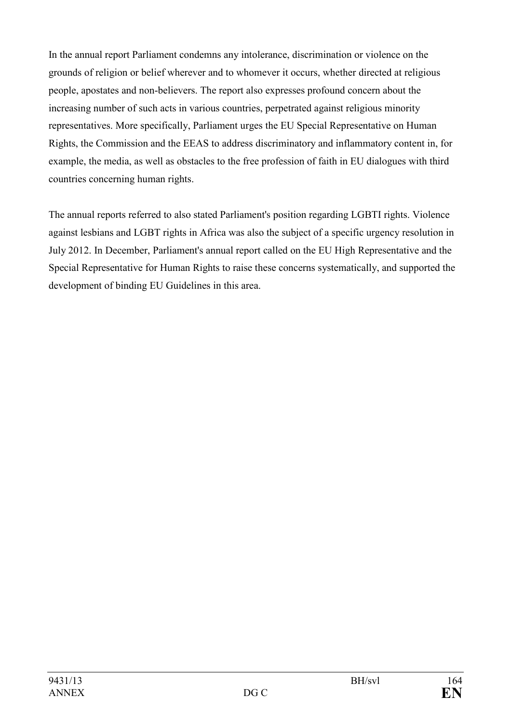In the annual report Parliament condemns any intolerance, discrimination or violence on the grounds of religion or belief wherever and to whomever it occurs, whether directed at religious people, apostates and non-believers. The report also expresses profound concern about the increasing number of such acts in various countries, perpetrated against religious minority representatives. More specifically, Parliament urges the EU Special Representative on Human Rights, the Commission and the EEAS to address discriminatory and inflammatory content in, for example, the media, as well as obstacles to the free profession of faith in EU dialogues with third countries concerning human rights.

The annual reports referred to also stated Parliament's position regarding LGBTI rights. Violence against lesbians and LGBT rights in Africa was also the subject of a specific urgency resolution in July 2012. In December, Parliament's annual report called on the EU High Representative and the Special Representative for Human Rights to raise these concerns systematically, and supported the development of binding EU Guidelines in this area.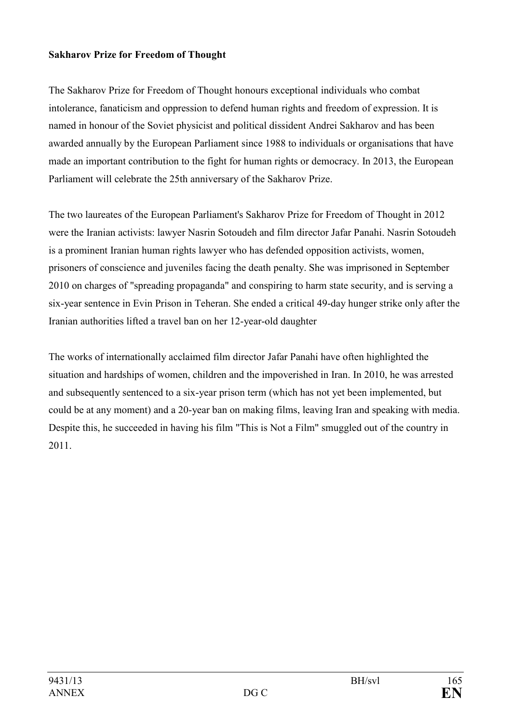#### **Sakharov Prize for Freedom of Thought**

The Sakharov Prize for Freedom of Thought honours exceptional individuals who combat intolerance, fanaticism and oppression to defend human rights and freedom of expression. It is named in honour of the Soviet physicist and political dissident Andrei Sakharov and has been awarded annually by the European Parliament since 1988 to individuals or organisations that have made an important contribution to the fight for human rights or democracy. In 2013, the European Parliament will celebrate the 25th anniversary of the Sakharov Prize.

The two laureates of the European Parliament's Sakharov Prize for Freedom of Thought in 2012 were the Iranian activists: lawyer Nasrin Sotoudeh and film director Jafar Panahi. Nasrin Sotoudeh is a prominent Iranian human rights lawyer who has defended opposition activists, women, prisoners of conscience and juveniles facing the death penalty. She was imprisoned in September 2010 on charges of "spreading propaganda" and conspiring to harm state security, and is serving a six-year sentence in Evin Prison in Teheran. She ended a critical 49-day hunger strike only after the Iranian authorities lifted a travel ban on her 12-year-old daughter

The works of internationally acclaimed film director Jafar Panahi have often highlighted the situation and hardships of women, children and the impoverished in Iran. In 2010, he was arrested and subsequently sentenced to a six-year prison term (which has not yet been implemented, but could be at any moment) and a 20-year ban on making films, leaving Iran and speaking with media. Despite this, he succeeded in having his film "This is Not a Film" smuggled out of the country in 2011.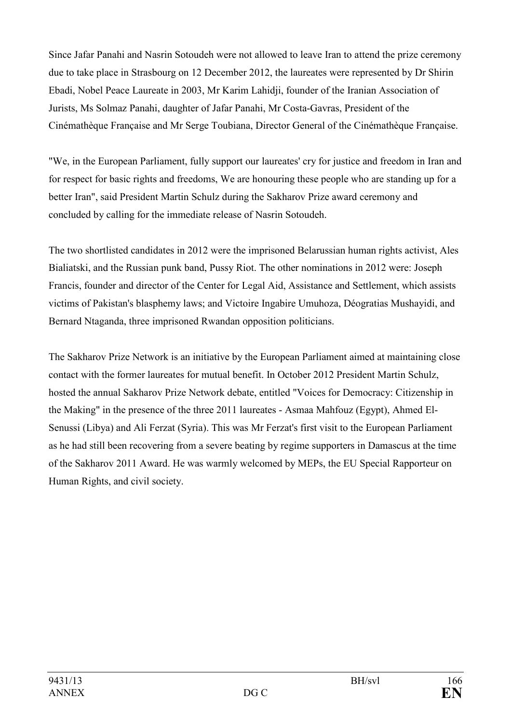Since Jafar Panahi and Nasrin Sotoudeh were not allowed to leave Iran to attend the prize ceremony due to take place in Strasbourg on 12 December 2012, the laureates were represented by Dr Shirin Ebadi, Nobel Peace Laureate in 2003, Mr Karim Lahidji, founder of the Iranian Association of Jurists, Ms Solmaz Panahi, daughter of Jafar Panahi, Mr Costa-Gavras, President of the Cinémathèque Française and Mr Serge Toubiana, Director General of the Cinémathèque Française.

"We, in the European Parliament, fully support our laureates' cry for justice and freedom in Iran and for respect for basic rights and freedoms, We are honouring these people who are standing up for a better Iran", said President Martin Schulz during the Sakharov Prize award ceremony and concluded by calling for the immediate release of Nasrin Sotoudeh.

The two shortlisted candidates in 2012 were the imprisoned Belarussian human rights activist, Ales Bialiatski, and the Russian punk band, Pussy Riot. The other nominations in 2012 were: Joseph Francis, founder and director of the Center for Legal Aid, Assistance and Settlement, which assists victims of Pakistan's blasphemy laws; and Victoire Ingabire Umuhoza, Déogratias Mushayidi, and Bernard Ntaganda, three imprisoned Rwandan opposition politicians.

The Sakharov Prize Network is an initiative by the European Parliament aimed at maintaining close contact with the former laureates for mutual benefit. In October 2012 President Martin Schulz, hosted the annual Sakharov Prize Network debate, entitled "Voices for Democracy: Citizenship in the Making" in the presence of the three 2011 laureates - Asmaa Mahfouz (Egypt), Ahmed El-Senussi (Libya) and Ali Ferzat (Syria). This was Mr Ferzat's first visit to the European Parliament as he had still been recovering from a severe beating by regime supporters in Damascus at the time of the Sakharov 2011 Award. He was warmly welcomed by MEPs, the EU Special Rapporteur on Human Rights, and civil society.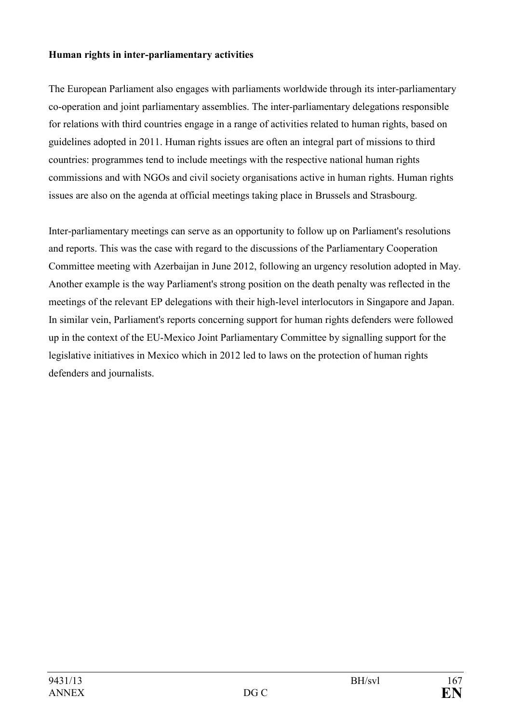#### **Human rights in inter-parliamentary activities**

The European Parliament also engages with parliaments worldwide through its inter-parliamentary co-operation and joint parliamentary assemblies. The inter-parliamentary delegations responsible for relations with third countries engage in a range of activities related to human rights, based on guidelines adopted in 2011. Human rights issues are often an integral part of missions to third countries: programmes tend to include meetings with the respective national human rights commissions and with NGOs and civil society organisations active in human rights. Human rights issues are also on the agenda at official meetings taking place in Brussels and Strasbourg.

Inter-parliamentary meetings can serve as an opportunity to follow up on Parliament's resolutions and reports. This was the case with regard to the discussions of the Parliamentary Cooperation Committee meeting with Azerbaijan in June 2012, following an urgency resolution adopted in May. Another example is the way Parliament's strong position on the death penalty was reflected in the meetings of the relevant EP delegations with their high-level interlocutors in Singapore and Japan. In similar vein, Parliament's reports concerning support for human rights defenders were followed up in the context of the EU-Mexico Joint Parliamentary Committee by signalling support for the legislative initiatives in Mexico which in 2012 led to laws on the protection of human rights defenders and journalists.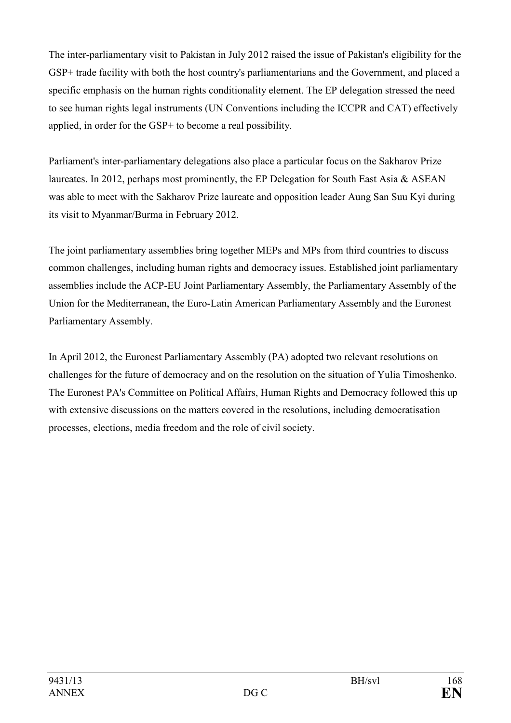The inter-parliamentary visit to Pakistan in July 2012 raised the issue of Pakistan's eligibility for the GSP+ trade facility with both the host country's parliamentarians and the Government, and placed a specific emphasis on the human rights conditionality element. The EP delegation stressed the need to see human rights legal instruments (UN Conventions including the ICCPR and CAT) effectively applied, in order for the GSP+ to become a real possibility.

Parliament's inter-parliamentary delegations also place a particular focus on the Sakharov Prize laureates. In 2012, perhaps most prominently, the EP Delegation for South East Asia & ASEAN was able to meet with the Sakharov Prize laureate and opposition leader Aung San Suu Kyi during its visit to Myanmar/Burma in February 2012.

The joint parliamentary assemblies bring together MEPs and MPs from third countries to discuss common challenges, including human rights and democracy issues. Established joint parliamentary assemblies include the ACP-EU Joint Parliamentary Assembly, the Parliamentary Assembly of the Union for the Mediterranean, the Euro-Latin American Parliamentary Assembly and the Euronest Parliamentary Assembly.

In April 2012, the Euronest Parliamentary Assembly (PA) adopted two relevant resolutions on challenges for the future of democracy and on the resolution on the situation of Yulia Timoshenko. The Euronest PA's Committee on Political Affairs, Human Rights and Democracy followed this up with extensive discussions on the matters covered in the resolutions, including democratisation processes, elections, media freedom and the role of civil society.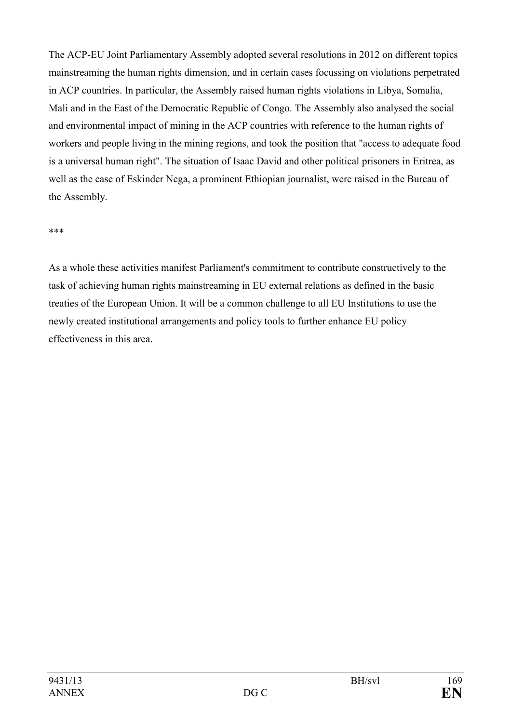The ACP-EU Joint Parliamentary Assembly adopted several resolutions in 2012 on different topics mainstreaming the human rights dimension, and in certain cases focussing on violations perpetrated in ACP countries. In particular, the Assembly raised human rights violations in Libya, Somalia, Mali and in the East of the Democratic Republic of Congo. The Assembly also analysed the social and environmental impact of mining in the ACP countries with reference to the human rights of workers and people living in the mining regions, and took the position that "access to adequate food is a universal human right". The situation of Isaac David and other political prisoners in Eritrea, as well as the case of Eskinder Nega, a prominent Ethiopian journalist, were raised in the Bureau of the Assembly.

#### \*\*\*

As a whole these activities manifest Parliament's commitment to contribute constructively to the task of achieving human rights mainstreaming in EU external relations as defined in the basic treaties of the European Union. It will be a common challenge to all EU Institutions to use the newly created institutional arrangements and policy tools to further enhance EU policy effectiveness in this area.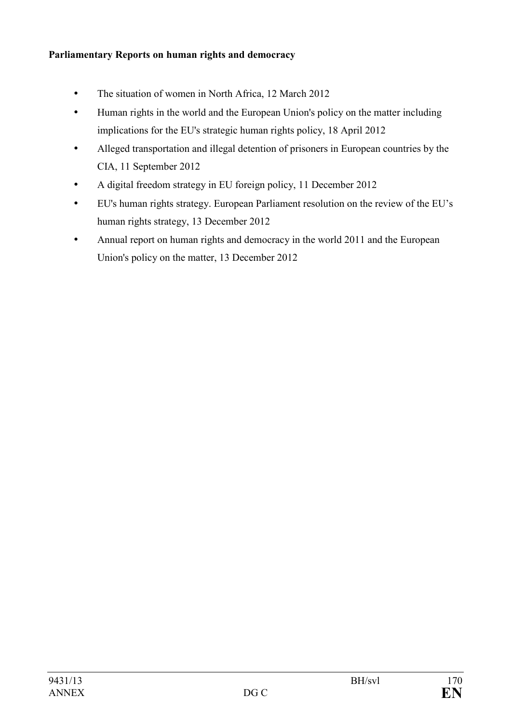## **Parliamentary Reports on human rights and democracy**

- The situation of women in North Africa, 12 March 2012
- Human rights in the world and the European Union's policy on the matter including implications for the EU's strategic human rights policy, 18 April 2012
- Alleged transportation and illegal detention of prisoners in European countries by the CIA, 11 September 2012
- A digital freedom strategy in EU foreign policy, 11 December 2012
- EU's human rights strategy. European Parliament resolution on the review of the EU's human rights strategy, 13 December 2012
- Annual report on human rights and democracy in the world 2011 and the European Union's policy on the matter, 13 December 2012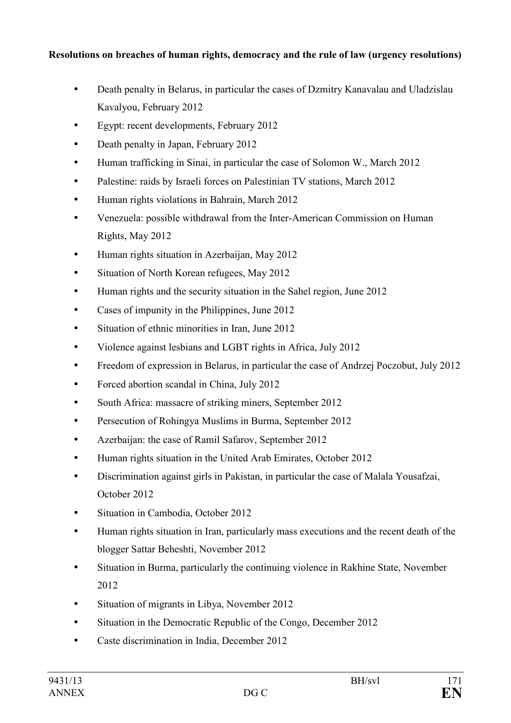## **Resolutions on breaches of human rights, democracy and the rule of law (urgency resolutions)**

- Death penalty in Belarus, in particular the cases of Dzmitry Kanavalau and Uladzislau Kavalyou, February 2012
- Egypt: recent developments, February 2012
- Death penalty in Japan, February 2012
- Human trafficking in Sinai, in particular the case of Solomon W., March 2012
- Palestine: raids by Israeli forces on Palestinian TV stations, March 2012
- Human rights violations in Bahrain, March 2012
- [Venezuela: possible withdrawal from the Inter-American Commission on Human](http://www.europarl.europa.eu/sides/getDoc.do?pubRef=-%2f%2fEP%2f%2fTEXT%2bTA%2bP7-TA-2012-0227%2b0%2bDOC%2bXML%2bV0%2f%2fEN&language=EN) [Rights, May 2012](http://www.europarl.europa.eu/sides/getDoc.do?pubRef=-%2f%2fEP%2f%2fTEXT%2bTA%2bP7-TA-2012-0227%2b0%2bDOC%2bXML%2bV0%2f%2fEN&language=EN)
- Human rights situation in Azerbaijan, May 2012
- Situation of North Korean refugees, May 2012
- Human rights and the security situation in the Sahel region, June 2012
- Cases of impunity in the Philippines, June 2012
- Situation of ethnic minorities in Iran, June 2012
- Violence against lesbians and LGBT rights in Africa, July 2012
- Freedom of expression in Belarus, in particular the case of Andrzej Poczobut, July 2012
- Forced abortion scandal in China, July 2012
- South Africa: massacre of striking miners, September 2012
- Persecution of Rohingya Muslims in Burma, September 2012
- Azerbaijan: the case of Ramil Safarov, September 2012
- Human rights situation in the United Arab Emirates, October 2012
- Discrimination against girls in Pakistan, in particular the case of Malala Yousafzai, October 2012
- Situation in Cambodia, October 2012
- Human rights situation in Iran, particularly mass executions and the recent death of the blogger Sattar Beheshti, November 2012
- Situation in Burma, particularly the continuing violence in Rakhine State, November 2012
- Situation of migrants in Libya, November 2012
- Situation in the Democratic Republic of the Congo, December 2012
- Caste discrimination in India, December 2012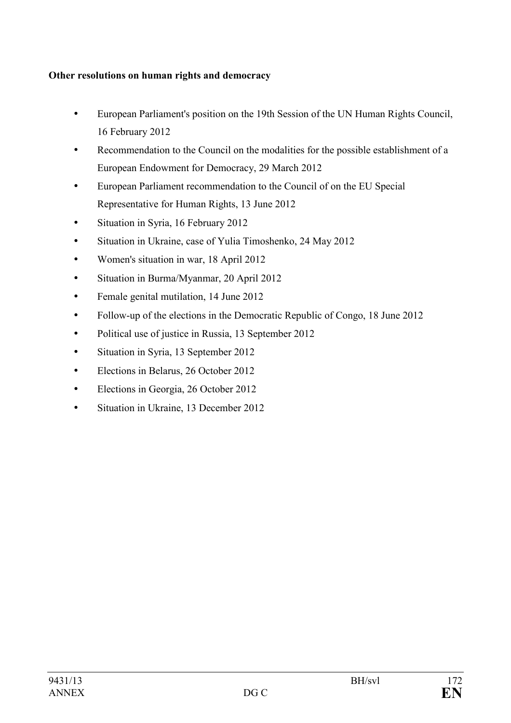## **Other resolutions on human rights and democracy**

- European Parliament's position on the 19th Session of the UN Human Rights Council, 16 February 2012
- Recommendation to the Council on the modalities for the possible establishment of a European Endowment for Democracy, 29 March 2012
- European Parliament recommendation to the Council of on the EU Special Representative for Human Rights, 13 June 2012
- Situation in Syria, 16 February 2012
- Situation in Ukraine, case of Yulia Timoshenko, 24 May 2012
- Women's situation in war, 18 April 2012
- Situation in Burma/Myanmar, 20 April 2012
- Female genital mutilation, 14 June 2012
- Follow-up of the elections in the Democratic Republic of Congo, 18 June 2012
- Political use of justice in Russia, 13 September 2012
- Situation in Syria, 13 September 2012
- Elections in Belarus, 26 October 2012
- Elections in Georgia, 26 October 2012
- Situation in Ukraine, 13 December 2012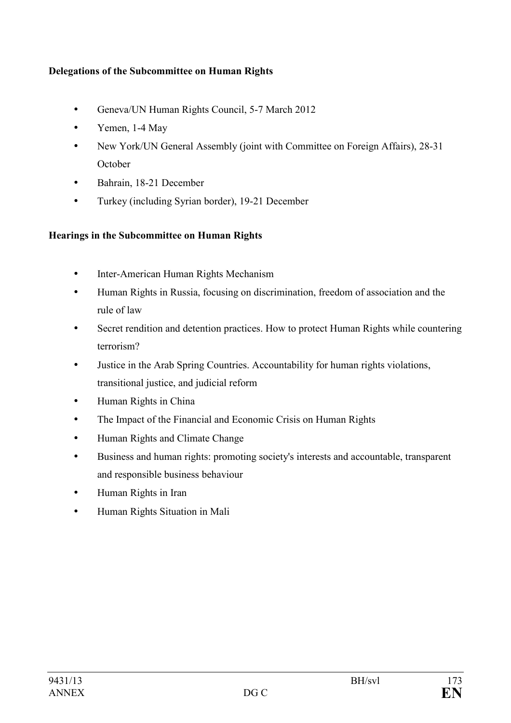## **Delegations of the Subcommittee on Human Rights**

- Geneva/UN Human Rights Council, 5-7 March 2012
- Yemen, 1-4 May
- New York/UN General Assembly (joint with Committee on Foreign Affairs), 28-31 **October**
- Bahrain, 18-21 December
- Turkey (including Syrian border), 19-21 December

# **Hearings in the Subcommittee on Human Rights**

- Inter-American Human Rights Mechanism
- Human Rights in Russia, focusing on discrimination, freedom of association and the rule of law
- Secret rendition and detention practices. How to protect Human Rights while countering terrorism?
- Justice in the Arab Spring Countries. Accountability for human rights violations, transitional justice, and judicial reform
- Human Rights in China
- The Impact of the Financial and Economic Crisis on Human Rights
- Human Rights and Climate Change
- Business and human rights: promoting society's interests and accountable, transparent and responsible business behaviour
- Human Rights in Iran
- Human Rights Situation in Mali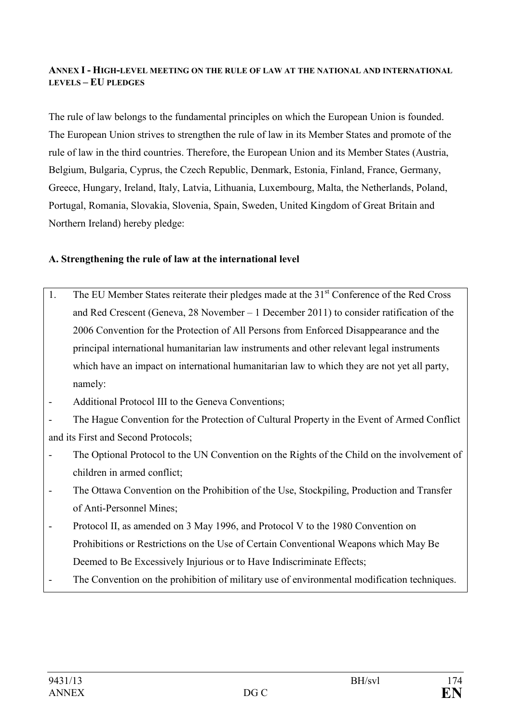#### **AEX I - HIGH-LEVEL MEETIG O THE RULE OF LAW AT THE ATIOAL AD ITERATIOAL LEVELS – EU PLEDGES**

The rule of law belongs to the fundamental principles on which the European Union is founded. The European Union strives to strengthen the rule of law in its Member States and promote of the rule of law in the third countries. Therefore, the European Union and its Member States (Austria, Belgium, Bulgaria, Cyprus, the Czech Republic, Denmark, Estonia, Finland, France, Germany, Greece, Hungary, Ireland, Italy, Latvia, Lithuania, Luxembourg, Malta, the Netherlands, Poland, Portugal, Romania, Slovakia, Slovenia, Spain, Sweden, United Kingdom of Great Britain and Northern Ireland) hereby pledge:

## **A. Strengthening the rule of law at the international level**

- 1. The EU Member States reiterate their pledges made at the  $31<sup>st</sup>$  Conference of the Red Cross and Red Crescent (Geneva, 28 November – 1 December 2011) to consider ratification of the 2006 Convention for the Protection of All Persons from Enforced Disappearance and the principal international humanitarian law instruments and other relevant legal instruments which have an impact on international humanitarian law to which they are not yet all party, namely:
- Additional Protocol III to the Geneva Conventions;

- The Hague Convention for the Protection of Cultural Property in the Event of Armed Conflict and its First and Second Protocols;

- The Optional Protocol to the UN Convention on the Rights of the Child on the involvement of children in armed conflict;
- The Ottawa Convention on the Prohibition of the Use, Stockpiling, Production and Transfer of Anti-Personnel Mines;
- Protocol II, as amended on 3 May 1996, and Protocol V to the 1980 Convention on Prohibitions or Restrictions on the Use of Certain Conventional Weapons which May Be Deemed to Be Excessively Injurious or to Have Indiscriminate Effects;
- The Convention on the prohibition of military use of environmental modification techniques.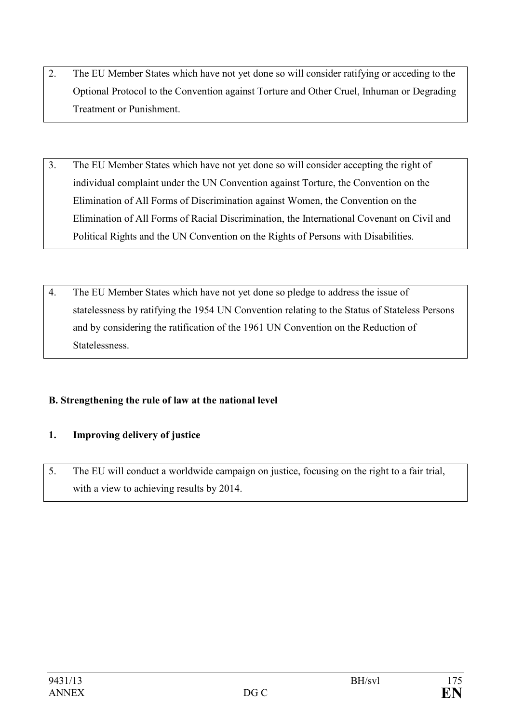- 2. The EU Member States which have not yet done so will consider ratifying or acceding to the Optional Protocol to the Convention against Torture and Other Cruel, Inhuman or Degrading Treatment or Punishment.
- 3. The EU Member States which have not yet done so will consider accepting the right of individual complaint under the UN Convention against Torture, the Convention on the Elimination of All Forms of Discrimination against Women, the Convention on the Elimination of All Forms of Racial Discrimination, the International Covenant on Civil and Political Rights and the UN Convention on the Rights of Persons with Disabilities.
- 4. The EU Member States which have not yet done so pledge to address the issue of statelessness by ratifying the 1954 UN Convention relating to the Status of Stateless Persons and by considering the ratification of the 1961 UN Convention on the Reduction of Statelessness.

# **B. Strengthening the rule of law at the national level**

# **1. Improving delivery of justice**

5. The EU will conduct a worldwide campaign on justice, focusing on the right to a fair trial, with a view to achieving results by 2014.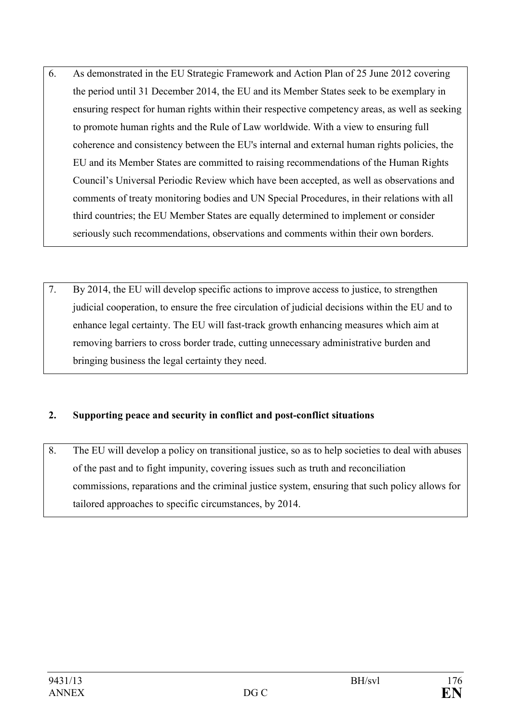- 6. As demonstrated in the EU Strategic Framework and Action Plan of 25 June 2012 covering the period until 31 December 2014, the EU and its Member States seek to be exemplary in ensuring respect for human rights within their respective competency areas, as well as seeking to promote human rights and the Rule of Law worldwide. With a view to ensuring full coherence and consistency between the EU's internal and external human rights policies, the EU and its Member States are committed to raising recommendations of the Human Rights Council's Universal Periodic Review which have been accepted, as well as observations and comments of treaty monitoring bodies and UN Special Procedures, in their relations with all third countries; the EU Member States are equally determined to implement or consider seriously such recommendations, observations and comments within their own borders.
- 7. By 2014, the EU will develop specific actions to improve access to justice, to strengthen judicial cooperation, to ensure the free circulation of judicial decisions within the EU and to enhance legal certainty. The EU will fast-track growth enhancing measures which aim at removing barriers to cross border trade, cutting unnecessary administrative burden and bringing business the legal certainty they need.

# **2. Supporting peace and security in conflict and post-conflict situations**

8. The EU will develop a policy on transitional justice, so as to help societies to deal with abuses of the past and to fight impunity, covering issues such as truth and reconciliation commissions, reparations and the criminal justice system, ensuring that such policy allows for tailored approaches to specific circumstances, by 2014.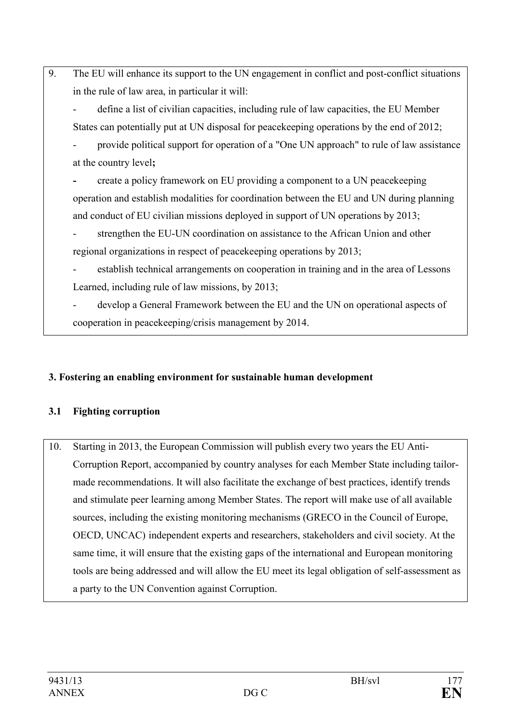9. The EU will enhance its support to the UN engagement in conflict and post-conflict situations in the rule of law area, in particular it will:

- define a list of civilian capacities, including rule of law capacities, the EU Member States can potentially put at UN disposal for peacekeeping operations by the end of 2012;

- provide political support for operation of a "One UN approach" to rule of law assistance at the country level**;**
- create a policy framework on EU providing a component to a UN peacekeeping operation and establish modalities for coordination between the EU and UN during planning and conduct of EU civilian missions deployed in support of UN operations by 2013;

strengthen the EU-UN coordination on assistance to the African Union and other regional organizations in respect of peacekeeping operations by 2013;

establish technical arrangements on cooperation in training and in the area of Lessons Learned, including rule of law missions, by 2013;

develop a General Framework between the EU and the UN on operational aspects of cooperation in peacekeeping/crisis management by 2014.

# **3. Fostering an enabling environment for sustainable human development**

# **3.1 Fighting corruption**

10. Starting in 2013, the European Commission will publish every two years the EU Anti-Corruption Report, accompanied by country analyses for each Member State including tailormade recommendations. It will also facilitate the exchange of best practices, identify trends and stimulate peer learning among Member States. The report will make use of all available sources, including the existing monitoring mechanisms (GRECO in the Council of Europe, OECD, UNCAC) independent experts and researchers, stakeholders and civil society. At the same time, it will ensure that the existing gaps of the international and European monitoring tools are being addressed and will allow the EU meet its legal obligation of self-assessment as a party to the UN Convention against Corruption.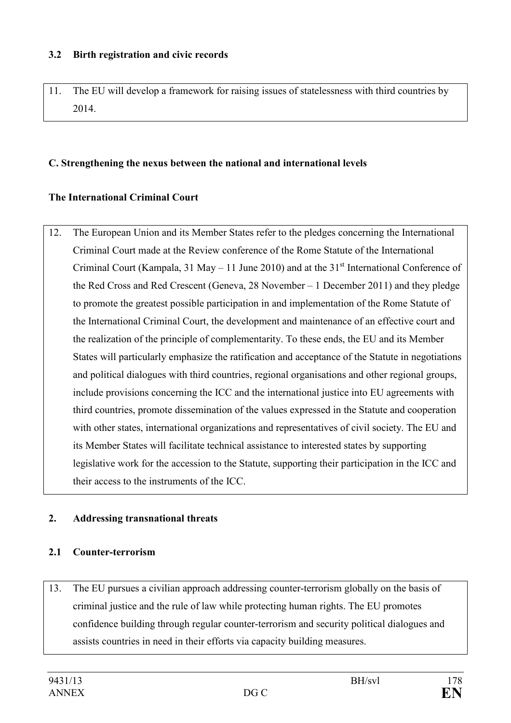#### **3.2 Birth registration and civic records**

11. The EU will develop a framework for raising issues of statelessness with third countries by 2014.

## **C. Strengthening the nexus between the national and international levels**

# **The International Criminal Court**

12. The European Union and its Member States refer to the pledges concerning the International Criminal Court made at the Review conference of the Rome Statute of the International Criminal Court (Kampala, 31 May – 11 June 2010) and at the  $31<sup>st</sup>$  International Conference of the Red Cross and Red Crescent (Geneva, 28 November – 1 December 2011) and they pledge to promote the greatest possible participation in and implementation of the Rome Statute of the International Criminal Court, the development and maintenance of an effective court and the realization of the principle of complementarity. To these ends, the EU and its Member States will particularly emphasize the ratification and acceptance of the Statute in negotiations and political dialogues with third countries, regional organisations and other regional groups, include provisions concerning the ICC and the international justice into EU agreements with third countries, promote dissemination of the values expressed in the Statute and cooperation with other states, international organizations and representatives of civil society. The EU and its Member States will facilitate technical assistance to interested states by supporting legislative work for the accession to the Statute, supporting their participation in the ICC and their access to the instruments of the ICC.

# **2. Addressing transnational threats**

#### **2.1 Counter-terrorism**

13. The EU pursues a civilian approach addressing counter-terrorism globally on the basis of criminal justice and the rule of law while protecting human rights. The EU promotes confidence building through regular counter-terrorism and security political dialogues and assists countries in need in their efforts via capacity building measures.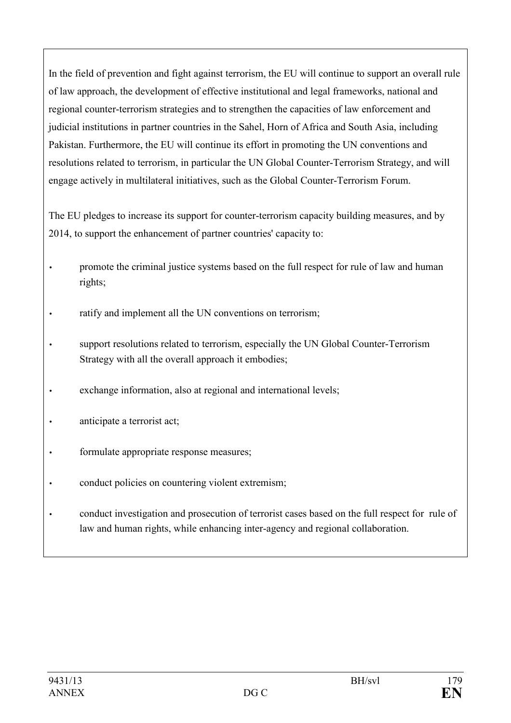In the field of prevention and fight against terrorism, the EU will continue to support an overall rule of law approach, the development of effective institutional and legal frameworks, national and regional counter-terrorism strategies and to strengthen the capacities of law enforcement and judicial institutions in partner countries in the Sahel, Horn of Africa and South Asia, including Pakistan. Furthermore, the EU will continue its effort in promoting the UN conventions and resolutions related to terrorism, in particular the UN Global Counter-Terrorism Strategy, and will engage actively in multilateral initiatives, such as the Global Counter-Terrorism Forum.

The EU pledges to increase its support for counter-terrorism capacity building measures, and by 2014, to support the enhancement of partner countries' capacity to:

- promote the criminal justice systems based on the full respect for rule of law and human rights;
- ratify and implement all the UN conventions on terrorism;
- support resolutions related to terrorism, especially the UN Global Counter-Terrorism Strategy with all the overall approach it embodies;
- exchange information, also at regional and international levels;
- anticipate a terrorist act;
- formulate appropriate response measures;
- conduct policies on countering violent extremism;
- conduct investigation and prosecution of terrorist cases based on the full respect for rule of law and human rights, while enhancing inter-agency and regional collaboration.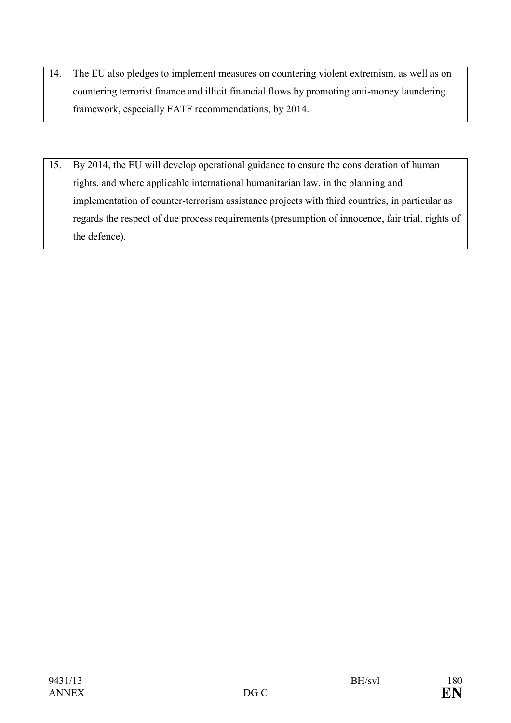- 14. The EU also pledges to implement measures on countering violent extremism, as well as on countering terrorist finance and illicit financial flows by promoting anti-money laundering framework, especially FATF recommendations, by 2014.
- 15. By 2014, the EU will develop operational guidance to ensure the consideration of human rights, and where applicable international humanitarian law, in the planning and implementation of counter-terrorism assistance projects with third countries, in particular as regards the respect of due process requirements (presumption of innocence, fair trial, rights of the defence).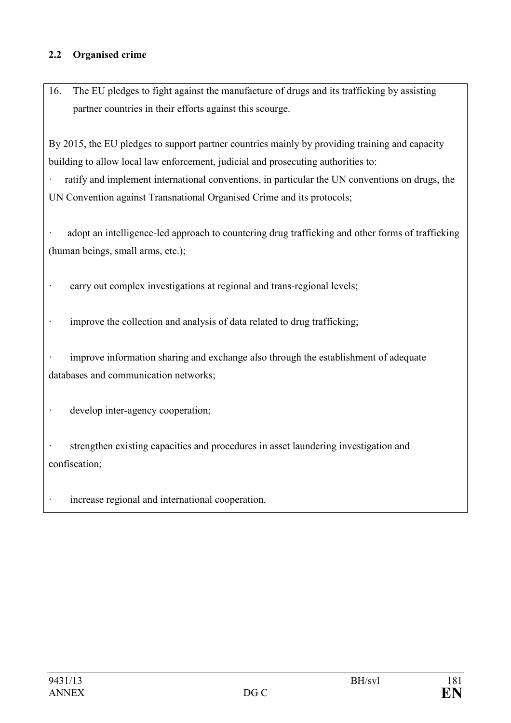### **2.2 Organised crime**

16. The EU pledges to fight against the manufacture of drugs and its trafficking by assisting partner countries in their efforts against this scourge.

By 2015, the EU pledges to support partner countries mainly by providing training and capacity building to allow local law enforcement, judicial and prosecuting authorities to:

· ratify and implement international conventions, in particular the UN conventions on drugs, the UN Convention against Transnational Organised Crime and its protocols;

adopt an intelligence-led approach to countering drug trafficking and other forms of trafficking (human beings, small arms, etc.);

· carry out complex investigations at regional and trans-regional levels;

· improve the collection and analysis of data related to drug trafficking;

improve information sharing and exchange also through the establishment of adequate databases and communication networks;

· develop inter-agency cooperation;

strengthen existing capacities and procedures in asset laundering investigation and confiscation;

increase regional and international cooperation.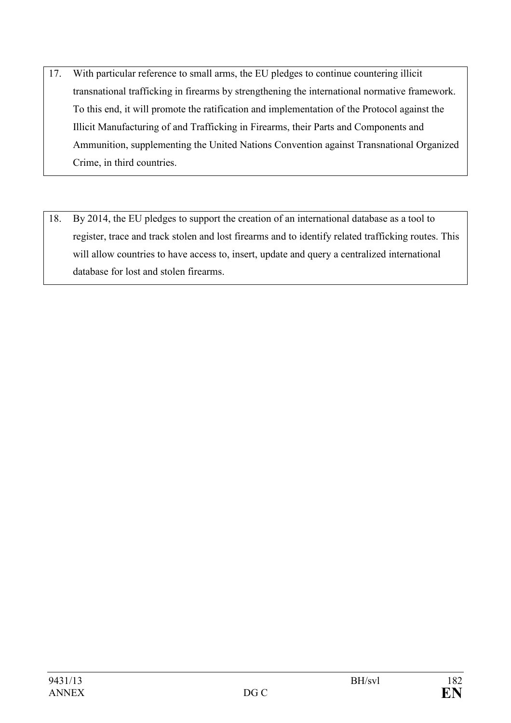- 17. With particular reference to small arms, the EU pledges to continue countering illicit transnational trafficking in firearms by strengthening the international normative framework. To this end, it will promote the ratification and implementation of the Protocol against the Illicit Manufacturing of and Trafficking in Firearms, their Parts and Components and Ammunition, supplementing the United Nations Convention against Transnational Organized Crime, in third countries.
- 18. By 2014, the EU pledges to support the creation of an international database as a tool to register, trace and track stolen and lost firearms and to identify related trafficking routes. This will allow countries to have access to, insert, update and query a centralized international database for lost and stolen firearms.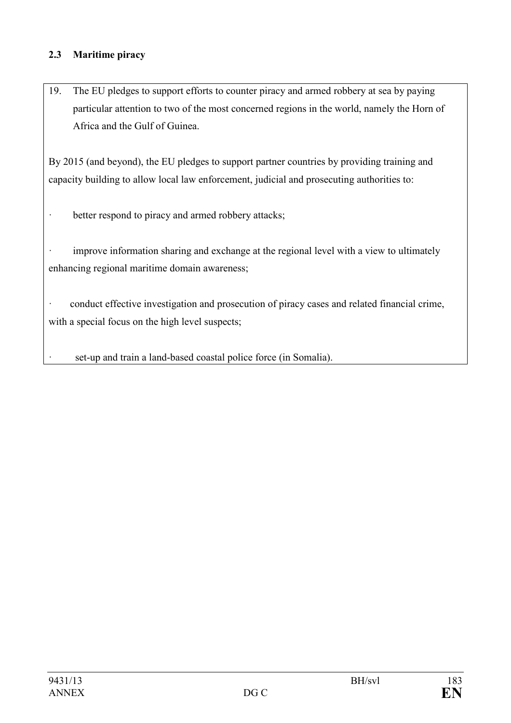## **2.3 Maritime piracy**

19. The EU pledges to support efforts to counter piracy and armed robbery at sea by paying particular attention to two of the most concerned regions in the world, namely the Horn of Africa and the Gulf of Guinea.

By 2015 (and beyond), the EU pledges to support partner countries by providing training and capacity building to allow local law enforcement, judicial and prosecuting authorities to:

· better respond to piracy and armed robbery attacks;

· improve information sharing and exchange at the regional level with a view to ultimately enhancing regional maritime domain awareness;

· conduct effective investigation and prosecution of piracy cases and related financial crime, with a special focus on the high level suspects;

set-up and train a land-based coastal police force (in Somalia).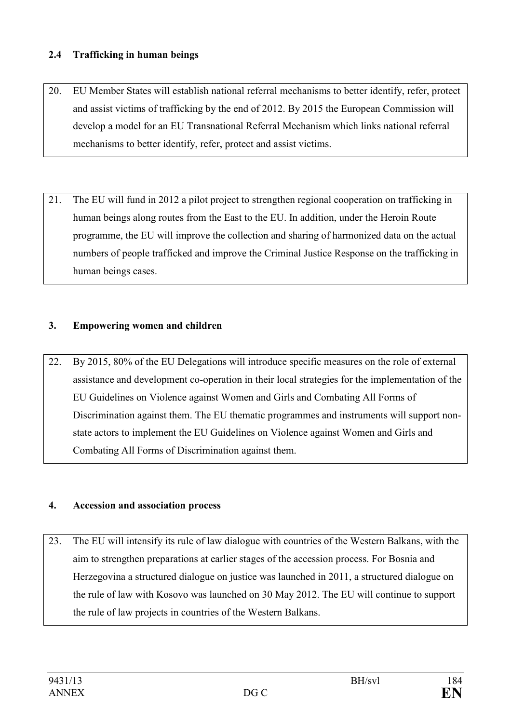## **2.4 Trafficking in human beings**

- 20. EU Member States will establish national referral mechanisms to better identify, refer, protect and assist victims of trafficking by the end of 2012. By 2015 the European Commission will develop a model for an EU Transnational Referral Mechanism which links national referral mechanisms to better identify, refer, protect and assist victims.
- 21. The EU will fund in 2012 a pilot project to strengthen regional cooperation on trafficking in human beings along routes from the East to the EU. In addition, under the Heroin Route programme, the EU will improve the collection and sharing of harmonized data on the actual numbers of people trafficked and improve the Criminal Justice Response on the trafficking in human beings cases.

## **3. Empowering women and children**

22. By 2015, 80% of the EU Delegations will introduce specific measures on the role of external assistance and development co-operation in their local strategies for the implementation of the EU Guidelines on Violence against Women and Girls and Combating All Forms of Discrimination against them. The EU thematic programmes and instruments will support nonstate actors to implement the EU Guidelines on Violence against Women and Girls and Combating All Forms of Discrimination against them.

#### **4. Accession and association process**

23. The EU will intensify its rule of law dialogue with countries of the Western Balkans, with the aim to strengthen preparations at earlier stages of the accession process. For Bosnia and Herzegovina a structured dialogue on justice was launched in 2011, a structured dialogue on the rule of law with Kosovo was launched on 30 May 2012. The EU will continue to support the rule of law projects in countries of the Western Balkans.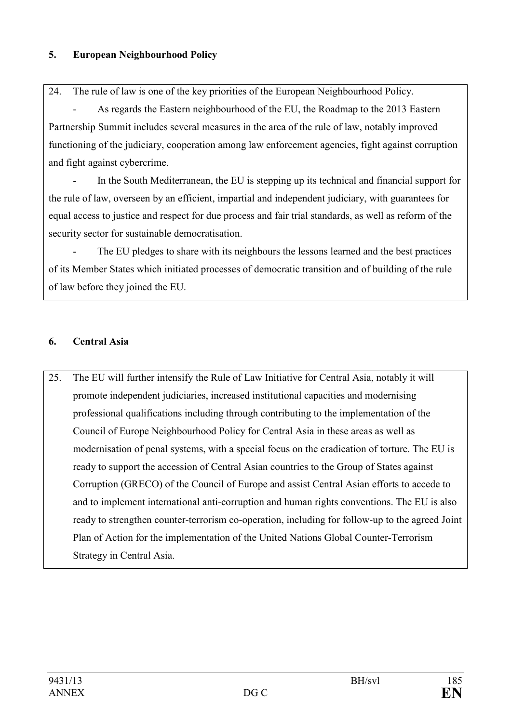## **5.** European Neighbourhood Policy

24. The rule of law is one of the key priorities of the European Neighbourhood Policy.

As regards the Eastern neighbourhood of the EU, the Roadmap to the 2013 Eastern Partnership Summit includes several measures in the area of the rule of law, notably improved functioning of the judiciary, cooperation among law enforcement agencies, fight against corruption and fight against cybercrime.

 - In the South Mediterranean, the EU is stepping up its technical and financial support for the rule of law, overseen by an efficient, impartial and independent judiciary, with guarantees for equal access to justice and respect for due process and fair trial standards, as well as reform of the security sector for sustainable democratisation.

The EU pledges to share with its neighbours the lessons learned and the best practices of its Member States which initiated processes of democratic transition and of building of the rule of law before they joined the EU.

# **6. Central Asia**

25. The EU will further intensify the Rule of Law Initiative for Central Asia, notably it will promote independent judiciaries, increased institutional capacities and modernising professional qualifications including through contributing to the implementation of the Council of Europe Neighbourhood Policy for Central Asia in these areas as well as modernisation of penal systems, with a special focus on the eradication of torture. The EU is ready to support the accession of Central Asian countries to the Group of States against Corruption (GRECO) of the Council of Europe and assist Central Asian efforts to accede to and to implement international anti-corruption and human rights conventions. The EU is also ready to strengthen counter-terrorism co-operation, including for follow-up to the agreed Joint Plan of Action for the implementation of the United Nations Global Counter-Terrorism Strategy in Central Asia.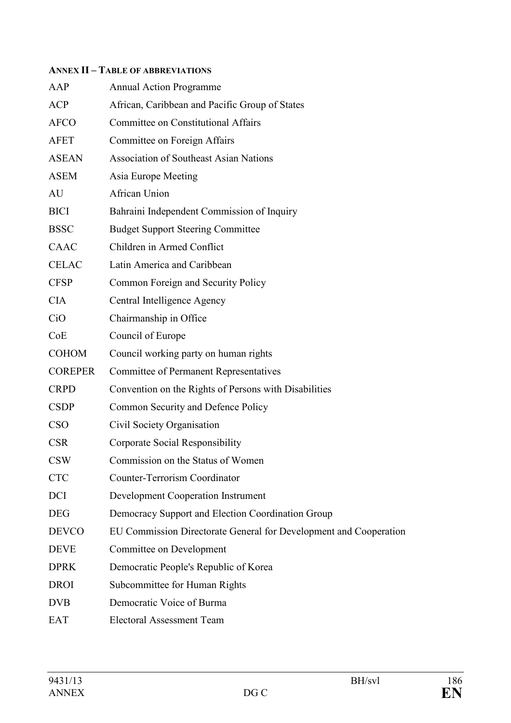#### **AEX II – TABLE OF ABBREVIATIOS**

| AAP            | <b>Annual Action Programme</b>                                    |
|----------------|-------------------------------------------------------------------|
| <b>ACP</b>     | African, Caribbean and Pacific Group of States                    |
| <b>AFCO</b>    | <b>Committee on Constitutional Affairs</b>                        |
| <b>AFET</b>    | Committee on Foreign Affairs                                      |
| <b>ASEAN</b>   | <b>Association of Southeast Asian Nations</b>                     |
| <b>ASEM</b>    | Asia Europe Meeting                                               |
| AU             | <b>African Union</b>                                              |
| <b>BICI</b>    | Bahraini Independent Commission of Inquiry                        |
| <b>BSSC</b>    | <b>Budget Support Steering Committee</b>                          |
| CAAC           | Children in Armed Conflict                                        |
| <b>CELAC</b>   | Latin America and Caribbean                                       |
| <b>CFSP</b>    | Common Foreign and Security Policy                                |
| <b>CIA</b>     | Central Intelligence Agency                                       |
| CiO            | Chairmanship in Office                                            |
| CoE            | Council of Europe                                                 |
| <b>COHOM</b>   | Council working party on human rights                             |
| <b>COREPER</b> | <b>Committee of Permanent Representatives</b>                     |
| <b>CRPD</b>    | Convention on the Rights of Persons with Disabilities             |
| <b>CSDP</b>    | Common Security and Defence Policy                                |
| <b>CSO</b>     | Civil Society Organisation                                        |
| <b>CSR</b>     | Corporate Social Responsibility                                   |
| <b>CSW</b>     | Commission on the Status of Women                                 |
| <b>CTC</b>     | <b>Counter-Terrorism Coordinator</b>                              |
| <b>DCI</b>     | <b>Development Cooperation Instrument</b>                         |
| <b>DEG</b>     | Democracy Support and Election Coordination Group                 |
| <b>DEVCO</b>   | EU Commission Directorate General for Development and Cooperation |
| <b>DEVE</b>    | Committee on Development                                          |
| <b>DPRK</b>    | Democratic People's Republic of Korea                             |
| <b>DROI</b>    | Subcommittee for Human Rights                                     |
| <b>DVB</b>     | Democratic Voice of Burma                                         |
| <b>EAT</b>     | <b>Electoral Assessment Team</b>                                  |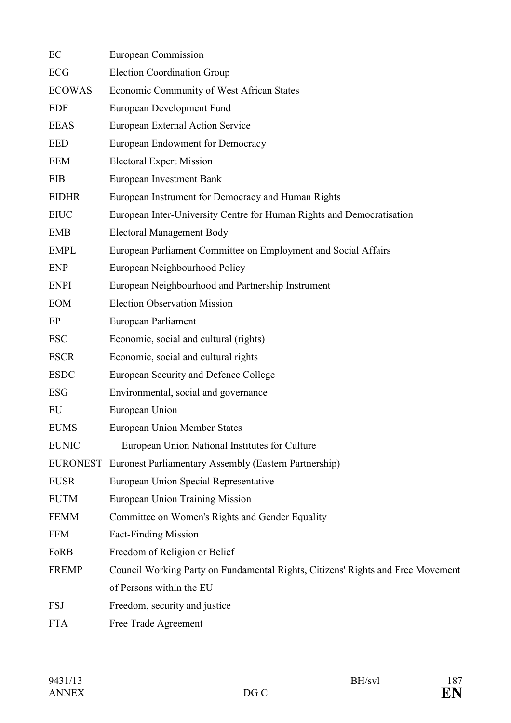| EC            | European Commission                                                             |
|---------------|---------------------------------------------------------------------------------|
| ECG           | <b>Election Coordination Group</b>                                              |
| <b>ECOWAS</b> | Economic Community of West African States                                       |
| <b>EDF</b>    | European Development Fund                                                       |
| <b>EEAS</b>   | European External Action Service                                                |
| <b>EED</b>    | European Endowment for Democracy                                                |
| EEM           | <b>Electoral Expert Mission</b>                                                 |
| EIB           | European Investment Bank                                                        |
| <b>EIDHR</b>  | European Instrument for Democracy and Human Rights                              |
| <b>EIUC</b>   | European Inter-University Centre for Human Rights and Democratisation           |
| <b>EMB</b>    | <b>Electoral Management Body</b>                                                |
| <b>EMPL</b>   | European Parliament Committee on Employment and Social Affairs                  |
| <b>ENP</b>    | European Neighbourhood Policy                                                   |
| <b>ENPI</b>   | European Neighbourhood and Partnership Instrument                               |
| <b>EOM</b>    | <b>Election Observation Mission</b>                                             |
| EP            | European Parliament                                                             |
| <b>ESC</b>    | Economic, social and cultural (rights)                                          |
| <b>ESCR</b>   | Economic, social and cultural rights                                            |
| <b>ESDC</b>   | European Security and Defence College                                           |
| <b>ESG</b>    | Environmental, social and governance                                            |
| EU            | European Union                                                                  |
| <b>EUMS</b>   | <b>European Union Member States</b>                                             |
| <b>EUNIC</b>  | European Union National Institutes for Culture                                  |
|               | <b>EURONEST</b> Euronest Parliamentary Assembly (Eastern Partnership)           |
| <b>EUSR</b>   | European Union Special Representative                                           |
| <b>EUTM</b>   | <b>European Union Training Mission</b>                                          |
| <b>FEMM</b>   | Committee on Women's Rights and Gender Equality                                 |
| <b>FFM</b>    | <b>Fact-Finding Mission</b>                                                     |
| FoRB          | Freedom of Religion or Belief                                                   |
| <b>FREMP</b>  | Council Working Party on Fundamental Rights, Citizens' Rights and Free Movement |
|               | of Persons within the EU                                                        |
| <b>FSJ</b>    | Freedom, security and justice                                                   |
| <b>FTA</b>    | Free Trade Agreement                                                            |
|               |                                                                                 |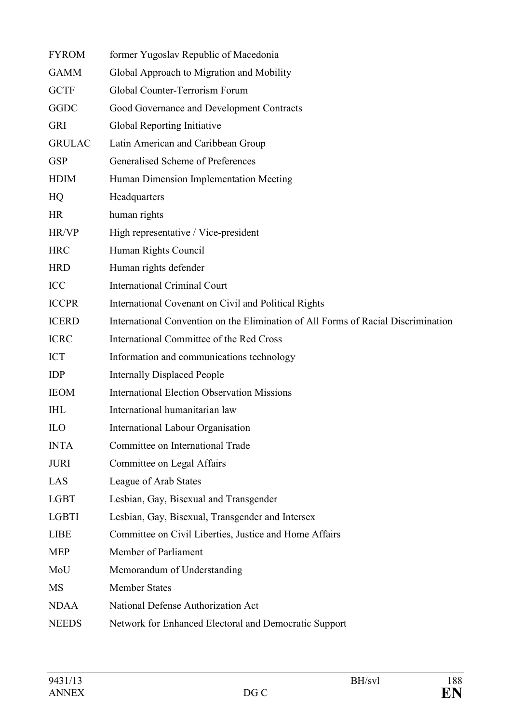| <b>FYROM</b>  | former Yugoslav Republic of Macedonia                                             |
|---------------|-----------------------------------------------------------------------------------|
| <b>GAMM</b>   | Global Approach to Migration and Mobility                                         |
| <b>GCTF</b>   | Global Counter-Terrorism Forum                                                    |
| <b>GGDC</b>   | Good Governance and Development Contracts                                         |
| <b>GRI</b>    | Global Reporting Initiative                                                       |
| <b>GRULAC</b> | Latin American and Caribbean Group                                                |
| <b>GSP</b>    | Generalised Scheme of Preferences                                                 |
| <b>HDIM</b>   | Human Dimension Implementation Meeting                                            |
| HQ            | Headquarters                                                                      |
| <b>HR</b>     | human rights                                                                      |
| HR/VP         | High representative / Vice-president                                              |
| <b>HRC</b>    | Human Rights Council                                                              |
| <b>HRD</b>    | Human rights defender                                                             |
| ICC           | <b>International Criminal Court</b>                                               |
| <b>ICCPR</b>  | International Covenant on Civil and Political Rights                              |
| <b>ICERD</b>  | International Convention on the Elimination of All Forms of Racial Discrimination |
| <b>ICRC</b>   | International Committee of the Red Cross                                          |
| <b>ICT</b>    | Information and communications technology                                         |
| <b>IDP</b>    | <b>Internally Displaced People</b>                                                |
| <b>IEOM</b>   | <b>International Election Observation Missions</b>                                |
| <b>IHL</b>    | International humanitarian law                                                    |
| <b>ILO</b>    | <b>International Labour Organisation</b>                                          |
| <b>INTA</b>   | Committee on International Trade                                                  |
| <b>JURI</b>   | Committee on Legal Affairs                                                        |
| LAS           | League of Arab States                                                             |
| <b>LGBT</b>   | Lesbian, Gay, Bisexual and Transgender                                            |
| <b>LGBTI</b>  | Lesbian, Gay, Bisexual, Transgender and Intersex                                  |
| <b>LIBE</b>   | Committee on Civil Liberties, Justice and Home Affairs                            |
| <b>MEP</b>    | Member of Parliament                                                              |
| MoU           | Memorandum of Understanding                                                       |
| <b>MS</b>     | <b>Member States</b>                                                              |
| <b>NDAA</b>   | National Defense Authorization Act                                                |
| <b>NEEDS</b>  | Network for Enhanced Electoral and Democratic Support                             |